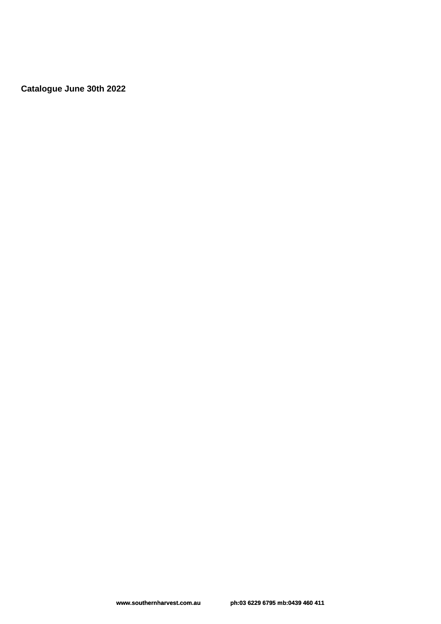**Catalogue June 30th 2022**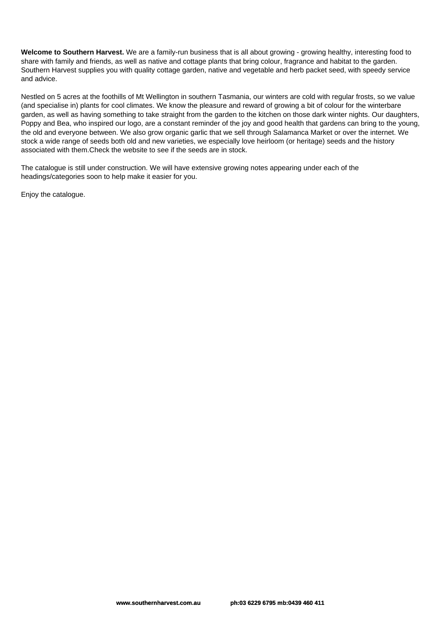**Welcome to Southern Harvest.** We are a family-run business that is all about growing - growing healthy, interesting food to share with family and friends, as well as native and cottage plants that bring colour, fragrance and habitat to the garden. Southern Harvest supplies you with quality cottage garden, native and vegetable and herb packet seed, with speedy service and advice.

Nestled on 5 acres at the foothills of Mt Wellington in southern Tasmania, our winters are cold with regular frosts, so we value (and specialise in) plants for cool climates. We know the pleasure and reward of growing a bit of colour for the winterbare garden, as well as having something to take straight from the garden to the kitchen on those dark winter nights. Our daughters, Poppy and Bea, who inspired our logo, are a constant reminder of the joy and good health that gardens can bring to the young, the old and everyone between. We also grow organic garlic that we sell through Salamanca Market or over the internet. We stock a wide range of seeds both old and new varieties, we especially love heirloom (or heritage) seeds and the history associated with them.Check the website to see if the seeds are in stock.

The catalogue is still under construction. We will have extensive growing notes appearing under each of the headings/categories soon to help make it easier for you.

Enjoy the catalogue.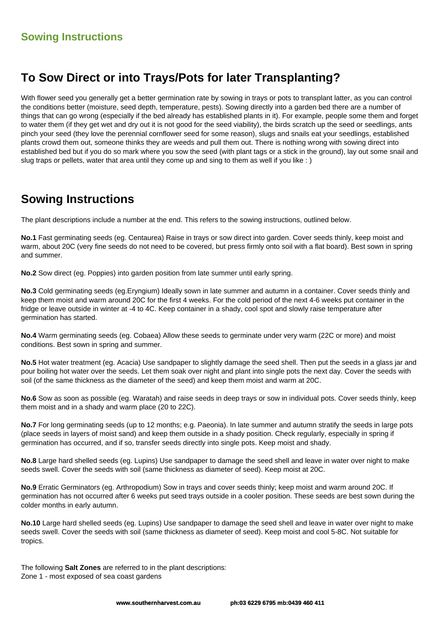# **To Sow Direct or into Trays/Pots for later Transplanting?**

With flower seed you generally get a better germination rate by sowing in trays or pots to transplant latter, as you can control the conditions better (moisture, seed depth, temperature, pests). Sowing directly into a garden bed there are a number of things that can go wrong (especially if the bed already has established plants in it). For example, people some them and forget to water them (if they get wet and dry out it is not good for the seed viability), the birds scratch up the seed or seedlings, ants pinch your seed (they love the perennial cornflower seed for some reason), slugs and snails eat your seedlings, established plants crowd them out, someone thinks they are weeds and pull them out. There is nothing wrong with sowing direct into established bed but if you do so mark where you sow the seed (with plant tags or a stick in the ground), lay out some snail and slug traps or pellets, water that area until they come up and sing to them as well if you like : )

# **Sowing Instructions**

The plant descriptions include a number at the end. This refers to the sowing instructions, outlined below.

**No.1** Fast germinating seeds (eg. Centaurea) Raise in trays or sow direct into garden. Cover seeds thinly, keep moist and warm, about 20C (very fine seeds do not need to be covered, but press firmly onto soil with a flat board). Best sown in spring and summer.

**No.2** Sow direct (eg. Poppies) into garden position from late summer until early spring.

**No.3** Cold germinating seeds (eg.Eryngium) Ideally sown in late summer and autumn in a container. Cover seeds thinly and keep them moist and warm around 20C for the first 4 weeks. For the cold period of the next 4-6 weeks put container in the fridge or leave outside in winter at -4 to 4C. Keep container in a shady, cool spot and slowly raise temperature after germination has started.

**No.4** Warm germinating seeds (eg. Cobaea) Allow these seeds to germinate under very warm (22C or more) and moist conditions. Best sown in spring and summer.

**No.5** Hot water treatment (eg. Acacia) Use sandpaper to slightly damage the seed shell. Then put the seeds in a glass jar and pour boiling hot water over the seeds. Let them soak over night and plant into single pots the next day. Cover the seeds with soil (of the same thickness as the diameter of the seed) and keep them moist and warm at 20C.

**No.6** Sow as soon as possible (eg. Waratah) and raise seeds in deep trays or sow in individual pots. Cover seeds thinly, keep them moist and in a shady and warm place (20 to 22C).

**No.7** For long germinating seeds (up to 12 months; e.g. Paeonia). In late summer and autumn stratify the seeds in large pots (place seeds in layers of moist sand) and keep them outside in a shady position. Check regularly, especially in spring if germination has occurred, and if so, transfer seeds directly into single pots. Keep moist and shady.

**No.8** Large hard shelled seeds (eg. Lupins) Use sandpaper to damage the seed shell and leave in water over night to make seeds swell. Cover the seeds with soil (same thickness as diameter of seed). Keep moist at 20C.

**No.9** Erratic Germinators (eg. Arthropodium) Sow in trays and cover seeds thinly; keep moist and warm around 20C. If germination has not occurred after 6 weeks put seed trays outside in a cooler position. These seeds are best sown during the colder months in early autumn.

**No.10** Large hard shelled seeds (eg. Lupins) Use sandpaper to damage the seed shell and leave in water over night to make seeds swell. Cover the seeds with soil (same thickness as diameter of seed). Keep moist and cool 5-8C. Not suitable for tropics.

The following **Salt Zones** are referred to in the plant descriptions: Zone 1 - most exposed of sea coast gardens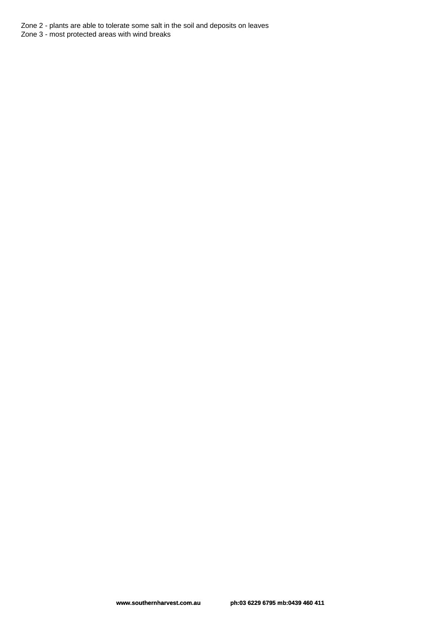Zone 2 - plants are able to tolerate some salt in the soil and deposits on leaves

Zone 3 - most protected areas with wind breaks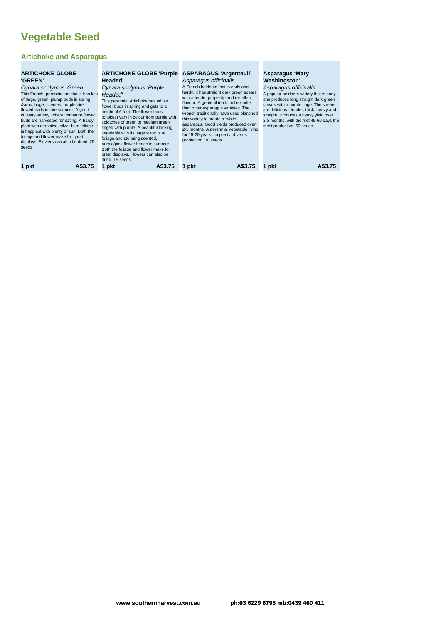# **Vegetable Seed**

#### **Artichoke and Asparagus**

| <b>ARTICHOKE GLOBE</b><br><b>'GREEN'</b><br>Cynara scolymus 'Green'<br>This French, perennial artichoke has lots<br>of large, green, plump buds in spring<br>& huge, scented, purple/pink<br>flowerheads in late summer. A good<br>culinary variety, where immature flower<br>buds are harvested for eating. A hardy<br>plant with attractive, silver-blue foliage. It<br>is happiest with plenty of sun. Both the<br>foliage and flower make for great<br>displays. Flowers can also be dried. 25<br>seeds | <b>ARTICHOKE GLOBE 'Purple</b><br>Headed'<br>Cynara scolymus 'Purple<br>Headed'<br>This perennial Artichoke has edible<br>flower buds in spring and gets to a<br>height of 6 foot. The flower buds<br>(chokes) vary in colour from purple with<br>splotches of green to medium green<br>tinged with purple. A beautiful looking<br>vegetable with its large silver blue<br>foliage and stunning scented,<br>purple/pink flower heads in summer.<br>Both the foliage and flower make for<br>great displays. Flowers can also be<br>dried. 15 seeds | <b>ASPARAGUS 'Argenteuil'</b><br>Asparagus officinalis<br>A French heirloom that is early and<br>hardy. It has straight dark green spears<br>with a tender purple tip and excellent<br>flavour. Argenteuil tends to be earlier<br>than other asparagus varieties. The<br>French traditionally have used blanched<br>this variety to create a 'white'<br>asparagus. Good yields produced over<br>2-3 months. A perennial vegetable living<br>for 15-20 years, so plenty of years<br>production, 30 seeds. | Asparagus 'Mary<br><b>Washingston'</b><br>Asparagus officinalis<br>A popular heirloom variety that is early<br>and produces long straight dark green<br>spears with a purple tinge. The spears<br>are delicious - tender, thick, heavy and<br>straight. Produces a heavy yield over<br>2-3 months, with the first 45-60 days the<br>most productive. 50 seeds. |
|-------------------------------------------------------------------------------------------------------------------------------------------------------------------------------------------------------------------------------------------------------------------------------------------------------------------------------------------------------------------------------------------------------------------------------------------------------------------------------------------------------------|---------------------------------------------------------------------------------------------------------------------------------------------------------------------------------------------------------------------------------------------------------------------------------------------------------------------------------------------------------------------------------------------------------------------------------------------------------------------------------------------------------------------------------------------------|----------------------------------------------------------------------------------------------------------------------------------------------------------------------------------------------------------------------------------------------------------------------------------------------------------------------------------------------------------------------------------------------------------------------------------------------------------------------------------------------------------|----------------------------------------------------------------------------------------------------------------------------------------------------------------------------------------------------------------------------------------------------------------------------------------------------------------------------------------------------------------|
| 1 pkt                                                                                                                                                                                                                                                                                                                                                                                                                                                                                                       | A\$3.75                                                                                                                                                                                                                                                                                                                                                                                                                                                                                                                                           | A\$3.75                                                                                                                                                                                                                                                                                                                                                                                                                                                                                                  | A\$3.75                                                                                                                                                                                                                                                                                                                                                        |
| A\$3.75                                                                                                                                                                                                                                                                                                                                                                                                                                                                                                     | 1 pkt                                                                                                                                                                                                                                                                                                                                                                                                                                                                                                                                             | 1 pkt                                                                                                                                                                                                                                                                                                                                                                                                                                                                                                    | 1 pkt                                                                                                                                                                                                                                                                                                                                                          |

×

٠ ٠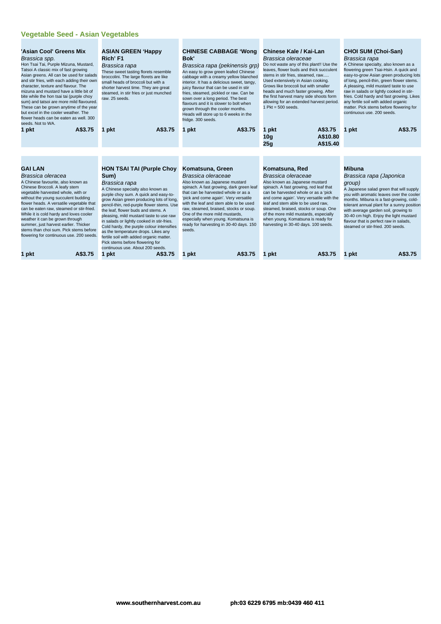#### **Vegetable Seed - Asian Vegetables**

| 'Asian Cool' Greens Mix<br>Brassica spp.<br>Hon Tsai Tai, Purple Mizuna, Mustard,<br>Tatsoi A classic mix of fast growing<br>Asian greens. All can be used for salads<br>and stir fries, with each adding their own<br>character, texture and flavour. The<br>mizuna and mustard have a little bit of<br>bite while the hon tsai tai (purple choy<br>sum) and tatsoi are more mild flavoured.<br>These can be grown anytime of the year<br>but excel in the cooler weather. The<br>flower heads can be eaten as well. 300<br>seeds. Not to WA.<br>A\$3.75<br>1 pkt | <b>ASIAN GREEN 'Happy</b><br>Rich' F1<br>Brassica rapa<br>These sweet tasting florets resemble<br>broccolini. The large florets are like<br>small heads of broccoli but with a<br>shorter harvest time. They are great<br>steamed, in stir fries or just munched<br>raw. 25 seeds.<br>A\$3.75<br>1 pkt                                                                                                                                                                                                                                                                                                                                                                                                                                                                                                                                                                                                                                                                                          | <b>CHINESE CABBAGE 'Wong</b><br>Bok'<br>Brassica rapa (pekinensis qrp)<br>An easy to grow green leafed Chinese<br>cabbage with a creamy yellow blanched<br>interior. It has a delicious sweet, tangy,<br>juicy flavour that can be used in stir<br>fries, steamed, pickled or raw. Can be<br>sown over a long period. The best<br>flavours and it is slower to bolt when<br>grown through the cooler months.<br>Heads will store up to 6 weeks in the<br>fridge. 300 seeds.<br>A\$3.75<br>1 pkt | Chinese Kale / Kai-Lan<br>Brassica oleraceae<br>Do not waste any of this plant!! Use the<br>leaves, flower buds and thick succulent<br>stems in stir fries, steamed, raw<br>Used extensively in Asian cooking.<br>Grows like broccoli but with smaller<br>heads and much faster growing. After<br>the first harvest many side shoots form<br>allowing for an extended harvest period.<br>1 $Pkt = 500$ seeds.<br>A\$3.75<br>1 pkt<br>A\$10.80<br>10q<br>A\$15.40 | <b>CHOI SUM (Choi-San)</b><br>Brassica rapa<br>A Chinese specialty, also known as a<br>flowering green Tsai-Hsin. A quick and<br>easy-to-grow Asian green producing lots<br>of long, pencil-thin, green flower stems.<br>A pleasing, mild mustard taste to use<br>raw in salads or lightly cooked in stir-<br>fries. Cold hardy and fast growing. Likes<br>any fertile soil with added organic<br>matter. Pick stems before flowering for<br>continuous use, 200 seeds.<br>A\$3.75<br>1 pkt |
|--------------------------------------------------------------------------------------------------------------------------------------------------------------------------------------------------------------------------------------------------------------------------------------------------------------------------------------------------------------------------------------------------------------------------------------------------------------------------------------------------------------------------------------------------------------------|-------------------------------------------------------------------------------------------------------------------------------------------------------------------------------------------------------------------------------------------------------------------------------------------------------------------------------------------------------------------------------------------------------------------------------------------------------------------------------------------------------------------------------------------------------------------------------------------------------------------------------------------------------------------------------------------------------------------------------------------------------------------------------------------------------------------------------------------------------------------------------------------------------------------------------------------------------------------------------------------------|-------------------------------------------------------------------------------------------------------------------------------------------------------------------------------------------------------------------------------------------------------------------------------------------------------------------------------------------------------------------------------------------------------------------------------------------------------------------------------------------------|------------------------------------------------------------------------------------------------------------------------------------------------------------------------------------------------------------------------------------------------------------------------------------------------------------------------------------------------------------------------------------------------------------------------------------------------------------------|---------------------------------------------------------------------------------------------------------------------------------------------------------------------------------------------------------------------------------------------------------------------------------------------------------------------------------------------------------------------------------------------------------------------------------------------------------------------------------------------|
|                                                                                                                                                                                                                                                                                                                                                                                                                                                                                                                                                                    |                                                                                                                                                                                                                                                                                                                                                                                                                                                                                                                                                                                                                                                                                                                                                                                                                                                                                                                                                                                                 |                                                                                                                                                                                                                                                                                                                                                                                                                                                                                                 | 25q                                                                                                                                                                                                                                                                                                                                                                                                                                                              |                                                                                                                                                                                                                                                                                                                                                                                                                                                                                             |
|                                                                                                                                                                                                                                                                                                                                                                                                                                                                                                                                                                    |                                                                                                                                                                                                                                                                                                                                                                                                                                                                                                                                                                                                                                                                                                                                                                                                                                                                                                                                                                                                 |                                                                                                                                                                                                                                                                                                                                                                                                                                                                                                 |                                                                                                                                                                                                                                                                                                                                                                                                                                                                  |                                                                                                                                                                                                                                                                                                                                                                                                                                                                                             |
| <b>GAI LAN</b><br>Brassica oleracea<br>A Chinese favourite, also known as<br>Chinese Broccoli. A leafy stem<br>vegetable harvested whole, with or<br>without the young succulent budding<br>flower heads. A versatile vegetable that<br>can be eaten raw, steamed or stir-fried.<br>While it is cold hardy and loves cooler<br>weather it can be grown through<br>summer, just harvest earlier. Thicker<br>stems than choi sum. Pick stems before<br>flowering for continuous use. 200 seeds.                                                                      | <b>HON TSAI TAI (Purple Choy</b><br>Komatsuna, Green<br>Sum)<br>Brassica oleraceae<br>Also known as Japanese mustard<br>Brassica rapa<br>spinach. A fast growing, dark green leaf<br>A Chinese specialty also known as<br>that can be harvested whole or as a<br>purple choy sum. A quick and easy-to-<br>'pick and come again'. Very versatile<br>grow Asian green producing lots of long,<br>with the leaf and stem able to be used<br>pencil-thin, red-purple flower stems. Use<br>raw, steamed, braised, stocks or soup.<br>the leaf, flower buds and stems. A<br>One of the more mild mustards,<br>pleasing, mild mustard taste to use raw<br>especially when young. Komatsuna is<br>in salads or lightly cooked in stir-fries.<br>ready for harvesting in 30-40 days. 150<br>Cold hardy, the purple colour intensifies<br>seeds.<br>as the temperature drops. Likes any<br>fertile soil with added organic matter.<br>Pick stems before flowering for<br>continuous use. About 200 seeds. |                                                                                                                                                                                                                                                                                                                                                                                                                                                                                                 | Komatsuna, Red<br>Brassica oleraceae<br>Also known as Japanese mustard<br>spinach. A fast growing, red leaf that<br>can be harvested whole or as a 'pick<br>and come again'. Very versatile with the<br>leaf and stem able to be used raw,<br>steamed, braised, stocks or soup. One<br>of the more mild mustards, especially<br>when young. Komatsuna is ready for<br>harvesting in 30-40 days. 100 seeds.                                                       | <b>Mibuna</b><br>Brassica rapa (Japonica<br>group)<br>A Japanese salad green that will supply<br>you with aromatic leaves over the cooler<br>months. Mibuna is a fast-growing, cold-<br>tolerant annual plant for a sunny position<br>with average garden soil, growing to<br>30-40 cm high. Enjoy the light mustard<br>flavour that is perfect raw in salads,<br>steamed or stir-fried, 200 seeds.                                                                                         |
| A\$3.75<br>1 pkt                                                                                                                                                                                                                                                                                                                                                                                                                                                                                                                                                   | A\$3.75<br>1 pkt                                                                                                                                                                                                                                                                                                                                                                                                                                                                                                                                                                                                                                                                                                                                                                                                                                                                                                                                                                                | A\$3.75<br>1 pkt                                                                                                                                                                                                                                                                                                                                                                                                                                                                                | A\$3.75<br>1 pkt                                                                                                                                                                                                                                                                                                                                                                                                                                                 | A\$3.75<br>1 pkt                                                                                                                                                                                                                                                                                                                                                                                                                                                                            |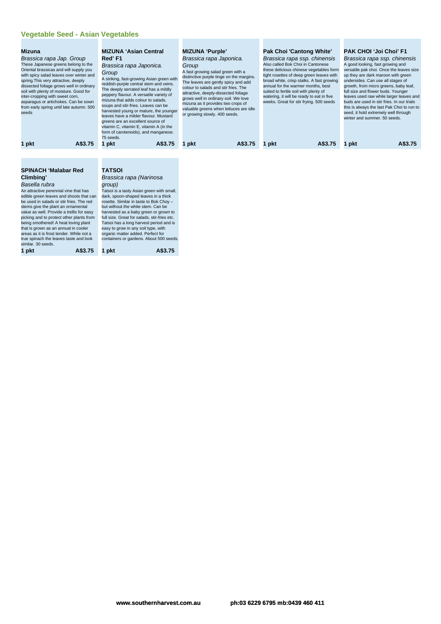#### **Vegetable Seed - Asian Vegetables**

| <b>Mizuna</b><br>Brassica rapa Jap. Group<br>These Japanese greens belong to the<br>Oriental brassicas and will supply you<br>with spicy salad leaves over winter and<br>spring. This very attractive, deeply<br>dissected foliage grows well in ordinary<br>soil with plenty of moisture. Good for<br>inter-cropping with sweet corn,<br>asparagus or artichokes. Can be sown<br>from early spring until late autumn. 500<br>seeds |         | <b>MIZUNA 'Asian Central</b><br>Red'F1<br>Brassica rapa Japonica.<br>Group<br>A striking, fast-growing Asian green with<br>reddish-purple central stem and veins.<br>The deeply serrated leaf has a mildly<br>peppery flavour. A versatile variety of<br>mizuna that adds colour to salads,<br>soups and stir-fries. Leaves can be<br>harvested young or mature, the younger<br>leaves have a milder flavour. Mustard<br>greens are an excellent source of<br>vitamin C, vitamin E, vitamin A (in the<br>form of carotenoids), and manganese.<br>75 seeds. |         | <b>MIZUNA 'Purple'</b><br>Brassica rapa Japonica.<br>Group<br>A fast growing salad green with a<br>distinctive purple tinge on the margins.<br>The leaves are gently spicy and add<br>colour to salads and stir fries. The<br>attractive, deeply-dissected foliage<br>grows well in ordinary soil. We love<br>mizuna as it provides two crops of<br>valuable greens when lettuces are idle<br>or growing slowly. 400 seeds. |         | Pak Choi 'Cantong White'<br>Brassica rapa ssp. chinensis<br>Also called Bok Choi in Cantonese<br>these delicious chinese vegetables form<br>tight rosettes of deep green leaves with<br>broad white, crisp stalks. A fast growing<br>annual for the warmer months, best<br>suited to fertile soil with plenty of<br>watering, it will be ready to eat in five<br>weeks. Great for stir frying. 500 seeds |         | <b>PAK CHOI 'Joi Choi' F1</b><br>Brassica rapa ssp. chinensis<br>A good looking, fast growing and<br>versatile pak choi. Once the leaves size<br>up they are dark maroon with green<br>undersides. Can use all stages of<br>growth, from micro greens, baby leaf,<br>full size and flower buds. Younger<br>leaves used raw while larger leaves and<br>buds are used in stir fries. In our trials<br>this is always the last Pak Choi to run to<br>seed, it hold extremely well through<br>winter and summer, 50 seeds. |         |
|-------------------------------------------------------------------------------------------------------------------------------------------------------------------------------------------------------------------------------------------------------------------------------------------------------------------------------------------------------------------------------------------------------------------------------------|---------|------------------------------------------------------------------------------------------------------------------------------------------------------------------------------------------------------------------------------------------------------------------------------------------------------------------------------------------------------------------------------------------------------------------------------------------------------------------------------------------------------------------------------------------------------------|---------|-----------------------------------------------------------------------------------------------------------------------------------------------------------------------------------------------------------------------------------------------------------------------------------------------------------------------------------------------------------------------------------------------------------------------------|---------|----------------------------------------------------------------------------------------------------------------------------------------------------------------------------------------------------------------------------------------------------------------------------------------------------------------------------------------------------------------------------------------------------------|---------|------------------------------------------------------------------------------------------------------------------------------------------------------------------------------------------------------------------------------------------------------------------------------------------------------------------------------------------------------------------------------------------------------------------------------------------------------------------------------------------------------------------------|---------|
| 1 pkt                                                                                                                                                                                                                                                                                                                                                                                                                               | A\$3.75 | 1 pkt                                                                                                                                                                                                                                                                                                                                                                                                                                                                                                                                                      | A\$3.75 | pkt                                                                                                                                                                                                                                                                                                                                                                                                                         | A\$3.75 | pkt                                                                                                                                                                                                                                                                                                                                                                                                      | A\$3.75 | 1 pkt                                                                                                                                                                                                                                                                                                                                                                                                                                                                                                                  | A\$3.75 |
| <b>SPINACH 'Malabar Red</b><br>Climbing'                                                                                                                                                                                                                                                                                                                                                                                            |         | <b>TATSOI</b><br>Brassica rapa (Narinosa                                                                                                                                                                                                                                                                                                                                                                                                                                                                                                                   |         |                                                                                                                                                                                                                                                                                                                                                                                                                             |         |                                                                                                                                                                                                                                                                                                                                                                                                          |         |                                                                                                                                                                                                                                                                                                                                                                                                                                                                                                                        |         |

## Brassica rapa (Narinosa group)

An attractive perennial vine that has edible green leaves and shoots that can be used in salads or stir fries. The red stems give the plant an ornamental value as well. Provide a trellis for easy picking and to protect other plants from being smothered! A heat loving plant that is grown as an annual in cooler areas as it is frost tender. While not a true spinach the leaves taste and look containers or gardens. About 500 seeds.<br>similar. 30 seeds. **1 pkt A\$3.75 1 pkt A\$3.75**

Basella rubra

Tatsoi is a tasty Asian green with small, dark, spoon-shaped leaves in a thick rosette. Similar in taste to Bok Choy – but without the white stem. Can be harvested as a baby green or grown to full size. Great for salads, stir-fries etc. Tatsoi has a long harvest period and is easy to grow in any soil type, with organic matter added. Perfect for

**www.southernharvest.com.au ph:03 6229 6795 mb:0439 460 411**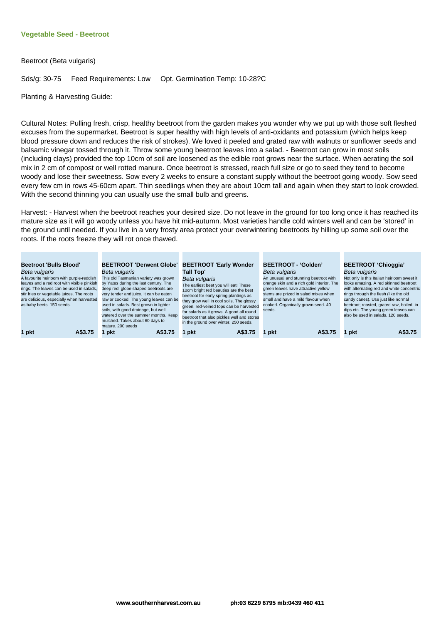#### **Vegetable Seed - Beetroot**

Beetroot (Beta vulgaris)

Sds/g: 30-75 Feed Requirements: Low Opt. Germination Temp: 10-28?C

Planting & Harvesting Guide:

Cultural Notes: Pulling fresh, crisp, healthy beetroot from the garden makes you wonder why we put up with those soft fleshed excuses from the supermarket. Beetroot is super healthy with high levels of anti-oxidants and potassium (which helps keep blood pressure down and reduces the risk of strokes). We loved it peeled and grated raw with walnuts or sunflower seeds and balsamic vinegar tossed through it. Throw some young beetroot leaves into a salad. - Beetroot can grow in most soils (including clays) provided the top 10cm of soil are loosened as the edible root grows near the surface. When aerating the soil mix in 2 cm of compost or well rotted manure. Once beetroot is stressed, reach full size or go to seed they tend to become woody and lose their sweetness. Sow every 2 weeks to ensure a constant supply without the beetroot going woody. Sow seed every few cm in rows 45-60cm apart. Thin seedlings when they are about 10cm tall and again when they start to look crowded. With the second thinning you can usually use the small bulb and greens.

Harvest: - Harvest when the beetroot reaches your desired size. Do not leave in the ground for too long once it has reached its mature size as it will go woody unless you have hit mid-autumn. Most varieties handle cold winters well and can be 'stored' in the ground until needed. If you live in a very frosty area protect your overwintering beetroots by hilling up some soil over the roots. If the roots freeze they will rot once thawed.

and the

a sa

| <b>Beetroot 'Bulls Blood'</b><br>Beta vulgaris<br>A favourite heirloom with purple-reddish<br>leaves and a red root with visible pinkish<br>rings. The leaves can be used in salads,<br>stir fries or vegetable juices. The roots<br>are delicious, especially when harvested<br>as baby beets. 150 seeds. | <b>BEETROOT 'Derwent Globe'</b><br>Beta vulgaris<br>This old Tasmanian variety was grown<br>by Yates during the last century. The<br>deep red, globe shaped beetroots are<br>very tender and juicy. It can be eaten<br>raw or cooked. The young leaves can be<br>used in salads. Best grown in lighter<br>soils, with good drainage, but well<br>watered over the summer months. Keep<br>mulched. Takes about 60 days to<br>mature, 200 seeds | <b>BEETROOT 'Early Wonder</b><br>Tall Top'<br>Beta vulgaris<br>The earliest beet you will eat! These<br>10cm bright red beauties are the best<br>beetroot for early spring plantings as<br>they grow well in cool soils. The glossy<br>green, red-veined tops can be harvested<br>for salads as it grows. A good all round<br>beetroot that also pickles well and stores<br>in the ground over winter. 250 seeds. | <b>BEETROOT - 'Golden'</b><br>Beta vulgaris<br>An unusual and stunning beetroot with<br>orange skin and a rich gold interior. The<br>green leaves have attractive yellow<br>stems are prized in salad mixes when<br>small and have a mild flavour when<br>cooked. Organically grown seed. 40<br>seeds. | <b>BEETROOT 'Chioggia'</b><br>Beta vulgaris<br>Not only is this Italian heirloom sweet it<br>looks amazing. A red skinned beetroot<br>with alternating red and white concentric<br>rings through the flesh (like the old<br>candy canes). Use just like normal<br>beetroot; roasted, grated raw, boiled, in<br>dips etc. The young green leaves can<br>also be used in salads, 120 seeds. |
|------------------------------------------------------------------------------------------------------------------------------------------------------------------------------------------------------------------------------------------------------------------------------------------------------------|-----------------------------------------------------------------------------------------------------------------------------------------------------------------------------------------------------------------------------------------------------------------------------------------------------------------------------------------------------------------------------------------------------------------------------------------------|-------------------------------------------------------------------------------------------------------------------------------------------------------------------------------------------------------------------------------------------------------------------------------------------------------------------------------------------------------------------------------------------------------------------|--------------------------------------------------------------------------------------------------------------------------------------------------------------------------------------------------------------------------------------------------------------------------------------------------------|-------------------------------------------------------------------------------------------------------------------------------------------------------------------------------------------------------------------------------------------------------------------------------------------------------------------------------------------------------------------------------------------|
| 1 pkt                                                                                                                                                                                                                                                                                                      | A\$3.75                                                                                                                                                                                                                                                                                                                                                                                                                                       | A\$3.75                                                                                                                                                                                                                                                                                                                                                                                                           | A\$3.75                                                                                                                                                                                                                                                                                                | A\$3.75                                                                                                                                                                                                                                                                                                                                                                                   |
| A\$3.75                                                                                                                                                                                                                                                                                                    | ∣ pkt                                                                                                                                                                                                                                                                                                                                                                                                                                         | pkt                                                                                                                                                                                                                                                                                                                                                                                                               | 1 pkt                                                                                                                                                                                                                                                                                                  | 1 pkt                                                                                                                                                                                                                                                                                                                                                                                     |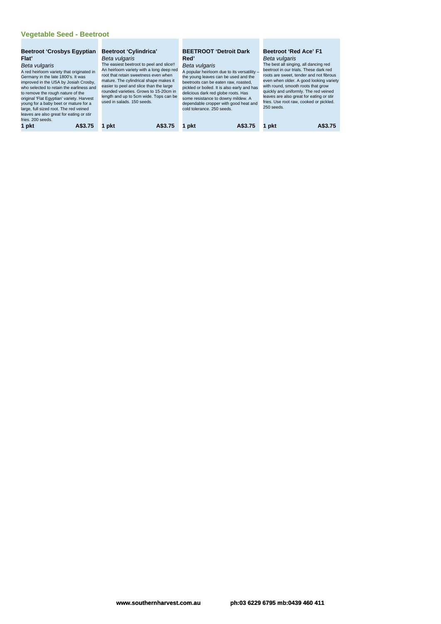# **Vegetable Seed - Beetroot**

| <b>Beetroot 'Crosbys Egyptian</b><br>Flat'<br>Beta vulgaris<br>A red heirloom variety that originated in<br>Germany in the late 1800's. It was<br>improved in the USA by Josiah Crosby,<br>who selected to retain the earliness and<br>to remove the rough nature of the<br>original 'Flat Egyptian' variety. Harvest<br>young for a baby beet or mature for a<br>large, full sized root. The red veined<br>leaves are also great for eating or stir<br>fries. 200 seeds. | <b>Beetroot 'Cylindrica'</b><br>Beta vulgaris<br>The easiest beetroot to peel and slice!!<br>An heirloom variety with a long deep red<br>root that retain sweetness even when<br>mature. The cylindrical shape makes it<br>easier to peel and slice than the large<br>rounded varieties. Grows to 15-20cm in<br>length and up to 5cm wide. Tops can be<br>used in salads, 150 seeds. | <b>BEETROOT 'Detroit Dark</b><br>Red'<br>Beta vulgaris<br>A popular heirloom due to its versatility -<br>the young leaves can be used and the<br>beetroots can be eaten raw, roasted.<br>pickled or boiled. It is also early and has<br>delicious dark red globe roots. Has<br>some resistance to downy mildew. A<br>dependable cropper with good heat and<br>cold tolerance, 250 seeds. | <b>Beetroot 'Red Ace' F1</b><br>Beta vulgaris<br>The best all singing, all dancing red<br>beetroot in our trials. These dark red<br>roots are sweet, tender and not fibrous<br>even when older. A good looking variety<br>with round, smooth roots that grow<br>quickly and uniformly. The red veined<br>leaves are also great for eating or stir<br>fries. Use root raw, cooked or pickled.<br>250 seeds. |
|---------------------------------------------------------------------------------------------------------------------------------------------------------------------------------------------------------------------------------------------------------------------------------------------------------------------------------------------------------------------------------------------------------------------------------------------------------------------------|--------------------------------------------------------------------------------------------------------------------------------------------------------------------------------------------------------------------------------------------------------------------------------------------------------------------------------------------------------------------------------------|------------------------------------------------------------------------------------------------------------------------------------------------------------------------------------------------------------------------------------------------------------------------------------------------------------------------------------------------------------------------------------------|------------------------------------------------------------------------------------------------------------------------------------------------------------------------------------------------------------------------------------------------------------------------------------------------------------------------------------------------------------------------------------------------------------|
| 1 pkt                                                                                                                                                                                                                                                                                                                                                                                                                                                                     | pkt                                                                                                                                                                                                                                                                                                                                                                                  | pkt                                                                                                                                                                                                                                                                                                                                                                                      | A\$3.75                                                                                                                                                                                                                                                                                                                                                                                                    |
| A\$3.75                                                                                                                                                                                                                                                                                                                                                                                                                                                                   | A\$3.75                                                                                                                                                                                                                                                                                                                                                                              | A\$3.75                                                                                                                                                                                                                                                                                                                                                                                  | pkt                                                                                                                                                                                                                                                                                                                                                                                                        |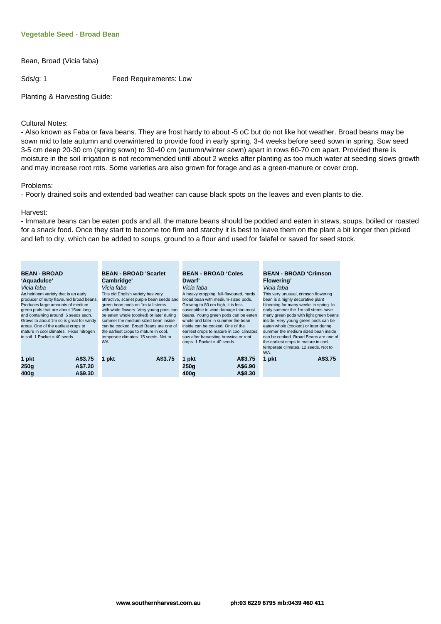#### **Vegetable Seed - Broad Bean**

Bean, Broad (Vicia faba)

Sds/g: 1 Feed Requirements: Low

Planting & Harvesting Guide:

#### Cultural Notes:

- Also known as Faba or fava beans. They are frost hardy to about -5 oC but do not like hot weather. Broad beans may be sown mid to late autumn and overwintered to provide food in early spring, 3-4 weeks before seed sown in spring. Sow seed 3-5 cm deep 20-30 cm (spring sown) to 30-40 cm (autumn/winter sown) apart in rows 60-70 cm apart. Provided there is moisture in the soil irrigation is not recommended until about 2 weeks after planting as too much water at seeding slows growth and may increase root rots. Some varieties are also grown for forage and as a green-manure or cover crop.

#### Problems:

- Poorly drained soils and extended bad weather can cause black spots on the leaves and even plants to die.

#### Harvest:

- Immature beans can be eaten pods and all, the mature beans should be podded and eaten in stews, soups, boiled or roasted for a snack food. Once they start to become too firm and starchy it is best to leave them on the plant a bit longer then picked and left to dry, which can be added to soups, ground to a flour and used for falafel or saved for seed stock.

| <b>BEAN - BROAD</b>                      | <b>BEAN - BROAD 'Scarlet</b>              | <b>BEAN - BROAD 'Coles</b>                 | <b>BEAN - BROAD 'Crimson</b>           |
|------------------------------------------|-------------------------------------------|--------------------------------------------|----------------------------------------|
| 'Aquadulce'                              | Cambridge'                                | Dwarf'                                     | Flowering'                             |
| Vicia faba                               | Vicia faba                                | Vicia faba                                 | Vicia faba                             |
| An heirloom variety that is an early     | This old English variety has very         | A heavy cropping, full-flavoured, hardy    | This very unusual, crimson flowering   |
| producer of nutty flavoured broad beans. | attractive, scarlet purple bean seeds and | broad bean with medium-sized pods.         | bean is a highly decorative plant      |
| Produces large amounts of medium         | green bean pods on 1m tall stems          | Growing to 80 cm high, it is less          | blooming for many weeks in spring. In  |
| green pods that are about 15cm long      | with white flowers. Very young pods can   | susceptible to wind damage than most       | early summer the 1m tall stems have    |
| and containing around 5 seeds each.      | be eaten whole (cooked) or later during   | beans. Young green pods can be eaten       | many green pods with light green beans |
| Grows to about 1m so is great for windy  | summer the medium sized bean inside       | whole and later in summer the bean         | inside. Very young green pods can be   |
| areas. One of the earliest crops to      | can be cooked. Broad Beans are one of     | inside can be cooked. One of the           | eaten whole (cooked) or later during   |
| mature in cool climates. Fixes nitrogen  | the earliest crops to mature in cool,     | earliest crops to mature in cool climates, | summer the medium sized bean inside    |
| in soil. 1 Packet = $40$ seeds.          | temperate climates, 15 seeds. Not to      | sow after harvesting brassica or root      | can be cooked. Broad Beans are one of  |
|                                          | WA.                                       | crops. 1 Packet = $40$ seeds.              | the earliest crops to mature in cool,  |
|                                          |                                           |                                            | temperate climates. 12 seeds. Not to   |
|                                          |                                           |                                            | WA.                                    |
| A\$3.75<br>1 pkt                         | A\$3.75<br>1 pkt                          | 1 pkt<br>A\$3.75                           | A\$3.75<br>1 pkt                       |
| A\$7.20<br>250q                          |                                           | A\$6.90<br>250q                            |                                        |
| A\$9.30<br>400a                          |                                           | A\$8.30<br>400a                            |                                        |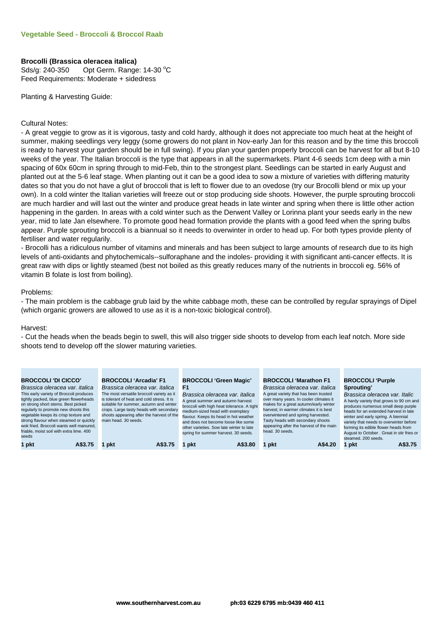#### **Brocolli (Brassica oleracea italica)**

Sds/g: 240-350 Opt Germ. Range: 14-30 °C Feed Requirements: Moderate + sidedress

Planting & Harvesting Guide:

#### Cultural Notes:

- A great veggie to grow as it is vigorous, tasty and cold hardy, although it does not appreciate too much heat at the height of summer, making seedlings very leggy (some growers do not plant in Nov-early Jan for this reason and by the time this broccoli is ready to harvest your garden should be in full swing). If you plan your garden properly broccoli can be harvest for all but 8-10 weeks of the year. The Italian broccoli is the type that appears in all the supermarkets. Plant 4-6 seeds 1cm deep with a min spacing of 60x 60cm in spring through to mid-Feb, thin to the strongest plant. Seedlings can be started in early August and planted out at the 5-6 leaf stage. When planting out it can be a good idea to sow a mixture of varieties with differing maturity dates so that you do not have a glut of broccoli that is left to flower due to an ovedose (try our Brocolli blend or mix up your own). In a cold winter the Italian varieties will freeze out or stop producing side shoots. However, the purple sprouting broccoli are much hardier and will last out the winter and produce great heads in late winter and spring when there is little other action happening in the garden. In areas with a cold winter such as the Derwent Valley or Lorinna plant your seeds early in the new year, mid to late Jan elsewhere. To promote good head formation provide the plants with a good feed when the spring bulbs appear. Purple sprouting broccoli is a biannual so it needs to overwinter in order to head up. For both types provide plenty of fertiliser and water regularily.

- Brocolli has a ridiculous number of vitamins and minerals and has been subject to large amounts of research due to its high levels of anti-oxidants and phytochemicals--sulforaphane and the indoles- providing it with significant anti-cancer effects. It is great raw with dips or lightly steamed (best not boiled as this greatly reduces many of the nutrients in broccoli eg. 56% of vitamin B folate is lost from boiling).

#### Problems:

- The main problem is the cabbage grub laid by the white cabbage moth, these can be controlled by regular sprayings of Dipel (which organic growers are allowed to use as it is a non-toxic biological control).

#### Harvest:

- Cut the heads when the beads begin to swell, this will also trigger side shoots to develop from each leaf notch. More side shoots tend to develop off the slower maturing varieties.

| <b>BROCCOLI'DI CICCO'</b><br>Brassica oleracea var. italica<br>This early variety of Broccoli produces<br>tightly packed, blue green flowerheads<br>on strong short stems. Best picked<br>regularly to promote new shoots this<br>vegetable keeps its crisp texture and<br>strong flavour when steamed or quickly<br>wok fried. Broccoli wants well manured,<br>friable, moist soil with extra lime, 400<br>seeds | <b>BROCCOLI 'Arcadia' F1</b><br>Brassica oleracea var. italica<br>The most versatile broccoli variety as it<br>is tolerant of heat and cold stress. It is<br>suitable for summer, autumn and winter<br>crops. Large tasty heads with secondary<br>shoots appearing after the harvest of the<br>main head. 30 seeds. | <b>BROCCOLI 'Green Magic'</b><br>F1<br>Brassica oleracea var. italica<br>A great summer and autumn harvest<br>broccoli with high heat tolerance. A tight<br>medium-sized head with exemplary<br>flavour. Keeps its head in hot weather<br>and does not become loose like some<br>other varieties. Sow late winter to late<br>spring for summer harvest. 30 seeds. | <b>BROCCOLI 'Marathon F1</b><br>Brassica oleracea var. italica<br>A great variety that has been trusted<br>over many years. In cooler climates it<br>makes for a great autumn/early winter<br>harvest; in warmer climates it is best<br>overwintered and spring harvested.<br>Tasty heads with secondary shoots<br>appearing after the harvest of the main<br>head, 30 seeds. | <b>BROCCOLI 'Purple</b><br>Sprouting'<br>Brassica oleracea var. Italic<br>A hardy variety that grows to 90 cm and<br>produces numerous small deep purple<br>heads for an extended harvest in late<br>winter and early spring. A biennial<br>variety that needs to overwinter before<br>forming its edible flower heads from<br>August to October . Great in stir fries or<br>steamed, 200 seeds. |
|-------------------------------------------------------------------------------------------------------------------------------------------------------------------------------------------------------------------------------------------------------------------------------------------------------------------------------------------------------------------------------------------------------------------|---------------------------------------------------------------------------------------------------------------------------------------------------------------------------------------------------------------------------------------------------------------------------------------------------------------------|-------------------------------------------------------------------------------------------------------------------------------------------------------------------------------------------------------------------------------------------------------------------------------------------------------------------------------------------------------------------|-------------------------------------------------------------------------------------------------------------------------------------------------------------------------------------------------------------------------------------------------------------------------------------------------------------------------------------------------------------------------------|--------------------------------------------------------------------------------------------------------------------------------------------------------------------------------------------------------------------------------------------------------------------------------------------------------------------------------------------------------------------------------------------------|
| 1 pkt                                                                                                                                                                                                                                                                                                                                                                                                             | pkt                                                                                                                                                                                                                                                                                                                 | pkt                                                                                                                                                                                                                                                                                                                                                               | A\$4.20                                                                                                                                                                                                                                                                                                                                                                       | A\$3.75                                                                                                                                                                                                                                                                                                                                                                                          |
| A\$3.75                                                                                                                                                                                                                                                                                                                                                                                                           | A\$3.75                                                                                                                                                                                                                                                                                                             | A\$3.80                                                                                                                                                                                                                                                                                                                                                           | pkt                                                                                                                                                                                                                                                                                                                                                                           | 1 pkt                                                                                                                                                                                                                                                                                                                                                                                            |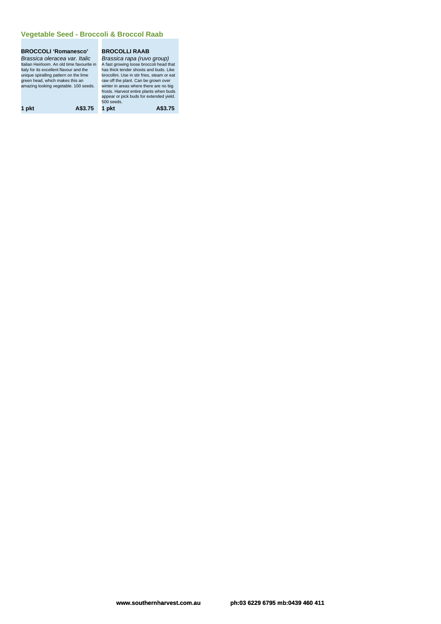#### **Vegetable Seed - Broccoli & Broccol Raab**

# **BROCCOLI 'Romanesco'**

Brassica oleracea var. Italic<br>Italian Heirloom. An old time favourite in<br>Italy for its excellent flavour and the<br>unique spiralling pattern on the lime green head, which makes this an raw off the plant. Can be grown over<br>amazing looking vegetable. 100 seeds. vinter in areas where there are no big

### **BROCOLLI RAAB**

Brassica rapa (ruvo group)<br>A fast growing loose broccoli head that<br>has thick tender shoots and buds. Like<br>brocollini. Use in stir fries, steam or eat frosts. Harvest entire plants when buds appear or pick buds for extended yield. 500 seeds. **1 pkt A\$3.75 1 pkt A\$3.75**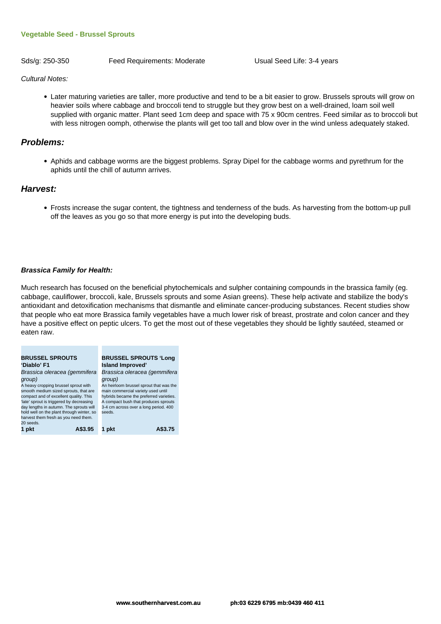#### **Vegetable Seed - Brussel Sprouts**

Sds/g: 250-350 Feed Requirements: Moderate Usual Seed Life: 3-4 years

Cultural Notes:

Later maturing varieties are taller, more productive and tend to be a bit easier to grow. Brussels sprouts will grow on heavier soils where cabbage and broccoli tend to struggle but they grow best on a well-drained, loam soil well supplied with organic matter. Plant seed 1cm deep and space with 75 x 90cm centres. Feed similar as to broccoli but with less nitrogen oomph, otherwise the plants will get too tall and blow over in the wind unless adequately staked.

#### **Problems:**

Aphids and cabbage worms are the biggest problems. Spray Dipel for the cabbage worms and pyrethrum for the aphids until the chill of autumn arrives.

#### **Harvest:**

Frosts increase the sugar content, the tightness and tenderness of the buds. As harvesting from the bottom-up pull off the leaves as you go so that more energy is put into the developing buds.

#### **Brassica Family for Health:**

Much research has focused on the beneficial phytochemicals and sulpher containing compounds in the brassica family (eg. cabbage, cauliflower, broccoli, kale, Brussels sprouts and some Asian greens). These help activate and stabilize the body's antioxidant and detoxification mechanisms that dismantle and eliminate cancer-producing substances. Recent studies show that people who eat more Brassica family vegetables have a much lower risk of breast, prostrate and colon cancer and they have a positive effect on peptic ulcers. To get the most out of these vegetables they should be lightly sautéed, steamed or eaten raw.

| <b>BRUSSEL SPROUTS</b>                                                                                                                                                                                                                                                                                        | <b>BRUSSEL SPROUTS 'Long</b>                                                                                                                                                                                                  |
|---------------------------------------------------------------------------------------------------------------------------------------------------------------------------------------------------------------------------------------------------------------------------------------------------------------|-------------------------------------------------------------------------------------------------------------------------------------------------------------------------------------------------------------------------------|
| 'Diablo' F1                                                                                                                                                                                                                                                                                                   | <b>Island Improved'</b>                                                                                                                                                                                                       |
| Brassica oleracea (gemmifera                                                                                                                                                                                                                                                                                  | Brassica oleracea (gemmifera                                                                                                                                                                                                  |
| group)<br>A heavy cropping brussel sprout with<br>smooth medium sized sprouts, that are<br>compact and of excellent quality. This<br>'late' sprout is triggered by decreasing<br>day lengths in autumn. The sprouts will<br>hold well on the plant through winter, so<br>harvest them fresh as you need them. | group)<br>An heirloom brussel sprout that was the<br>main commercial variety used until<br>hybrids became the preferred varieties.<br>A compact bush that produces sprouts<br>3-4 cm across over a long period. 400<br>seeds. |
| 20 seeds.<br>1 pkt<br>A\$3.95                                                                                                                                                                                                                                                                                 |                                                                                                                                                                                                                               |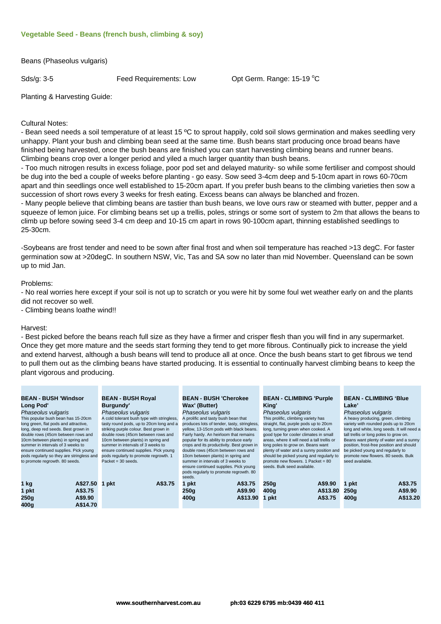#### **Vegetable Seed - Beans (french bush, climbing & soy)**

Beans (Phaseolus vulgaris)

Sds/g: 3-5 **Feed Requirements: Low Continuelly Continuel** Continuel 15-19 °C

Planting & Harvesting Guide:

#### Cultural Notes:

- Bean seed needs a soil temperature of at least 15 °C to sprout happily, cold soil slows germination and makes seedling very unhappy. Plant your bush and climbing bean seed at the same time. Bush beans start producing once broad beans have finished being harvested, once the bush beans are finished you can start harvesting climbing beans and runner beans. Climbing beans crop over a longer period and yiled a much larger quantity than bush beans.

- Too much nitrogen results in excess foliage, poor pod set and delayed maturity- so while some fertiliser and compost should be dug into the bed a couple of weeks before planting - go easy. Sow seed 3-4cm deep and 5-10cm apart in rows 60-70cm apart and thin seedlings once well established to 15-20cm apart. If you prefer bush beans to the climbing varieties then sow a succession of short rows every 3 weeks for fresh eating. Excess beans can always be blanched and frozen.

- Many people believe that climbing beans are tastier than bush beans, we love ours raw or steamed with butter, pepper and a squeeze of lemon juice. For climbing beans set up a trellis, poles, strings or some sort of system to 2m that allows the beans to climb up before sowing seed 3-4 cm deep and 10-15 cm apart in rows 90-100cm apart, thinning established seedlings to 25-30cm.

-Soybeans are frost tender and need to be sown after final frost and when soil temperature has reached >13 degC. For faster germination sow at >20degC. In southern NSW, Vic, Tas and SA sow no later than mid November. Queensland can be sown up to mid Jan.

Problems:

- No real worries here except if your soil is not up to scratch or you were hit by some foul wet weather early on and the plants did not recover so well.

- Climbing beans loathe wind!!

#### Harvest:

- Best picked before the beans reach full size as they have a firmer and crisper flesh than you will find in any supermarket. Once they get more mature and the seeds start forming they tend to get more fibrous. Continually pick to increase the yield and extend harvest, although a bush beans will tend to produce all at once. Once the bush beans start to get fibrous we tend to pull them out as the climbing beans have started producing. It is essential to continually harvest climbing beans to keep the plant vigorous and producing.

| <b>BEAN - BUSH 'Windsor</b>               | <b>BEAN - BUSH Royal</b>                   | <b>BEAN - BUSH 'Cherokee</b>                | <b>BEAN - CLIMBING 'Purple</b>              | <b>BEAN - CLIMBING 'Blue</b>               |
|-------------------------------------------|--------------------------------------------|---------------------------------------------|---------------------------------------------|--------------------------------------------|
| <b>Long Pod'</b>                          | Burgundy'                                  | Wax' (Butter)                               | King'                                       | Lake'                                      |
| Phaseolus vulgaris                        | Phaseolus vulgaris                         | Phaseolus vulgaris                          | Phaseolus vulgaris                          | Phaseolus vulgaris                         |
| This popular bush bean has 15-20cm        | A cold tolerant bush type with stringless, | A prolific and tasty bush bean that         | This prolific, climbing variety has         | A heavy producing, green, climbing         |
| long green, flat pods and attractive,     | tasty round pods, up to 20cm long and a    | produces lots of tender, tasty, stringless, | straight, flat, purple pods up to 20cm      | variety with rounded pods up to 20cm       |
| long, deep red seeds. Best grown in       | striking purple colour. Best grown in      | yellow, 13-15cm pods with black beans.      | long, turning green when cooked. A          | long and white, long seeds. It will need a |
| double rows (45cm between rows and        | double rows (45cm between rows and         | Fairly hardy. An heirloom that remains      | good type for cooler climates in small      | tall trellis or long poles to grow on.     |
| 10cm between plants) in spring and        | 10cm between plants) in spring and         | popular for its ability to produce early    | areas, where it will need a tall trellis or | Beans want plenty of water and a sunny     |
| summer in intervals of 3 weeks to         | summer in intervals of 3 weeks to          | crops and its productivity. Best grown in   | long poles to grow on. Beans want           | position, frost-free position and should   |
| ensure continued supplies. Pick young     | ensure continued supplies. Pick young      | double rows (45cm between rows and          | plenty of water and a sunny position and    | be picked young and regularly to           |
| pods regularly so they are stringless and | pods regularly to promote regrowth. 1      | 10cm between plants) in spring and          | should be picked young and regularly to     | promote new flowers. 80 seeds. Bulk        |
| to promote regrowth. 80 seeds.            | Packet = $30$ seeds.                       | summer in intervals of 3 weeks to           | promote new flowers, 1 Packet = 80          | seed available.                            |
|                                           |                                            | ensure continued supplies. Pick young       | seeds. Bulk seed available.                 |                                            |
|                                           |                                            | pods regularly to promote regrowth. 80      |                                             |                                            |
|                                           |                                            | seeds.                                      |                                             |                                            |
| A\$27.50<br>1 kg                          | A\$3.75<br>1 pkt                           | A\$3.75<br>1 pkt                            | A\$9.90<br>250q                             | A\$3.75<br>1 pkt                           |
| A\$3.75<br>1 pkt                          |                                            | 250q<br>A\$9.90                             | A\$13.80<br>400q                            | A\$9.90<br>250q                            |
| A\$9.90<br>250q                           |                                            | A\$13.90<br>400 <sub>g</sub>                | A\$3.75<br>1 pkt                            | A\$13.20<br>400q                           |
| A\$14.70<br>400a                          |                                            |                                             |                                             |                                            |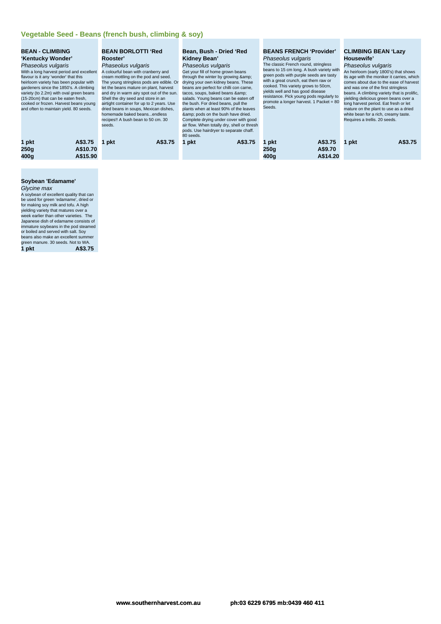| <b>BEAN - CLIMBING</b><br>'Kentucky Wonder'<br>Phaseolus vulgaris<br>With a long harvest period and excellent<br>flavour is it any 'wonder' that this<br>heirloom variety has been popular with<br>gardeners since the 1850's. A climbing<br>variety (to 2.2m) with oval green beans<br>(15-20cm) that can be eaten fresh,<br>cooked or frozen. Harvest beans young<br>and often to maintain yield. 80 seeds. |          | <b>BEAN BORLOTTI 'Red</b><br>Rooster'<br>Phaseolus vulgaris<br>A colourful bean with cranberry and<br>cream mottling on the pod and seed.<br>The young stringless pods are edible. Or<br>let the beans mature on plant, harvest<br>and dry in warm airy spot out of the sun.<br>Shell the dry seed and store in an<br>airtight container for up to 2 years. Use<br>dried beans in soups, Mexican dishes,<br>homemade baked beansendless<br>recipes!! A bush bean to 50 cm. 30<br>seeds. | Bean, Bush - Dried 'Red<br>Kidney Bean'<br>Phaseolus vulgaris<br>Get your fill of home grown beans<br>through the winter by growing &<br>drying your own kidney beans. These<br>beans are perfect for chilli con carne,<br>tacos, soups, baked beans &<br>salads. Young beans can be eaten off<br>the bush. For dried beans, pull the<br>plants when at least 90% of the leaves<br>& pods on the bush have dried.<br>Complete drying under cover with good<br>air flow. When totally dry, shell or thresh | <b>BEANS FRENCH 'Provider'</b><br>Phaseolus vulgaris<br>The classic French round, stringless<br>beans to 15 cm long. A bush variety with<br>green pods with purple seeds are tasty<br>with a great crunch, eat them raw or<br>cooked. This variety grows to 50cm,<br>yields well and has good disease<br>resistance. Pick young pods regularly to<br>promote a longer harvest. 1 Packet = 80<br>Seeds. | <b>CLIMBING BEAN 'Lazy</b><br>Housewife'<br>Phaseolus vulgaris<br>An heirloom (early 1800's) that shows<br>its age with the moniker it carries, which<br>comes about due to the ease of harvest<br>and was one of the first stringless<br>beans. A climbing variety that is prolific.<br>vielding delicious green beans over a<br>long harvest period. Eat fresh or let<br>mature on the plant to use as a dried<br>white bean for a rich, creamy taste.<br>Requires a trellis. 20 seeds. |
|---------------------------------------------------------------------------------------------------------------------------------------------------------------------------------------------------------------------------------------------------------------------------------------------------------------------------------------------------------------------------------------------------------------|----------|-----------------------------------------------------------------------------------------------------------------------------------------------------------------------------------------------------------------------------------------------------------------------------------------------------------------------------------------------------------------------------------------------------------------------------------------------------------------------------------------|-----------------------------------------------------------------------------------------------------------------------------------------------------------------------------------------------------------------------------------------------------------------------------------------------------------------------------------------------------------------------------------------------------------------------------------------------------------------------------------------------------------|--------------------------------------------------------------------------------------------------------------------------------------------------------------------------------------------------------------------------------------------------------------------------------------------------------------------------------------------------------------------------------------------------------|-------------------------------------------------------------------------------------------------------------------------------------------------------------------------------------------------------------------------------------------------------------------------------------------------------------------------------------------------------------------------------------------------------------------------------------------------------------------------------------------|
|                                                                                                                                                                                                                                                                                                                                                                                                               |          |                                                                                                                                                                                                                                                                                                                                                                                                                                                                                         | pods. Use hairdryer to separate chaff.<br>80 seeds.                                                                                                                                                                                                                                                                                                                                                                                                                                                       |                                                                                                                                                                                                                                                                                                                                                                                                        |                                                                                                                                                                                                                                                                                                                                                                                                                                                                                           |
| 1 pkt                                                                                                                                                                                                                                                                                                                                                                                                         | A\$3.75  | A\$3.75<br>pkt                                                                                                                                                                                                                                                                                                                                                                                                                                                                          | A\$3.75<br>1 pkt                                                                                                                                                                                                                                                                                                                                                                                                                                                                                          | A\$3.75<br>pkt                                                                                                                                                                                                                                                                                                                                                                                         | A\$3.75<br>1 pkt                                                                                                                                                                                                                                                                                                                                                                                                                                                                          |
| 250q                                                                                                                                                                                                                                                                                                                                                                                                          | A\$10.70 |                                                                                                                                                                                                                                                                                                                                                                                                                                                                                         |                                                                                                                                                                                                                                                                                                                                                                                                                                                                                                           | 250g<br>A\$9.70                                                                                                                                                                                                                                                                                                                                                                                        |                                                                                                                                                                                                                                                                                                                                                                                                                                                                                           |
| 400q                                                                                                                                                                                                                                                                                                                                                                                                          | A\$15.90 |                                                                                                                                                                                                                                                                                                                                                                                                                                                                                         |                                                                                                                                                                                                                                                                                                                                                                                                                                                                                                           | A\$14.20<br>400q                                                                                                                                                                                                                                                                                                                                                                                       |                                                                                                                                                                                                                                                                                                                                                                                                                                                                                           |

# **Soybean 'Edamame'**

Glycine max<br>A soybean of excellent quality that can<br>be used for green 'edamame', dried or<br>for making soy milk and tofu. A high<br>yielding variety that matures over a Theore and<br>week earlier than other varieties. The<br>Japanese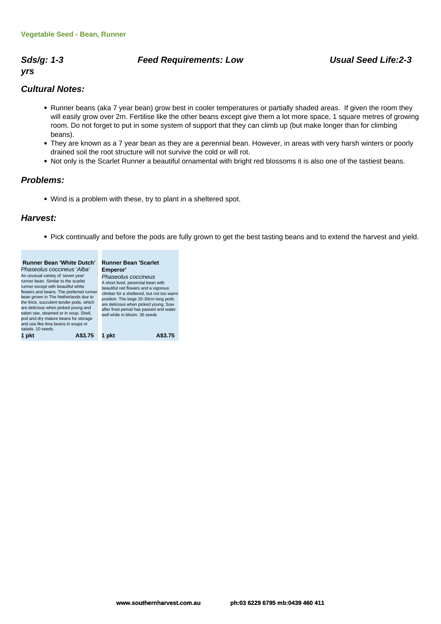# **Sds/g: 1-3 Feed Requirements: Low Usual Seed Life:2-3**

# **yrs**

## **Cultural Notes:**

- Runner beans (aka 7 year bean) grow best in cooler temperatures or partially shaded areas. If given the room they will easily grow over 2m. Fertilise like the other beans except give them a lot more space, 1 square metres of growing room. Do not forget to put in some system of support that they can climb up (but make longer than for climbing beans).
- They are known as a 7 year bean as they are a perennial bean. However, in areas with very harsh winters or poorly drained soil the root structure will not survive the cold or will rot.
- Not only is the Scarlet Runner a beautiful ornamental with bright red blossoms it is also one of the tastiest beans.

## **Problems:**

Wind is a problem with these, try to plant in a sheltered spot.

## **Harvest:**

Pick continually and before the pods are fully grown to get the best tasting beans and to extend the harvest and yield.

| <b>Runner Bean 'White Dutch'</b>                                                                                                                                                                                                                                                                                                                                                                                                           | <b>Runner Bean 'Scarlet</b>                                                                                                                                                                                                                                                                                             |
|--------------------------------------------------------------------------------------------------------------------------------------------------------------------------------------------------------------------------------------------------------------------------------------------------------------------------------------------------------------------------------------------------------------------------------------------|-------------------------------------------------------------------------------------------------------------------------------------------------------------------------------------------------------------------------------------------------------------------------------------------------------------------------|
| Phaseolus coccineus 'Alba'<br>An unusual variety of 'seven year'<br>runner bean. Similar to the scarlet<br>runner except with beautiful white<br>flowers and beans. The preferred runner<br>bean grown in The Netherlands due to<br>the thick, succulent tender pods, which<br>are delicious when picked young and<br>eaten raw, steamed or in soup. Shell,<br>pod and dry mature beans for storage<br>and use like lima beans in soups or | Emperor'<br>Phaseolus coccineus<br>A short lived, perennial bean with<br>beautiful red flowers and a vigorous<br>climber for a sheltered, but not too warm<br>position. The large 20-30cm long pods<br>are delicious when picked young. Sow<br>after frost period has passed and water<br>well while in bloom. 35 seeds |
| salads, 10 seeds.                                                                                                                                                                                                                                                                                                                                                                                                                          |                                                                                                                                                                                                                                                                                                                         |
| 375                                                                                                                                                                                                                                                                                                                                                                                                                                        |                                                                                                                                                                                                                                                                                                                         |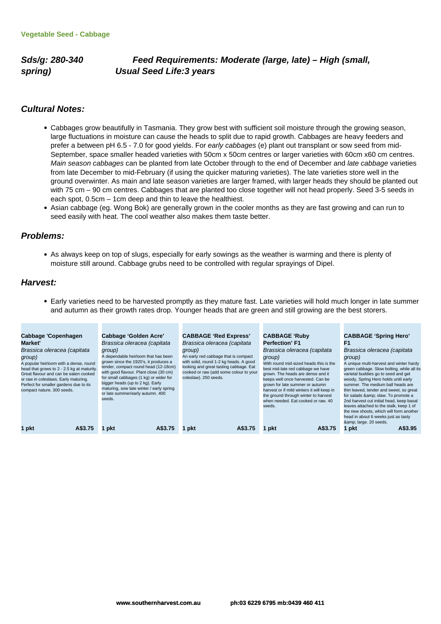**Sds/g: 280-340 Feed Requirements: Moderate (large, late) – High (small, spring) Usual Seed Life:3 years**

#### **Cultural Notes:**

- Cabbages grow beautifully in Tasmania. They grow best with sufficient soil moisture through the growing season, large fluctuations in moisture can cause the heads to split due to rapid growth. Cabbages are heavy feeders and prefer a between pH 6.5 - 7.0 for good yields. For early cabbages (e) plant out transplant or sow seed from mid-September, space smaller headed varieties with 50cm x 50cm centres or larger varieties with 60cm x60 cm centres. Main season cabbages can be planted from late October through to the end of December and late cabbage varieties from late December to mid-February (if using the quicker maturing varieties). The late varieties store well in the ground overwinter. As main and late season varieties are larger framed, with larger heads they should be planted out with 75 cm – 90 cm centres. Cabbages that are planted too close together will not head properly. Seed 3-5 seeds in each spot, 0.5cm – 1cm deep and thin to leave the healthiest.
- Asian cabbage (eg. Wong Bok) are generally grown in the cooler months as they are fast growing and can run to seed easily with heat. The cool weather also makes them taste better.

#### **Problems:**

As always keep on top of slugs, especially for early sowings as the weather is warming and there is plenty of moisture still around. Cabbage grubs need to be controlled with regular sprayings of Dipel.

#### **Harvest:**

Early varieties need to be harvested promptly as they mature fast. Late varieties will hold much longer in late summer and autumn as their growth rates drop. Younger heads that are green and still growing are the best storers.

| Cabbage 'Copenhagen<br>Market'<br>Brassica oleracea (capitata<br>group)<br>A popular heirloom with a dense, round<br>head that grows to 2 - 2.5 kg at maturity.<br>Great flavour and can be eaten cooked<br>or raw in coleslaws. Early maturing.<br>Perfect for smaller gardens due to its<br>compact nature. 300 seeds. | Cabbage 'Golden Acre'<br>Brassica oleracea (capitata<br>group)<br>A dependable heirloom that has been<br>grown since the 1920's, it produces a<br>tender, compact round head (12-18cm)<br>with good flavour. Plant close (30 cm)<br>for small cabbages (1 kg) or wider for<br>bigger heads (up to 2 kg). Early<br>maturing, sow late winter / early spring<br>or late summer/early autumn. 400<br>seeds. | <b>CABBAGE 'Red Express'</b><br>Brassica oleracea (capitata<br>group)<br>An early red cabbage that is compact<br>with solid, round 1-2 kg heads. A good<br>looking and great tasting cabbage. Eat<br>cooked or raw (add some colour to your<br>coleslaw). 250 seeds. | <b>CABBAGE 'Ruby</b><br><b>Perfection' F1</b><br>Brassica oleracea (capitata<br>group)<br>With round mid-sized heads this is the<br>best mid-late red cabbage we have<br>grown. The heads are dense and it<br>keeps well once harvested. Can be<br>grown for late summer or autumn<br>harvest or if mild winters it will keep in<br>the ground through winter to harvest<br>when needed. Eat cooked or raw, 40<br>seeds. | <b>CABBAGE 'Spring Hero'</b><br>F1<br>Brassica oleracea (capitata<br>group)<br>A unique multi-harvest and winter hardy<br>green cabbage. Slow bolting, while all its<br>varietal buddies go to seed and get<br>woody, Spring Hero holds until early<br>summer. The medium ball heads are<br>thin leaved, tender and sweet, so great<br>for salads & slaw. To promote a<br>2nd harvest cut initial head, keep basal<br>leaves attached to the stalk, keep 1 of<br>the new shoots, which will form another<br>head in about 6 weeks just as tasty<br>& large. 20 seeds. |
|--------------------------------------------------------------------------------------------------------------------------------------------------------------------------------------------------------------------------------------------------------------------------------------------------------------------------|----------------------------------------------------------------------------------------------------------------------------------------------------------------------------------------------------------------------------------------------------------------------------------------------------------------------------------------------------------------------------------------------------------|----------------------------------------------------------------------------------------------------------------------------------------------------------------------------------------------------------------------------------------------------------------------|--------------------------------------------------------------------------------------------------------------------------------------------------------------------------------------------------------------------------------------------------------------------------------------------------------------------------------------------------------------------------------------------------------------------------|-----------------------------------------------------------------------------------------------------------------------------------------------------------------------------------------------------------------------------------------------------------------------------------------------------------------------------------------------------------------------------------------------------------------------------------------------------------------------------------------------------------------------------------------------------------------------|
| 1 pkt                                                                                                                                                                                                                                                                                                                    | A\$3.75                                                                                                                                                                                                                                                                                                                                                                                                  | A\$3.75                                                                                                                                                                                                                                                              | A\$3.75                                                                                                                                                                                                                                                                                                                                                                                                                  | A\$3.95                                                                                                                                                                                                                                                                                                                                                                                                                                                                                                                                                               |
| A\$3.75                                                                                                                                                                                                                                                                                                                  | pkt                                                                                                                                                                                                                                                                                                                                                                                                      | <b>pkt</b>                                                                                                                                                                                                                                                           | pkt                                                                                                                                                                                                                                                                                                                                                                                                                      | 1 pkt                                                                                                                                                                                                                                                                                                                                                                                                                                                                                                                                                                 |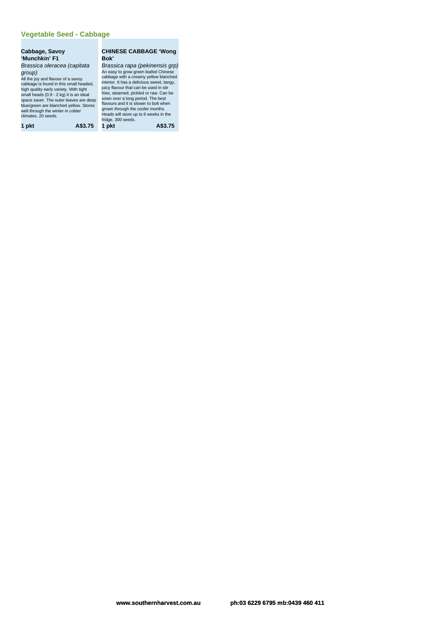#### **Vegetable Seed - Cabbage**

#### **Cabbage, Savoy 'Munchkin' F1** Brassica oleracea (capitata group)

All the joy and flavour of a savoy<br>cabbage is found in this small headed,<br>high quality early variety. With tight<br>small heads (0.9 - 2 kg) it is an ideal<br>space saver. The outer leaves are deep blue/green are blanched yellow. Stores well through the winter in colder climates. 20 seeds.

| 1 pkt | A\$3.75 |
|-------|---------|
|-------|---------|

#### **CHINESE CABBAGE 'Wong Bok'**

Brassica rapa (pekinensis grp) An easy to grow green leafed Chinese<br>cabbage with a creamy yellow blanched<br>interior. It has a delicious sweet, tangy,<br>juicy flavour that can be used in stir<br>fries, steamed, pickled or raw. Can be<br>sown over a long period. T grown through the cooler months. Heads will store up to 6 weeks in the fridge. 300 seeds. **1 pkt A\$3.75 1 pkt A\$3.75**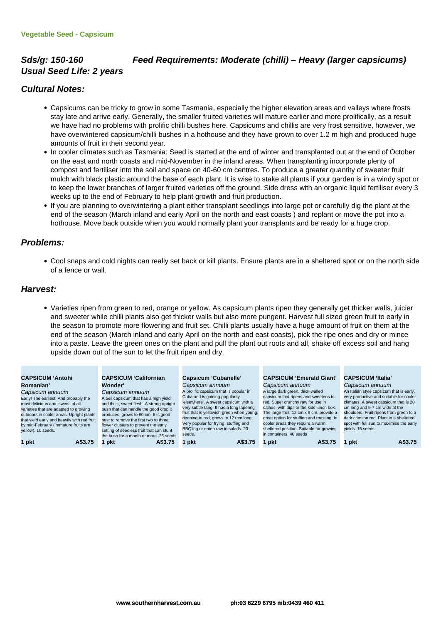## **Sds/g: 150-160 Feed Requirements: Moderate (chilli) – Heavy (larger capsicums) Usual Seed Life: 2 years**

### **Cultural Notes:**

- Capsicums can be tricky to grow in some Tasmania, especially the higher elevation areas and valleys where frosts stay late and arrive early. Generally, the smaller fruited varieties will mature earlier and more prolifically, as a result we have had no problems with prolific chilli bushes here. Capsicums and chillis are very frost sensitive, however, we have overwintered capsicum/chilli bushes in a hothouse and they have grown to over 1.2 m high and produced huge amounts of fruit in their second year.
- In cooler climates such as Tasmania: Seed is started at the end of winter and transplanted out at the end of October on the east and north coasts and mid-November in the inland areas. When transplanting incorporate plenty of compost and fertiliser into the soil and space on 40-60 cm centres. To produce a greater quantity of sweeter fruit mulch with black plastic around the base of each plant. It is wise to stake all plants if your garden is in a windy spot or to keep the lower branches of larger fruited varieties off the ground. Side dress with an organic liquid fertiliser every 3 weeks up to the end of February to help plant growth and fruit production.
- If you are planning to overwintering a plant either transplant seedlings into large pot or carefully dig the plant at the end of the season (March inland and early April on the north and east coasts ) and replant or move the pot into a hothouse. Move back outside when you would normally plant your transplants and be ready for a huge crop.

#### **Problems:**

Cool snaps and cold nights can really set back or kill plants. Ensure plants are in a sheltered spot or on the north side of a fence or wall.

#### **Harvest:**

Varieties ripen from green to red, orange or yellow. As capsicum plants ripen they generally get thicker walls, juicier and sweeter while chilli plants also get thicker walls but also more pungent. Harvest full sized green fruit to early in the season to promote more flowering and fruit set. Chilli plants usually have a huge amount of fruit on them at the end of the season (March inland and early April on the north and east coasts), pick the ripe ones and dry or mince into a paste. Leave the green ones on the plant and pull the plant out roots and all, shake off excess soil and hang upside down out of the sun to let the fruit ripen and dry.

#### **CAPSICUM 'Antohi Romanian'**

Capsicum annuum Early! The earliest. And probably the most delicious and 'sweet' of all varieties that are adapted to growing outdoors in cooler areas. Upright plants that yield early and heavily with red fruit by mid-February (immature fruits are yellow). 10 seeds.

#### **CAPSICUM 'Californian Wonder'** Capsicum annuum

A bell capsicum that has a high yield and thick, sweet flesh. A strong upright bush that can handle the good crop it produces, grows to 60 cm. It is good best to remove the first two to th flower clusters to prevent the early setting of seedless fruit that can stunt the bush for a month or more. 25 seeds. **1 pkt A\$3.75 1 pkt A\$3.75 1 pkt A\$3.75 1 pkt A\$3.75 1 pkt A\$3.75**

#### **Capsicum 'Cubanelle'**

Capsicum annuum A prolific capsicum that is popular in Cuba and is gaining popularity 'elsewhere'. A sweet capsicum with a very subtle tang. It has a long tapering fruit that is yellowish-green when young, ripening to red, grows to 12+cm long. Very popular for frying, stuffing and BBQ'ing or eaten raw in salads. 20 seeds.

#### **CAPSICUM 'Emerald Giant'** Capsicum annuum

A large dark green, thick-walled cum that ripens and sweetens to red. Super crunchy raw for use in salads, with dips or the kids lunch box. The large fruit, 12 cm x 9 cm, provide a great option for stuffing and roasting. In cooler areas they require a warm, sheltered position. Suitable for growing in containers. 40 seeds

#### **CAPSICUM 'Italia'** Capsicum annuum

An Italian style capsicum that is early, very productive and suitable for coole climates. A sweet capsicum that is 20 cm long and 5-7 cm wide at the shoulders. Fruit ripens from green to a dark crimson red. Plant in a sheltered spot with full sun to maximise the early yields. 15 seeds.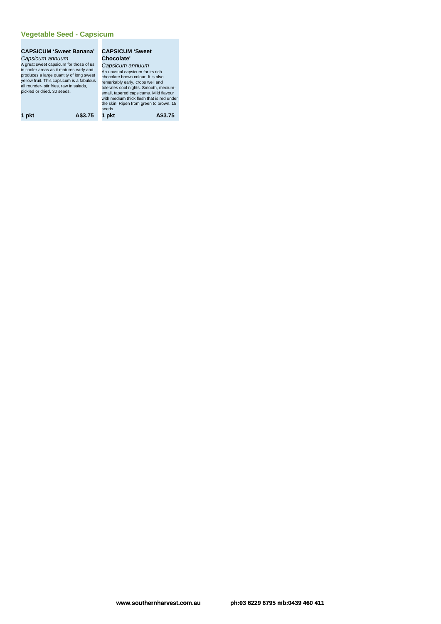#### **Vegetable Seed - Capsicum**

# **CAPSICUM 'Sweet Banana' CAPSICUM 'Sweet** Capsicum annuum A great sweet capsicum for those of us<br>in cooler areas as it matures early and<br>produces a large quantity of long sweet<br>yellow fruit. This capsicum is a fabulous<br>all rounder- stir fries, raw in salads,<br>pickled or dried. 30

**Chocolate'** Capsicum annuum<br>An unusual capsicum for its rich<br>chocolate brown colour. It is also<br>temarkably early, crops well and<br>tolerates cool nights. Smooth, medium-<br>small, tapered capsicums. Mild flavour<br>with medium thick flesh tha

seeds. **1 pkt A\$3.75 1 pkt A\$3.75**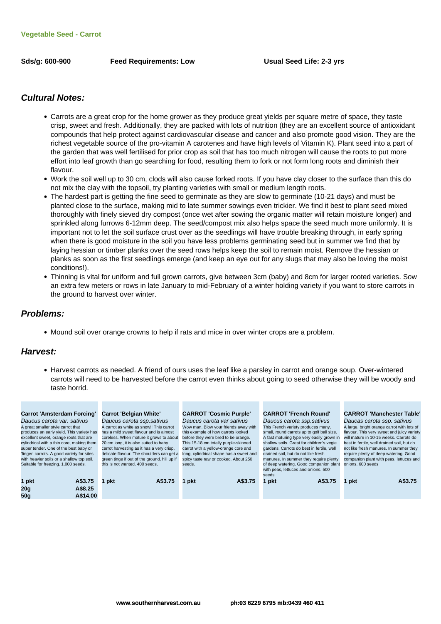#### **Cultural Notes:**

- Carrots are a great crop for the home grower as they produce great yields per square metre of space, they taste crisp, sweet and fresh. Additionally, they are packed with lots of nutrition (they are an excellent source of antioxidant compounds that help protect against cardiovascular disease and cancer and also promote good vision. They are the richest vegetable source of the pro-vitamin A carotenes and have high levels of Vitamin K). Plant seed into a part of the garden that was well fertilised for prior crop as soil that has too much nitrogen will cause the roots to put more effort into leaf growth than go searching for food, resulting them to fork or not form long roots and diminish their flavour.
- Work the soil well up to 30 cm, clods will also cause forked roots. If you have clay closer to the surface than this do not mix the clay with the topsoil, try planting varieties with small or medium length roots.
- The hardest part is getting the fine seed to germinate as they are slow to germinate (10-21 days) and must be planted close to the surface, making mid to late summer sowings even trickier. We find it best to plant seed mixed thoroughly with finely sieved dry compost (once wet after sowing the organic matter will retain moisture longer) and sprinkled along furrows 6-12mm deep. The seed/compost mix also helps space the seed much more uniformly. It is important not to let the soil surface crust over as the seedlings will have trouble breaking through, in early spring when there is good moisture in the soil you have less problems germinating seed but in summer we find that by laying hessian or timber planks over the seed rows helps keep the soil to remain moist. Remove the hessian or planks as soon as the first seedlings emerge (and keep an eye out for any slugs that may also be loving the moist conditions!).
- Thinning is vital for uniform and full grown carrots, give between 3cm (baby) and 8cm for larger rooted varieties. Sow an extra few meters or rows in late January to mid-February of a winter holding variety if you want to store carrots in the ground to harvest over winter.

#### **Problems:**

• Mound soil over orange crowns to help if rats and mice in over winter crops are a problem.

#### **Harvest:**

Harvest carrots as needed. A friend of ours uses the leaf like a parsley in carrot and orange soup. Over-wintered carrots will need to be harvested before the carrot even thinks about going to seed otherwise they will be woody and taste horrid.

| <b>Carrot 'Amsterdam Forcing'</b>          | <b>Carrot 'Belgian White'</b>                | <b>CARROT 'Cosmic Purple'</b>           | <b>CARROT 'French Round'</b>               | <b>CARROT 'Manchester Table'</b>           |
|--------------------------------------------|----------------------------------------------|-----------------------------------------|--------------------------------------------|--------------------------------------------|
| Daucus carota var. sativus                 | Daucus carota ssp.sativus                    | Daucus carota var sativus               | Daucus carota ssp.sativus                  | Daucas carota ssp. sativus                 |
| A great smaller style carrot that          | A carrot as white as snow!! This carrot      | Wow man. Blow your friends away with    | This French variety produces many,         | A large, bright orange carrot with lots of |
| produces an early yield. This variety has  | has a mild sweet flavour and is almost       | this example of how carrots looked      | small, round carrots up to golf ball size. | flavour. This very sweet and juicy variety |
| excellent sweet, orange roots that are     | coreless. When mature it grows to about      | before they were bred to be orange.     | A fast maturing type very easily grown in  | will mature in 10-15 weeks. Carrots do     |
| cylindrical with a thin core, making them  | 20 cm long, it is also suited to baby        | This 15-18 cm totally purple-skinned    | shallow soils. Great for children's vegie  | best in fertile, well drained soil, but do |
| super tender. One of the best baby or      | carrot harvesting as it has a very crisp,    | carrot with a yellow-orange core and    | gardens. Carrots do best in fertile, well  | not like fresh manures. In summer they     |
| 'finger' carrots. A good variety for sites | delicate flavour. The shoulders can get a    | long, cylindrical shape has a sweet and | drained soil, but do not like fresh        | require plenty of deep watering. Good      |
| with heavier soils or a shallow top soil.  | green tinge if out of the ground, hill up if | spicy taste raw or cooked. About 250    | manures. In summer they require plenty     | companion plant with peas, lettuces and    |
| Suitable for freezing. 1,000 seeds.        | this is not wanted, 400 seeds.               | seeds.                                  | of deep watering. Good companion plant     | onions, 600 seeds                          |
|                                            |                                              |                                         | with peas, lettuces and onions. 500        |                                            |
|                                            |                                              |                                         | seeds                                      |                                            |
| 1 pkt<br>A\$3.75                           | A\$3.75<br>∣nkt                              | A\$3.75<br>pkt                          | A\$3.75<br>1 pkt                           | A\$3.75<br>1 pkt                           |
| 20 <sub>g</sub><br>A\$8.25                 |                                              |                                         |                                            |                                            |
|                                            |                                              |                                         |                                            |                                            |
| 50q<br>A\$14.00                            |                                              |                                         |                                            |                                            |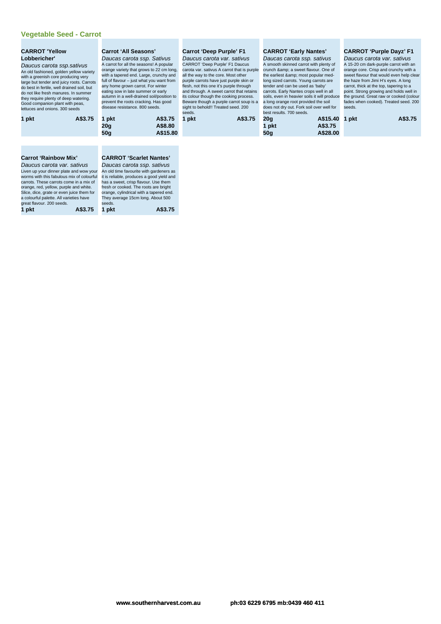#### **Vegetable Seed - Carrot**

| <b>CARROT 'Yellow</b> |  |
|-----------------------|--|
| Lobbericher'          |  |

Daucus carota ssp.sativus An old fashioned, golden yellow variety with a greenish core producing very large but tender and juicy roots. Carrots do best in fertile, well drained soil, but do not like fresh manures. In summer they require plenty of deep watering. Good companion plant with peas, lettuces and onions. 300 seeds

| 1 pkt | A\$3.75 |
|-------|---------|
|       |         |

#### **Carrot 'All Seasons'** Daucas carota ssp. Sativus A carrot for all the seasons! A popular

orange variety that grows to 22 cm long, with a tapered end. Large, crunchy and full of flavour – just what you want from any home grown carrot. For winter eating sow in late summer or early autumn in a well-drained soil/position to prevent the roots cracking. Has good disease resistance. 800 seeds.

**1 pkt A\$3.75 1 pkt A\$3.75 20g A\$8.80**

**50g A\$15.80**

#### **Carrot 'Deep Purple' F1**

Daucus carota var. sativus CARROT 'Deep Purple' F1 Daucus carota var. sativus A carrot that is purple all the way to the core. Most other purple carrots have just purple skin or flesh, not this one it's purple through and through. A sweet carrot that retains its colour though the cooking process. Beware though a purple carrot soup is a sight to behold!! Treated seed. 200 seeds.

| A\$3.75 |
|---------|
|         |

#### **CARROT 'Early Nantes'**

Daucas carota ssp. sativus A smooth skinned carrot with plenty of crunch & amp; a sweet flavour. One of the earliest & amp; most popular medlong sized carrots. Young carrots are tender and can be used as 'baby' carrots. Early Nantes crops well in all soils, even in heavier soils it will produce a long orange root provided the soil does not dry out. Fork soil over well for best results. 700 seeds.

**1 pkt A\$3.75 20g A\$15.40 1 pkt A\$3.75 1 pkt A\$3.75 50g A\$28.00**

**CARROT 'Purple Dayz' F1**

Daucus carota var. sativus A 15-20 cm dark-purple carrot with an orange core. Crisp and crunchy with a sweet flavour that would even help clear the haze from Jimi H's eyes. A long carrot, thick at the top, tapering to a point. Strong growing and holds well in the ground. Great raw or cooked (colour fades when cooked). Treated seed. 200 seeds.

|  | A\$3.75 |
|--|---------|
|  |         |

#### **Carrot 'Rainbow Mix'**

Daucus carota var. sativus Liven up your dinner plate and wow your worms with this fabulous mix of colourful carrots. These carrots come in a mix of orange, red, yellow, purple and white. Slice, dice, grate or even juice them for a colourful palette. All varieties have great flavour. 200 seeds.<br>1 pkt

**CARROT 'Scarlet Nantes'** Daucas carota ssp. sativus An old time favourite with gardeners as it is reliable, produces a good yield and has a sweet, crisp flavour. Use them fresh or cooked. The roots are bright orange, cylindrical with a tapered end. They average 15cm long. About 500 seeds. **1 pkt A\$3.75 1 pkt A\$3.75**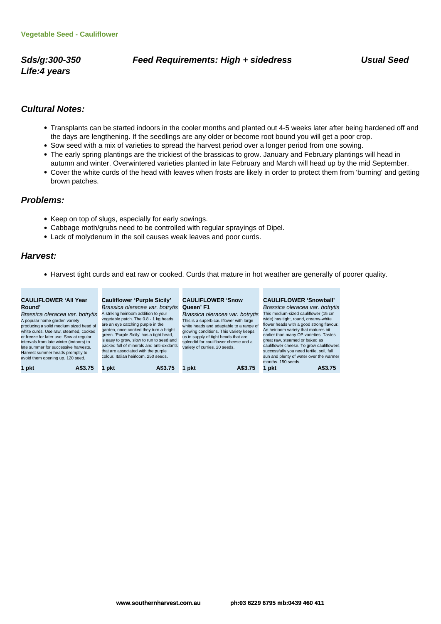**Life:4 years**

## **Sds/g:300-350 Feed Requirements: High + sidedress Usual Seed**

## **Cultural Notes:**

- Transplants can be started indoors in the cooler months and planted out 4-5 weeks later after being hardened off and the days are lengthening. If the seedlings are any older or become root bound you will get a poor crop.
- Sow seed with a mix of varieties to spread the harvest period over a longer period from one sowing.
- The early spring plantings are the trickiest of the brassicas to grow. January and February plantings will head in autumn and winter. Overwintered varieties planted in late February and March will head up by the mid September.
- Cover the white curds of the head with leaves when frosts are likely in order to protect them from 'burning' and getting brown patches.

#### **Problems:**

- Keep on top of slugs, especially for early sowings.
- Cabbage moth/grubs need to be controlled with regular sprayings of Dipel.
- Lack of molydenum in the soil causes weak leaves and poor curds.

## **Harvest:**

Harvest tight curds and eat raw or cooked. Curds that mature in hot weather are generally of poorer quality.

| <b>CAULIFLOWER 'All Year</b><br>Round'<br>Brassica oleracea var. botrytis<br>A popular home garden variety<br>producing a solid medium sized head of<br>white curds. Use raw, steamed, cooked<br>or freeze for later use. Sow at regular<br>intervals from late winter (indoors) to<br>late summer for successive harvests.<br>Harvest summer heads promptly to<br>avoid them opening up. 120 seed. | Cauliflower 'Purple Sicily'<br>Brassica oleracea var. botrytis<br>A striking heirloom addition to your<br>vegetable patch. The 0.8 - 1 kg heads<br>are an eye catching purple in the<br>garden, once cooked they turn a bright<br>green. 'Purple Sicily' has a tight head,<br>is easy to grow, slow to run to seed and<br>packed full of minerals and anti-oxidants<br>that are associated with the purple<br>colour, Italian heirloom, 250 seeds. | <b>CAULIFLOWER 'Snow</b><br>Queen' F1<br>Brassica oleracea var. botrytis<br>This is a superb cauliflower with large<br>white heads and adaptable to a range of<br>growing conditions. This variety keeps<br>us in supply of tight heads that are<br>splendid for cauliflower cheese and a<br>variety of curries, 20 seeds. | <b>CAULIFLOWER 'Snowball'</b><br>Brassica oleracea var. botrytis<br>This medium-sized cauliflower (15 cm<br>wide) has tight, round, creamy-white<br>flower heads with a good strong flavour.<br>An heirloom variety that matures bit<br>earlier than many OP varieties. Tastes<br>great raw, steamed or baked as<br>cauliflower cheese. To grow cauliflowers<br>successfully you need fertile, soil, full<br>sun and plenty of water over the warmer<br>months, 150 seeds. |
|-----------------------------------------------------------------------------------------------------------------------------------------------------------------------------------------------------------------------------------------------------------------------------------------------------------------------------------------------------------------------------------------------------|----------------------------------------------------------------------------------------------------------------------------------------------------------------------------------------------------------------------------------------------------------------------------------------------------------------------------------------------------------------------------------------------------------------------------------------------------|----------------------------------------------------------------------------------------------------------------------------------------------------------------------------------------------------------------------------------------------------------------------------------------------------------------------------|----------------------------------------------------------------------------------------------------------------------------------------------------------------------------------------------------------------------------------------------------------------------------------------------------------------------------------------------------------------------------------------------------------------------------------------------------------------------------|
| 1 pkt                                                                                                                                                                                                                                                                                                                                                                                               | pkt                                                                                                                                                                                                                                                                                                                                                                                                                                                | A\$3.75                                                                                                                                                                                                                                                                                                                    | A\$3.75                                                                                                                                                                                                                                                                                                                                                                                                                                                                    |
| A\$3.75                                                                                                                                                                                                                                                                                                                                                                                             | A\$3.75                                                                                                                                                                                                                                                                                                                                                                                                                                            | 1 pkt                                                                                                                                                                                                                                                                                                                      | pkt                                                                                                                                                                                                                                                                                                                                                                                                                                                                        |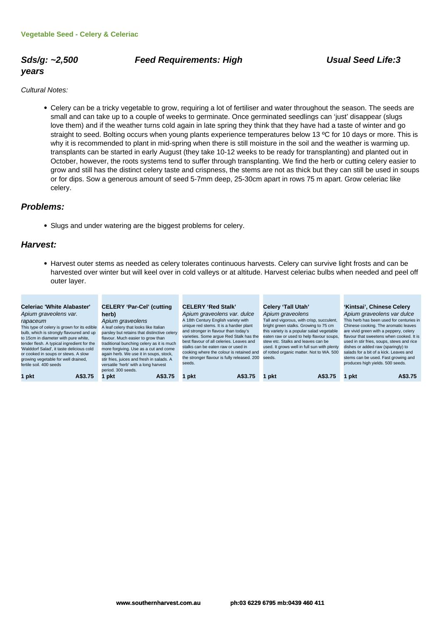# **years**

#### Sds/g: ~2,500 **Feed Requirements: High Contract Constructs: High Usual Seed Life:3**

Cultural Notes:

Celery can be a tricky vegetable to grow, requiring a lot of fertiliser and water throughout the season. The seeds are small and can take up to a couple of weeks to germinate. Once germinated seedlings can 'just' disappear (slugs love them) and if the weather turns cold again in late spring they think that they have had a taste of winter and go straight to seed. Bolting occurs when young plants experience temperatures below 13 ºC for 10 days or more. This is why it is recommended to plant in mid-spring when there is still moisture in the soil and the weather is warming up. transplants can be started in early August (they take 10-12 weeks to be ready for transplanting) and planted out in October, however, the roots systems tend to suffer through transplanting. We find the herb or cutting celery easier to grow and still has the distinct celery taste and crispness, the stems are not as thick but they can still be used in soups or for dips. Sow a generous amount of seed 5-7mm deep, 25-30cm apart in rows 75 m apart. Grow celeriac like celery.

#### **Problems:**

Slugs and under watering are the biggest problems for celery.

#### **Harvest:**

Harvest outer stems as needed as celery tolerates continuous harvests. Celery can survive light frosts and can be harvested over winter but will keel over in cold valleys or at altitude. Harvest celeriac bulbs when needed and peel off outer layer.

| Celeriac 'White Alabaster'<br>Apium graveolens var.<br>rapaceum<br>This type of celery is grown for its edible<br>bulb, which is strongly flavoured and up<br>to 15cm in diameter with pure white,<br>tender flesh. A typical ingredient for the<br>'Walddorf Salad', it taste delicious cold<br>or cooked in soups or stews. A slow<br>growing vegetable for well drained,<br>fertile soil. 400 seeds | <b>CELERY 'Par-Cel' (cutting</b><br>herb)<br>Apium graveolens<br>A leaf celery that looks like Italian<br>parsley but retains that distinctive celery<br>flavour. Much easier to grow than<br>traditional bunching celery as it is much<br>more forgiving. Use as a cut and come<br>again herb. We use it in soups, stock,<br>stir fries, juices and fresh in salads. A<br>versatile 'herb' with a long harvest | <b>CELERY 'Red Stalk'</b><br>Apium graveolens var. dulce<br>A 18th Century English variety with<br>unique red stems. It is a hardier plant<br>and stronger in flavour than today's<br>varieties. Some arque Red Stalk has the<br>best flavour of all celeries. Leaves and<br>stalks can be eaten raw or used in<br>cooking where the colour is retained and<br>the stronger flavour is fully released. 200<br>seeds. | Celery 'Tall Utah'<br>Apium graveolens<br>Tall and vigorous, with crisp, succulent,<br>bright green stalks. Growing to 75 cm<br>this variety is a popular salad vegetable<br>eaten raw or used to help flavour soups,<br>stew etc. Stalks and leaves can be<br>used. It grows well in full sun with plenty<br>of rotted organic matter. Not to WA. 500<br>seeds. | 'Kintsai', Chinese Celery<br>Apium graveolens var dulce<br>This herb has been used for centuries in<br>Chinese cooking. The aromatic leaves<br>are vivid green with a peppery, celery<br>flavour that sweetens when cooked. It is<br>used in stir fries, soups, stews and rice<br>dishes or added raw (sparingly) to<br>salads for a bit of a kick. Leaves and<br>stems can be used. Fast growing and<br>produces high yields. 500 seeds. |
|--------------------------------------------------------------------------------------------------------------------------------------------------------------------------------------------------------------------------------------------------------------------------------------------------------------------------------------------------------------------------------------------------------|-----------------------------------------------------------------------------------------------------------------------------------------------------------------------------------------------------------------------------------------------------------------------------------------------------------------------------------------------------------------------------------------------------------------|----------------------------------------------------------------------------------------------------------------------------------------------------------------------------------------------------------------------------------------------------------------------------------------------------------------------------------------------------------------------------------------------------------------------|------------------------------------------------------------------------------------------------------------------------------------------------------------------------------------------------------------------------------------------------------------------------------------------------------------------------------------------------------------------|-------------------------------------------------------------------------------------------------------------------------------------------------------------------------------------------------------------------------------------------------------------------------------------------------------------------------------------------------------------------------------------------------------------------------------------------|
| 1 pkt<br>A\$3.75                                                                                                                                                                                                                                                                                                                                                                                       | period. 300 seeds.<br>pkt<br>A\$3.75                                                                                                                                                                                                                                                                                                                                                                            | A\$3.75<br>pkt                                                                                                                                                                                                                                                                                                                                                                                                       | A\$3.75<br>l pkt                                                                                                                                                                                                                                                                                                                                                 | A\$3.75<br>l pkt                                                                                                                                                                                                                                                                                                                                                                                                                          |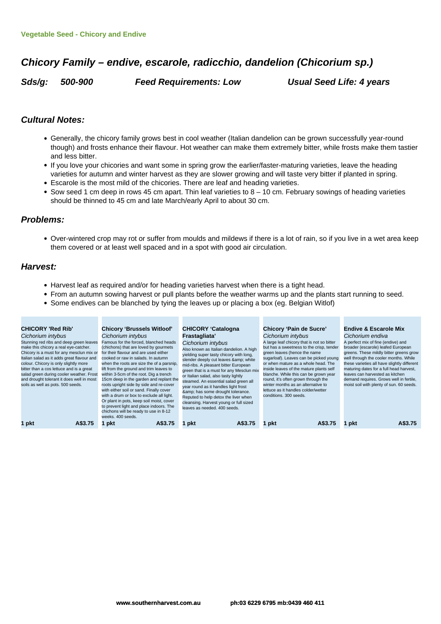# **Chicory Family – endive, escarole, radicchio, dandelion (Chicorium sp.)**

**Sds/g: 500-900 Feed Requirements: Low Usual Seed Life: 4 years**

#### **Cultural Notes:**

- Generally, the chicory family grows best in cool weather (Italian dandelion can be grown successfully year-round though) and frosts enhance their flavour. Hot weather can make them extremely bitter, while frosts make them tastier and less bitter.
- If you love your chicories and want some in spring grow the earlier/faster-maturing varieties, leave the heading varieties for autumn and winter harvest as they are slower growing and will taste very bitter if planted in spring.
- Escarole is the most mild of the chicories. There are leaf and heading varieties.
- Sow seed 1 cm deep in rows 45 cm apart. Thin leaf varieties to  $8 10$  cm. February sowings of heading varieties should be thinned to 45 cm and late March/early April to about 30 cm.

#### **Problems:**

Over-wintered crop may rot or suffer from moulds and mildews if there is a lot of rain, so if you live in a wet area keep them covered or at least well spaced and in a spot with good air circulation.

#### **Harvest:**

- Harvest leaf as required and/or for heading varieties harvest when there is a tight head.
- From an autumn sowing harvest or pull plants before the weather warms up and the plants start running to seed.
	- Some endives can be blanched by tying the leaves up or placing a box (eg. Belgian Witlof)

| <b>CHICORY 'Red Rib'</b><br>Cichorium intybus<br>Stunning red ribs and deep green leaves<br>make this chicory a real eye-catcher.<br>Chicory is a must for any mesclun mix or<br>Italian salad as it adds great flavour and<br>colour. Chicory is only slightly more<br>bitter than a cos lettuce and is a great<br>salad green during cooler weather. Frost<br>and drought tolerant it does well in most<br>soils as well as pots. 500 seeds. | <b>Chicory 'Brussels Witloof'</b><br>Cichorium intybus<br>Famous for the forced, blanched heads<br>(chichons) that are loved by gourmets<br>for their flavour and are used either<br>cooked or raw in salads. In autumn<br>when the roots are size the of a parsnip,<br>lift from the ground and trim leaves to<br>within 3-5cm of the root. Dig a trench<br>15cm deep in the garden and replant the<br>roots upright side by side and re-cover<br>with either soil or sand. Finally cover<br>with a drum or box to exclude all light.<br>Or plant in pots, keep soil moist, cover<br>to prevent light and place indoors. The<br>chichons will be ready to use in 8-12<br>weeks, 400 seeds. | <b>CHICORY 'Catalogna</b><br>Frastagliata'<br>Cichorium intybus<br>Also known as Italian dandelion. A high<br>yielding super tasty chicory with long,<br>slender deeply cut leaves & white<br>mid-ribs. A pleasant bitter European<br>green that is a must for any Mesclun mix<br>or Italian salad, also tasty lightly<br>steamed. An essential salad green all<br>year round as it handles light frost<br>& has some drought tolerance.<br>Reputed to help detox the liver when<br>cleansing. Harvest young or full sized<br>leaves as needed, 400 seeds. | <b>Chicory 'Pain de Sucre'</b><br>Cichorium intybus<br>A large leaf chicory that is not so bitter<br>but has a sweetness to the crisp, tender<br>green leaves (hence the name<br>sugarloaf). Leaves can be picked young<br>or when mature as a whole head. The<br>inside leaves of the mature plants self<br>blanche. While this can be grown year<br>round, it's often grown through the<br>winter months as an alternative to<br>lettuce as it handles colder/wetter<br>conditions, 300 seeds. | <b>Endive &amp; Escarole Mix</b><br>Cichorium endiva<br>A perfect mix of fine (endive) and<br>broader (escarole) leafed European<br>greens. These mildly bitter greens grow<br>well through the cooler months. While<br>these varieties all have slightly different<br>maturing dates for a full head harvest,<br>leaves can harvested as kitchen<br>demand requires. Grows well in fertile,<br>moist soil with plenty of sun. 60 seeds. |
|------------------------------------------------------------------------------------------------------------------------------------------------------------------------------------------------------------------------------------------------------------------------------------------------------------------------------------------------------------------------------------------------------------------------------------------------|---------------------------------------------------------------------------------------------------------------------------------------------------------------------------------------------------------------------------------------------------------------------------------------------------------------------------------------------------------------------------------------------------------------------------------------------------------------------------------------------------------------------------------------------------------------------------------------------------------------------------------------------------------------------------------------------|------------------------------------------------------------------------------------------------------------------------------------------------------------------------------------------------------------------------------------------------------------------------------------------------------------------------------------------------------------------------------------------------------------------------------------------------------------------------------------------------------------------------------------------------------------|--------------------------------------------------------------------------------------------------------------------------------------------------------------------------------------------------------------------------------------------------------------------------------------------------------------------------------------------------------------------------------------------------------------------------------------------------------------------------------------------------|------------------------------------------------------------------------------------------------------------------------------------------------------------------------------------------------------------------------------------------------------------------------------------------------------------------------------------------------------------------------------------------------------------------------------------------|
| A\$3.75                                                                                                                                                                                                                                                                                                                                                                                                                                        | A\$3.75                                                                                                                                                                                                                                                                                                                                                                                                                                                                                                                                                                                                                                                                                     | A\$3.75                                                                                                                                                                                                                                                                                                                                                                                                                                                                                                                                                    | A\$3.75                                                                                                                                                                                                                                                                                                                                                                                                                                                                                          | A\$3.75                                                                                                                                                                                                                                                                                                                                                                                                                                  |
| 1 pkt                                                                                                                                                                                                                                                                                                                                                                                                                                          | pkt                                                                                                                                                                                                                                                                                                                                                                                                                                                                                                                                                                                                                                                                                         | pkt                                                                                                                                                                                                                                                                                                                                                                                                                                                                                                                                                        | pkt                                                                                                                                                                                                                                                                                                                                                                                                                                                                                              | pkt                                                                                                                                                                                                                                                                                                                                                                                                                                      |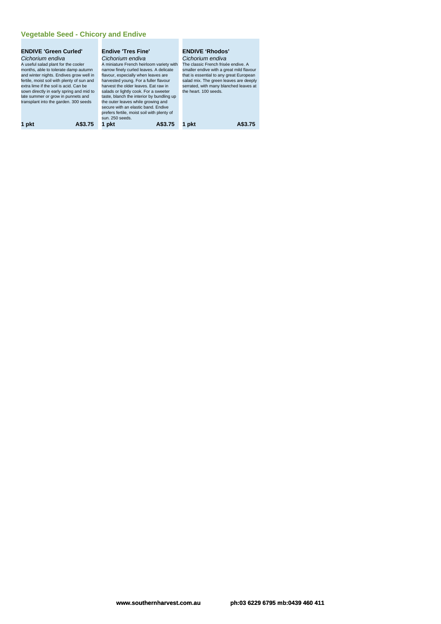# **Vegetable Seed - Chicory and Endive**

| <b>ENDIVE 'Green Curled'</b>               | <b>Endive 'Tres Fine'</b>                  | <b>ENDIVE 'Rhodos'</b>                   |
|--------------------------------------------|--------------------------------------------|------------------------------------------|
| Cichorium endiva                           | Cichorium endiva                           | Cichorium endiva                         |
| A useful salad plant for the cooler        | A miniature French heirloom variety with   | The classic French frisée endive. A      |
| months, able to tolerate damp autumn       | narrow finely curled leaves. A delicate    | smaller endive with a great mild flavour |
| and winter nights. Endives grow well in    | flavour, especially when leaves are        | that is essential to any great European  |
| fertile, moist soil with plenty of sun and | harvested young. For a fuller flavour      | salad mix. The green leaves are deeply   |
| extra lime if the soil is acid. Can be     | harvest the older leaves. Eat raw in       | serrated, with many blanched leaves at   |
| sown directly in early spring and mid to   | salads or lightly cook. For a sweeter      | the heart. 100 seeds.                    |
| late summer or grow in punnets and         | taste, blanch the interior by bundling up  |                                          |
| transplant into the garden. 300 seeds      | the outer leaves while growing and         |                                          |
|                                            | secure with an elastic band. Endive        |                                          |
|                                            | prefers fertile, moist soil with plenty of |                                          |
|                                            | sun. 250 seeds.                            |                                          |
| A\$3.75<br>1 pkt                           | 1 pkt<br>A\$3.75                           | pkt<br>A\$3.75                           |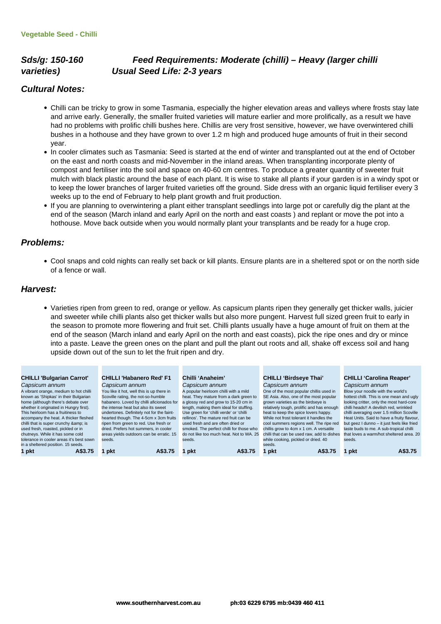# **Sds/g: 150-160 Feed Requirements: Moderate (chilli) – Heavy (larger chilli varieties) Usual Seed Life: 2-3 years**

## **Cultural Notes:**

- Chilli can be tricky to grow in some Tasmania, especially the higher elevation areas and valleys where frosts stay late and arrive early. Generally, the smaller fruited varieties will mature earlier and more prolifically, as a result we have had no problems with prolific chilli bushes here. Chillis are very frost sensitive, however, we have overwintered chilli bushes in a hothouse and they have grown to over 1.2 m high and produced huge amounts of fruit in their second year.
- In cooler climates such as Tasmania: Seed is started at the end of winter and transplanted out at the end of October on the east and north coasts and mid-November in the inland areas. When transplanting incorporate plenty of compost and fertiliser into the soil and space on 40-60 cm centres. To produce a greater quantity of sweeter fruit mulch with black plastic around the base of each plant. It is wise to stake all plants if your garden is in a windy spot or to keep the lower branches of larger fruited varieties off the ground. Side dress with an organic liquid fertiliser every 3 weeks up to the end of February to help plant growth and fruit production.
- If you are planning to overwintering a plant either transplant seedlings into large pot or carefully dig the plant at the end of the season (March inland and early April on the north and east coasts ) and replant or move the pot into a hothouse. Move back outside when you would normally plant your transplants and be ready for a huge crop.

#### **Problems:**

Cool snaps and cold nights can really set back or kill plants. Ensure plants are in a sheltered spot or on the north side of a fence or wall.

#### **Harvest:**

Varieties ripen from green to red, orange or yellow. As capsicum plants ripen they generally get thicker walls, juicier and sweeter while chilli plants also get thicker walls but also more pungent. Harvest full sized green fruit to early in the season to promote more flowering and fruit set. Chilli plants usually have a huge amount of fruit on them at the end of the season (March inland and early April on the north and east coasts), pick the ripe ones and dry or mince into a paste. Leave the green ones on the plant and pull the plant out roots and all, shake off excess soil and hang upside down out of the sun to let the fruit ripen and dry.

#### **CHILLI 'Bulgarian Carrot'** Capsicum annum

A vibrant orange, medium to hot chilli known as 'Shipkas' in their Bulgarian home (although there's debate over whether it originated in Hungry first). This heirloom has a fruitiness to accompany the heat. A thicker fleshed chilli that is super crunchy & is<br>used fresh, roasted, pickled or in chutneys. While it has some cold tolerance in cooler areas it's best sown in a sheltered position. 15 seeds.

#### **CHILLI 'Habanero Red' F1 Chilli 'Anaheim'**

Capsicum annum You like it hot, well this is up there in Scoville rating, the not-so-humble habanero. Loved by chilli aficionados for the intense heat but also its sweet undertones. Definitely not for the faint-hearted though. The 4-5cm x 3cm fruits ripen from green to red. Use fresh or dried. Prefers hot summers, in cooler areas yields outdoors can be erratic. 15 seeds.

Capsicum annum A popular heirloom chilli with a mild heat. They mature from a dark green to a glossy red and grow to 15-20 cm in ength, making them ideal for stuffing. Use green for 'chilli verde' or 'chilli rellinos'. The mature red fruit can be used fresh and are often dried or smoked. The perfect chilli for those who do not like too much heat. Not to WA. 25 seeds.

#### **CHILLI 'Birdseye Thai'**

Capsicum annum One of the most popular chillis used in SE Asia. Also, one of the most popular grown varieties as the birdseye is relatively tough, prolific and has enough heat to keep the spice lovers happy. While not frost tolerant it handles the cool summers regions well. The ripe red chillis grow to 4cm x 1 cm. A versatile chilli that can be used raw, add to dishes while cooking, pickled or dried. 40 seeds. **1 pkt A\$3.75 1 pkt A\$3.75 1 pkt A\$3.75 1 pkt A\$3.75 1 pkt A\$3.75**

#### **CHILLI 'Carolina Reaper'** Capsicum annum

Blow your noodle with the world's hottest chilli. This is one mean and ugly looking critter, only the most hard-core chilli heads!! A devilish red, wrinkled chilli averaging over 1.5 million Scoville Heat Units. Said to have a fruity flavour, but geez I dunno – it just feels like fried but good i during in just roofs like in that loves a warm/hot sheltered area. 20 seeds.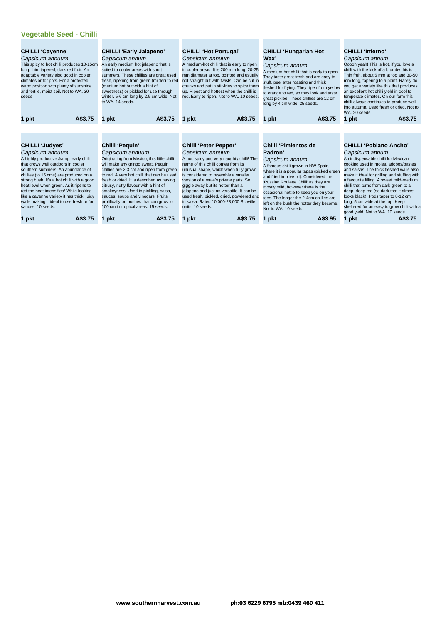## **Vegetable Seed - Chilli**

| <b>CHILLI 'Cayenne'</b><br>Capsicum annuum<br>This spicy to hot chilli produces 10-15cm<br>long, thin, tapered, dark red fruit. An<br>adaptable variety also good in cooler<br>climates or for pots. For a protected,<br>warm position with plenty of sunshine<br>and fertile, moist soil. Not to WA. 30<br>seeds                                                                                                             | <b>CHILLI 'Early Jalapeno'</b><br>Capsicum annum<br>An early medium hot jalapeno that is<br>suited to cooler areas with short<br>summers. These chillies are great used<br>fresh, ripening from green (milder) to red<br>(medium hot but with a hint of<br>sweetness) or pickled for use through<br>winter. 5-6 cm long by 2.5 cm wide. Not<br>to WA, 14 seeds.                                                                                      | <b>CHILLI 'Hot Portugal'</b><br>Capsicum annuum<br>A medium-hot chilli that is early to ripen<br>in cooler areas. It is 200 mm long, 20-25<br>mm diameter at top, pointed and usually<br>not straight but with twists. Can be cut in<br>chunks and put in stir-fries to spice them<br>up. Ripest and hottest when the chilli is<br>red. Early to ripen. Not to WA. 10 seeds.                                            | <b>CHILLI 'Hungarian Hot</b><br>Wax'<br>Capsicum annum<br>A medium-hot chilli that is early to ripen.<br>They taste great fresh and are easy to<br>stuff, peel after roasting and thick<br>fleshed for frying. They ripen from yellow<br>to orange to red, so they look and taste<br>great pickled. These chillies are 12 cm<br>long by 4 cm wide. 25 seeds.                                  | <b>CHILLI</b> 'Inferno'<br>Capsicum annum<br>Ooooh yeah! This is hot, if you love a<br>chilli with the kick of a brumby this is it.<br>Thin fruit, about 5 mm at top and 30-50<br>mm long, tapering to a point. Rarely do<br>you get a variety like this that produces<br>an excellent hot chilli yield in cool to<br>temperate climates. On our farm this<br>chilli always continues to produce well<br>into autumn. Used fresh or dried. Not to<br>WA. 20 seeds.                      |
|-------------------------------------------------------------------------------------------------------------------------------------------------------------------------------------------------------------------------------------------------------------------------------------------------------------------------------------------------------------------------------------------------------------------------------|------------------------------------------------------------------------------------------------------------------------------------------------------------------------------------------------------------------------------------------------------------------------------------------------------------------------------------------------------------------------------------------------------------------------------------------------------|-------------------------------------------------------------------------------------------------------------------------------------------------------------------------------------------------------------------------------------------------------------------------------------------------------------------------------------------------------------------------------------------------------------------------|-----------------------------------------------------------------------------------------------------------------------------------------------------------------------------------------------------------------------------------------------------------------------------------------------------------------------------------------------------------------------------------------------|-----------------------------------------------------------------------------------------------------------------------------------------------------------------------------------------------------------------------------------------------------------------------------------------------------------------------------------------------------------------------------------------------------------------------------------------------------------------------------------------|
| A\$3.75<br>1 pkt                                                                                                                                                                                                                                                                                                                                                                                                              | A\$3.75<br>1 pkt                                                                                                                                                                                                                                                                                                                                                                                                                                     | A\$3.75<br>1 pkt                                                                                                                                                                                                                                                                                                                                                                                                        | A\$3.75<br>pkt                                                                                                                                                                                                                                                                                                                                                                                | A\$3.75<br>1 pkt                                                                                                                                                                                                                                                                                                                                                                                                                                                                        |
|                                                                                                                                                                                                                                                                                                                                                                                                                               |                                                                                                                                                                                                                                                                                                                                                                                                                                                      |                                                                                                                                                                                                                                                                                                                                                                                                                         |                                                                                                                                                                                                                                                                                                                                                                                               |                                                                                                                                                                                                                                                                                                                                                                                                                                                                                         |
|                                                                                                                                                                                                                                                                                                                                                                                                                               |                                                                                                                                                                                                                                                                                                                                                                                                                                                      |                                                                                                                                                                                                                                                                                                                                                                                                                         |                                                                                                                                                                                                                                                                                                                                                                                               |                                                                                                                                                                                                                                                                                                                                                                                                                                                                                         |
| <b>CHILLI 'Judyes'</b>                                                                                                                                                                                                                                                                                                                                                                                                        | Chilli 'Pequin'                                                                                                                                                                                                                                                                                                                                                                                                                                      | Chilli 'Peter Pepper'                                                                                                                                                                                                                                                                                                                                                                                                   | Chilli 'Pimientos de                                                                                                                                                                                                                                                                                                                                                                          | <b>CHILLI 'Poblano Ancho'</b>                                                                                                                                                                                                                                                                                                                                                                                                                                                           |
| Capsicum annuum<br>A highly productive & early chilli<br>that grows well outdoors in cooler<br>southern summers. An abundance of<br>chillies (to 15 cms) are produced on a<br>strong bush. It's a hot chilli with a good<br>heat level when green. As it ripens to<br>red the heat intensifies! While looking<br>like a cayenne variety it has thick, juicy<br>walls making it ideal to use fresh or for<br>sauces, 10 seeds. | Capsicum annuum<br>Originating from Mexico, this little chilli<br>will make any gringo sweat. Pequin<br>chillies are 2-3 cm and ripen from green<br>to red. A very hot chilli that can be used<br>fresh or dried. It is described as having<br>citrusy, nutty flavour with a hint of<br>smokeyness. Used in pickling, salsa,<br>sauces, soups and vinegars. Fruits<br>prolifically on bushes that can grow to<br>100 cm in tropical areas. 15 seeds. | Capsicum annuum<br>A hot, spicy and very naughty chilli! The<br>name of this chilli comes from its<br>unusual shape, which when fully grown<br>is considered to resemble a smaller<br>version of a male's private parts. So<br>giggle away but its hotter than a<br>jalapeno and just as versatile. It can be<br>used fresh, pickled, dried, powdered and<br>in salsa. Rated 10,000-23,000 Scoville<br>units. 10 seeds. | Padron'<br>Capsicum annum<br>A famous chilli grown in NW Spain,<br>where it is a popular tapas (picked green<br>and fried in olive oil). Considered the<br>'Russian Roulette Chilli' as they are<br>mostly mild, however there is the<br>occasional hottie to keep you on your<br>toes. The longer the 2-4cm chillies are<br>left on the bush the hotter they become.<br>Not to WA, 10 seeds. | Capsicum annum<br>An indispensable chilli for Mexican<br>cooking used in moles, adobos/pastes<br>and salsas. The thick fleshed walls also<br>make it ideal for grilling and stuffing with<br>a favourite filling. A sweet mild-medium<br>chilli that turns from dark green to a<br>deep, deep red (so dark that it almost<br>looks black). Pods taper to 8-12 cm<br>long, 5 cm wide at the top. Keep<br>sheltered for an easy to grow chilli with a<br>good yield. Not to WA. 10 seeds. |
| A\$3.75<br>1 pkt                                                                                                                                                                                                                                                                                                                                                                                                              | A\$3.75<br>1 pkt                                                                                                                                                                                                                                                                                                                                                                                                                                     | A\$3.75<br>1 pkt                                                                                                                                                                                                                                                                                                                                                                                                        | A\$3.95<br>pkt                                                                                                                                                                                                                                                                                                                                                                                | A\$3.75<br>1 pkt                                                                                                                                                                                                                                                                                                                                                                                                                                                                        |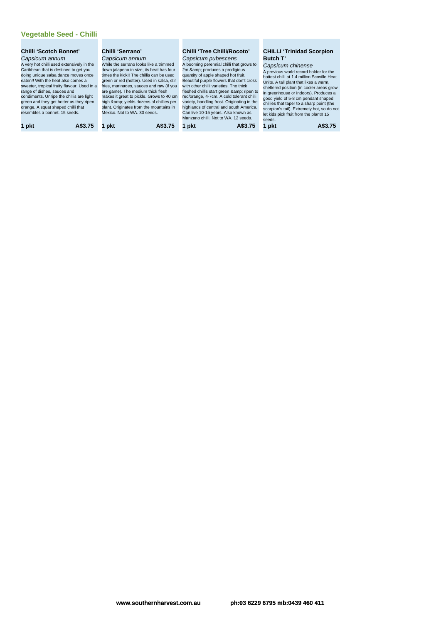| <b>Chilli 'Scotch Bonnet'</b><br>Capsicum annum<br>A very hot chilli used extensively in the<br>Caribbean that is destined to get you<br>doing unique salsa dance moves once<br>eaten!! With the heat also comes a<br>sweeter, tropical fruity flavour. Used in a<br>range of dishes, sauces and<br>condiments. Unripe the chillis are light<br>green and they get hotter as they ripen<br>orange. A squat shaped chilli that<br>resembles a bonnet. 15 seeds. | Chilli 'Serrano'<br>Capsicum annum<br>While the serrano looks like a trimmed<br>down jalapeno in size, its heat has four<br>times the kick!! The chillis can be used<br>green or red (hotter). Used in salsa, stir<br>fries, marinades, sauces and raw (if you<br>are game). The medium thick flesh<br>makes it great to pickle. Grows to 40 cm<br>high & yields dozens of chillies per<br>plant. Originates from the mountains in<br>Mexico. Not to WA, 30 seeds. | Chilli 'Tree Chilli/Rocoto'<br>Capsicum pubescens<br>A booming perennial chilli that grows to<br>2m & produces a prodigious<br>quantity of apple shaped hot fruit.<br>Beautiful purple flowers that don't cross<br>with other chilli varieties. The thick<br>fleshed chillis start green & ripen to<br>red/orange, 4-7cm. A cold tolerant chilli<br>variety, handling frost. Originating in the<br>highlands of central and south America.<br>Can live 10-15 years. Also known as<br>Manzano chilli. Not to WA, 12 seeds. | <b>CHILLI 'Trinidad Scorpion</b><br>Butch T'<br>Capsicum chinense<br>A previous world record holder for the<br>hottest chilli at 1.4 million Scoville Heat<br>Units. A tall plant that likes a warm.<br>sheltered position (in cooler areas grow<br>in greenhouse or indoors). Produces a<br>good vield of 5-8 cm pendant shaped<br>chillies that taper to a sharp point (the<br>scorpion's tail). Extremely hot, so do not<br>let kids pick fruit from the plant!! 15<br>seeds. |
|----------------------------------------------------------------------------------------------------------------------------------------------------------------------------------------------------------------------------------------------------------------------------------------------------------------------------------------------------------------------------------------------------------------------------------------------------------------|--------------------------------------------------------------------------------------------------------------------------------------------------------------------------------------------------------------------------------------------------------------------------------------------------------------------------------------------------------------------------------------------------------------------------------------------------------------------|---------------------------------------------------------------------------------------------------------------------------------------------------------------------------------------------------------------------------------------------------------------------------------------------------------------------------------------------------------------------------------------------------------------------------------------------------------------------------------------------------------------------------|----------------------------------------------------------------------------------------------------------------------------------------------------------------------------------------------------------------------------------------------------------------------------------------------------------------------------------------------------------------------------------------------------------------------------------------------------------------------------------|
| 1 pkt                                                                                                                                                                                                                                                                                                                                                                                                                                                          | A\$3.75                                                                                                                                                                                                                                                                                                                                                                                                                                                            | A\$3.75                                                                                                                                                                                                                                                                                                                                                                                                                                                                                                                   | A\$3.75                                                                                                                                                                                                                                                                                                                                                                                                                                                                          |
| A\$3.75                                                                                                                                                                                                                                                                                                                                                                                                                                                        | pkt                                                                                                                                                                                                                                                                                                                                                                                                                                                                | pkt                                                                                                                                                                                                                                                                                                                                                                                                                                                                                                                       | 1 pkt                                                                                                                                                                                                                                                                                                                                                                                                                                                                            |

# **Tree Chilli/Rocoto'**<br>um pubescens

#### **CHILLI 'Trinidad Scorpion Butch T'**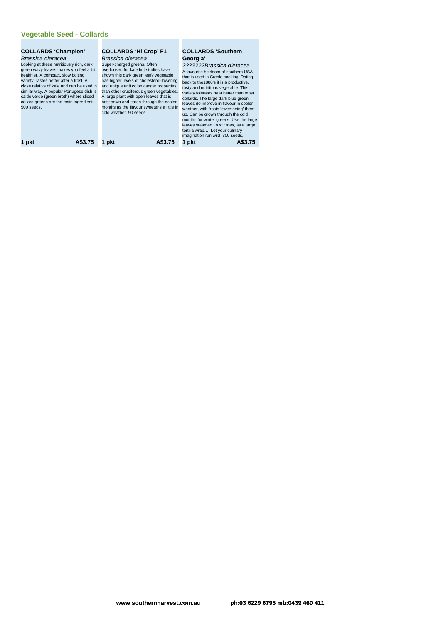# **Vegetable Seed - Collards**

| <b>COLLARDS 'Champion'</b><br>Brassica oleracea<br>Looking at these nutritiously rich, dark<br>green wavy leaves makes you feel a bit<br>healthier. A compact, slow bolting<br>variety Tastes better after a frost. A<br>close relative of kale and can be used in<br>similar way. A popular Portugese dish is<br>caldo verde (green broth) where sliced<br>collard greens are the main ingredient.<br>$500$ seeds. | <b>COLLARDS 'Hi Crop' F1</b><br>Brassica oleracea<br>Super-charged greens. Often<br>overlooked for kale but studies have<br>shown this dark green leafy vegetable<br>has higher levels of cholesterol-lowering<br>and unique anti colon cancer properties<br>than other cruciferous green vegetables.<br>A large plant with open leaves that is<br>best sown and eaten through the cooler<br>months as the flavour sweetens a little in<br>cold weather, 90 seeds. | <b>COLLARDS 'Southern</b><br>Georgia'<br>???????Brassica oleracea<br>A favourite heirloom of southern USA<br>that is used in Creole cooking. Dating<br>back to the 1880's it is a productive,<br>tasty and nutritious vegetable. This<br>variety tolerates heat better than most<br>collards. The large dark blue-green<br>leaves do improve in flavour in cooler<br>weather, with frosts 'sweetening' them<br>up. Can be grown through the cold<br>months for winter greens. Use the large<br>leaves steamed, in stir fries, as a large<br>tortilla wrap Let your culinary<br>imagination run wild 300 seeds. |
|---------------------------------------------------------------------------------------------------------------------------------------------------------------------------------------------------------------------------------------------------------------------------------------------------------------------------------------------------------------------------------------------------------------------|--------------------------------------------------------------------------------------------------------------------------------------------------------------------------------------------------------------------------------------------------------------------------------------------------------------------------------------------------------------------------------------------------------------------------------------------------------------------|----------------------------------------------------------------------------------------------------------------------------------------------------------------------------------------------------------------------------------------------------------------------------------------------------------------------------------------------------------------------------------------------------------------------------------------------------------------------------------------------------------------------------------------------------------------------------------------------------------------|
| A\$3.75                                                                                                                                                                                                                                                                                                                                                                                                             | A\$3.75                                                                                                                                                                                                                                                                                                                                                                                                                                                            | 1 pkt                                                                                                                                                                                                                                                                                                                                                                                                                                                                                                                                                                                                          |
| 1 pkt                                                                                                                                                                                                                                                                                                                                                                                                               | 1 pkt                                                                                                                                                                                                                                                                                                                                                                                                                                                              | A\$3.75                                                                                                                                                                                                                                                                                                                                                                                                                                                                                                                                                                                                        |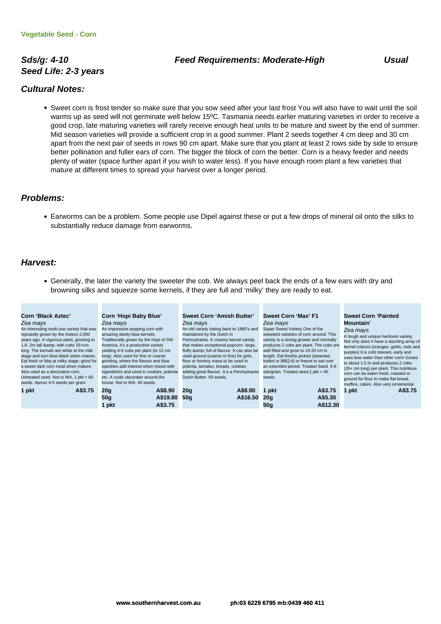# **Seed Life: 2-3 years**

#### **Sds/g: 4-10 Feed Requirements: Moderate-High Usual**

### **Cultural Notes:**

Sweet corn is frost tender so make sure that you sow seed after your last frost You will also have to wait until the soil warms up as seed will not germinate well below 15ºC. Tasmania needs earlier maturing varieties in order to receive a good crop, late maturing varieties will rarely receive enough heat units to be mature and sweet by the end of summer. Mid season varieties will provide a sufficient crop in a good summer. Plant 2 seeds together 4 cm deep and 30 cm apart from the next pair of seeds in rows 90 cm apart. Make sure that you plant at least 2 rows side by side to ensure better pollination and fuller ears of corn. The bigger the block of corn the better. Corn is a heavy feeder and needs plenty of water (space further apart if you wish to water less). If you have enough room plant a few varieties that mature at different times to spread your harvest over a longer period.

#### **Problems:**

Earworms can be a problem. Some people use Dipel against these or put a few drops of mineral oil onto the silks to substantially reduce damage from earworms.

#### **Harvest:**

Generally, the later the variety the sweeter the cob. We always peel back the ends of a few ears with dry and browning silks and squeeze some kernels, if they are full and 'milky' they are ready to eat.

| <b>Corn 'Black Aztec'</b><br>Zea mays<br>An interesting multi-use variety that was<br>reputedly grown by the Aztecs 2,000<br>years ago. A vigorous plant, growing to<br>1.8-2m tall & with cobs 15+cm<br>long. The kernals are white at the milk<br>stage and turn blue-black when mature.<br>Eat fresh or bbg at milky stage; grind for<br>a sweet dark corn meal when mature.<br>Also used as a decorative corn.<br>Untreated seed. Not to WA. 1 $pkt = 60$<br>seeds. Aprrox 4-5 seeds per gram. | Corn 'Hopi Baby Blue'<br>Zea mays<br>An impressive popping corn with<br>amazing steely-blue kernels.<br>Fraditionally grown by the Hopi of SW<br>America, it's a productive variety<br>yielding 4-6 cobs per plant (to 12 cm<br>long). Also used for fine or coarse<br>grinding, where the flavour and blue<br>speckles add interest when mixed with<br>ingredients and used in cookies, polenta<br>etc. A rustic decorator around the<br>house. Not to WA. 40 seeds. | Sweet Corn 'Amish Butter'<br>Zea mays<br>An old variety dating back to 1880's and<br>maintained by the Dutch in<br>Pennsylvania. A creamy kernel variety<br>that makes exceptional popcorn-large,<br>fluffy & full of flavour. It can also be<br>used ground (coarse or fine) for grits,<br>flour or hominy masa to be used in<br>polenta, tamales, breads, cookies<br>adding great flavour. A.k.a Pennsylvania<br>Dutch Butter, 50 seeds. | Sweet Corn 'Max' F1<br>Zea mays<br>Super Sweet Variety One of the<br>sweetest varieties of corn around. This<br>well filled and grow to 19-20 cm in<br>length. Eat freshly picked (steamed,<br>boiled or BBQ'd) or freeze to eat over<br>sds/gram. Treated seed.1 $pkt = 40$<br>seeds. | variety is a strong grower and normally<br>produces 2 cobs per plant. The cobs are<br>an extended period. Treated Seed. 6-8 | <b>Sweet Corn 'Painted</b><br>Mountain'<br>Zea mays<br>A tough and unique heirloom variety.<br>Not only does it have a dazzling array of<br>kernel colours (oranges, golds, reds and<br>purples) it is cold tolerant, early and<br>uses less water than other corn! Grows<br>to about 1.5 m and produces 2 cobs<br>(20+ cm long) per plant. This nutritious<br>corn can be eaten fresh, roasted or<br>ground for flour to make flat bread,<br>muffins, cakes. Also very ornamental. |
|----------------------------------------------------------------------------------------------------------------------------------------------------------------------------------------------------------------------------------------------------------------------------------------------------------------------------------------------------------------------------------------------------------------------------------------------------------------------------------------------------|-----------------------------------------------------------------------------------------------------------------------------------------------------------------------------------------------------------------------------------------------------------------------------------------------------------------------------------------------------------------------------------------------------------------------------------------------------------------------|--------------------------------------------------------------------------------------------------------------------------------------------------------------------------------------------------------------------------------------------------------------------------------------------------------------------------------------------------------------------------------------------------------------------------------------------|----------------------------------------------------------------------------------------------------------------------------------------------------------------------------------------------------------------------------------------------------------------------------------------|-----------------------------------------------------------------------------------------------------------------------------|-------------------------------------------------------------------------------------------------------------------------------------------------------------------------------------------------------------------------------------------------------------------------------------------------------------------------------------------------------------------------------------------------------------------------------------------------------------------------------------|
| A\$3.75<br>1 pkt                                                                                                                                                                                                                                                                                                                                                                                                                                                                                   | A\$8.90<br>20q<br>A\$19.80<br>50q                                                                                                                                                                                                                                                                                                                                                                                                                                     | 20q<br>50q                                                                                                                                                                                                                                                                                                                                                                                                                                 | A\$8.90<br>pkt<br>A\$16.50<br>20a                                                                                                                                                                                                                                                      | A\$3.75<br>1 pkt<br>A\$5.30                                                                                                 | A\$3.75                                                                                                                                                                                                                                                                                                                                                                                                                                                                             |
|                                                                                                                                                                                                                                                                                                                                                                                                                                                                                                    | A\$3.75<br>l pkt                                                                                                                                                                                                                                                                                                                                                                                                                                                      |                                                                                                                                                                                                                                                                                                                                                                                                                                            | 50a                                                                                                                                                                                                                                                                                    | A\$12.30                                                                                                                    |                                                                                                                                                                                                                                                                                                                                                                                                                                                                                     |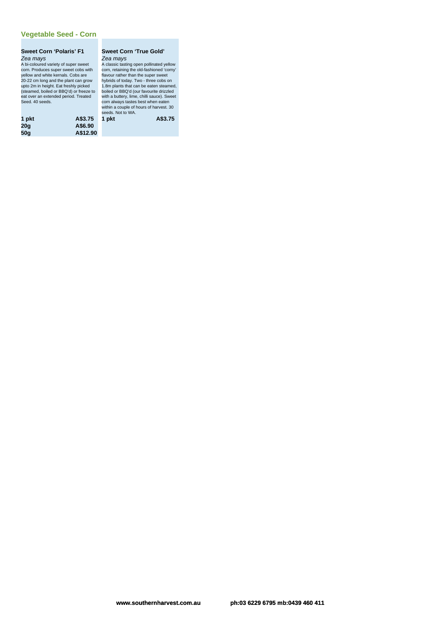#### **Vegetable Seed - Corn**

## **Sweet Corn 'Polaris' F1** Zea mays A bi-coloured variety of super sweet

corn. Produces super sweet cobs with yellow and white kernals. Cobs are 20-22 cm long and the plant can grow upto 2m in height. Eat freshly picked (steamed, boiled or BBQ'd) or freeze to eat over an extended period. Treated Seed. 40 seeds.

#### **Sweet Corn 'True Gold'** Zea mays

A classic tasting open pollinated yellow corn, retaining the old-fashioned 'corny' flavour rather than the super sweet hybrids of today. Two - three cobs on 1.8m plants that can be eaten steamed, boiled or BBQ'd (our favourite drizzled with a buttery, lime, chilli sauce). Sweet corn always tastes best when eaten within a couple of hours of harvest. 30 seeds. Not to WA.

| 1 pkt | A\$3.75  | 1 pkt | A\$3.75 |
|-------|----------|-------|---------|
| 20q   | A\$6.90  |       |         |
| 50q   | A\$12.90 |       |         |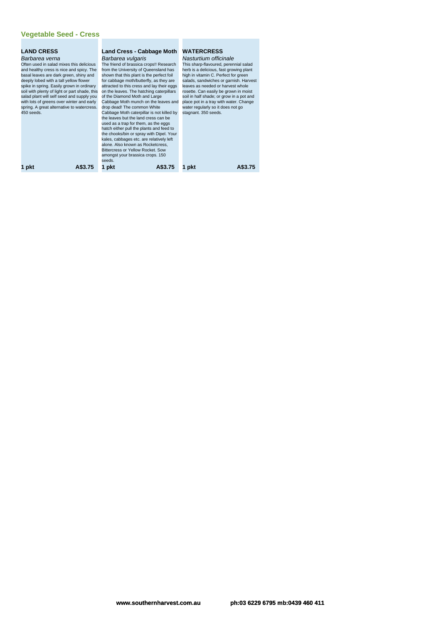| <b>LAND CRESS</b>                                                                       | Land Cress - Cabbage Moth                                           | <b>WATERCRESS</b>                                                           |
|-----------------------------------------------------------------------------------------|---------------------------------------------------------------------|-----------------------------------------------------------------------------|
| Barbarea verna                                                                          | Barbarea vulgaris                                                   | Nasturtium officinale                                                       |
| Often used in salad mixes this delicious                                                | The friend of brassica crops!! Research                             | This sharp-flavoured, perennial salad                                       |
| and healthy cress is nice and spicy. The                                                | from the University of Queensland has                               | herb is a delicious, fast growing plant                                     |
| basal leaves are dark green, shiny and                                                  | shown that this plant is the perfect foil                           | high in vitamin C. Perfect for green                                        |
| deeply lobed with a tall yellow flower                                                  | for cabbage moth/butterfly, as they are                             | salads, sandwiches or garnish. Harvest                                      |
| spike in spring. Easily grown in ordinary                                               | attracted to this cress and lay their eggs                          | leaves as needed or harvest whole                                           |
| soil with plenty of light or part shade, this                                           | on the leaves. The hatching caterpillars                            | rosette. Can easily be grown in moist                                       |
| salad plant will self seed and supply you                                               | of the Diamond Moth and Large                                       | soil in half shade; or grow in a pot and                                    |
| with lots of greens over winter and early<br>spring. A great alternative to watercress. | Cabbage Moth munch on the leaves and<br>drop dead! The common White | place pot in a tray with water. Change<br>water regularly so it does not go |
| $450$ seeds.                                                                            | Cabbage Moth caterpillar is not killed by                           | stagnant. 350 seeds.                                                        |
|                                                                                         | the leaves but the land cress can be                                |                                                                             |
|                                                                                         | used as a trap for them, as the eggs                                |                                                                             |
|                                                                                         | hatch either pull the plants and feed to                            |                                                                             |
|                                                                                         | the chooks/bin or spray with Dipel. Your                            |                                                                             |
|                                                                                         | kales, cabbages etc. are relatively left                            |                                                                             |
|                                                                                         | alone. Also known as Rocketcress.                                   |                                                                             |
|                                                                                         | Bittercress or Yellow Rocket, Sow                                   |                                                                             |
|                                                                                         | amongst your brassica crops. 150                                    |                                                                             |
|                                                                                         | seeds.                                                              |                                                                             |
| 1 pkt<br>A\$3.75                                                                        | 1 pkt<br>A\$3.75                                                    | 1 pkt                                                                       |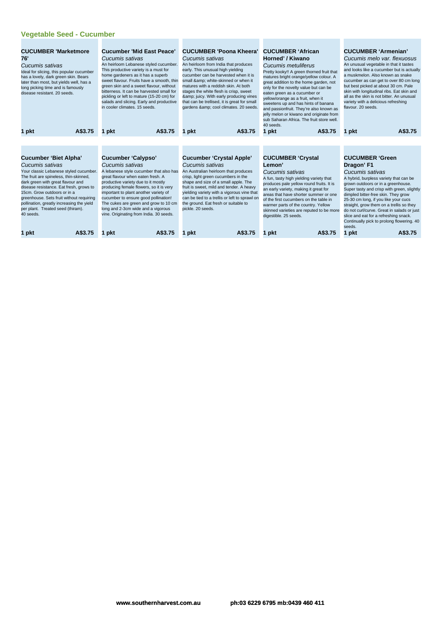# **Vegetable Seed - Cucumber**

| <b>CUCUMBER 'Marketmore</b><br>76'<br>Cucumis sativas<br>Ideal for slicing, this popular cucumber<br>has a lovely, dark green skin. Bears<br>later than most, but yields well, has a<br>long picking time and is famously<br>disease resistant, 20 seeds.                                                                                                                                     | <b>Cucumber 'Mid East Peace'</b><br>Cucumis sativas<br>An heirloom Lebanese styled cucumber.<br>This productive variety is a must for<br>home gardeners as it has a superb<br>sweet flavour. Fruits have a smooth, thin<br>green skin and a sweet flavour, without<br>bitterness. It can be harvested small for<br>pickling or left to mature (15-20 cm) for<br>salads and slicing. Early and productive<br>in cooler climates, 15 seeds. | <b>CUCUMBER 'Poona Kheera'</b><br>Cucumis sativas<br>An heirloom from India that produces<br>early. This unusual high yielding<br>cucumber can be harvested when it is<br>small & white-skinned or when it<br>matures with a reddish skin. At both<br>stages the white flesh is crisp, sweet<br>& juicy. With early producing vines<br>that can be trellised, it is great for small<br>gardens & cool climates. 20 seeds. | <b>CUCUMBER 'African</b><br>Horned' / Kiwano<br>Cucumis metuliferus<br>Pretty kooky!! A green thorned fruit that<br>matures bright orange/yellow colour. A<br>great addition to the home garden, not<br>only for the novelty value but can be<br>eaten green as a cucumber or<br>yellow/orange as a fruit, when it<br>sweetens up and has hints of banana<br>and passionfruit. They're also known as<br>jelly melon or kiwano and originate from<br>sub Saharan Africa. The fruit store well.<br>40 seeds. | <b>CUCUMBER 'Armenian'</b><br>Cucumis melo var. flexuosus<br>An unusual vegetable in that it tastes<br>and looks like a cucumber but is actually<br>a muskmelon. Also known as snake<br>cucumber as can get to over 80 cm long<br>but best picked at about 30 cm. Pale<br>skin with longitudinal ribs. Eat skin and<br>all as the skin is not bitter. An unusual<br>variety with a delicious refreshing<br>flavour, 20 seeds.                                  |
|-----------------------------------------------------------------------------------------------------------------------------------------------------------------------------------------------------------------------------------------------------------------------------------------------------------------------------------------------------------------------------------------------|-------------------------------------------------------------------------------------------------------------------------------------------------------------------------------------------------------------------------------------------------------------------------------------------------------------------------------------------------------------------------------------------------------------------------------------------|---------------------------------------------------------------------------------------------------------------------------------------------------------------------------------------------------------------------------------------------------------------------------------------------------------------------------------------------------------------------------------------------------------------------------|------------------------------------------------------------------------------------------------------------------------------------------------------------------------------------------------------------------------------------------------------------------------------------------------------------------------------------------------------------------------------------------------------------------------------------------------------------------------------------------------------------|----------------------------------------------------------------------------------------------------------------------------------------------------------------------------------------------------------------------------------------------------------------------------------------------------------------------------------------------------------------------------------------------------------------------------------------------------------------|
| A\$3.75                                                                                                                                                                                                                                                                                                                                                                                       | A\$3.75                                                                                                                                                                                                                                                                                                                                                                                                                                   | A\$3.75                                                                                                                                                                                                                                                                                                                                                                                                                   | A\$3.75                                                                                                                                                                                                                                                                                                                                                                                                                                                                                                    | A\$3.75                                                                                                                                                                                                                                                                                                                                                                                                                                                        |
| 1 pkt                                                                                                                                                                                                                                                                                                                                                                                         | 1 pkt                                                                                                                                                                                                                                                                                                                                                                                                                                     | 1 pkt                                                                                                                                                                                                                                                                                                                                                                                                                     | 1 pkt                                                                                                                                                                                                                                                                                                                                                                                                                                                                                                      | 1 pkt                                                                                                                                                                                                                                                                                                                                                                                                                                                          |
| <b>Cucumber 'Biet Alpha'</b><br>Cucumis sativas<br>Your classic Lebanese styled cucumber.<br>The fruit are spineless, thin-skinned,<br>dark green with great flavour and<br>disease resistance. Eat fresh, grows to<br>15cm. Grow outdoors or in a<br>greenhouse. Sets fruit without requiring<br>pollination, greatly increasing the yield<br>per plant. Treated seed (thiram).<br>40 seeds. | Cucumber 'Calypso'<br>Cucumis sativas<br>A lebanese style cucumber that also has<br>great flavour when eaten fresh. A<br>productive variety due to it mostly<br>producing female flowers, so it is very<br>important to plant another variety of<br>cucumber to ensure good pollination!<br>The cukes are green and grow to 10 cm<br>long and 2-3cm wide and a vigorous<br>vine. Originating from India. 30 seeds.                        | <b>Cucumber 'Crystal Apple'</b><br>Cucumis sativas<br>An Australian heirloom that produces<br>crisp, light green cucumbers in the<br>shape and size of a small apple. The<br>fruit is sweet, mild and tender. A heavy<br>yielding variety with a vigorous vine that<br>can be tied to a trellis or left to sprawl on<br>the ground. Eat fresh or suitable to<br>pickle, 20 seeds.                                         | <b>CUCUMBER 'Crystal</b><br>Lemon'<br>Cucumis sativas<br>A fun, tasty high yielding variety that<br>produces pale yellow round fruits. It is<br>an early variety, making it great for<br>areas that have shorter summer or one<br>of the first cucumbers on the table in<br>warmer parts of the country. Yellow<br>skinned varieties are reputed to be more<br>digestible. 25 seeds.                                                                                                                       | <b>CUCUMBER 'Green</b><br>Dragon' F1<br>Cucumis sativas<br>A hybrid, burpless variety that can be<br>grown outdoors or in a greenhouse.<br>Super tasty and crisp with green, slightly<br>dimpled bitter-free skin. They grow<br>25-30 cm long, if you like your cucs<br>straight, grow them on a trellis so they<br>do not curl/curve. Great in salads or just<br>slice and eat for a refreshing snack.<br>Continually pick to prolong flowering. 40<br>seeds. |
| A\$3.75                                                                                                                                                                                                                                                                                                                                                                                       | A\$3.75                                                                                                                                                                                                                                                                                                                                                                                                                                   | A\$3.75                                                                                                                                                                                                                                                                                                                                                                                                                   | A\$3.75                                                                                                                                                                                                                                                                                                                                                                                                                                                                                                    | A\$3.75                                                                                                                                                                                                                                                                                                                                                                                                                                                        |
| 1 pkt                                                                                                                                                                                                                                                                                                                                                                                         | 1 pkt                                                                                                                                                                                                                                                                                                                                                                                                                                     | 1 pkt                                                                                                                                                                                                                                                                                                                                                                                                                     | 1 pkt                                                                                                                                                                                                                                                                                                                                                                                                                                                                                                      | 1 pkt                                                                                                                                                                                                                                                                                                                                                                                                                                                          |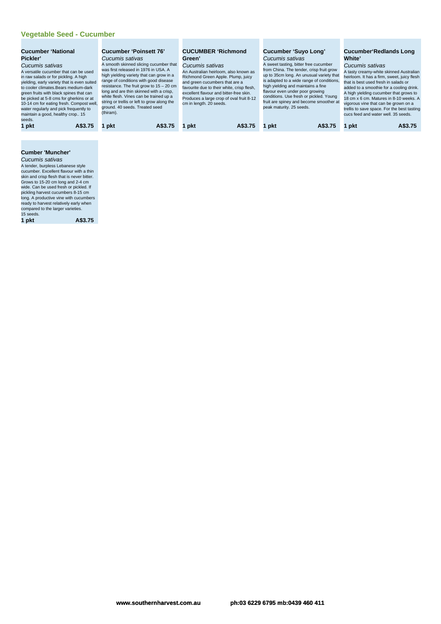#### **Vegetable Seed - Cucumber**

| seeds.<br>A\$3.75<br>A\$3.75<br>A\$3.75 | <b>Cucumber 'National</b><br>Pickler'<br>Cucumis sativas<br>A versatile cucumber that can be used<br>in raw salads or for pickling. A high<br>yielding, early variety that is even suited<br>to cooler climates. Bears medium-dark<br>green fruits with black spines that can<br>be picked at 5-8 cms for gherkins or at<br>10-14 cm for eating fresh. Compost well,<br>water regularly and pick frequently to<br>maintain a good, healthy crop 15 | <b>Cucumber 'Poinsett 76'</b><br>Cucumis sativas<br>A smooth skinned slicing cucumber that<br>was first released in 1976 in USA. A<br>high yielding variety that can grow in a<br>range of conditions with good disease<br>resistance. The fruit grow to $15 - 20$ cm<br>long and are thin skinned with a crisp,<br>white flesh. Vines can be trained up a<br>string or trellis or left to grow along the<br>ground. 40 seeds. Treated seed<br>(thiram). | <b>CUCUMBER 'Richmond</b><br>Green'<br>Cucumis sativas<br>An Australian heirloom, also known as<br>Richmond Green Apple. Plump, juicy<br>and green cucumbers that are a<br>favourite due to their white, crisp flesh,<br>excellent flavour and bitter-free skin.<br>Produces a large crop of oval fruit 8-12<br>cm in length. 20 seeds. | <b>Cucumber 'Suyo Long'</b><br>Cucumis sativas<br>A sweet tasting, bitter free cucumber<br>from China. The tender, crisp fruit grow<br>up to 35cm long. An unusual variety that<br>is adapted to a wide range of conditions,<br>high yielding and maintains a fine<br>flavour even under poor growing<br>conditions. Use fresh or pickled. Young<br>fruit are spiney and become smoother at<br>peak maturity. 25 seeds. | <b>Cucumber Redlands Long</b><br>White'<br>Cucumis sativas<br>A tasty creamy-white skinned Australian<br>heirloom. It has a firm, sweet, juicy flesh<br>that is best used fresh in salads or<br>added to a smoothie for a cooling drink.<br>A high yielding cucumber that grows to<br>18 cm x 6 cm. Matures in 8-10 weeks. A<br>vigorous vine that can be grown on a<br>trellis to save space. For the best tasting<br>cucs feed and water well. 35 seeds. |
|-----------------------------------------|----------------------------------------------------------------------------------------------------------------------------------------------------------------------------------------------------------------------------------------------------------------------------------------------------------------------------------------------------------------------------------------------------------------------------------------------------|----------------------------------------------------------------------------------------------------------------------------------------------------------------------------------------------------------------------------------------------------------------------------------------------------------------------------------------------------------------------------------------------------------------------------------------------------------|-----------------------------------------------------------------------------------------------------------------------------------------------------------------------------------------------------------------------------------------------------------------------------------------------------------------------------------------|-------------------------------------------------------------------------------------------------------------------------------------------------------------------------------------------------------------------------------------------------------------------------------------------------------------------------------------------------------------------------------------------------------------------------|------------------------------------------------------------------------------------------------------------------------------------------------------------------------------------------------------------------------------------------------------------------------------------------------------------------------------------------------------------------------------------------------------------------------------------------------------------|
|                                         | 1 pkt                                                                                                                                                                                                                                                                                                                                                                                                                                              | A\$3.75<br>pkt                                                                                                                                                                                                                                                                                                                                                                                                                                           | pkt                                                                                                                                                                                                                                                                                                                                     | pkt                                                                                                                                                                                                                                                                                                                                                                                                                     | A\$3.75<br>1 pkt                                                                                                                                                                                                                                                                                                                                                                                                                                           |

# **Cumber 'Muncher'**

**Cucumis sativas**<br>
A tender, burpless Lebanese style<br>
accumber. Excellent flavour with a thin<br>
skin and crisp flesh that is never bitter.<br>
Grows to 15-20 cm long and 2-4 cm<br>
wide. Can be used fresh or pickled. If<br>
pickling

| 1 pkt | A\$3.7 |
|-------|--------|
|-------|--------|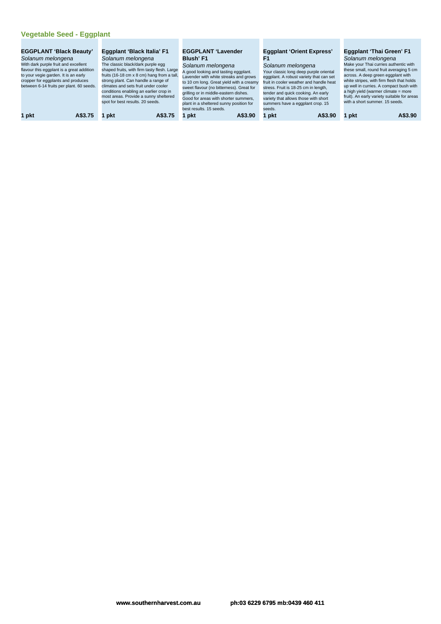# **Vegetable Seed - Eggplant**

| 1 pkt<br>pkt<br>1 pkt<br>A\$3.75<br>A\$3.90<br>A\$3.90<br>A\$3.75<br>pkt<br>pkt |
|---------------------------------------------------------------------------------|
|---------------------------------------------------------------------------------|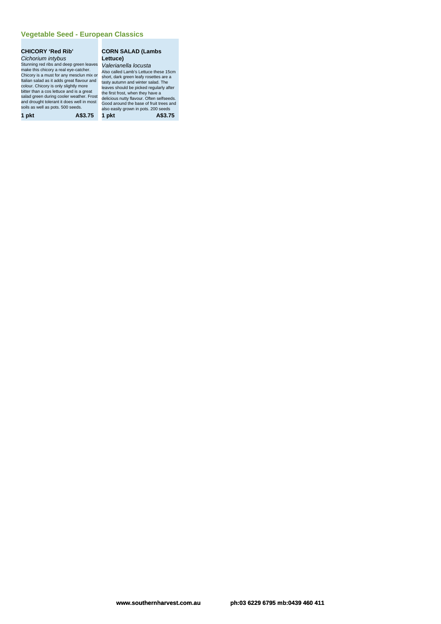#### **Vegetable Seed - European Classics**

#### **CHICORY 'Red Rib'** Cichorium intybus

Stunning red ribs and deep green leaves Valerianella locusta make this chicory a real eye-catcher.<br>Chicory is a must for any mesclun mix or<br>Italian salad as it adds great flavour and<br>colour. Chicory is only slightly more<br>bitter than a cos lettuce and is a great<br>salad green during co Stunning red ribs and deep green leaves Valerianella locusta<br>make this chicory a real eye-cacher.<br>Chicory is a must for any mesclun mix or<br>Schicory is a must for any mesclun mix or<br>that green leady actual and the set a tal

**CORN SALAD (Lambs Lettuce)**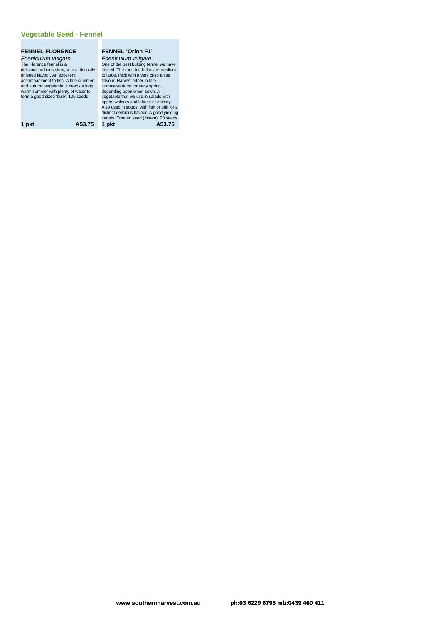#### **Vegetable Seed - Fennel**

#### **FENNEL FLORENCE**

Foeniculum vulgare The Florence fennel is a delicious,bulbous stem, with a distinctly aniseed flavour. An excellent accompaniment to fish. A late summer and autumn vegetable, it needs a long warm summer with plenty of water to form a good sized 'bulb'. 100 seeds

#### **FENNEL 'Orion F1'** Foeniculum vulgare

One of the best bulbing fennel we have<br>trialled. The rounded bulbs are medium<br>to large, thick with a very crisp anise<br>flavour. Harvest either in late<br>summer/autumn or early spring, depending upon when sown. A vegetable that we use in salads with apple, walnuts and lettuce or chicory. Also used in soups, with fish or grill for a<br>distinct delicious flavour. A good yielding<br>a variety. Treated seed (thiram). 20 seeds.<br>**1 pkt A\$3.75 1 pkt** A\$3.75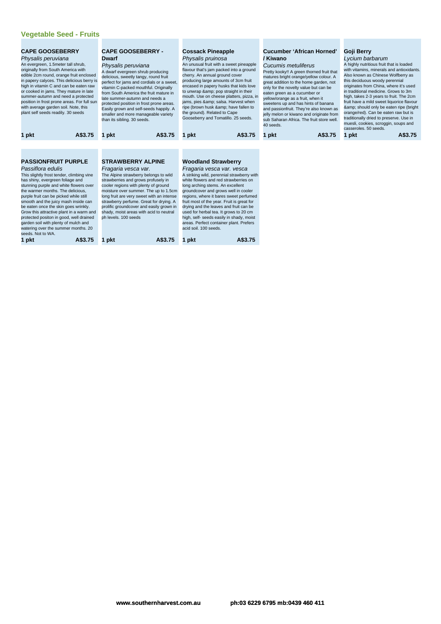## **Vegetable Seed - Fruits**

| <b>CAPE GOOSEBERRY</b><br>Physalis peruviana<br>An evergreen, 1.5meter tall shrub,<br>plant self seeds readily. 30 seeds | originally from South America with<br>edible 2cm round, orange fruit enclosed<br>in papery calyces. This delicious berry is<br>high in vitamin C and can be eaten raw<br>or cooked in jams. They mature in late<br>summer-autumn and need a protected<br>position in frost prone areas. For full sun<br>with average garden soil. Note, this                                                                                                                      | <b>CAPE GOOSEBERRY -</b><br><b>Dwarf</b><br>Physalis peruviana<br>A dwarf evergreen shrub producing<br>delicious, sweetly tangy, round fruit<br>perfect for jams and cordials or a sweet,<br>vitamin C-packed mouthful. Originally<br>from South America the fruit mature in<br>late summer-autumn and needs a<br>protected position in frost prone areas.<br>Easily grown and self-seeds happily. A<br>smaller and more manageable variety<br>than its sibling. 30 seeds. |         | <b>Cossack Pineapple</b><br>Physalis pruinosa<br>An unusual fruit with a sweet pineapple<br>flavour that's jam packed into a ground<br>cherry. An annual ground cover<br>producing large amounts of 3cm fruit<br>encased in papery husks that kids love<br>to unwrap & pop straight in their<br>mouth. Use on cheese platters, pizza, in<br>jams, pies & salsa. Harvest when<br>ripe (brown husk & have fallen to<br>the ground). Related to Cape<br>Gooseberry and Tomatillo. 25 seeds.<br>A\$3.75<br>1 pkt           |  |       |         |       |         | / Kiwano<br>Cucumis metuliferus<br>eaten green as a cucumber or<br>yellow/orange as a fruit, when it<br>40 seeds. | <b>Cucumber 'African Horned'</b><br>Pretty kooky!! A green thorned fruit that<br>matures bright orange/yellow colour. A<br>great addition to the home garden, not<br>only for the novelty value but can be<br>sweetens up and has hints of banana<br>and passionfruit. They're also known as<br>jelly melon or kiwano and originate from<br>sub Saharan Africa. The fruit store well. | Goji Berry<br>Lycium barbarum<br>this deciduous woody perennial<br>casseroles, 50 seeds. | A highly nutritious fruit that is loaded<br>with vitamins, minerals and antioxidants<br>Also known as Chinese Wolfberry as<br>originates from China, where it's used<br>in traditional medicine. Grows to 3m<br>high, takes 2-3 years to fruit. The 2cm<br>fruit have a mild sweet liquorice flavour<br>& should only be eaten ripe (bright<br>orange/red). Can be eaten raw but is<br>traditionally dried to preserve. Use in<br>muesli, cookies, scroggin, soups and |
|--------------------------------------------------------------------------------------------------------------------------|-------------------------------------------------------------------------------------------------------------------------------------------------------------------------------------------------------------------------------------------------------------------------------------------------------------------------------------------------------------------------------------------------------------------------------------------------------------------|----------------------------------------------------------------------------------------------------------------------------------------------------------------------------------------------------------------------------------------------------------------------------------------------------------------------------------------------------------------------------------------------------------------------------------------------------------------------------|---------|------------------------------------------------------------------------------------------------------------------------------------------------------------------------------------------------------------------------------------------------------------------------------------------------------------------------------------------------------------------------------------------------------------------------------------------------------------------------------------------------------------------------|--|-------|---------|-------|---------|-------------------------------------------------------------------------------------------------------------------|---------------------------------------------------------------------------------------------------------------------------------------------------------------------------------------------------------------------------------------------------------------------------------------------------------------------------------------------------------------------------------------|------------------------------------------------------------------------------------------|------------------------------------------------------------------------------------------------------------------------------------------------------------------------------------------------------------------------------------------------------------------------------------------------------------------------------------------------------------------------------------------------------------------------------------------------------------------------|
| 1 pkt                                                                                                                    | A\$3.75                                                                                                                                                                                                                                                                                                                                                                                                                                                           | 1 pkt                                                                                                                                                                                                                                                                                                                                                                                                                                                                      | A\$3.75 |                                                                                                                                                                                                                                                                                                                                                                                                                                                                                                                        |  | 1 pkt | A\$3.75 | 1 pkt | A\$3.75 |                                                                                                                   |                                                                                                                                                                                                                                                                                                                                                                                       |                                                                                          |                                                                                                                                                                                                                                                                                                                                                                                                                                                                        |
| Passiflora edulis<br>has shiny, evergreen foliage and<br>seeds. Not to WA.<br>1 pkt                                      | <b>PASSIONFRUIT PURPLE</b><br>This slightly frost tender, climbing vine<br>stunning purple and white flowers over<br>the warmer months. The delicious,<br>purple fruit can be picked while still<br>smooth and the juicy mash inside can<br>be eaten once the skin goes wrinkly.<br>Grow this attractive plant in a warm and<br>protected positon in good, well drained<br>garden soil with plenty of mulch and<br>watering over the summer months. 20<br>A\$3.75 | <b>STRAWBERRY ALPINE</b><br>Fragaria vesca var.<br>The Alpine strawberry belongs to wild<br>strawberries and grows profusely in<br>cooler regions with plenty of ground<br>moisture over summer. The up to 1.5cm<br>long fruit are very sweet with an intense<br>strawberry perfume. Great for drying. A<br>prolific groundcover and easily grown in<br>shady, moist areas with acid to neutral<br>ph levels, 100 seeds<br>pkt                                             | A\$3.75 | <b>Woodland Strawberry</b><br>Fragaria vesca var. vesca<br>A striking wild, perennial strawberry with<br>white flowers and red strawberries on<br>long arching stems. An excellent<br>groundcover and grows well in cooler<br>regions, where it bares sweet perfumed<br>fruit most of the year. Fruit is great for<br>drying and the leaves and fruit can be<br>used for herbal tea. It grows to 20 cm<br>high, self- seeds easily in shady, moist<br>areas. Perfect container plant. Prefers<br>acid soil. 100 seeds. |  |       |         |       |         |                                                                                                                   |                                                                                                                                                                                                                                                                                                                                                                                       |                                                                                          |                                                                                                                                                                                                                                                                                                                                                                                                                                                                        |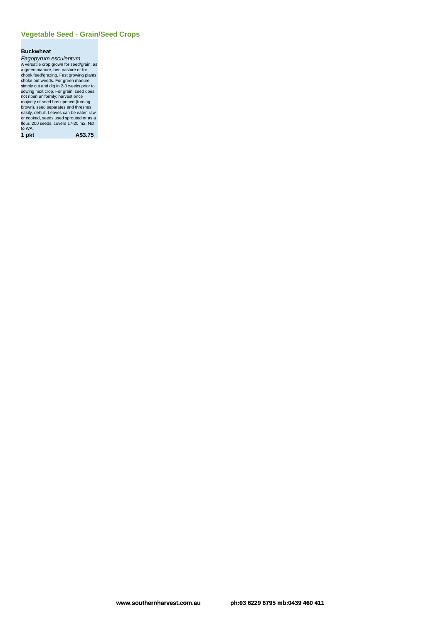#### **Vegetable Seed - Grain/Seed Crops**

#### **Buckwheat**

Fagopyrum esculentum<br>A versaile crop grown for seed/grain, as<br>a green manure, bee pastue or for<br>chook feed/grazing. Fast growing plants<br>choke out weeds. For green manure<br>simply cut and dg in 2.3 weeks prior to<br>sowing next or cooked, seeds used sprouted or as a flour. 200 seeds, covers 17-20 m2. Not to WA.

**1 pkt A\$3.75**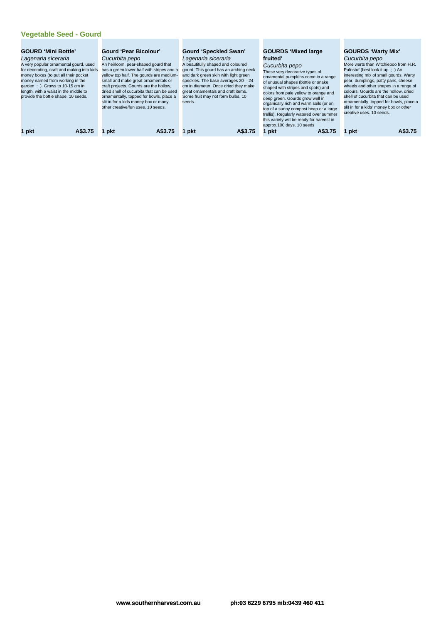## **Vegetable Seed - Gourd**

| <b>GOURD 'Mini Bottle'</b><br>Lagenaria siceraria<br>A very popular ornamental gourd, used<br>for decorating, craft and making into kids<br>money boxes (to put all their pocket<br>money earned from working in the<br>garden: ). Grows to 10-15 cm in<br>length, with a waist in the middle to<br>provide the bottle shape. 10 seeds.<br>A\$3.75 |       | Gourd 'Pear Bicolour'<br>Cucurbita pepo<br>An heirloom, pear-shaped gourd that<br>has a green lower half with stripes and a<br>yellow top half. The gourds are medium-<br>small and make great ornamentals or<br>craft projects. Gourds are the hollow.<br>dried shell of cucurbita that can be used<br>ornamentally, topped for bowls, place a<br>slit in for a kids money box or many<br>other creative/fun uses, 10 seeds. | Gourd 'Speckled Swan'<br>Lagenaria siceraria<br>A beautifully shaped and coloured<br>gourd. This gourd has an arching neck<br>and dark green skin with light green<br>speckles. The base averages $20 - 24$<br>cm in diameter. Once dried they make<br>great ornamentals and craft items.<br>Some fruit may not form bulbs. 10<br>seeds. | <b>GOURDS 'Mixed large</b><br>fruited'<br>Cucurbita pepo<br>These very decorative types of<br>ornamental pumpkins come in a range<br>of unusual shapes (bottle or snake<br>shaped with stripes and spots) and<br>colors from pale yellow to orange and<br>deep green. Gourds grow well in<br>organically rich and warm soils (or on<br>top of a sunny compost heap or a large<br>trellis). Regularly watered over summer<br>this variety will be ready for harvest in<br>approx.100 days. 10 seeds | <b>GOURDS 'Warty Mix'</b><br>Cucurbita pepo<br>More warts than Witchiepoo from H.R.<br>Pufnstuf (best look it up; ) An<br>interesting mix of small gourds. Warty<br>pear, dumplings, patty pans, cheese<br>wheels and other shapes in a range of<br>colours. Gourds are the hollow, dried<br>shell of cucurbita that can be used<br>ornamentally, topped for bowls, place a<br>slit in for a kids' money box or other<br>creative uses. 10 seeds. |
|----------------------------------------------------------------------------------------------------------------------------------------------------------------------------------------------------------------------------------------------------------------------------------------------------------------------------------------------------|-------|-------------------------------------------------------------------------------------------------------------------------------------------------------------------------------------------------------------------------------------------------------------------------------------------------------------------------------------------------------------------------------------------------------------------------------|------------------------------------------------------------------------------------------------------------------------------------------------------------------------------------------------------------------------------------------------------------------------------------------------------------------------------------------|----------------------------------------------------------------------------------------------------------------------------------------------------------------------------------------------------------------------------------------------------------------------------------------------------------------------------------------------------------------------------------------------------------------------------------------------------------------------------------------------------|---------------------------------------------------------------------------------------------------------------------------------------------------------------------------------------------------------------------------------------------------------------------------------------------------------------------------------------------------------------------------------------------------------------------------------------------------|
|                                                                                                                                                                                                                                                                                                                                                    | 1 pkt | A\$3.75<br>pkt                                                                                                                                                                                                                                                                                                                                                                                                                | A\$3.75<br>l pkt                                                                                                                                                                                                                                                                                                                         | A\$3.75<br>∣ pkt∶                                                                                                                                                                                                                                                                                                                                                                                                                                                                                  | A\$3.75<br>pkt                                                                                                                                                                                                                                                                                                                                                                                                                                    |
|                                                                                                                                                                                                                                                                                                                                                    |       |                                                                                                                                                                                                                                                                                                                                                                                                                               |                                                                                                                                                                                                                                                                                                                                          |                                                                                                                                                                                                                                                                                                                                                                                                                                                                                                    |                                                                                                                                                                                                                                                                                                                                                                                                                                                   |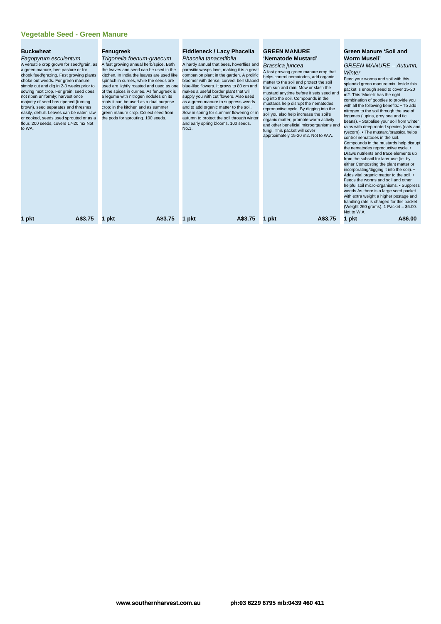#### **Vegetable Seed - Green Manure**

#### **Buckwheat**

to WA.

Fagopyrum esculentum A versatile crop grown for seed/grain, as a green manure, bee pasture or for chook feed/grazing. Fast growing plants choke out weeds. For green manure simply cut and dig in 2-3 weeks prior to sowing next crop. For grain: seed does not ripen uniformly; harvest once majority of seed has ripened (turning brown), seed separates and threshes easily, dehull. Leaves can be eaten raw

or cooked, seeds used sprouted or as a flour. 200 seeds, covers 17-20 m2 Not

#### **Fenugreek**

Trigonella foenum-graecum A fast growing annual herb/spice. Both the leaves and seed can be used in the kitchen. In India the leaves are used like spinach in curries, while the seeds are used are lightly roasted and used as one of the spices in curries. As fenugreek is a legume with nitrogen nodules on its roots it can be used as a dual purpose crop; in the kitchen and as summer green manure crop. Collect seed from the pods for sprouting. 100 seeds.

#### **Fiddleneck / Lacy Phacelia**

Phacelia tanacetifolia A hardy annual that bees, hoverflies and parasitic wasps love, making it is a great companion plant in the garden. A prolific bloomer with dense, curved, bell shaped blue-lilac flowers. It grows to 80 cm and makes a useful border plant that will supply you with cut flowers. Also used as a green manure to suppress weeds and to add organic matter to the soil. Sow in spring for summer flowering or in autumn to protect the soil through winter and early spring blooms. 100 seeds.  $N<sub>0</sub>$  1

#### **GREEN MANURE 'Nematode Mustard'** Brassica juncea

A fast growing green manure crop that helps control nematodes, add organic matter to the soil and protect the soil from sun and rain. Mow or slash the mustard anytime before it sets seed and dig into the soil. Compounds in the mustards help disrupt the nematodes reproductive cycle. By digging into the soil you also help increase the soil's organic matter, promote worm activity and other beneficial microorganisms and fungi. This packet will cover approximately 15-20 m2. Not to W.A.

#### **Green Manure 'Soil and Worm Museli'** GREEN MANURE – Autumn,

**Winter** Feed your worms and soil with this splendid green manure mix. Inside this packet is enough seed to cover 15-20 m2. This 'Museli' has the right combination of goodies to provide you with all the following benefits: • To add nitrogen to the soil through the use of legumes (lupins, grey pea and tic beans). • Stabalise your soil from winter rains with deep rooted species (oats and ryecorn). • The mustard/brassica helps control nematodes in the soil. Compounds in the mustards help disrupt the nematodes reproductive cycle. • Draws nutrients and trace elements up from the subsoil for later use (ie. by<br>either Composting the plant matter or either Composting the plant matt incorporating/digging it into the soil). • Adds vital organic matter to the soil. • Feeds the worms and soil and other helpful soil micro-organisms. • Suppress weeds As there is a large seed packet with extra weight a higher postage and<br>handling rate is charged for this packet (Weight 260 grams). 1 Packet = \$6.00. Not to W.A

**1 pkt A\$3.75 1 pkt A\$3.75 1 pkt A\$3.75 1 pkt A\$3.75 1 pkt A\$6.00**

**www.southernharvest.com.au ph:03 6229 6795 mb:0439 460 411**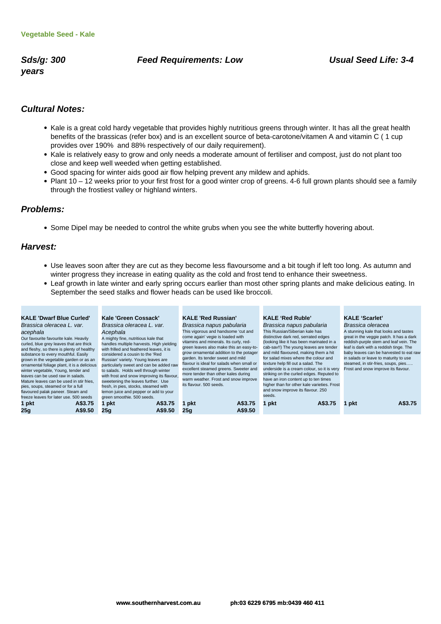**years**

#### **Sds/g: 300 Feed Requirements: Low Usual Seed Life: 3-4**

#### **Cultural Notes:**

- Kale is a great cold hardy vegetable that provides highly nutritious greens through winter. It has all the great health benefits of the brassicas (refer box) and is an excellent source of beta-carotone/vitamen A and vitamin C ( 1 cup provides over 190% and 88% respectively of our daily requirement).
- Kale is relatively easy to grow and only needs a moderate amount of fertiliser and compost, just do not plant too close and keep well weeded when getting established.
- Good spacing for winter aids good air flow helping prevent any mildew and aphids.
- Plant 10 12 weeks prior to your first frost for a good winter crop of greens. 4-6 full grown plants should see a family through the frostiest valley or highland winters.

#### **Problems:**

• Some Dipel may be needed to control the white grubs when you see the white butterfly hovering about.

#### **Harvest:**

- Use leaves soon after they are cut as they become less flavoursome and a bit tough if left too long. As autumn and winter progress they increase in eating quality as the cold and frost tend to enhance their sweetness.
- Leaf growth in late winter and early spring occurs earlier than most other spring plants and make delicious eating. In September the seed stalks and flower heads can be used like broccoli.

| <b>KALE 'Dwarf Blue Curled'</b><br>Brassica oleracea L. var.<br>acephala<br>Our favourite favourite kale. Heavily<br>curled, blue grey leaves that are thick<br>and fleshy, so there is plenty of healthy<br>substance to every mouthful. Easily<br>grown in the vegetable garden or as an<br>ornamental foliage plant, it is a delicious<br>winter vegetable, Young, tender and<br>leaves can be used raw in salads.<br>Mature leaves can be used in stir fries,<br>pies, soups, steamed or for a full<br>flavoured palak paneer. Steam and<br>freeze leaves for later use, 500 seeds | Kale 'Green Cossack'<br>Brassica oleracea L. var.<br>Acephala<br>A mighty fine, nutritious kale that<br>handles multiple harvests. High yielding<br>with frilled and feathered leaves, it is<br>considered a cousin to the 'Red<br>Russian' variety. Young leaves are<br>particularly sweet and can be added raw<br>to salads. Holds well through winter<br>with frost and snow improving its flavour.<br>sweetening the leaves further. Use<br>fresh, in pies, stocks, steamed with<br>lemon juice and pepper or add to your<br>green smoothie. 500 seeds. | <b>KALE 'Red Russian'</b><br>Brassica napus pabularia<br>This vigorous and handsome 'cut and<br>come again' vegie is loaded with<br>vitamins and minerals. Its curly, red-<br>green leaves also make this an easy-to-<br>grow ornamental addition to the potager<br>garden. Its tender sweet and mild<br>flavour is ideal for salads when small or<br>excellent steamed greens. Sweeter and<br>more tender than other kales during<br>warm weather. Frost and snow improve<br>its flavour. 500 seeds. | <b>KALE 'Red Ruble'</b><br>Brassica napus pabularia<br>This Russian/Siberian kale has<br>distinctive dark red, serrated edges<br>(looking like it has been marinated in a<br>cab-sav!!) The young leaves are tender<br>and mild flavoured, making them a hit<br>for salad mixes where the colour and<br>texture help fill out a salad. The<br>underside is a cream colour, so it is very<br>striking on the curled edges. Reputed to<br>have an iron content up to ten times<br>higher than for other kale varieties. Frost<br>and snow improve its flavour. 250<br>seeds. | <b>KALE 'Scarlet'</b><br>Brassica oleracea<br>A stunning kale that looks and tastes<br>great in the veggie patch. It has a dark<br>reddish-purple stem and leaf vein. The<br>leaf is dark with a reddish tinge. The<br>baby leaves can be harvested to eat raw<br>in salads or leave to maturity to use<br>steamed, in stir-fries, soups, pies<br>Frost and snow improve its flavour. |
|----------------------------------------------------------------------------------------------------------------------------------------------------------------------------------------------------------------------------------------------------------------------------------------------------------------------------------------------------------------------------------------------------------------------------------------------------------------------------------------------------------------------------------------------------------------------------------------|-------------------------------------------------------------------------------------------------------------------------------------------------------------------------------------------------------------------------------------------------------------------------------------------------------------------------------------------------------------------------------------------------------------------------------------------------------------------------------------------------------------------------------------------------------------|-------------------------------------------------------------------------------------------------------------------------------------------------------------------------------------------------------------------------------------------------------------------------------------------------------------------------------------------------------------------------------------------------------------------------------------------------------------------------------------------------------|----------------------------------------------------------------------------------------------------------------------------------------------------------------------------------------------------------------------------------------------------------------------------------------------------------------------------------------------------------------------------------------------------------------------------------------------------------------------------------------------------------------------------------------------------------------------------|---------------------------------------------------------------------------------------------------------------------------------------------------------------------------------------------------------------------------------------------------------------------------------------------------------------------------------------------------------------------------------------|
| A\$3.75<br>1 pkt<br>25q<br>A\$9.50                                                                                                                                                                                                                                                                                                                                                                                                                                                                                                                                                     | A\$3.75<br>1 pkt<br>25g<br>A\$9.50                                                                                                                                                                                                                                                                                                                                                                                                                                                                                                                          | A\$3.75<br>1 pkt<br>A\$9.50<br>25q                                                                                                                                                                                                                                                                                                                                                                                                                                                                    | 1 pkt<br>A\$3.75                                                                                                                                                                                                                                                                                                                                                                                                                                                                                                                                                           | A\$3.75<br>pkt                                                                                                                                                                                                                                                                                                                                                                        |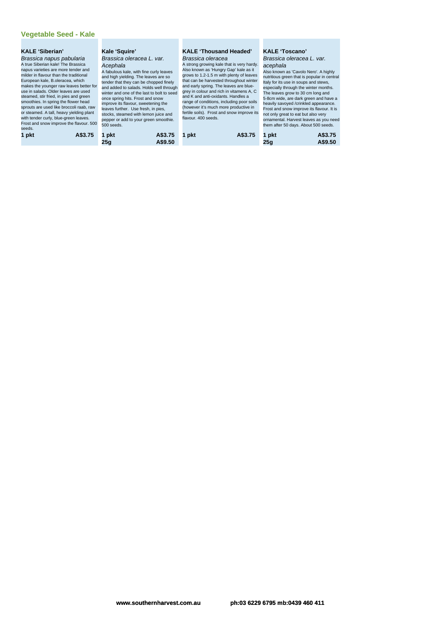## **Vegetable Seed - Kale**

| <b>KALE 'Siberian'</b><br>Brassica napus pabularia<br>A true Siberian kale! The Brassica<br>napus varieties are more tender and<br>milder in flavour than the traditional<br>European kale, B.oleracea, which<br>makes the younger raw leaves better for<br>use in salads. Older leaves are used<br>steamed, stir fried, in pies and green<br>smoothies. In spring the flower head<br>sprouts are used like broccoli raab, raw<br>or steamed. A tall, heavy yielding plant<br>with tender curly, blue-green leaves.<br>Frost and snow improve the flavour. 500<br>seeds. | Kale 'Squire'<br>Brassica oleracea L. var.<br>Acephala<br>A fabulous kale, with fine curly leaves<br>and high yielding. The leaves are so<br>tender that they can be chopped finely<br>and added to salads. Holds well through<br>winter and one of the last to bolt to seed<br>once spring hits. Frost and snow<br>improve its flavour, sweetening the<br>leaves further. Use fresh, in pies,<br>stocks, steamed with lemon juice and<br>pepper or add to your green smoothie.<br>500 seeds. | <b>KALE 'Thousand Headed'</b><br>Brassica oleracea<br>A strong growing kale that is very hardy.<br>Also known as 'Hungry Gap' kale as it<br>grows to 1.2-1.5 m with plenty of leaves<br>that can be harvested throughout winter<br>and early spring. The leaves are blue-<br>grey in colour and rich in vitamens A, C<br>and K and anti-oxidants. Handles a<br>range of conditions, including poor soils<br>(however it's much more productive in<br>fertile soils). Frost and snow improve its<br>flavour. 400 seeds. | <b>KALE 'Toscano'</b><br>Brassica oleracea L. var.<br>acephala<br>Also known as 'Cavolo Nero'. A highly<br>nutritious green that is popular in central<br>Italy for its use in soups and stews,<br>especially through the winter months.<br>The leaves grow to 30 cm long and<br>5-8cm wide, are dark green and have a<br>heavily savoyed /crinkled appearance.<br>Frost and snow improve its flavour. It is<br>not only great to eat but also very<br>ornamental. Harvest leaves as you need<br>them after 50 days. About 500 seeds. |
|--------------------------------------------------------------------------------------------------------------------------------------------------------------------------------------------------------------------------------------------------------------------------------------------------------------------------------------------------------------------------------------------------------------------------------------------------------------------------------------------------------------------------------------------------------------------------|-----------------------------------------------------------------------------------------------------------------------------------------------------------------------------------------------------------------------------------------------------------------------------------------------------------------------------------------------------------------------------------------------------------------------------------------------------------------------------------------------|------------------------------------------------------------------------------------------------------------------------------------------------------------------------------------------------------------------------------------------------------------------------------------------------------------------------------------------------------------------------------------------------------------------------------------------------------------------------------------------------------------------------|---------------------------------------------------------------------------------------------------------------------------------------------------------------------------------------------------------------------------------------------------------------------------------------------------------------------------------------------------------------------------------------------------------------------------------------------------------------------------------------------------------------------------------------|
| A\$3.75<br>1 pkt                                                                                                                                                                                                                                                                                                                                                                                                                                                                                                                                                         | A\$3.75<br>1 pkt<br>A\$9.50<br>25a                                                                                                                                                                                                                                                                                                                                                                                                                                                            | A\$3.75<br>1 pkt                                                                                                                                                                                                                                                                                                                                                                                                                                                                                                       | A\$3.75<br>1 pkt<br>A\$9.50<br>25a                                                                                                                                                                                                                                                                                                                                                                                                                                                                                                    |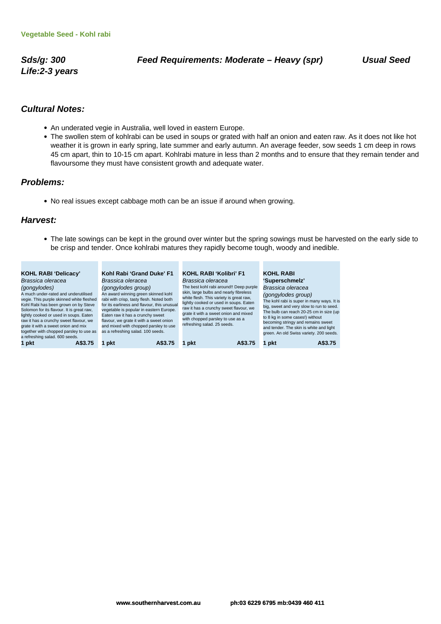**Life:2-3 years**

#### **Cultural Notes:**

- An underated vegie in Australia, well loved in eastern Europe.
- The swollen stem of kohlrabi can be used in soups or grated with half an onion and eaten raw. As it does not like hot weather it is grown in early spring, late summer and early autumn. An average feeder, sow seeds 1 cm deep in rows 45 cm apart, thin to 10-15 cm apart. Kohlrabi mature in less than 2 months and to ensure that they remain tender and flavoursome they must have consistent growth and adequate water.

#### **Problems:**

No real issues except cabbage moth can be an issue if around when growing.

#### **Harvest:**

The late sowings can be kept in the ground over winter but the spring sowings must be harvested on the early side to be crisp and tender. Once kohlrabi matures they rapidly become tough, woody and inedible.

| <b>KOHL RABI 'Delicacy'</b><br>Brassica oleracea<br>(gongylodes)<br>A much under-rated and underutilised<br>vegie. This purple skinned white fleshed<br>Kohl Rabi has been grown on by Steve<br>Solomon for its flavour. It is great raw,<br>lightly cooked or used in soups. Eaten<br>raw it has a crunchy sweet flavour, we<br>grate it with a sweet onion and mix<br>together with chopped parsley to use as<br>a refreshing salad. 600 seeds. | Kohl Rabi 'Grand Duke' F1<br>Brassica oleracea<br>(gongylodes group)<br>An award winning green skinned kohl<br>rabi with crisp, tasty flesh. Noted both<br>for its earliness and flavour, this unusual<br>vegetable is popular in eastern Europe.<br>Eaten raw it has a crunchy sweet<br>flavour, we grate it with a sweet onion<br>and mixed with chopped parsley to use<br>as a refreshing salad. 100 seeds. | <b>KOHL RABI 'Kolibri' F1</b><br>Brassica oleracea<br>The best kohl rabi around!! Deep purple<br>skin, large bulbs and nearly fibreless<br>white flesh. This variety is great raw,<br>lightly cooked or used in soups. Eaten<br>raw it has a crunchy sweet flavour, we<br>grate it with a sweet onion and mixed<br>with chopped parsley to use as a<br>refreshing salad. 25 seeds. | <b>KOHL RABI</b><br>'Superschmelz'<br>Brassica oleracea<br>(gongylodes group)<br>The kohl rabi is super in many ways. It is<br>big, sweet and very slow to run to seed.<br>The bulb can reach 20-25 cm in size (up<br>to 8 kg in some cases!) without<br>becoming stringy and remains sweet<br>and tender. The skin is white and light<br>green. An old Swiss variety. 200 seeds. |
|---------------------------------------------------------------------------------------------------------------------------------------------------------------------------------------------------------------------------------------------------------------------------------------------------------------------------------------------------------------------------------------------------------------------------------------------------|----------------------------------------------------------------------------------------------------------------------------------------------------------------------------------------------------------------------------------------------------------------------------------------------------------------------------------------------------------------------------------------------------------------|------------------------------------------------------------------------------------------------------------------------------------------------------------------------------------------------------------------------------------------------------------------------------------------------------------------------------------------------------------------------------------|-----------------------------------------------------------------------------------------------------------------------------------------------------------------------------------------------------------------------------------------------------------------------------------------------------------------------------------------------------------------------------------|
| 1 pkt                                                                                                                                                                                                                                                                                                                                                                                                                                             | pkt                                                                                                                                                                                                                                                                                                                                                                                                            | pkt                                                                                                                                                                                                                                                                                                                                                                                | A\$3.75                                                                                                                                                                                                                                                                                                                                                                           |
| A\$3.75                                                                                                                                                                                                                                                                                                                                                                                                                                           | A\$3.75                                                                                                                                                                                                                                                                                                                                                                                                        | A\$3.75                                                                                                                                                                                                                                                                                                                                                                            | pkt                                                                                                                                                                                                                                                                                                                                                                               |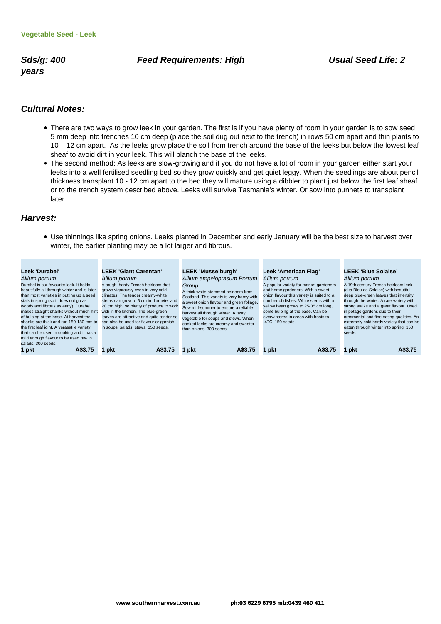**years**

#### Sds/g: 400 **Feed Requirements: High Contract Constructs: High Constructs Constructs: 2**

#### **Cultural Notes:**

- There are two ways to grow leek in your garden. The first is if you have plenty of room in your garden is to sow seed 5 mm deep into trenches 10 cm deep (place the soil dug out next to the trench) in rows 50 cm apart and thin plants to 10 – 12 cm apart. As the leeks grow place the soil from trench around the base of the leeks but below the lowest leaf sheaf to avoid dirt in your leek. This will blanch the base of the leeks.
- The second method: As leeks are slow-growing and if you do not have a lot of room in your garden either start your leeks into a well fertilised seedling bed so they grow quickly and get quiet leggy. When the seedlings are about pencil thickness transplant 10 - 12 cm apart to the bed they will mature using a dibbler to plant just below the first leaf sheaf or to the trench system described above. Leeks will survive Tasmania's winter. Or sow into punnets to transplant later.

#### **Harvest:**

Use thinnings like spring onions. Leeks planted in December and early January will be the best size to harvest over winter, the earlier planting may be a lot larger and fibrous.

| Leek 'Durabel'<br>Allium porrum<br>Durabel is our favourite leek. It holds<br>beautifully all through winter and is later<br>than most varieties in putting up a seed<br>stalk in spring (so it does not go as<br>woody and fibrous as early). Durabel<br>makes straight shanks without much hint<br>of bulbing at the base. At harvest the<br>shanks are thick and run 150-180 mm to<br>the first leaf joint. A verasatile variety<br>that can be used in cooking and it has a<br>mild enough flavour to be used raw in | LEEK 'Giant Carentan'<br>Allium porrum<br>A tough, hardy French heirloom that<br>grows vigorously even in very cold<br>climates. The tender creamy-white<br>stems can grow to 5 cm in diameter and<br>20 cm high, so plenty of produce to work<br>with in the kitchen. The blue-green<br>leaves are attractive and quite tender so<br>can also be used for flavour or garnish<br>in soups, salads, stews. 150 seeds. | LEEK 'Musselburgh'<br>Allium ampeloprasum Porrum<br>Group<br>A thick white-stemmed heirloom from<br>Scotland. This variety is very hardy with<br>a sweet onion flavour and green foliage.<br>Sow mid-summer to ensure a reliable<br>harvest all through winter. A tasty<br>vegetable for soups and stews. When<br>cooked leeks are creamy and sweeter<br>than onions, 300 seeds. | Leek 'American Flag'<br>Allium porrum<br>A popular variety for market gardeners<br>and home gardeners. With a sweet<br>onion flavour this variety is suited to a<br>number of dishes. White stems with a<br>yellow heart grows to 25-35 cm long,<br>some bulbing at the base. Can be<br>overwintered in areas with frosts to<br>-4?C. 150 seeds. | <b>LEEK 'Blue Solaise'</b><br>Allium porrum<br>A 19th century French heirloom leek<br>(aka Bleu de Solaise) with beautiful<br>deep blue-green leaves that intensify<br>through the winter. A rare variety with<br>strong stalks and a great flavour. Used<br>in potage gardens due to their<br>ornamental and fine eating qualities. An<br>extremely cold hardy variety that can be<br>eaten through winter into spring. 150<br>seeds. |
|--------------------------------------------------------------------------------------------------------------------------------------------------------------------------------------------------------------------------------------------------------------------------------------------------------------------------------------------------------------------------------------------------------------------------------------------------------------------------------------------------------------------------|----------------------------------------------------------------------------------------------------------------------------------------------------------------------------------------------------------------------------------------------------------------------------------------------------------------------------------------------------------------------------------------------------------------------|----------------------------------------------------------------------------------------------------------------------------------------------------------------------------------------------------------------------------------------------------------------------------------------------------------------------------------------------------------------------------------|--------------------------------------------------------------------------------------------------------------------------------------------------------------------------------------------------------------------------------------------------------------------------------------------------------------------------------------------------|----------------------------------------------------------------------------------------------------------------------------------------------------------------------------------------------------------------------------------------------------------------------------------------------------------------------------------------------------------------------------------------------------------------------------------------|
| salads, 300 seeds.<br>1 pkt<br>A\$3.75                                                                                                                                                                                                                                                                                                                                                                                                                                                                                   | A\$3.75<br>pkt                                                                                                                                                                                                                                                                                                                                                                                                       | A\$3.75<br>pkt                                                                                                                                                                                                                                                                                                                                                                   | A\$3.75<br>pkt                                                                                                                                                                                                                                                                                                                                   | A\$3.75<br>pkt                                                                                                                                                                                                                                                                                                                                                                                                                         |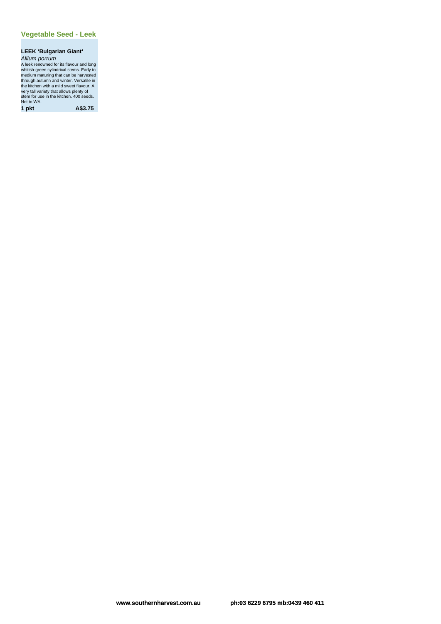# **LEEK 'Bulgarian Giant'**

Allium porrum<br>A leek renowned for its flavour and long<br>whitish-green cylindrical stems. Early to<br>medium maturing that can be harvested<br>through autumn and winter. Versatile in<br>the kitchen with a mild sweet flavour. A<br>very t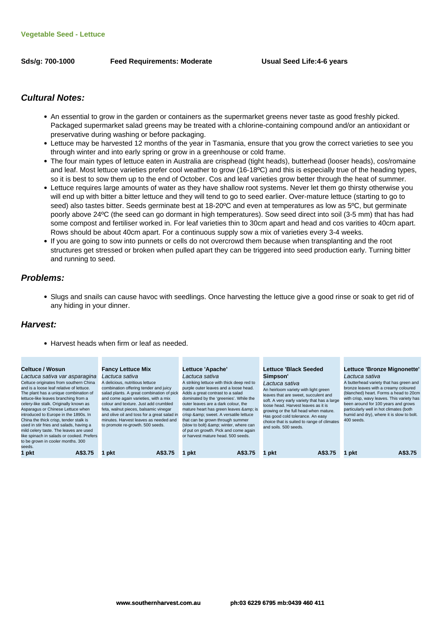**Sds/g: 700-1000 Feed Requirements: Moderate Usual Seed Life:4-6 years**

#### **Cultural Notes:**

- An essential to grow in the garden or containers as the supermarket greens never taste as good freshly picked. Packaged supermarket salad greens may be treated with a chlorine-containing compound and/or an antioxidant or preservative during washing or before packaging.
- Lettuce may be harvested 12 months of the year in Tasmania, ensure that you grow the correct varieties to see you through winter and into early spring or grow in a greenhouse or cold frame.
- The four main types of lettuce eaten in Australia are crisphead (tight heads), butterhead (looser heads), cos/romaine and leaf. Most lettuce varieties prefer cool weather to grow (16-18ºC) and this is especially true of the heading types, so it is best to sow them up to the end of October. Cos and leaf varieties grow better through the heat of summer.
- Lettuce requires large amounts of water as they have shallow root systems. Never let them go thirsty otherwise you will end up with bitter a bitter lettuce and they will tend to go to seed earlier. Over-mature lettuce (starting to go to seed) also tastes bitter. Seeds germinate best at 18-20ºC and even at temperatures as low as 5ºC, but germinate poorly above 24ºC (the seed can go dormant in high temperatures). Sow seed direct into soil (3-5 mm) that has had some compost and fertiliser worked in. For leaf varieties thin to 30cm apart and head and cos varities to 40cm apart. Rows should be about 40cm apart. For a continuous supply sow a mix of varieties every 3-4 weeks.
- If you are going to sow into punnets or cells do not overcrowd them because when transplanting and the root structures get stressed or broken when pulled apart they can be triggered into seed production early. Turning bitter and running to seed.

#### **Problems:**

Slugs and snails can cause havoc with seedlings. Once harvesting the lettuce give a good rinse or soak to get rid of any hiding in your dinner.

#### **Harvest:**

• Harvest heads when firm or leaf as needed.

| Celtuce / Wosun                                                                                                                                                                                                                                                                                                                                                                                                                                                                                                                               | <b>Fancy Lettuce Mix</b>                                                                                                                                                                                                                                                                                                                                                                      | Lettuce 'Apache'                                                                                                                                                                                                                                                                                                                                                                                                                                                         | Lettuce 'Black Seeded                                                                                                                                                                                                                                                                                                                                | Lettuce 'Bronze Mignonette'                                                                                                                                                                                                                                                                                                           |
|-----------------------------------------------------------------------------------------------------------------------------------------------------------------------------------------------------------------------------------------------------------------------------------------------------------------------------------------------------------------------------------------------------------------------------------------------------------------------------------------------------------------------------------------------|-----------------------------------------------------------------------------------------------------------------------------------------------------------------------------------------------------------------------------------------------------------------------------------------------------------------------------------------------------------------------------------------------|--------------------------------------------------------------------------------------------------------------------------------------------------------------------------------------------------------------------------------------------------------------------------------------------------------------------------------------------------------------------------------------------------------------------------------------------------------------------------|------------------------------------------------------------------------------------------------------------------------------------------------------------------------------------------------------------------------------------------------------------------------------------------------------------------------------------------------------|---------------------------------------------------------------------------------------------------------------------------------------------------------------------------------------------------------------------------------------------------------------------------------------------------------------------------------------|
| Lactuca sativa var asparagina<br>Celtuce originates from southern China<br>and is a loose leaf relative of lettuce.<br>The plant has a unique combination of<br>lettuce-like leaves branching from a<br>celery-like stalk. Originally known as<br>Asparagus or Chinese Lettuce when<br>introduced to Europe in the 1890s. In<br>China the thick crisp, tender stalk is<br>used in stir fries and salads, having a<br>mild celery taste. The leaves are used<br>like spinach in salads or cooked. Prefers<br>to be grown in cooler months. 300 | Lactuca sativa<br>A delicious, nutritious lettuce<br>combination offering tender and juicy<br>salad plants. A great combination of pick<br>and come again varieties, with a mix<br>colour and texture. Just add crumbled<br>feta, walnut pieces, balsamic vinegar<br>and olive oil and toss for a great salad in<br>minutes. Harvest leaves as needed and<br>to promote re-growth. 500 seeds. | Lactuca sativa<br>A striking lettuce with thick deep red to<br>purple outer leaves and a loose head.<br>Adds a great contrast to a salad<br>dominated by the 'greenies'. While the<br>outer leaves are a dark colour, the<br>mature heart has green leaves & amp; is<br>crisp & sweet. A versatile lettuce<br>that can be grown through summer<br>(slow to bolt) & amp; winter, where can<br>of put on growth. Pick and come again<br>or harvest mature head, 500 seeds. | Simpson'<br>Lactuca sativa<br>An heirloom variety with light green<br>leaves that are sweet, succulent and<br>soft. A very early variety that has a large<br>loose head. Harvest leaves as it is<br>growing or the full head when mature.<br>Has good cold tolerance. An easy<br>choice that is suited to range of climates<br>and soils, 500 seeds. | Lactuca sativa<br>A butterhead variety that has green and<br>bronze leaves with a creamy coloured<br>(blanched) heart. Forms a head to 20cm<br>with crisp, wavy leaves. This variety has<br>been around for 100 years and grows<br>particularly well in hot climates (both<br>humid and dry), where it is slow to bolt.<br>400 seeds. |
| seeds.<br>1 pkt<br>A\$3.75                                                                                                                                                                                                                                                                                                                                                                                                                                                                                                                    | A\$3.75<br>pkt                                                                                                                                                                                                                                                                                                                                                                                | A\$3.75<br>pkt                                                                                                                                                                                                                                                                                                                                                                                                                                                           | pkt<br>A\$3.75                                                                                                                                                                                                                                                                                                                                       | A\$3.75<br>1 pkt                                                                                                                                                                                                                                                                                                                      |
|                                                                                                                                                                                                                                                                                                                                                                                                                                                                                                                                               |                                                                                                                                                                                                                                                                                                                                                                                               |                                                                                                                                                                                                                                                                                                                                                                                                                                                                          |                                                                                                                                                                                                                                                                                                                                                      |                                                                                                                                                                                                                                                                                                                                       |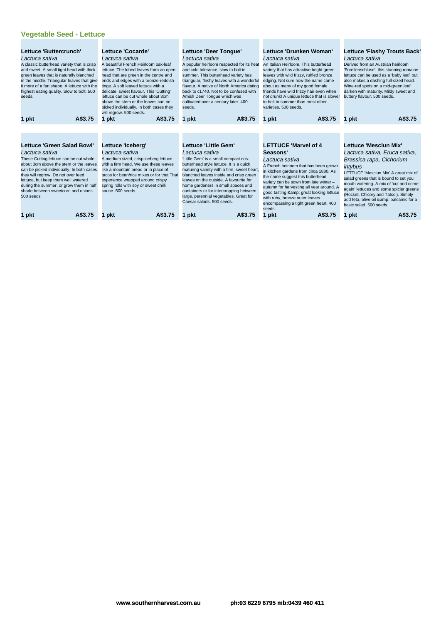#### **Vegetable Seed - Lettuce**

| Lettuce 'Buttercrunch'<br>Lactuca sativa<br>A classic butterhead variety that is crisp<br>and sweet. A small tight head with thick<br>green leaves that is naturally blanched<br>in the middle. Triangular leaves that give<br>it more of a fan shape. A lettuce with the<br>highest eating quality. Slow to bolt. 500<br>seeds.                                 | Lettuce 'Cocarde'<br>Lactuca sativa<br>A beautiful French Heirloom oak-leaf<br>lettuce. The lobed leaves form an open<br>head that are green in the centre and<br>ends and edges with a bronze-reddish<br>tinge. A soft leaved lettuce with a<br>delicate, sweet flavour. This 'Cutting'<br>lettuce can be cut whole about 3cm<br>above the stem or the leaves can be<br>picked individually. In both cases they<br>will regrow. 500 seeds. | Lettuce 'Deer Tongue'<br>Lactuca sativa<br>A popular heirloom respected for its heat<br>and cold tolerance, slow to bolt in<br>summer. This butterhead variety has<br>triangular, fleshy leaves with a wonderful<br>flavour. A native of North America dating<br>back to c1740. Not to be confused with<br>Amish Deer Tonque which was<br>cultivated over a century later. 400<br>seeds.                            | Lettuce 'Drunken Woman'<br>Lactuca sativa<br>An Italian Heirloom. This butterhead<br>variety that has attractive bright green<br>leaves with wild frizzy, ruffled bronze<br>edging. Not sure how the name came<br>about as many of my good female<br>friends have wild frizzy hair even when<br>not drunk! A unique lettuce that is slower<br>to bolt in summer than most other<br>varieties, 500 seeds. | <b>Lettuce 'Flashy Trouts Back'</b><br>Lactuca sativa<br>Derived from an Austrian heirloom<br>'Forellenschluse', this stunning romaine<br>lettuce can be used as a 'baby leaf' but<br>also makes a dashing full-sized head.<br>Wine-red spots on a mid-green leaf<br>darken with maturity. Mildy sweet and<br>buttery flavour. 500 seeds.                                      |
|------------------------------------------------------------------------------------------------------------------------------------------------------------------------------------------------------------------------------------------------------------------------------------------------------------------------------------------------------------------|---------------------------------------------------------------------------------------------------------------------------------------------------------------------------------------------------------------------------------------------------------------------------------------------------------------------------------------------------------------------------------------------------------------------------------------------|---------------------------------------------------------------------------------------------------------------------------------------------------------------------------------------------------------------------------------------------------------------------------------------------------------------------------------------------------------------------------------------------------------------------|----------------------------------------------------------------------------------------------------------------------------------------------------------------------------------------------------------------------------------------------------------------------------------------------------------------------------------------------------------------------------------------------------------|--------------------------------------------------------------------------------------------------------------------------------------------------------------------------------------------------------------------------------------------------------------------------------------------------------------------------------------------------------------------------------|
| A\$3.75<br>1 pkt                                                                                                                                                                                                                                                                                                                                                 | A\$3.75<br>1 pkt                                                                                                                                                                                                                                                                                                                                                                                                                            | A\$3.75<br>1 pkt                                                                                                                                                                                                                                                                                                                                                                                                    | A\$3.75<br>pkt                                                                                                                                                                                                                                                                                                                                                                                           | A\$3.75<br>1 pkt                                                                                                                                                                                                                                                                                                                                                               |
|                                                                                                                                                                                                                                                                                                                                                                  |                                                                                                                                                                                                                                                                                                                                                                                                                                             |                                                                                                                                                                                                                                                                                                                                                                                                                     |                                                                                                                                                                                                                                                                                                                                                                                                          |                                                                                                                                                                                                                                                                                                                                                                                |
| <b>Lettuce 'Green Salad Bowl'</b><br>Lactuca sativa<br>These Cutting lettuce can be cut whole<br>about 3cm above the stem or the leaves<br>can be picked individually. In both cases<br>they will regrow. Do not over feed<br>lettuce, but keep them well watered<br>during the summer, or grow them in half<br>shade between sweetcorn and onions.<br>500 seeds | Lettuce 'Iceberg'<br>Lactuca sativa<br>A medium sized, crisp iceberg lettuce<br>with a firm head. We use these leaves<br>like a mountain bread or in place of<br>tacos for bean/rice mixes or for that Thai<br>experience wrapped around crispy<br>spring rolls with soy or sweet chilli<br>sauce, 500 seeds.                                                                                                                               | Lettuce 'Little Gem'<br>Lactuca sativa<br>'Little Gem' is a small compact cos-<br>butterhead style lettuce. It is a quick<br>maturing variety with a firm, sweet heart,<br>blanched leaves inside and crisp green<br>leaves on the outside. A favourite for<br>home gardeners in small spaces and<br>containers or for intercropping between<br>large, perennial vegetables. Great for<br>Caesar salads, 500 seeds. | <b>LETTUCE 'Marvel of 4</b><br>Seasons'<br>Lactuca sativa<br>A French heirloom that has been grown<br>in kitchen gardens from circa 1880. As<br>the name suggest this butterhead<br>variety can be sown from late winter -<br>autumn for harvesting all year around. A<br>good tasting & great looking lettuce<br>with ruby, bronze outer leaves<br>encompassing a tight green heart. 400<br>seeds.      | Lettuce 'Mesclun Mix'<br>Lactuca sativa, Eruca sativa,<br>Brassica rapa, Cichorium<br>intybus<br>LETTUCE 'Mesclun Mix' A great mix of<br>salad greens that is bound to set you<br>mouth watering. A mix of 'cut and come<br>again' lettuces and some spicier greens<br>(Rocket, Chicory and Tatsoi). Simply<br>add feta, olive oil & balsamic for a<br>basic salad, 500 seeds. |
| A\$3.75<br>1 pkt                                                                                                                                                                                                                                                                                                                                                 | A\$3.75<br>pkt                                                                                                                                                                                                                                                                                                                                                                                                                              | A\$3.75<br>pkt                                                                                                                                                                                                                                                                                                                                                                                                      | 1 pkt<br>A\$3.75                                                                                                                                                                                                                                                                                                                                                                                         | A\$3.75<br>1 pkt                                                                                                                                                                                                                                                                                                                                                               |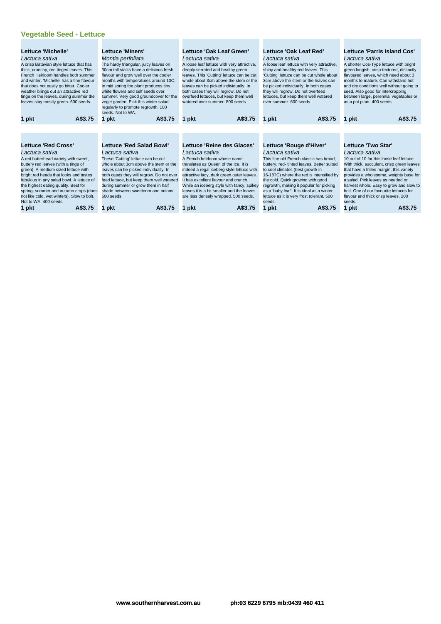#### **Vegetable Seed - Lettuce**

| Lettuce 'Michelle'<br>Lactuca sativa<br>A crisp Batavian style lettuce that has<br>thick, crunchy, red tinged leaves. This<br>French Heirloom handles both summer<br>and winter. 'Michelle' has a fine flavour<br>that does not easily go bitter. Cooler<br>weather brings out an attractive red<br>tinge on the leaves, during summer the<br>leaves stay mostly green. 600 seeds.<br>A\$3.75<br>1 pkt |         | Lettuce 'Miners'<br>Montia perfoliata<br>The hardy triangular, juicy leaves on<br>30cm tall stalks have a delicious fresh<br>flavour and grow well over the cooler<br>months with temperatures around 10C.<br>In mid spring the plant produces tiny<br>white flowers and self seeds over<br>summer. Very good groundcover for the<br>vegie garden. Pick this winter salad<br>regularly to promote regrowth. 100<br>seeds. Not to WA. |                                           | Lettuce 'Oak Leaf Green'<br>Lactuca sativa<br>deeply serrated and healthy green<br>leaves can be picked individually. In<br>both cases they will regrow. Do not<br>overfeed lettuces, but keep them well<br>watered over summer, 800 seeds | A loose leaf lettuce with very attractive,<br>leaves. This 'Cutting' lettuce can be cut<br>whole about 3cm above the stem or the | Lettuce 'Oak Leaf Red'<br>Lactuca sativa<br>shiny and healthy red leaves. This<br>be picked individually. In both cases<br>they will regrow. Do not overfeed<br>lettuces, but keep them well watered<br>over summer, 600 seeds | A loose leaf lettuce with very attractive,<br>'Cutting' lettuce can be cut whole about<br>3cm above the stem or the leaves can | Lactuca sativa<br>seed. Also good for intercropping<br>as a pot plant. 400 seeds | Lettuce 'Parris Island Cos'<br>A shorter Cos-Type lettuce with bright<br>green longish, crisp-textured, distinctly<br>flavoured leaves, which need about 3<br>months to mature. Can withstand hot<br>and dry conditions well without going to<br>between large, perennial vegetables or |
|--------------------------------------------------------------------------------------------------------------------------------------------------------------------------------------------------------------------------------------------------------------------------------------------------------------------------------------------------------------------------------------------------------|---------|--------------------------------------------------------------------------------------------------------------------------------------------------------------------------------------------------------------------------------------------------------------------------------------------------------------------------------------------------------------------------------------------------------------------------------------|-------------------------------------------|--------------------------------------------------------------------------------------------------------------------------------------------------------------------------------------------------------------------------------------------|----------------------------------------------------------------------------------------------------------------------------------|--------------------------------------------------------------------------------------------------------------------------------------------------------------------------------------------------------------------------------|--------------------------------------------------------------------------------------------------------------------------------|----------------------------------------------------------------------------------|-----------------------------------------------------------------------------------------------------------------------------------------------------------------------------------------------------------------------------------------------------------------------------------------|
|                                                                                                                                                                                                                                                                                                                                                                                                        |         | 1 pkt                                                                                                                                                                                                                                                                                                                                                                                                                                | A\$3.75                                   | 1 pkt                                                                                                                                                                                                                                      | A\$3.75                                                                                                                          | 1 pkt                                                                                                                                                                                                                          | A\$3.75                                                                                                                        | 1 pkt                                                                            | A\$3.75                                                                                                                                                                                                                                                                                 |
|                                                                                                                                                                                                                                                                                                                                                                                                        |         |                                                                                                                                                                                                                                                                                                                                                                                                                                      |                                           |                                                                                                                                                                                                                                            |                                                                                                                                  |                                                                                                                                                                                                                                |                                                                                                                                |                                                                                  |                                                                                                                                                                                                                                                                                         |
|                                                                                                                                                                                                                                                                                                                                                                                                        |         |                                                                                                                                                                                                                                                                                                                                                                                                                                      |                                           |                                                                                                                                                                                                                                            |                                                                                                                                  |                                                                                                                                                                                                                                |                                                                                                                                |                                                                                  |                                                                                                                                                                                                                                                                                         |
| <b>Lettuce 'Red Cross'</b>                                                                                                                                                                                                                                                                                                                                                                             |         | Lettuce 'Red Salad Bowl'                                                                                                                                                                                                                                                                                                                                                                                                             |                                           | Lettuce 'Reine des Glaces'                                                                                                                                                                                                                 |                                                                                                                                  | Lettuce 'Rouge d'Hiver'                                                                                                                                                                                                        |                                                                                                                                | Lettuce 'Two Star'                                                               |                                                                                                                                                                                                                                                                                         |
| Lactuca sativa                                                                                                                                                                                                                                                                                                                                                                                         |         | Lactuca sativa                                                                                                                                                                                                                                                                                                                                                                                                                       |                                           | Lactuca sativa                                                                                                                                                                                                                             |                                                                                                                                  | Lactuca sativa                                                                                                                                                                                                                 |                                                                                                                                | Lactuca sativa                                                                   |                                                                                                                                                                                                                                                                                         |
| A red butterhead variety with sweet,                                                                                                                                                                                                                                                                                                                                                                   |         | These 'Cutting' lettuce can be cut                                                                                                                                                                                                                                                                                                                                                                                                   |                                           | A French heirloom whose name                                                                                                                                                                                                               |                                                                                                                                  |                                                                                                                                                                                                                                | This fine old French classic has broad.                                                                                        |                                                                                  | 10 out of 10 for this loose leaf lettuce.                                                                                                                                                                                                                                               |
| buttery red leaves (with a tinge of<br>green). A medium sized lettuce with                                                                                                                                                                                                                                                                                                                             |         | whole about 3cm above the stem or the<br>leaves can be picked individually. In                                                                                                                                                                                                                                                                                                                                                       |                                           | translates as Queen of the Ice. It is                                                                                                                                                                                                      | indeed a regal iceberg style lettuce with                                                                                        | to cool climates (best growth in                                                                                                                                                                                               | buttery, red- tinted leaves. Better suited                                                                                     |                                                                                  | With thick, succulent, crisp green leaves<br>that have a frilled margin, this variety                                                                                                                                                                                                   |
| bright red heads that looks and tastes                                                                                                                                                                                                                                                                                                                                                                 |         | both cases they will regrow. Do not over                                                                                                                                                                                                                                                                                                                                                                                             |                                           |                                                                                                                                                                                                                                            | attractive lacy, dark green outer leaves.                                                                                        |                                                                                                                                                                                                                                | 16-18?C) where the red is intensified by                                                                                       |                                                                                  | provides a wholesome, weighty base for                                                                                                                                                                                                                                                  |
| fabulous in any salad bowl. A lettuce of                                                                                                                                                                                                                                                                                                                                                               |         | feed lettuce, but keep them well watered                                                                                                                                                                                                                                                                                                                                                                                             |                                           | It has excellent flavour and crunch.                                                                                                                                                                                                       |                                                                                                                                  | the cold. Quick growing with good                                                                                                                                                                                              |                                                                                                                                | a salad. Pick leaves as needed or                                                |                                                                                                                                                                                                                                                                                         |
| during summer or grow them in half<br>the highest eating quality. Best for                                                                                                                                                                                                                                                                                                                             |         |                                                                                                                                                                                                                                                                                                                                                                                                                                      | While an iceberg style with fancy, spikey |                                                                                                                                                                                                                                            | regrowth, making it popular for picking                                                                                          |                                                                                                                                                                                                                                | harvest whole. Easy to grow and slow to                                                                                        |                                                                                  |                                                                                                                                                                                                                                                                                         |
| shade between sweetcorn and onions.<br>spring, summer and autumn crops (does                                                                                                                                                                                                                                                                                                                           |         |                                                                                                                                                                                                                                                                                                                                                                                                                                      | leaves it is a bit smaller and the leaves | as a 'baby leaf'. It is ideal as a winter                                                                                                                                                                                                  |                                                                                                                                  |                                                                                                                                                                                                                                | bolt. One of our favourite lettuces for                                                                                        |                                                                                  |                                                                                                                                                                                                                                                                                         |
| not like cold, wet winters). Slow to bolt.<br>Not to WA, 400 seeds.                                                                                                                                                                                                                                                                                                                                    |         | 500 seeds                                                                                                                                                                                                                                                                                                                                                                                                                            |                                           | are less densely wrapped. 500 seeds.                                                                                                                                                                                                       |                                                                                                                                  | lettuce as it is very frost tolerant. 500<br>seeds.                                                                                                                                                                            |                                                                                                                                | flavour and thick crisp leaves. 200<br>seeds.                                    |                                                                                                                                                                                                                                                                                         |
|                                                                                                                                                                                                                                                                                                                                                                                                        | A\$3.75 | pkt                                                                                                                                                                                                                                                                                                                                                                                                                                  | A\$3.75                                   | 1 pkt                                                                                                                                                                                                                                      | A\$3.75                                                                                                                          |                                                                                                                                                                                                                                | A\$3.75                                                                                                                        | 1 pkt                                                                            | A\$3.75                                                                                                                                                                                                                                                                                 |
| 1 pkt                                                                                                                                                                                                                                                                                                                                                                                                  |         |                                                                                                                                                                                                                                                                                                                                                                                                                                      |                                           |                                                                                                                                                                                                                                            |                                                                                                                                  | 1 pkt                                                                                                                                                                                                                          |                                                                                                                                |                                                                                  |                                                                                                                                                                                                                                                                                         |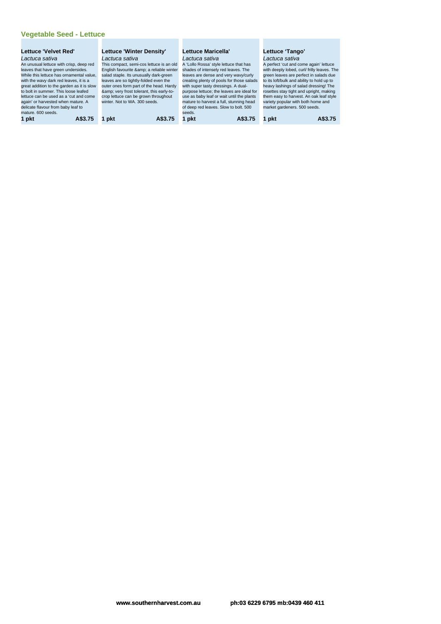# **Vegetable Seed - Lettuce**

| Lettuce 'Winter Density'                 | Lettuce Maricella'                        | Lettuce 'Tango'                             |  |  |  |
|------------------------------------------|-------------------------------------------|---------------------------------------------|--|--|--|
| Lactuca sativa                           | Lactuca sativa                            | Lactuca sativa                              |  |  |  |
| This compact, semi-cos lettuce is an old | A 'Lollo Rossa' style lettuce that has    | A perfect 'cut and come again' lettuce      |  |  |  |
| English favourite & a reliable winter    | shades of intensely red leaves. The       | with deeply lobed, curl/ frilly leaves. The |  |  |  |
| salad staple. Its unusually dark-green   | leaves are dense and very wavy/curly      | green leaves are perfect in salads due      |  |  |  |
| leaves are so tightly-folded even the    | creating plenty of pools for those salads | to its loft/bulk and ability to hold up to  |  |  |  |
| outer ones form part of the head. Hardy  | with super tasty dressings. A dual-       | heavy lashings of salad dressing! The       |  |  |  |
| & very frost tolerant, this early-to-    | purpose lettuce; the leaves are ideal for | rosettes stay tight and upright, making     |  |  |  |
| crop lettuce can be grown throughout     | use as baby leaf or wait until the plants | them easy to harvest. An oak leaf style     |  |  |  |
| winter. Not to WA, 300 seeds.            | mature to harvest a full, stunning head   | variety popular with both home and          |  |  |  |
|                                          | of deep red leaves. Slow to bolt, 500     | market gardeners. 500 seeds.                |  |  |  |
|                                          | seeds.                                    |                                             |  |  |  |
| A\$3.75<br>pkt                           | pkt<br>A\$3.75                            | A\$3.75<br>1 pkt                            |  |  |  |
|                                          |                                           |                                             |  |  |  |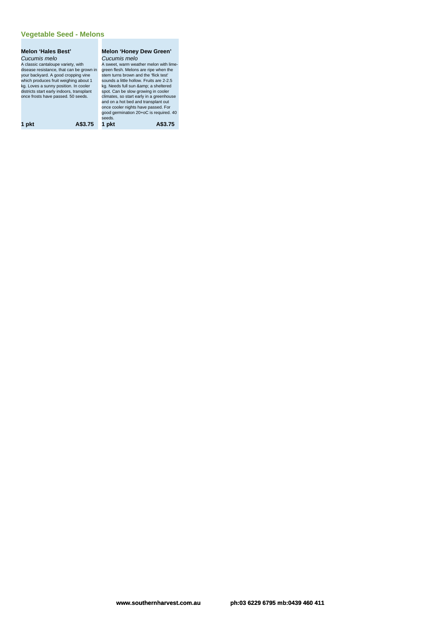#### **Vegetable Seed - Melons**

# **Melon 'Hales Best'** Cucumis melo<br>A classic cantaloupe variety, with<br>disease resistance, that can be grown in<br>your backyard. A good cropping vine<br>which produces fruit weighing about 1<br>kg. Loves a sunny position. In cooler<br>districts start early **Melon 'Honey Dew Green'** once cooler nights have passed. For good germination 20+oC is required. 40

**Cucumis melo**<br>A sweet, warm weather melon with lime-<br>green fiesh. Melons are ripe when the<br>stem turns brown and the "flick test"<br>sounds a little hollow. Fruits are 2-2.5<br>kg. Needs full sun &amp; a sheltered<br>spot. Can be s stem turns brown and the lick test<br>sounds a little hollow. Fruits are 2-2.5<br>ky. Needs full sun &amp; a sheltered<br>spot. Can be slow growing in cooler<br>climates, so start early in a greenhouse<br>and on a hot bed and transplant

seeds. **1 pkt A\$3.75 1 pkt A\$3.75**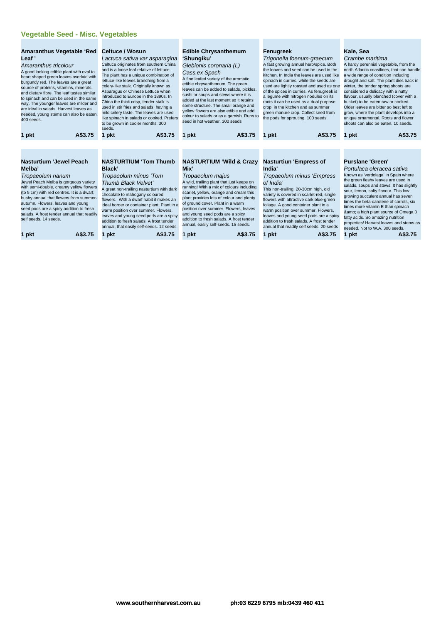#### **Vegetable Seed - Misc. Vegetables**

| Amaranthus tricolour<br>A good looking edible plant with oval to<br>heart shaped green leaves overlaid with<br>burgundy red. The leaves are a great<br>source of proteins, vitamins, minerals<br>and dietary fibre. The leaf tastes similar<br>to spinach and can be used in the same<br>way. The younger leaves are milder and<br>are ideal in salads. Harvest leaves as<br>needed, young stems can also be eaten.<br>400 seeds. | The plant has a unique combination of<br>lettuce-like leaves branching from a<br>celery-like stalk. Originally known as<br>Asparagus or Chinese Lettuce when<br>introduced to Europe in the 1890s. In<br>China the thick crisp, tender stalk is<br>used in stir fries and salads, having a<br>mild celery taste. The leaves are used<br>like spinach in salads or cooked. Prefers<br>to be grown in cooler months. 300<br>seeds.                              | Cass.ex Spach<br>A fine leafed variety of the aromatic<br>edible chrysanthemum. The green<br>leaves can be added to salads, pickles,<br>sushi or soups and stews where it is<br>added at the last moment so it retains<br>some structure. The small orange and<br>yellow flowers are also edible and add<br>colour to salads or as a garnish. Runs to<br>seed in hot weather, 300 seeds                                                                                | kitchen. In India the leaves are used like<br>spinach in curries, while the seeds are<br>used are lightly roasted and used as one<br>of the spices in curries. As fenugreek is<br>a lequme with nitrogen nodules on its<br>roots it can be used as a dual purpose<br>crop; in the kitchen and as summer<br>green manure crop. Collect seed from<br>the pods for sprouting. 100 seeds.                                                                  | north Atlantic coastlines, that can handle<br>a wide range of condition including<br>drought and salt. The plant dies back in<br>winter, the tender spring shoots are<br>considered a delicacy with a nutty<br>flavour, usually blanched (cover with a<br>bucket) to be eaten raw or cooked.<br>Older leaves are bitter so best left to<br>grow, where the plant develops into a<br>unique ornamental. Roots and flower<br>shoots can also be eaten. 10 seeds.                                                         |  |
|-----------------------------------------------------------------------------------------------------------------------------------------------------------------------------------------------------------------------------------------------------------------------------------------------------------------------------------------------------------------------------------------------------------------------------------|---------------------------------------------------------------------------------------------------------------------------------------------------------------------------------------------------------------------------------------------------------------------------------------------------------------------------------------------------------------------------------------------------------------------------------------------------------------|------------------------------------------------------------------------------------------------------------------------------------------------------------------------------------------------------------------------------------------------------------------------------------------------------------------------------------------------------------------------------------------------------------------------------------------------------------------------|--------------------------------------------------------------------------------------------------------------------------------------------------------------------------------------------------------------------------------------------------------------------------------------------------------------------------------------------------------------------------------------------------------------------------------------------------------|------------------------------------------------------------------------------------------------------------------------------------------------------------------------------------------------------------------------------------------------------------------------------------------------------------------------------------------------------------------------------------------------------------------------------------------------------------------------------------------------------------------------|--|
| A\$3.75<br>1 pkt                                                                                                                                                                                                                                                                                                                                                                                                                  | A\$3.75<br>1 pkt                                                                                                                                                                                                                                                                                                                                                                                                                                              | A\$3.75<br>1 pkt                                                                                                                                                                                                                                                                                                                                                                                                                                                       | A\$3.75<br>1 pkt                                                                                                                                                                                                                                                                                                                                                                                                                                       | A\$3.75<br>1 pkt                                                                                                                                                                                                                                                                                                                                                                                                                                                                                                       |  |
|                                                                                                                                                                                                                                                                                                                                                                                                                                   |                                                                                                                                                                                                                                                                                                                                                                                                                                                               |                                                                                                                                                                                                                                                                                                                                                                                                                                                                        |                                                                                                                                                                                                                                                                                                                                                                                                                                                        |                                                                                                                                                                                                                                                                                                                                                                                                                                                                                                                        |  |
| <b>Nasturtium 'Jewel Peach</b><br>Melba'<br>Tropaeolum nanum<br>Jewel Peach Melba is gorgeous variety<br>with semi-double, creamy yellow flowers<br>(to 5 cm) with red centres. It is a dwarf,<br>bushy annual that flowers from summer-<br>autumn. Flowers, leaves and young<br>seed pods are a spicy addition to fresh<br>salads. A frost tender annual that readily<br>self seeds, 14 seeds.<br>A\$3.75<br>1 pkt               | <b>NASTURTIUM 'Tom Thumb</b><br>Black'<br>Tropaeolum minus 'Tom<br>Thumb Black Velvet'<br>A great non-trailing nasturtium with dark<br>chocolate to mahogany coloured<br>flowers. With a dwarf habit it makes an<br>ideal border or container plant. Plant in a<br>warm position over summer. Flowers,<br>leaves and young seed pods are a spicy<br>addition to fresh salads. A frost tender<br>annual, that easily self-seeds. 12 seeds.<br>A\$3.75<br>1 pkt | <b>NASTURTIUM 'Wild &amp; Crazy</b><br>Mix'<br>Tropaeolum majus<br>A wild, trailing plant that just keeps on<br>running! With a mix of colours including<br>scarlet, yellow, orange and cream this<br>plant provides lots of colour and plenty<br>of ground cover. Plant in a warm<br>position over summer. Flowers, leaves<br>and young seed pods are a spicy<br>addition to fresh salads. A frost tender<br>annual, easily self-seeds. 15 seeds.<br>A\$3.75<br>1 pkt | <b>Nasturtiun 'Empress of</b><br>India'<br>Tropaeolum minus 'Empress<br>of India'<br>This non-trailing, 20-30cm high, old<br>variety is covered in scarlet-red, single<br>flowers with attractive dark blue-green<br>foliage. A good container plant in a<br>warm position over summer. Flowers,<br>leaves and young seed pods are a spicy<br>addition to fresh salads. A frost tender<br>annual that readily self seeds. 20 seeds<br>A\$3.75<br>1 pkt | <b>Purslane 'Green'</b><br>Portulaca oleracea sativa<br>Known as 'verdolaga' in Spain where<br>the green fleshy leaves are used in<br>salads, soups and stews. It has slightly<br>sour, lemon, salty flavour. This low<br>growing succulent annual has seven<br>times the beta-carotene of carrots, six<br>times more vitamin E than spinach<br>& a high plant source of Omega 3<br>fatty acids. So amazing nutrition<br>properties! Harvest leaves and stems as<br>needed. Not to W.A. 300 seeds.<br>1 pkt<br>A\$3.75 |  |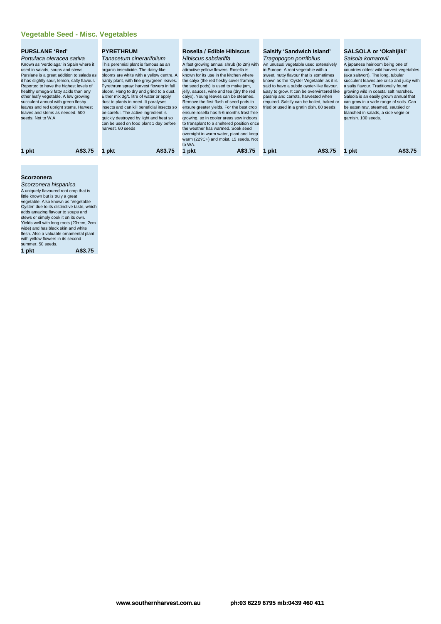| <b>PURSLANE 'Red'</b><br>Portulaca oleracea sativa<br>Known as 'verdolaga' in Spain where it<br>used in salads, soups and stews.<br>Purslane is a great addition to salads as<br>it has slightly sour, lemon, salty flavour.<br>Reported to have the highest levels of<br>healthy omega-3 fatty acids than any<br>other leafy vegetable. A low growing<br>succulent annual with green fleshy<br>leaves and red upright stems. Harvest<br>leaves and stems as needed, 500<br>seeds. Not to W.A. |         | <b>PYRETHRUM</b><br>Tanacetum cinerarifolium<br>This perennial plant is famous as an<br>organic insecticide. The daisy-like<br>blooms are white with a yellow centre. A<br>hardy plant, with fine grey/green leaves.<br>Pyrethrum spray: harvest flowers in full<br>bloom. Hang to dry and grind to a dust.<br>Either mix 3q/1 litre of water or apply<br>dust to plants in need. It paralyses<br>insects and can kill beneficial insects so<br>be careful. The active ingredient is<br>quickly destroyed by light and heat so<br>can be used on food plant 1 day before<br>harvest, 60 seeds |         | Rosella / Edible Hibiscus<br>Hibiscus sabdariffa<br>A fast growing annual shrub (to 2m) with<br>attractive yellow flowers. Rosella is<br>known for its use in the kitchen where<br>the calyx (the red fleshy cover framing<br>the seed pods) is used to make jam,<br>jelly, sauces, wine and tea (dry the red<br>calyx). Young leaves can be steamed.<br>Remove the first flush of seed pods to<br>ensure greater yields. For the best crop<br>ensure rosella has 5-6 months frost free<br>growing, so in cooler areas sow indoors<br>to transplant to a sheltered position once<br>the weather has warmed. Soak seed<br>overnight in warm water, plant and keep<br>warm (22?C+) and moist. 15 seeds. Not<br>to WA. |         | <b>Salsify 'Sandwich Island'</b><br>Tragopogon porrifolius<br>in Europe. A root vegetable with a | An unusual vegetable used extensively<br>sweet, nutty flavour that is sometimes<br>known as the 'Oyster Vegetable' as it is<br>said to have a subtle oyster-like flavour.<br>Easy to grow. It can be overwintered like<br>parsnip and carrots, harvested when<br>required. Salsify can be boiled, baked or<br>fried or used in a gratin dish. 80 seeds. | Salsola komarovii<br>garnish. 100 seeds. | SALSOLA or 'Okahijiki'<br>A japanese heirloom being one of<br>countries oldest wild harvest vegetables<br>(aka saltwort). The long, tubular<br>succulent leaves are crisp and juicy with<br>a salty flavour. Traditionally found<br>growing wild in coastal salt marshes.<br>Salsola is an easily grown annual that<br>can grow in a wide range of soils. Can<br>be eaten raw, steamed, sautéed or<br>blanched in salads, a side vegie or |
|------------------------------------------------------------------------------------------------------------------------------------------------------------------------------------------------------------------------------------------------------------------------------------------------------------------------------------------------------------------------------------------------------------------------------------------------------------------------------------------------|---------|-----------------------------------------------------------------------------------------------------------------------------------------------------------------------------------------------------------------------------------------------------------------------------------------------------------------------------------------------------------------------------------------------------------------------------------------------------------------------------------------------------------------------------------------------------------------------------------------------|---------|---------------------------------------------------------------------------------------------------------------------------------------------------------------------------------------------------------------------------------------------------------------------------------------------------------------------------------------------------------------------------------------------------------------------------------------------------------------------------------------------------------------------------------------------------------------------------------------------------------------------------------------------------------------------------------------------------------------------|---------|--------------------------------------------------------------------------------------------------|---------------------------------------------------------------------------------------------------------------------------------------------------------------------------------------------------------------------------------------------------------------------------------------------------------------------------------------------------------|------------------------------------------|-------------------------------------------------------------------------------------------------------------------------------------------------------------------------------------------------------------------------------------------------------------------------------------------------------------------------------------------------------------------------------------------------------------------------------------------|
| 1 pkt                                                                                                                                                                                                                                                                                                                                                                                                                                                                                          | A\$3.75 | 1 pkt                                                                                                                                                                                                                                                                                                                                                                                                                                                                                                                                                                                         | A\$3.75 | ∣ pkt                                                                                                                                                                                                                                                                                                                                                                                                                                                                                                                                                                                                                                                                                                               | A\$3.75 | pkt                                                                                              | A\$3.75                                                                                                                                                                                                                                                                                                                                                 | l pkt                                    | A\$3.75                                                                                                                                                                                                                                                                                                                                                                                                                                   |
|                                                                                                                                                                                                                                                                                                                                                                                                                                                                                                |         |                                                                                                                                                                                                                                                                                                                                                                                                                                                                                                                                                                                               |         |                                                                                                                                                                                                                                                                                                                                                                                                                                                                                                                                                                                                                                                                                                                     |         |                                                                                                  |                                                                                                                                                                                                                                                                                                                                                         |                                          |                                                                                                                                                                                                                                                                                                                                                                                                                                           |

#### **Scorzonera**

| A uniquely flavoured root crop that is<br>little known but is truly a great<br>vegetable. Also known as 'Vegetable<br>Oyster' due to its distinctive taste, which<br>adds amazing flavour to soups and<br>stews or simply cook it on its own.<br>Yields well with long roots (20+cm, 2cm<br>wide) and has black skin and white<br>flesh. Also a valuable ornamental plant<br>with yellow flowers in its second<br>summer, 50 seeds.<br>A\$3.75 | Scorzonera hispanica |
|------------------------------------------------------------------------------------------------------------------------------------------------------------------------------------------------------------------------------------------------------------------------------------------------------------------------------------------------------------------------------------------------------------------------------------------------|----------------------|
|                                                                                                                                                                                                                                                                                                                                                                                                                                                |                      |
|                                                                                                                                                                                                                                                                                                                                                                                                                                                |                      |
|                                                                                                                                                                                                                                                                                                                                                                                                                                                |                      |
|                                                                                                                                                                                                                                                                                                                                                                                                                                                |                      |
|                                                                                                                                                                                                                                                                                                                                                                                                                                                |                      |
|                                                                                                                                                                                                                                                                                                                                                                                                                                                |                      |
|                                                                                                                                                                                                                                                                                                                                                                                                                                                |                      |
|                                                                                                                                                                                                                                                                                                                                                                                                                                                |                      |
|                                                                                                                                                                                                                                                                                                                                                                                                                                                |                      |
|                                                                                                                                                                                                                                                                                                                                                                                                                                                |                      |
|                                                                                                                                                                                                                                                                                                                                                                                                                                                |                      |
|                                                                                                                                                                                                                                                                                                                                                                                                                                                |                      |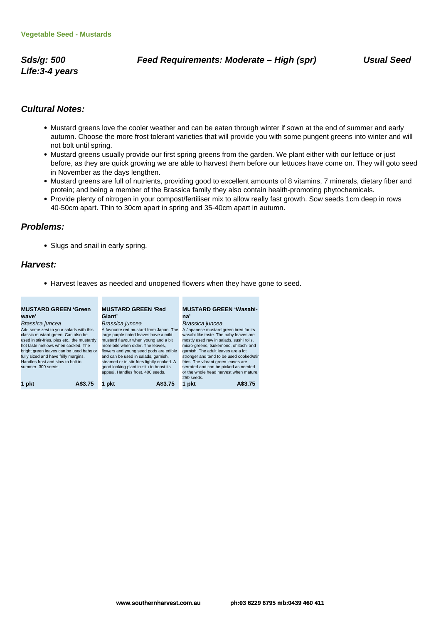**Life:3-4 years**

#### **Cultural Notes:**

- Mustard greens love the cooler weather and can be eaten through winter if sown at the end of summer and early autumn. Choose the more frost tolerant varieties that will provide you with some pungent greens into winter and will not bolt until spring.
- Mustard greens usually provide our first spring greens from the garden. We plant either with our lettuce or just before, as they are quick growing we are able to harvest them before our lettuces have come on. They will goto seed in November as the days lengthen.
- Mustard greens are full of nutrients, providing good to excellent amounts of 8 vitamins, 7 minerals, dietary fiber and protein; and being a member of the Brassica family they also contain health-promoting phytochemicals.
- Provide plenty of nitrogen in your compost/fertiliser mix to allow really fast growth. Sow seeds 1cm deep in rows 40-50cm apart. Thin to 30cm apart in spring and 35-40cm apart in autumn.

#### **Problems:**

• Slugs and snail in early spring.

**Contract** 

#### **Harvest:**

Harvest leaves as needed and unopened flowers when they have gone to seed.

and the

| <b>MUSTARD GREEN 'Green</b>                 | <b>MUSTARD GREEN 'Red</b>                  | <b>MUSTARD GREEN 'Wasabi-</b>            |  |
|---------------------------------------------|--------------------------------------------|------------------------------------------|--|
| wave'                                       | Giant'                                     | na'                                      |  |
| Brassica juncea                             | Brassica juncea                            | Brassica juncea                          |  |
| Add some zest to your salads with this      | A favourite red mustard from Japan. The    | A Japanese mustard green bred for its    |  |
| classic mustard green. Can also be          | large purple tinted leaves have a mild     | wasabi like taste. The baby leaves are   |  |
| used in stir-fries, pies etc., the mustardy | mustard flavour when young and a bit       | mostly used raw in salads, sushi rolls,  |  |
| hot taste mellows when cooked. The          | more bite when older. The leaves.          | micro-greens, tsukemono, ohitashi and    |  |
| bright green leaves can be used baby or     | flowers and young seed pods are edible     | garnish. The adult leaves are a lot      |  |
| fully sized and have frilly margins.        | and can be used in salads, garnish,        | stronger and tend to be used cooked/stir |  |
| Handles frost and slow to bolt in           | steamed or in stir-fries lightly cooked. A | fries. The vibrant green leaves are      |  |
| summer, 300 seeds.                          | good looking plant in-situ to boost its    | serrated and can be picked as needed     |  |
|                                             | appeal. Handles frost. 400 seeds.          | or the whole head harvest when mature.   |  |
|                                             |                                            | 250 seeds.                               |  |
| 1 pkt<br>A\$3.75                            | A\$3.75<br>pkt                             | 1 pkt<br>A\$3.75                         |  |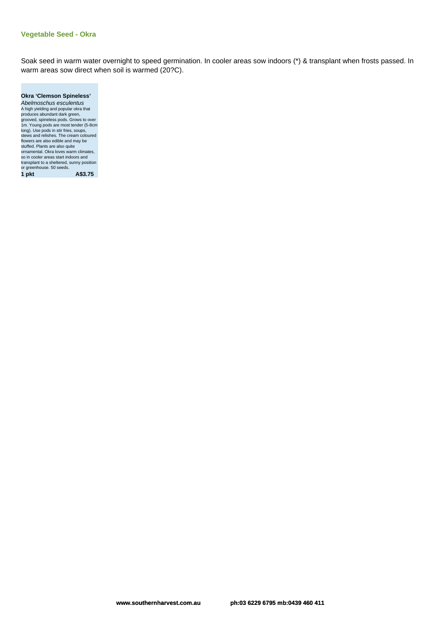#### **Vegetable Seed - Okra**

Soak seed in warm water overnight to speed germination. In cooler areas sow indoors (\*) & transplant when frosts passed. In warm areas sow direct when soil is warmed (20?C).

| <b>Okra 'Clemson Spineless'</b>           |
|-------------------------------------------|
| Abelmoschus esculentus                    |
| A high yielding and popular okra that     |
| produces abundant dark green,             |
| grooved, spineless pods. Grows to over    |
| 1m. Young pods are most tender (5-8cm     |
| long). Use pods in stir fries, soups,     |
| stews and relishes. The cream coloured    |
| flowers are also edible and may be        |
| stuffed. Plants are also quite            |
| ornamental. Okra loves warm climates.     |
| so in cooler areas start indoors and      |
| transplant to a sheltered, sunny position |
| or greenhouse. 50 seeds.                  |
| A\$3.75<br>1 pkt                          |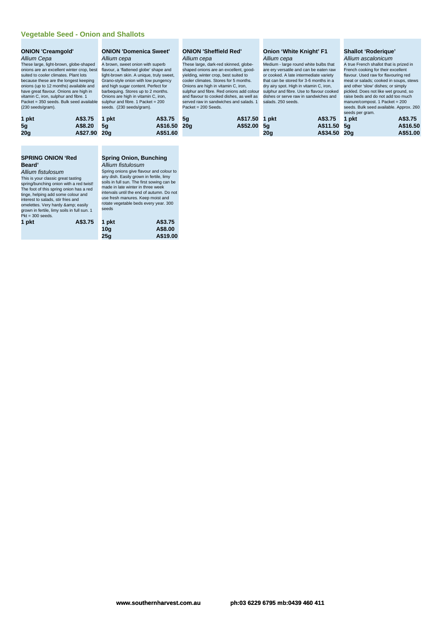#### **Vegetable Seed - Onion and Shallots**

#### **ONION 'Creamgold'** Allium Cepa

These large, light-brown, globe-shaped onions are an excellent winter crop, best suited to cooler climates. Plant lots because these are the longest keeping onions (up to 12 months) available and have great flavour. Onions are high in vitamin C, iron, sulphur and fibre. 1 Packet = 350 seeds. Bulk seed available (230 seeds/gram).

| 1 pkt          | A\$3.75 1 pkt | A\$3.75  |
|----------------|---------------|----------|
| 5 <sub>a</sub> | A\$8.20 5q    | A\$16.50 |
| 20g            | A\$27.90 20g  | A\$51.60 |

#### **SPRING ONION 'Red Beard'**

#### Allium fistulosum

This is your classic great tasting spring/bunching onion with a red twist! The foot of this spring onion has a red tinge, helping add some colour and interest to salads, stir fries and omelettes. Very hardy & easily<br>grown in fertile, limy soils in full sun. 1  $Pkt = 300$  seeds.

| 1 pkt | A\$3.75 1 pkt |                 | A\$3.75  |
|-------|---------------|-----------------|----------|
|       |               | 10 <sub>a</sub> | A\$8.00  |
|       |               | 25q             | A\$19.00 |

#### **ONION 'Domenica Sweet'** Allium cepa

A brown, sweet onion with superb flavour, a 'flattened globe' shape and light-brown skin. A unique, truly sweet, Grano-style onion with low pungency and high sugar content. Perfect for barbequing. Stores up to 2 months. Onions are high in vitamin C, iron, sulphur and fibre. 1 Packet = 200 seeds. (230 seeds/gram).

#### **ONION 'Sheffield Red'** Allium cepa

These large, dark-red skinned, globeshaped onions are an excellent, good-yielding, winter crop, best suited to cooler climates. Stores for 5 months. Onions are high in vitamin C, iron, sulphur and fibre. Red onions add colour and flavour to cooked dishes, as well as served raw in sandwiches and salads. 1 Packet = 200 Seeds.

| 1 pkt | A\$3.75 5g   | A\$17.50 1 pk |  |
|-------|--------------|---------------|--|
| 5g    | A\$16.50 20g | A\$52.00 5g   |  |

#### **Onion 'White Knight' F1** Allium cepa

Medium - large round white bulbs that are ery versatile and can be eaten raw or cooked. A late intermediate variety that can be stored for 3-6 months in a dry airy spot. High in vitamin C, iron, sulphur and fibre. Use to flavour cooked dishes or serve raw in sandwiches and salads. 250 seeds.

|       |               | seeds per gram. |          |
|-------|---------------|-----------------|----------|
| 1 pkt | A\$3.75 1 pkt |                 | A\$3.75  |
| 5g    | A\$11.50 5q   |                 | A\$16.50 |
| 20g   | A\$34.50 20g  |                 | A\$51.00 |

**Shallot 'Roderique'** Allium ascalonicum A true French shallot that is prized in French cooking for their excellent flavour. Used raw for flavouring red meat or salads; cooked in soups, stews and other 'slow' dishes; or simply pickled. Does not like wet ground, so raise beds and do not add too much manure/compost. 1 Packet = 200 seeds. Bulk seed available. Approx. 260

## **Spring Onion, Bunching**

Allium fistulosum Spring onions give flavour and colour to any dish. Easily grown in fertile, limy soils in full sun. The first sowing can be made in late winter in three week intervals until the end of autumn. Do not use fresh manures. Keep moist and rotate vegetable beds every year. 300 seeds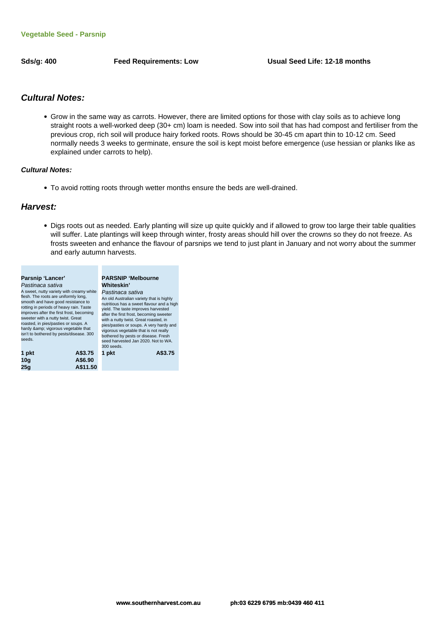#### **Cultural Notes:**

Grow in the same way as carrots. However, there are limited options for those with clay soils as to achieve long straight roots a well-worked deep (30+ cm) loam is needed. Sow into soil that has had compost and fertiliser from the previous crop, rich soil will produce hairy forked roots. Rows should be 30-45 cm apart thin to 10-12 cm. Seed normally needs 3 weeks to germinate, ensure the soil is kept moist before emergence (use hessian or planks like as explained under carrots to help).

#### **Cultural Notes:**

To avoid rotting roots through wetter months ensure the beds are well-drained.

#### **Harvest:**

Digs roots out as needed. Early planting will size up quite quickly and if allowed to grow too large their table qualities will suffer. Late plantings will keep through winter, frosty areas should hill over the crowns so they do not freeze. As frosts sweeten and enhance the flavour of parsnips we tend to just plant in January and not worry about the summer and early autumn harvests.

|          | <b>PARSNIP 'Melbourne</b>                                                                                                                                                                                                                                                                                                                                                                                                          |
|----------|------------------------------------------------------------------------------------------------------------------------------------------------------------------------------------------------------------------------------------------------------------------------------------------------------------------------------------------------------------------------------------------------------------------------------------|
|          | Whiteskin'<br>Pastinaca sativa<br>An old Australian variety that is highly<br>nutritious has a sweet flavour and a high<br>yield. The taste improves harvested<br>after the first frost, becoming sweeter<br>with a nutty twist. Great roasted, in<br>pies/pasties or soups. A very hardy and<br>vigorous vegetable that is not really<br>bothered by pests or disease. Fresh<br>seed harvested Jan 2020. Not to WA.<br>300 seeds. |
|          | A\$3.75<br>1 pkt                                                                                                                                                                                                                                                                                                                                                                                                                   |
| A\$6.90  |                                                                                                                                                                                                                                                                                                                                                                                                                                    |
| A\$11.50 |                                                                                                                                                                                                                                                                                                                                                                                                                                    |
|          | A sweet, nutty variety with creamy white<br>flesh. The roots are uniformly long,<br>smooth and have good resistance to<br>rotting in periods of heavy rain. Taste<br>improves after the first frost, becoming<br>sweeter with a nutty twist. Great<br>roasted, in pies/pasties or soups. A<br>hardy & vigorous vegetable that<br>isn't to bothered by pests/disease. 300<br>A\$3.75                                                |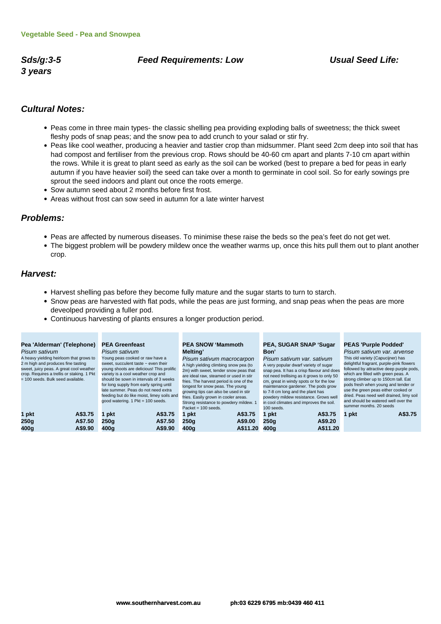# **3 years**

#### **Sds/g:3-5 Feed Requirements: Low Usual Seed Life:**

#### **Cultural Notes:**

- Peas come in three main types- the classic shelling pea providing exploding balls of sweetness; the thick sweet fleshy pods of snap peas; and the snow pea to add crunch to your salad or stir fry.
- Peas like cool weather, producing a heavier and tastier crop than midsummer. Plant seed 2cm deep into soil that has had compost and fertiliser from the previous crop. Rows should be 40-60 cm apart and plants 7-10 cm apart within the rows. While it is great to plant seed as early as the soil can be worked (best to prepare a bed for peas in early autumn if you have heavier soil) the seed can take over a month to germinate in cool soil. So for early sowings pre sprout the seed indoors and plant out once the roots emerge.
- Sow autumn seed about 2 months before first frost.
- Areas without frost can sow seed in autumn for a late winter harvest

#### **Problems:**

- Peas are affected by numerous diseases. To minimise these raise the beds so the pea's feet do not get wet.
- The biggest problem will be powdery mildew once the weather warms up, once this hits pull them out to plant another crop.

#### **Harvest:**

Harvest shelling pas before they become fully mature and the sugar starts to turn to starch.

**Contract Contract** 

Snow peas are harvested with flat pods, while the peas are just forming, and snap peas when the peas are more deveolped providing a fuller pod.

**Contract Contract** 

Continuous harvesting of plants ensures a longer production period.

**The Contract** 

| Pea 'Alderman' (Telephone)<br>Pisum sativum<br>A heavy yielding heirloom that grows to<br>2 m high and produces fine tasting<br>sweet, juicy peas. A great cool weather<br>crop. Requires a trellis or staking. 1 Pkt<br>= 100 seeds. Bulk seed available. | <b>PEA Greenfeast</b><br>Pisum sativum<br>Young peas cooked or raw have a<br>sweet, succulent taste $\sim$ even their<br>young shoots are delicious! This prolific<br>variety is a cool weather crop and<br>should be sown in intervals of 3 weeks<br>for long supply from early spring until<br>late summer. Peas do not need extra<br>feeding but do like moist, limey soils and<br>good watering. 1 Pkt = 100 seeds. | <b>PEA SNOW 'Mammoth</b><br><b>Melting</b> '<br>Pisum sativum macrocarpon<br>A high yielding climbing snow pea (to<br>2m) with sweet, tender snow peas that<br>are ideal raw, steamed or used in stir<br>fries. The harvest period is one of the<br>longest for snow peas. The young<br>growing tips can also be used in stir<br>fries. Easily grown in cooler areas.<br>Strong resistance to powdery mildew. 1<br>Packet = $100$ seeds. | <b>PEA, SUGAR SNAP 'Sugar</b><br>Bon'<br>Pisum sativum var. sativum<br>A very popular dwarf variety of sugar<br>snap pea. It has a crisp flavour and does<br>not need trellising as it grows to only 50<br>cm, great in windy spots or for the low<br>maintenance gardener. The pods grow<br>to 7-8 cm long and the plant has<br>powdery mildew resistance. Grows well<br>in cool climates and improves the soil.<br>100 seeds. | <b>PEAS 'Purple Podded'</b><br>Pisum sativum var. arvense<br>This old variety (Capucijner) has<br>delightful fragrant, purple-pink flowers<br>followed by attractive deep purple pods,<br>which are filled with green peas. A<br>strong climber up to 150cm tall. Eat<br>pods fresh when young and tender or<br>use the green peas either cooked or<br>dried. Peas need well drained, limy soil<br>and should be watered well over the<br>summer months, 20 seeds |
|------------------------------------------------------------------------------------------------------------------------------------------------------------------------------------------------------------------------------------------------------------|-------------------------------------------------------------------------------------------------------------------------------------------------------------------------------------------------------------------------------------------------------------------------------------------------------------------------------------------------------------------------------------------------------------------------|------------------------------------------------------------------------------------------------------------------------------------------------------------------------------------------------------------------------------------------------------------------------------------------------------------------------------------------------------------------------------------------------------------------------------------------|---------------------------------------------------------------------------------------------------------------------------------------------------------------------------------------------------------------------------------------------------------------------------------------------------------------------------------------------------------------------------------------------------------------------------------|-------------------------------------------------------------------------------------------------------------------------------------------------------------------------------------------------------------------------------------------------------------------------------------------------------------------------------------------------------------------------------------------------------------------------------------------------------------------|
| A\$3.75<br>1 pkt<br>A\$7.50<br>250q<br>400q<br>A\$9.90                                                                                                                                                                                                     | A\$3.75<br>pkt<br>A\$7.50<br>250a<br>400q<br>A\$9.90                                                                                                                                                                                                                                                                                                                                                                    | A\$3.75<br>1 pkt<br>A\$9.00<br>250q<br>A\$11.20<br>400q                                                                                                                                                                                                                                                                                                                                                                                  | A\$3.75<br>1 pkt<br>A\$9.20<br>250q<br>A\$11.20<br>400a                                                                                                                                                                                                                                                                                                                                                                         | A\$3.75<br>1 pkt                                                                                                                                                                                                                                                                                                                                                                                                                                                  |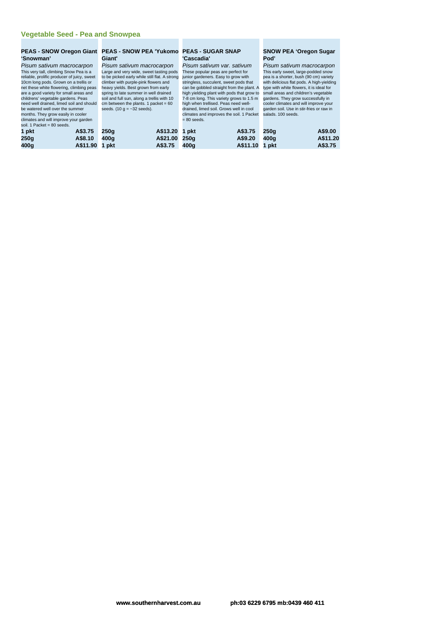# **'Snowman'**

Pisum sativum macrocarpon This very tall, climbing Snow Pea is a reliable, prolific producer of juicy, sweet 10cm long pods. Grown on a trellis or net these white flowering, climbing peas are a good variety for small areas and childrens' vegetable gardens. Peas need well drained, limed soil and should be watered well over the summer

months. They grow easily in cooler climates and will improve your garden soil. 1 Packet = 80 seeds.

**1 pkt A\$3.75**

| 250g | A\$8.10    | $\overline{4}$ |
|------|------------|----------------|
| 400q | A\$11.90 1 |                |

#### **PEAS - SNOW Oregon Giant PEAS - SNOW PEA 'Yukomo PEAS - SUGAR SNAP Giant'**

Pisum sativum macrocarpon Large and very wide, sweet tasting pods to be picked early while still flat. A strong climber with purple-pink flowers and heavy yields. Best grown from early spring to late summer in well drained soil and full sun, along a trellis with 10 cm between the plants. 1 packet = 60 seeds.  $(10 g = -32$  seeds).

# **'Cascadia'**

Pisum sativum var. sativum These popular peas are perfect for junior gardeners. Easy to grow with stringless, succulent, sweet pods that can be gobbled straight from the plant. A high yielding plant with pods that grow to 7-8 cm long. This variety grows to 1.5 m high when trellised. Peas need welldrained, limed soil. Grows well in cool climates and improves the soil. 1 Packet  $= 80$  seeds.

#### **SNOW PEA 'Oregon Sugar Pod'**

Pisum sativum macrocarpon This early sweet, large-podded snow pea is a shorter, bush (90 cm) variety with delicious flat pods. A high-yielding<br>type with white flowers, it is ideal for<br>small areas and children's vegetable<br>gardens. They grow successfully in<br>cooler climates and will improve your<br>garden soil. Use in stir-frie

| 250g  | A\$13.20 1 pkt | A\$3.75 250g   | A\$9.00  |
|-------|----------------|----------------|----------|
| 400q  | A\$21.00 250g  | A\$9.20 400g   | A\$11.20 |
| 1 pkt | A\$3.75 400g   | A\$11.10 1 pkt | A\$3.75  |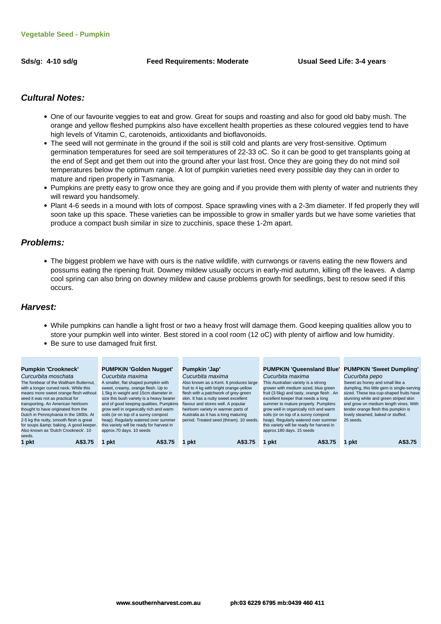Sds/g: 4-10 sd/g **Feed Requirements: Moderate** Usual Seed Life: 3-4 years

**The Contract** 

#### **Cultural Notes:**

- One of our favourite veggies to eat and grow. Great for soups and roasting and also for good old baby mush. The orange and yellow fleshed pumpkins also have excellent health properties as these coloured veggies tend to have high levels of Vitamin C, carotenoids, antioxidants and bioflavonoids.
- The seed will not germinate in the ground if the soil is still cold and plants are very frost-sensitive. Optimum germination temperatures for seed are soil temperatures of 22-33 oC. So it can be good to get transplants going at the end of Sept and get them out into the ground after your last frost. Once they are going they do not mind soil temperatures below the optimum range. A lot of pumpkin varieties need every possible day they can in order to mature and ripen properly in Tasmania.
- Pumpkins are pretty easy to grow once they are going and if you provide them with plenty of water and nutrients they will reward you handsomely.
- Plant 4-6 seeds in a mound with lots of compost. Space sprawling vines with a 2-3m diameter. If fed properly they will soon take up this space. These varieties can be impossible to grow in smaller yards but we have some varieties that produce a compact bush similar in size to zucchinis, space these 1-2m apart.

#### **Problems:**

The biggest problem we have with ours is the native wildlife, with currwongs or ravens eating the new flowers and possums eating the ripening fruit. Downey mildew usually occurs in early-mid autumn, killing off the leaves. A damp cool spring can also bring on downey mildew and cause problems growth for seedlings, best to resow seed if this occurs.

#### **Harvest:**

While pumpkins can handle a light frost or two a heavy frost will damage them. Good keeping qualities allow you to store your pumpkin well into winter. Best stored in a cool room (12 oC) with plenty of airflow and low humidity.

**The Contract** 

• Be sure to use damaged fruit first.

| <b>Pumpkin 'Crookneck'</b>              | <b>PUMPKIN 'Golden Nugget'</b>            | Pumpkin 'Jap'                            | <b>PUMPKIN 'Queensland Blue' PUMPKIN 'Sweet Dumpling'</b> |                                             |
|-----------------------------------------|-------------------------------------------|------------------------------------------|-----------------------------------------------------------|---------------------------------------------|
| Curcurbita moschata                     | Cucurbita maxima                          | Cucurbita maxima                         | Cucurbita maxima                                          | Cucurbita pepo                              |
| The forebear of the Waltham Butternut.  | A smaller, flat shaped pumpkin with       | Also known as a Kent. It produces large  | This Australian variety is a strong                       | Sweet as honey and small like a             |
| with a longer curved neck. While this   | sweet, creamy, orange flesh. Up to        | fruit to 4 kg with bright orange-yellow  | grower with medium sized, blue green                      | dumpling, this little gem is single-serving |
| means more sweet orange flesh without   | 1.5kg in weight and 15cm diameter in      | flesh with a patchwork of grey-green     | fruit (3-5kg) and tasty, orange flesh. An                 | sized. These tea-cup-shaped fruits have     |
| seed it was not as practical for        | size this bush variety is a heavy bearer  | skin. It has a nutty sweet excellent     | excellent keeper that needs a long                        | stunning white and green striped skin       |
| transporting. An American heirloom      | and of good keeping qualities. Pumpkins   | flavour and stores well. A popular       | summer to mature properly. Pumpkins                       | and grow on medium length vines. With       |
| thought to have originated from the     | grow well in organically rich and warm    | heirloom variety in warmer parts of      | grow well in organically rich and warm                    | tender orange flesh this pumpkin is         |
| Dutch in Pennsylvania in the 1800s. At  | soils (or on top of a sunny compost       | Australia as it has a long maturing      | soils (or on top of a sunny compost                       | lovely steamed, baked or stuffed.           |
| 2-5 kg the nutty, smooth flesh is great | heap). Regularly watered over summer      | period. Treated seed (thiram). 10 seeds. | heap). Regularly watered over summer                      | 25 seeds.                                   |
| for soups & baking. A good keeper.      | this variety will be ready for harvest in |                                          | this variety will be ready for harvest in                 |                                             |
| Also known as 'Dutch Crookneck', 10     | approx.70 days. 10 seeds                  |                                          | approx.180 days. 15 seeds                                 |                                             |
| seeds.                                  |                                           |                                          |                                                           |                                             |
| 1 pkt<br>A\$3.75                        | A\$3.75<br>pkt                            | A\$3.75<br>pkt                           | pkt<br>A\$3.75                                            | A\$3.75<br>pkt                              |
|                                         |                                           |                                          |                                                           |                                             |

**CONTRACTOR**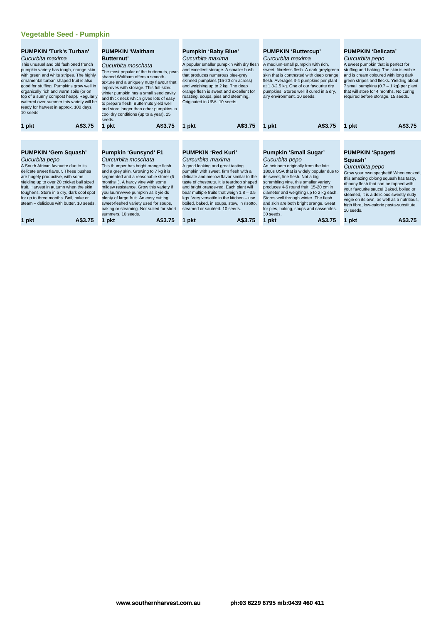#### **Vegetable Seed - Pumpkin**

| A\$3.75<br>A\$3.75<br>A\$3.75<br>A\$3.75<br>1 pkt<br>1 pkt<br>1 pkt<br>1 pkt<br><b>PUMPKIN 'Red Kuri'</b><br><b>Pumpkin 'Gunsynd' F1</b><br><b>Pumpkin 'Small Sugar'</b><br><b>PUMPKIN 'Spagetti</b>                                                                                                                                                                                             | <b>PUMPKIN 'Turk's Turban'</b><br>Cucurbita maxima<br>This unusual and old fashioned french<br>pumpkin variety has tough, orange skin<br>with green and white stripes. The highly<br>ornamental turban shaped fruit is also<br>good for stuffing. Pumpkins grow well in<br>organically rich and warm soils (or on<br>top of a sunny compost heap). Regularly<br>watered over summer this variety will be<br>ready for harvest in approx. 100 days.<br>10 seeds<br>A\$3.75 |  |
|--------------------------------------------------------------------------------------------------------------------------------------------------------------------------------------------------------------------------------------------------------------------------------------------------------------------------------------------------------------------------------------------------|---------------------------------------------------------------------------------------------------------------------------------------------------------------------------------------------------------------------------------------------------------------------------------------------------------------------------------------------------------------------------------------------------------------------------------------------------------------------------|--|
|                                                                                                                                                                                                                                                                                                                                                                                                  | 1 pkt                                                                                                                                                                                                                                                                                                                                                                                                                                                                     |  |
|                                                                                                                                                                                                                                                                                                                                                                                                  |                                                                                                                                                                                                                                                                                                                                                                                                                                                                           |  |
|                                                                                                                                                                                                                                                                                                                                                                                                  |                                                                                                                                                                                                                                                                                                                                                                                                                                                                           |  |
| Curcurbita moschata<br>Curcurbita maxima<br>Cucurbita pepo<br>Cucurbita pepo<br>Squash'                                                                                                                                                                                                                                                                                                          | <b>PUMPKIN 'Gem Squash'</b>                                                                                                                                                                                                                                                                                                                                                                                                                                               |  |
| A South African favourite due to its<br>An heirloom originally from the late<br>This thumper has bright orange flesh<br>A good looking and great tasting<br>Curcurbita pepo                                                                                                                                                                                                                      |                                                                                                                                                                                                                                                                                                                                                                                                                                                                           |  |
| and a grey skin. Growing to 7 kg it is<br>pumpkin with sweet, firm flesh with a<br>1800s USA that is widely popular due to<br>delicate sweet flavour. These bushes<br>Grow your own spaghetti! When cooked<br>segmented and a reasonable storer (6<br>delicate and mellow flavor similar to the<br>its sweet, fine flesh. Not a big<br>are hugely productive, with some                          |                                                                                                                                                                                                                                                                                                                                                                                                                                                                           |  |
| this amazing oblong squash has tasty,<br>months+). A hardy vine with some<br>scrambling vine, this smaller variety<br>yielding up to over 20 cricket ball sized<br>taste of chestnuts. It is teardrop shaped<br>ribbony flesh that can be topped with                                                                                                                                            |                                                                                                                                                                                                                                                                                                                                                                                                                                                                           |  |
| and bright orange-red. Each plant will<br>produces 4-6 round fruit, 15-20 cm in<br>your favourite sauce! Baked, boiled or<br>toughens. Store in a dry, dark cool spot<br>you luurrrvvvve pumpkin as it yields<br>bear multiple fruits that weigh $1.8 - 3.5$<br>diameter and weighing up to 2 kg each.<br>steamed, it is a delicious sweetly nutty                                               | fruit. Harvest in autumn when the skin<br>mildew resistance. Grow this variety if                                                                                                                                                                                                                                                                                                                                                                                         |  |
| plenty of large fruit. An easy cutting,<br>kgs. Very versatile in the kitchen - use<br>Stores well through winter. The flesh<br>for up to three months. Boil, bake or<br>vegie on its own, as well as a nutritious.<br>steam - delicious with butter, 10 seeds.<br>sweet-fleshed variety used for soups,<br>boiled, baked, in soups, stew, in risotto,<br>and skin are both bright orange. Great |                                                                                                                                                                                                                                                                                                                                                                                                                                                                           |  |
| high fibre, low-calorie pasta-substitute.<br>baking or steaming. Not suited for short<br>steamed or sautéed, 10 seeds.<br>for pies, baking, soups and casseroles.<br>10 seeds.                                                                                                                                                                                                                   |                                                                                                                                                                                                                                                                                                                                                                                                                                                                           |  |
| summers. 10 seeds.<br>30 seeds.<br>A\$3.75<br>1 pkt<br>A\$3.75<br>1 pkt<br>A\$3.75<br>1 pkt<br>A\$3.75<br>1 pkt<br>A\$3.75<br>1 pkt                                                                                                                                                                                                                                                              |                                                                                                                                                                                                                                                                                                                                                                                                                                                                           |  |

|  | 1 pkt | A\$3.7 |
|--|-------|--------|
|  |       |        |

**www.southernharvest.com.au ph:03 6229 6795 mb:0439 460 411**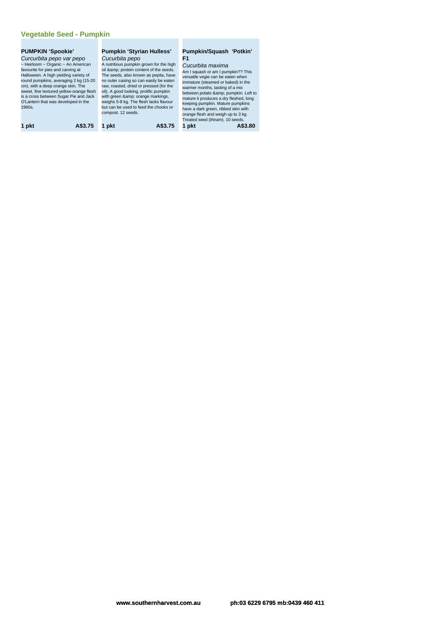#### **Vegetable Seed - Pumpkin**

#### **PUMPKIN 'Spookie'**

Curcurbita pepo var pepo ~ Heirloom ~ Organic ~ An American favourite for pies and carving at Halloween. A high yielding variety of round pumpkins, averaging 2 kg (15-20 cm), with a deep orange skin. The sweet, fine textured yellow-orange flesh is a cross between Sugar Pie and Jack O'Lantern that was developed in the 1960s.

#### **Pumpkin 'Styrian Hulless'** Cucurbita pepo A nutritious pumpkin grown for the high

oil & amp; protein content of the seeds.<br>The seeds, also known as pepita, have no outer casing so can easily be eaten raw, roasted, dried or pressed (for the oil). A good looking, prolific pumpkin with green & orange markings,<br>weighs 5-8 kg. The flesh lacks flavour but can be used to feed the chooks or compost. 12 seeds.

#### **Pumpkin/Squash 'Potkin' F1**

Cucurbita maxima Am I squash or am I pumpkin?? This versatile vegie can be eaten when immature (steamed or baked) in the warmer months, tasting of a mix between potato & pumpkin. Left to<br>mature it produces a dry fleshed, long<br>keeping pumpkin. Mature pumpkins<br>have a dark green, ribbed skin with<br>orange flesh and weigh up to 3 kg.<br>Treated seed (thiram). 10 seeds. **1 pkt A\$3.75 1 pkt A\$3.75 1 pkt A\$3.80**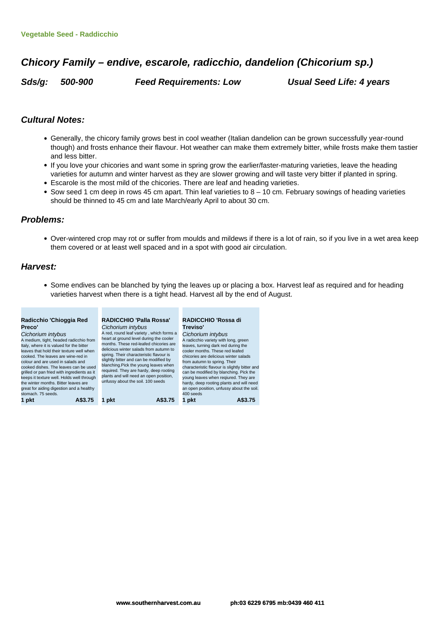## **Chicory Family – endive, escarole, radicchio, dandelion (Chicorium sp.)**

**Sds/g: 500-900 Feed Requirements: Low Usual Seed Life: 4 years**

#### **Cultural Notes:**

- Generally, the chicory family grows best in cool weather (Italian dandelion can be grown successfully year-round though) and frosts enhance their flavour. Hot weather can make them extremely bitter, while frosts make them tastier and less bitter.
- If you love your chicories and want some in spring grow the earlier/faster-maturing varieties, leave the heading varieties for autumn and winter harvest as they are slower growing and will taste very bitter if planted in spring.
- Escarole is the most mild of the chicories. There are leaf and heading varieties.
- Sow seed 1 cm deep in rows 45 cm apart. Thin leaf varieties to  $8 10$  cm. February sowings of heading varieties should be thinned to 45 cm and late March/early April to about 30 cm.

#### **Problems:**

Over-wintered crop may rot or suffer from moulds and mildews if there is a lot of rain, so if you live in a wet area keep them covered or at least well spaced and in a spot with good air circulation.

#### **Harvest:**

Some endives can be blanched by tying the leaves up or placing a box. Harvest leaf as required and for heading varieties harvest when there is a tight head. Harvest all by the end of August.

| 1 pkt<br>1 pkt<br>A\$3.75<br>A\$3.75<br>1 pkt<br>A\$3.75 |
|----------------------------------------------------------|
|----------------------------------------------------------|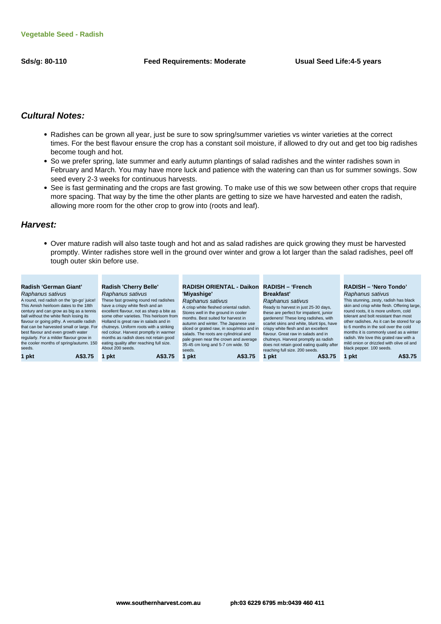#### **Sds/g: 80-110 Feed Requirements: Moderate Usual Seed Life:4-5 years**

#### **Cultural Notes:**

- Radishes can be grown all year, just be sure to sow spring/summer varieties vs winter varieties at the correct times. For the best flavour ensure the crop has a constant soil moisture, if allowed to dry out and get too big radishes become tough and hot.
- So we prefer spring, late summer and early autumn plantings of salad radishes and the winter radishes sown in February and March. You may have more luck and patience with the watering can than us for summer sowings. Sow seed every 2-3 weeks for continuous harvests.
- See is fast germinating and the crops are fast growing. To make use of this we sow between other crops that require more spacing. That way by the time the other plants are getting to size we have harvested and eaten the radish, allowing more room for the other crop to grow into (roots and leaf).

#### **Harvest:**

Over mature radish will also taste tough and hot and as salad radishes are quick growing they must be harvested promptly. Winter radishes store well in the ground over winter and grow a lot larger than the salad radishes, peel off tough outer skin before use.

| About 200 seeds.<br>black pepper. 100 seeds.<br>seeds.<br>reaching full size, 200 seeds.<br>seeds. | regularly. For a milder flavour grow in<br>the cooler months of spring/autumn. 150 | months as radish does not retain good<br>eating quality after reaching full size. | salads. The roots are cylindrical and<br>pale green near the crown and average<br>35-45 cm long and 5-7 cm wide. 50 | flavour. Great raw in salads and in<br>chutneys. Harvest promptly as radish<br>does not retain good eating quality after | months it is commonly used as a winter<br>radish. We love this grated raw with a<br>mild onion or drizzled with olive oil and |
|----------------------------------------------------------------------------------------------------|------------------------------------------------------------------------------------|-----------------------------------------------------------------------------------|---------------------------------------------------------------------------------------------------------------------|--------------------------------------------------------------------------------------------------------------------------|-------------------------------------------------------------------------------------------------------------------------------|
| 1 pkt<br>A\$3.75<br>1 pkt<br>A\$3.75<br>l pkt<br>A\$3.75<br>pkt<br>A\$3.75<br>1 pkt                |                                                                                    |                                                                                   |                                                                                                                     |                                                                                                                          | A\$3.75                                                                                                                       |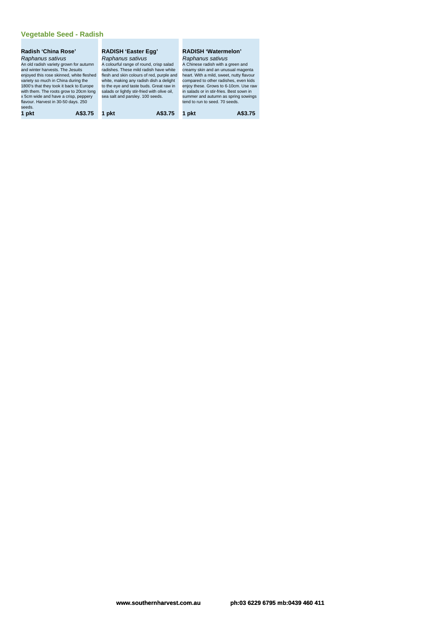#### **Radish 'China Rose'** Raphanus sativus

An old radish variety grown for autumn and winter harvests. The Jesuits enjoyed this rose skinned, white fleshed variety so much in China during the 1800's that they took it back to Europe with them. The roots grow to 20cm long x 5cm wide and have a crisp, peppery flavour. Harvest in 30-50 days. 250 seeds.

#### **RADISH 'Easter Egg'** Raphanus sativus

A colourful range of round, crisp salad radishes. These mild radish have white flesh and skin colours of red, purple and white, making any radish dish a delight to the eye and taste buds. Great raw in salads or lightly stir-fried with olive oil, sea salt and parsley. 100 seeds.

#### **RADISH 'Watermelon'**

Raphanus sativus A Chinese radish with a green and creamy skin and an unusual magenta heart. With a mild, sweet, nutty flavour compared to other radishes, even kids enjoy these. Grows to 6-10cm. Use raw in salads or in stir-fries. Best sown in summer and autumn as spring sowings tend to run to seed. 70 seeds.

**1 pkt A\$3.75 1 pkt A\$3.75 1 pkt A\$3.75**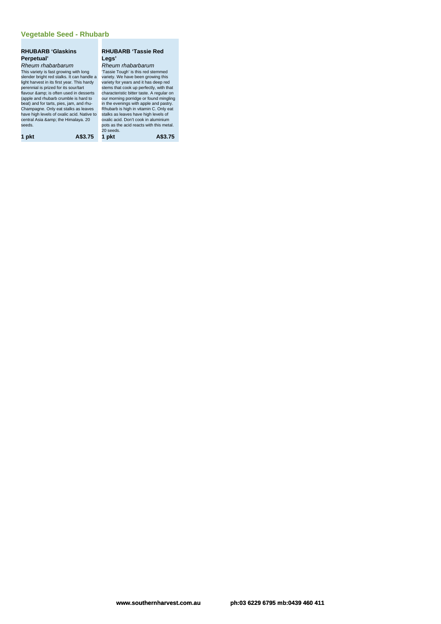#### **Vegetable Seed - Rhubarb**

#### **RHUBARB 'Glaskins Perpetual'** Rheum rhabarbarum

This variety is fast growing with long slender bright red stalks. It can handle a light harvest in its first year. This hardy<br>perennial is prized for its sour/rart<br>flavour &amp; is often used in desserts<br>(apple and rhubarb crumble is hard to<br>beat) and for tarts, pies, jam, and rhu-<br>Champagne. Only eat s seeds.

**1 pkt A\$3.75 1 pkt A\$3.75**

#### **RHUBARB 'Tassie Red Legs'** Rheum rhabarbarum

'Tassie Tough' is this red stemmed variety. We have been growing this variety for years and it has deep red stems that cook up perfectly, with that characteristic bitter taste. A regular on our morning porridge or found mingling in the evenings with apple and pastry. Rhubarb is high in vitamin C. Only eat stalks as leaves have high levels of oxalic acid. Don't cook in aluminium pots as the acid reacts with this metal. 20 seeds.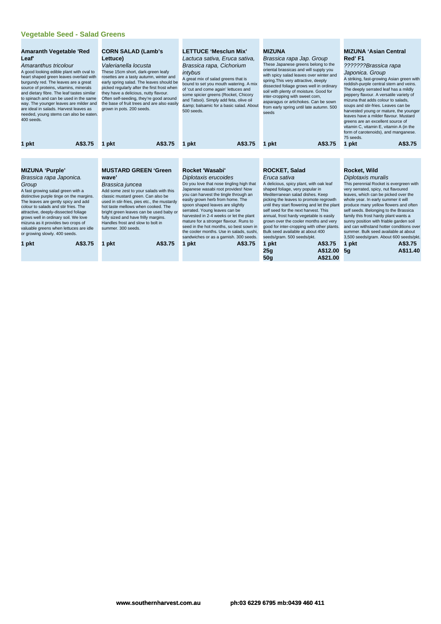#### **Vegetable Seed - Salad Greens**

| <b>Amaranth Vegetable 'Red</b><br>Leaf'<br>Amaranthus tricolour<br>A good looking edible plant with oval to<br>heart shaped green leaves overlaid with<br>burgundy red. The leaves are a great<br>source of proteins, vitamins, minerals<br>and dietary fibre. The leaf tastes similar<br>to spinach and can be used in the same<br>way. The younger leaves are milder and<br>are ideal in salads. Harvest leaves as<br>needed, young stems can also be eaten.<br>400 seeds. |         | <b>CORN SALAD (Lamb's</b><br>Lettuce)<br>Valerianella locusta<br>These 15cm short, dark-green leafy<br>rosettes are a tasty autumn, winter and<br>early spring salad. The leaves should be<br>picked regularly after the first frost when<br>they have a delicious, nutty flavour.<br>Often self-seeding, they're good around<br>the base of fruit trees and are also easily<br>grown in pots. 200 seeds. | <b>LETTUCE 'Mesclun Mix'</b><br>Lactuca sativa, Eruca sativa,<br>Brassica rapa, Cichorium<br>intybus<br>A great mix of salad greens that is<br>bound to set you mouth watering. A mix<br>of 'cut and come again' lettuces and<br>some spicier greens (Rocket, Chicory<br>and Tatsoi). Simply add feta, olive oil<br>& balsamic for a basic salad. About<br>500 seeds.                                                                                  |         | <b>MIZUNA</b><br>Brassica rapa Jap. Group<br>These Japanese greens belong to the<br>oriental brassicas and will supply you<br>with spicy salad leaves over winter and<br>spring. This very attractive, deeply<br>dissected foliage grows well in ordinary<br>soil with plenty of moisture. Good for<br>inter-cropping with sweet corn,<br>asparagus or artichokes. Can be sown<br>from early spring until late autumn. 500<br>seeds                  |          | <b>MIZUNA 'Asian Central</b><br>Red'F1<br>???????Brassica rapa<br>Japonica. Group<br>A striking, fast-growing Asian green with<br>reddish-purple central stem and veins.<br>The deeply serrated leaf has a mildly<br>peppery flavour. A versatile variety of<br>mizuna that adds colour to salads,<br>soups and stir-fries. Leaves can be<br>harvested young or mature, the younger<br>leaves have a milder flavour. Mustard<br>greens are an excellent source of<br>vitamin C, vitamin E, vitamin A (in the<br>form of carotenoids), and manganese.<br>75 seeds. |                                                                                                                                                                        |
|------------------------------------------------------------------------------------------------------------------------------------------------------------------------------------------------------------------------------------------------------------------------------------------------------------------------------------------------------------------------------------------------------------------------------------------------------------------------------|---------|-----------------------------------------------------------------------------------------------------------------------------------------------------------------------------------------------------------------------------------------------------------------------------------------------------------------------------------------------------------------------------------------------------------|--------------------------------------------------------------------------------------------------------------------------------------------------------------------------------------------------------------------------------------------------------------------------------------------------------------------------------------------------------------------------------------------------------------------------------------------------------|---------|------------------------------------------------------------------------------------------------------------------------------------------------------------------------------------------------------------------------------------------------------------------------------------------------------------------------------------------------------------------------------------------------------------------------------------------------------|----------|-------------------------------------------------------------------------------------------------------------------------------------------------------------------------------------------------------------------------------------------------------------------------------------------------------------------------------------------------------------------------------------------------------------------------------------------------------------------------------------------------------------------------------------------------------------------|------------------------------------------------------------------------------------------------------------------------------------------------------------------------|
| 1 pkt                                                                                                                                                                                                                                                                                                                                                                                                                                                                        | A\$3.75 | A\$3.75<br>1 pkt                                                                                                                                                                                                                                                                                                                                                                                          | 1 pkt                                                                                                                                                                                                                                                                                                                                                                                                                                                  | A\$3.75 | 1 pkt                                                                                                                                                                                                                                                                                                                                                                                                                                                | A\$3.75  | 1 pkt                                                                                                                                                                                                                                                                                                                                                                                                                                                                                                                                                             | A\$3.75                                                                                                                                                                |
|                                                                                                                                                                                                                                                                                                                                                                                                                                                                              |         |                                                                                                                                                                                                                                                                                                                                                                                                           |                                                                                                                                                                                                                                                                                                                                                                                                                                                        |         |                                                                                                                                                                                                                                                                                                                                                                                                                                                      |          |                                                                                                                                                                                                                                                                                                                                                                                                                                                                                                                                                                   |                                                                                                                                                                        |
|                                                                                                                                                                                                                                                                                                                                                                                                                                                                              |         |                                                                                                                                                                                                                                                                                                                                                                                                           |                                                                                                                                                                                                                                                                                                                                                                                                                                                        |         |                                                                                                                                                                                                                                                                                                                                                                                                                                                      |          |                                                                                                                                                                                                                                                                                                                                                                                                                                                                                                                                                                   |                                                                                                                                                                        |
| <b>MIZUNA 'Purple'</b>                                                                                                                                                                                                                                                                                                                                                                                                                                                       |         | <b>MUSTARD GREEN 'Green</b>                                                                                                                                                                                                                                                                                                                                                                               | Rocket 'Wasabi'                                                                                                                                                                                                                                                                                                                                                                                                                                        |         | <b>ROCKET, Salad</b>                                                                                                                                                                                                                                                                                                                                                                                                                                 |          | Rocket, Wild                                                                                                                                                                                                                                                                                                                                                                                                                                                                                                                                                      |                                                                                                                                                                        |
| Brassica rapa Japonica.                                                                                                                                                                                                                                                                                                                                                                                                                                                      |         | wave'                                                                                                                                                                                                                                                                                                                                                                                                     | Diplotaxis erucoides                                                                                                                                                                                                                                                                                                                                                                                                                                   |         | Eruca sativa                                                                                                                                                                                                                                                                                                                                                                                                                                         |          | Diplotaxis muralis                                                                                                                                                                                                                                                                                                                                                                                                                                                                                                                                                |                                                                                                                                                                        |
| Group<br>A fast growing salad green with a<br>distinctive purple tinge on the margins.<br>The leaves are gently spicy and add<br>colour to salads and stir fries. The<br>attractive, deeply-dissected foliage<br>grows well in ordinary soil. We love<br>mizuna as it provides two crops of<br>valuable greens when lettuces are idle<br>or growing slowly. 400 seeds.                                                                                                       |         | Brassica juncea<br>Add some zest to your salads with this<br>classic mustard green. Can also be<br>used in stir-fries, pies etc., the mustardy<br>hot taste mellows when cooked. The<br>bright green leaves can be used baby or<br>fully sized and have frilly margins.<br>Handles frost and slow to bolt in<br>summer, 300 seeds.                                                                        | Do you love that nose tingling high that<br>Japanese wasabi root provides! Now<br>you can harvest the tingle through an<br>easily grown herb from home. The<br>spoon shaped leaves are slightly<br>serrated. Young leaves can be<br>harvested in 2-4 weeks or let the plant<br>mature for a stronger flavour. Runs to<br>seed in the hot months, so best sown in<br>the cooler months. Use in salads, sushi,<br>sandwiches or as a garnish. 300 seeds. |         | A delicious, spicy plant, with oak leaf<br>shaped foliage, very popular in<br>Mediterranean salad dishes. Keep<br>picking the leaves to promote regrowth<br>until they start flowering and let the plant<br>self seed for the next harvest. This<br>annual, frost hardy vegetable is easily<br>grown over the cooler months and very<br>good for inter-cropping with other plants.<br>Bulk seed available at about 400<br>seeds/gram. 500 seeds/pkt. |          | very serrated, spicy, nut flavoured<br>leaves, which can be picked over the<br>whole year. In early summer it will<br>self seeds. Belonging to the Brassica<br>family this frost hardy plant wants a<br>sunny position with friable garden soil<br>summer. Bulk seed available at about                                                                                                                                                                                                                                                                           | This perennial Rocket is evergreen with<br>produce many yellow flowers and often<br>and can withstand hotter conditions over<br>3,500 seeds/gram. About 600 seeds/pkt. |
| 1 pkt                                                                                                                                                                                                                                                                                                                                                                                                                                                                        | A\$3.75 | A\$3.75<br>1 pkt                                                                                                                                                                                                                                                                                                                                                                                          | 1 pkt                                                                                                                                                                                                                                                                                                                                                                                                                                                  | A\$3.75 | 1 pkt                                                                                                                                                                                                                                                                                                                                                                                                                                                | A\$3.75  | 1 pkt                                                                                                                                                                                                                                                                                                                                                                                                                                                                                                                                                             | A\$3.75                                                                                                                                                                |
|                                                                                                                                                                                                                                                                                                                                                                                                                                                                              |         |                                                                                                                                                                                                                                                                                                                                                                                                           |                                                                                                                                                                                                                                                                                                                                                                                                                                                        |         | 25g                                                                                                                                                                                                                                                                                                                                                                                                                                                  | A\$12.00 | 5q                                                                                                                                                                                                                                                                                                                                                                                                                                                                                                                                                                | A\$11.40                                                                                                                                                               |
|                                                                                                                                                                                                                                                                                                                                                                                                                                                                              |         |                                                                                                                                                                                                                                                                                                                                                                                                           |                                                                                                                                                                                                                                                                                                                                                                                                                                                        |         | 50q                                                                                                                                                                                                                                                                                                                                                                                                                                                  | A\$21.00 |                                                                                                                                                                                                                                                                                                                                                                                                                                                                                                                                                                   |                                                                                                                                                                        |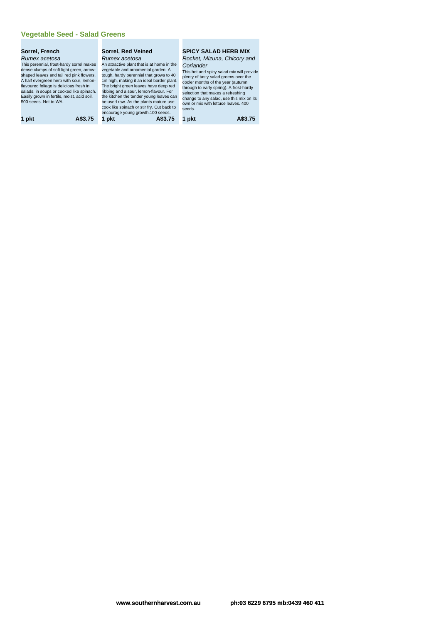#### **Vegetable Seed - Salad Greens**

#### **Sorrel, French** Rumex acetosa

This perennial, frost-hardy sorrel makes dense clumps of soft light green, arrow-shaped leaves and tall red pink flowers. A half evergreen herb with sour, lemon-flavoured foliage is delicious fresh in salads, in soups or cooked like spinach. Easily grown in fertile, moist, acid soil. 500 seeds. Not to WA.

#### **Sorrel, Red Veined** Rumex acetosa

An attractive plant that is at home in the vegetable and ornamental garden. A tough, hardy perennial that grows to 40 cm high, making it an ideal border plant. The bright green leaves have deep red ribbing and a sour, lemon-flavour. For the kitchen the tender young leaves can be used raw. As the plants mature use cook like spinach or stir fry. Cut back to encourage young growth.100 seeds. **1 pkt A\$3.75 1 pkt A\$3.75 1 pkt A\$3.75**

#### **SPICY SALAD HERB MIX** Rocket, Mizuna, Chicory and **Coriander**

This hot and spicy salad mix will provide plenty of tasty salad greens over the cooler months of the year (autumn through to early spring). A frost-hardy selection that makes a refreshing change to any salad, use this mix on its own or mix with lettuce leaves. 400 seeds.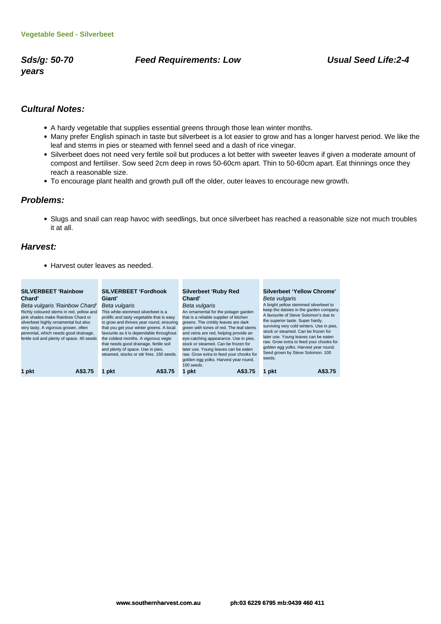**years**

#### **Sds/g: 50-70 Feed Requirements: Low Usual Seed Life:2-4**

#### **Cultural Notes:**

- A hardy vegetable that supplies essential greens through those lean winter months.
- Many prefer English spinach in taste but silverbeet is a lot easier to grow and has a longer harvest period. We like the leaf and stems in pies or steamed with fennel seed and a dash of rice vinegar.
- Silverbeet does not need very fertile soil but produces a lot better with sweeter leaves if given a moderate amount of compost and fertiliser. Sow seed 2cm deep in rows 50-60cm apart. Thin to 50-60cm apart. Eat thinnings once they reach a reasonable size.
- To encourage plant health and growth pull off the older, outer leaves to encourage new growth.

#### **Problems:**

Slugs and snail can reap havoc with seedlings, but once silverbeet has reached a reasonable size not much troubles it at all.

#### **Harvest:**

Harvest outer leaves as needed.

| <b>SILVERBEET 'Rainbow</b><br>Chard'<br>Beta vulgaris 'Rainbow Chard'<br>Richly coloured stems in red, yellow and<br>pink shades make Rainbow Chard or<br>silverbeet highly ornamental but also<br>very tasty. A vigorous grower, often<br>perennial, which needs good drainage,<br>fertile soil and plenty of space. 40 seeds | <b>SILVERBEET 'Fordhook</b><br>Giant'<br>Beta vulgaris<br>This white-stemmed silverbeet is a<br>prolific and tasty vegetable that is easy<br>to grow and thrives year round, ensuring<br>that you get your winter greens. A local<br>favourite as it is dependable throughout<br>the coldest months. A vigorous vegie<br>that needs good drainage, fertile soil<br>and plenty of space. Use in pies,<br>steamed, stocks or stir fries, 150 seeds. | <b>Silverbeet 'Ruby Red</b><br>Chard'<br>Beta vulgaris<br>An ornamental for the potager garden<br>that is a reliable supplier of kitchen<br>greens. The crinkly leaves are dark<br>green with tones of red. The leaf stems<br>and veins are red, helping provide an<br>eye-catching appearance. Use in pies,<br>stock or steamed. Can be frozen for<br>later use. Young leaves can be eaten<br>raw. Grow extra to feed your chooks for<br>golden egg yolks. Harvest year round. | Silverbeet 'Yellow Chrome'<br>Beta vulgaris<br>A bright yellow stemmed silverbeet to<br>keep the daisies in the garden company.<br>A favourite of Steve Solomon's due to<br>the superior taste. Super hardy,<br>surviving very cold winters. Use in pies,<br>stock or steamed. Can be frozen for<br>later use. Young leaves can be eaten<br>raw. Grow extra to feed your chooks for<br>golden egg yolks. Harvest year round.<br>Seed grown by Steve Solomon. 100<br>seeds. |
|--------------------------------------------------------------------------------------------------------------------------------------------------------------------------------------------------------------------------------------------------------------------------------------------------------------------------------|---------------------------------------------------------------------------------------------------------------------------------------------------------------------------------------------------------------------------------------------------------------------------------------------------------------------------------------------------------------------------------------------------------------------------------------------------|---------------------------------------------------------------------------------------------------------------------------------------------------------------------------------------------------------------------------------------------------------------------------------------------------------------------------------------------------------------------------------------------------------------------------------------------------------------------------------|----------------------------------------------------------------------------------------------------------------------------------------------------------------------------------------------------------------------------------------------------------------------------------------------------------------------------------------------------------------------------------------------------------------------------------------------------------------------------|
| 1 pkt<br>A\$3.75                                                                                                                                                                                                                                                                                                               | A\$3.75<br>1 pkt                                                                                                                                                                                                                                                                                                                                                                                                                                  | 100 seeds.<br>1 pkt<br>A\$3.75                                                                                                                                                                                                                                                                                                                                                                                                                                                  | A\$3.75<br>pkt                                                                                                                                                                                                                                                                                                                                                                                                                                                             |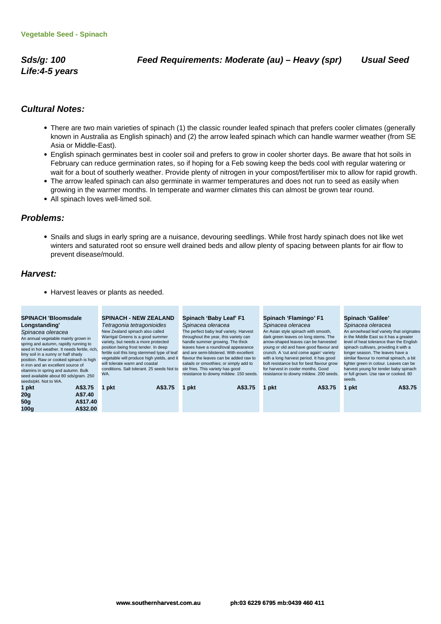**Life:4-5 years**

#### **Cultural Notes:**

- There are two main varieties of spinach (1) the classic rounder leafed spinach that prefers cooler climates (generally known in Australia as English spinach) and (2) the arrow leafed spinach which can handle warmer weather (from SE Asia or Middle-East).
- English spinach germinates best in cooler soil and prefers to grow in cooler shorter days. Be aware that hot soils in February can reduce germination rates, so if hoping for a Feb sowing keep the beds cool with regular watering or wait for a bout of southerly weather. Provide plenty of nitrogen in your compost/fertiliser mix to allow for rapid growth.
- The arrow leafed spinach can also germinate in warmer temperatures and does not run to seed as easily when growing in the warmer months. In temperate and warmer climates this can almost be grown tear round.
- All spinach loves well-limed soil.

#### **Problems:**

Snails and slugs in early spring are a nuisance, devouring seedlings. While frost hardy spinach does not like wet winters and saturated root so ensure well drained beds and allow plenty of spacing between plants for air flow to prevent disease/mould.

#### **Harvest:**

• Harvest leaves or plants as needed.

| <b>SPINACH 'Bloomsdale</b><br>Longstanding'<br>Spinacea oleracea<br>An annual vegetable mainly grown in<br>spring and autumn, rapidly running to<br>seed in hot weather. It needs fertile, rich,<br>limy soil in a sunny or half shady<br>position. Raw or cooked spinach is high<br>in iron and an excellent source of<br>vitamins in spring and autumn. Bulk<br>seed available about 80 sds/gram. 250<br>seeds/pkt. Not to WA. | <b>SPINACH - NEW ZEALAND</b><br>Tetragonia tetragonioides<br>New Zealand spinach also called<br>Warrigal Greens is a good summer<br>variety, but needs a more protected<br>position being frost tender. In deep<br>fertile soil this long stemmed type of leaf<br>vegetable will produce high yields, and it<br>will tolerate warm and coastal<br>conditions. Salt tolerant. 25 seeds Not to<br>WA. | Spinach 'Baby Leaf' F1<br>Spinacea oleracea<br>The perfect baby leaf variety. Harvest<br>throughout the year, this variety can<br>handle summer growing. The thick<br>leaves have a round/oval appearance<br>and are semi-blistered. With excellent<br>flavour the leaves can be added raw to<br>salads or smoothies; or simply add to<br>stir fries. This variety has good<br>resistance to downy mildew. 150 seeds. | Spinach 'Flamingo' F1<br>Spinacea oleracea<br>An Asian style spinach with smooth,<br>dark green leaves on long stems. The<br>arrow-shaped leaves can be harvested<br>young or old and have good flavour and<br>crunch. A 'cut and come again' variety<br>with a long harvest period. It has good<br>bolt resistance but for best flavour grow<br>for harvest in cooler months. Good<br>resistance to downy mildew. 200 seeds. | Spinach 'Galilee'<br>Spinacea oleracea<br>An arrowhead leaf variety that originates<br>in the Middle East so it has a greater<br>level of heat tolerance than the English<br>spinach cultivars, providing it with a<br>longer season. The leaves have a<br>similar flavour to normal spinach, a bit<br>lighter green in colour. Leaves can be<br>harvest young for tender baby spinach<br>or full grown. Use raw or cooked. 80<br>seeds. |
|----------------------------------------------------------------------------------------------------------------------------------------------------------------------------------------------------------------------------------------------------------------------------------------------------------------------------------------------------------------------------------------------------------------------------------|-----------------------------------------------------------------------------------------------------------------------------------------------------------------------------------------------------------------------------------------------------------------------------------------------------------------------------------------------------------------------------------------------------|-----------------------------------------------------------------------------------------------------------------------------------------------------------------------------------------------------------------------------------------------------------------------------------------------------------------------------------------------------------------------------------------------------------------------|-------------------------------------------------------------------------------------------------------------------------------------------------------------------------------------------------------------------------------------------------------------------------------------------------------------------------------------------------------------------------------------------------------------------------------|------------------------------------------------------------------------------------------------------------------------------------------------------------------------------------------------------------------------------------------------------------------------------------------------------------------------------------------------------------------------------------------------------------------------------------------|
| A\$3.75<br>1 pkt<br>A\$7.40<br>20 <sub>g</sub><br>A\$17.40<br>50 <sub>g</sub><br>A\$32.00<br>100g                                                                                                                                                                                                                                                                                                                                | A\$3.75<br>pkt                                                                                                                                                                                                                                                                                                                                                                                      | A\$3.75<br>pkt                                                                                                                                                                                                                                                                                                                                                                                                        | A\$3.75<br>pkt                                                                                                                                                                                                                                                                                                                                                                                                                | A\$3.75<br>pkt                                                                                                                                                                                                                                                                                                                                                                                                                           |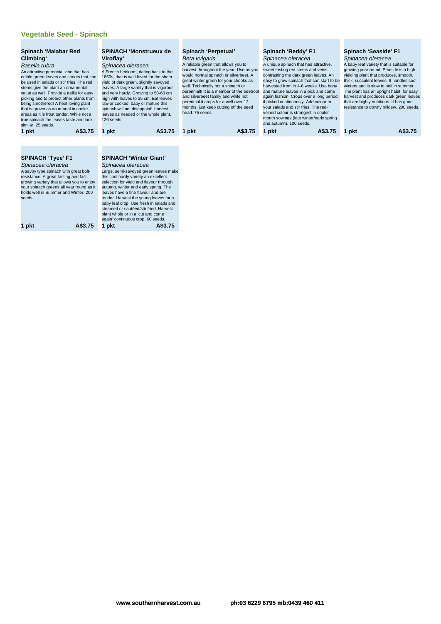#### **Vegetable Seed - Spinach**

| Spinach 'Malabar Red<br>Climbing'<br>Basella rubra<br>An attractive perennial vine that has<br>edible green leaves and shoots that can<br>be used in salads or stir fries. The red<br>stems give the plant an ornamental<br>value as well. Provide a trellis for easy<br>picking and to protect other plants from<br>being smothered! A heat loving plant<br>that is grown as an annual in cooler<br>areas as it is frost tender. While not a<br>true spinach the leaves taste and look<br>similar, 25 seeds. | <b>SPINACH 'Monstrueux de</b><br>Viroflay'<br>Spinacea oleracea<br>A French heirloom, dating back to the<br>1860s, that is well-loved for the sheer<br>yield of dark green, slightly savoyed<br>leaves. A large variety that is vigorous<br>and very hardy. Growing to 50-60 cm<br>high with leaves to 25 cm. Eat leaves<br>raw or cooked; baby or mature this<br>spinach will not disappoint! Harvest<br>leaves as needed or the whole plant.<br>120 seeds.                              | Spinach 'Perpetual'<br>Beta vulgaris<br>A reliable green that allows you to<br>harvest throughout the year. Use as you<br>would normal spinach or silverbeet. A<br>great winter green for your chooks as<br>well. Technically not a spinach or<br>perennial!! It is a member of the beetroot<br>and silverbeet family and while not<br>perennial it crops for a well over 12<br>months, just keep cutting off the seed<br>head. 75 seeds. | Spinach 'Reddy' F1<br>Spinacea oleracea<br>A unique spinach that has attractive,<br>sweet tasting red stems and veins<br>contrasting the dark green leaves. An<br>easy to grow spinach that can start to be<br>harvested from in 4-6 weeks. Use baby<br>and mature leaves in a pick and come<br>again fashion. Crops over a long period<br>if picked continuously. Add colour to<br>vour salads and stir fries. The red-<br>veined colour is strongest in cooler<br>month sowings (late winter/early spring<br>and autumn). 100 seeds. | Spinach 'Seaside' F1<br>Spinacea oleracea<br>A baby leaf variety that is suitable for<br>growing year round. Seaside is a high<br>yielding plant that produces, smooth,<br>thick, succulent leaves. It handles cool<br>winters and is slow to bolt in summer.<br>The plant has an upright habit, for easy<br>harvest and produces dark green leaves<br>that are highly nutritious. It has good<br>resistance to downy mildew. 200 seeds. |  |
|---------------------------------------------------------------------------------------------------------------------------------------------------------------------------------------------------------------------------------------------------------------------------------------------------------------------------------------------------------------------------------------------------------------------------------------------------------------------------------------------------------------|-------------------------------------------------------------------------------------------------------------------------------------------------------------------------------------------------------------------------------------------------------------------------------------------------------------------------------------------------------------------------------------------------------------------------------------------------------------------------------------------|-------------------------------------------------------------------------------------------------------------------------------------------------------------------------------------------------------------------------------------------------------------------------------------------------------------------------------------------------------------------------------------------------------------------------------------------|----------------------------------------------------------------------------------------------------------------------------------------------------------------------------------------------------------------------------------------------------------------------------------------------------------------------------------------------------------------------------------------------------------------------------------------------------------------------------------------------------------------------------------------|------------------------------------------------------------------------------------------------------------------------------------------------------------------------------------------------------------------------------------------------------------------------------------------------------------------------------------------------------------------------------------------------------------------------------------------|--|
| A\$3.75<br>1 pkt                                                                                                                                                                                                                                                                                                                                                                                                                                                                                              | A\$3.75<br>1 pkt                                                                                                                                                                                                                                                                                                                                                                                                                                                                          | A\$3.75<br>1 pkt                                                                                                                                                                                                                                                                                                                                                                                                                          | A\$3.75<br>1 pkt                                                                                                                                                                                                                                                                                                                                                                                                                                                                                                                       | A\$3.75<br>1 pkt                                                                                                                                                                                                                                                                                                                                                                                                                         |  |
| <b>SPINACH 'Tyee' F1</b><br>Spinacea oleracea<br>A savoy type spinach with great bolt-<br>resistance. A great tasting and fast<br>growing variety that allows you to enjoy<br>your spinach greens all year round as it<br>holds well in Summer and Winter, 200<br>seeds.<br>A\$3.75<br>1 pkt                                                                                                                                                                                                                  | <b>SPINACH 'Winter Giant'</b><br>Spinacea oleracea<br>Large, semi-savoyed green leaves make<br>this cool hardy variety an excellent<br>selection for yield and flavour through<br>autumn, winter and early spring. The<br>leaves have a fine flavour and are<br>tender. Harvest the young leaves for a<br>baby leaf crop. Use fresh in salads and<br>steamed or sautéed/stir fried. Harvest<br>plant whole or in a 'cut and come<br>again' continuous crop. 60 seeds.<br>1 pkt<br>A\$3.75 |                                                                                                                                                                                                                                                                                                                                                                                                                                           |                                                                                                                                                                                                                                                                                                                                                                                                                                                                                                                                        |                                                                                                                                                                                                                                                                                                                                                                                                                                          |  |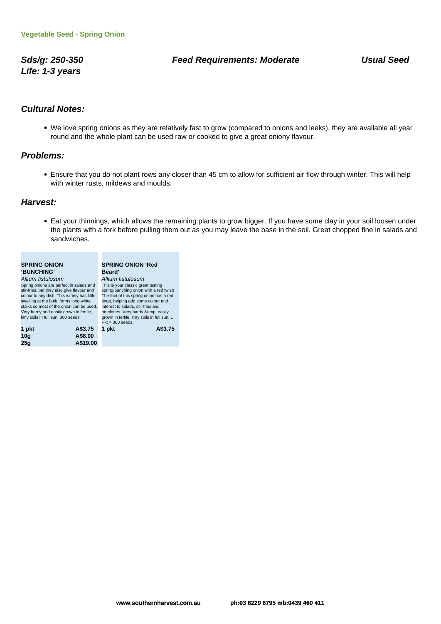**Life: 1-3 years**

### **Sds/g: 250-350 Feed Requirements: Moderate Usual Seed**

## **Cultural Notes:**

We love spring onions as they are relatively fast to grow (compared to onions and leeks), they are available all year round and the whole plant can be used raw or cooked to give a great oniony flavour.

### **Problems:**

Ensure that you do not plant rows any closer than 45 cm to allow for sufficient air flow through winter. This will help with winter rusts, mildews and moulds.

### **Harvest:**

Eat your thinnings, which allows the remaining plants to grow bigger. If you have some clay in your soil loosen under the plants with a fork before pulling them out as you may leave the base in the soil. Great chopped fine in salads and sandwiches.

| <b>SPRING ONION</b>                         | <b>SPRING ONION 'Red</b>                    |  |
|---------------------------------------------|---------------------------------------------|--|
| 'BUNCHING'                                  | <b>Beard</b> '                              |  |
| Allium fistulosum                           | Allium fistulosum                           |  |
| Spring onions are perfect in salads and     | This is your classic great tasting          |  |
| stir-fries, but they also give flavour and  | spring/bunching onion with a red twist!     |  |
| colour to any dish. This variety has little | The foot of this spring onion has a red     |  |
| swelling at the bulb, forms long white      | tinge, helping add some colour and          |  |
| stalks so most of the onion can be used.    | interest to salads, stir fries and          |  |
| Very hardy and easily grown in fertile,     | omelettes. Very hardy & easily              |  |
| limy soils in full sun. 300 seeds.          | grown in fertile, limy soils in full sun. 1 |  |
|                                             | $Pkt = 300$ seeds.                          |  |
| A\$3.75<br>1 pkt                            | A\$3.75<br>1 pkt                            |  |
| 10a                                         |                                             |  |
|                                             |                                             |  |

**25g A\$19.00**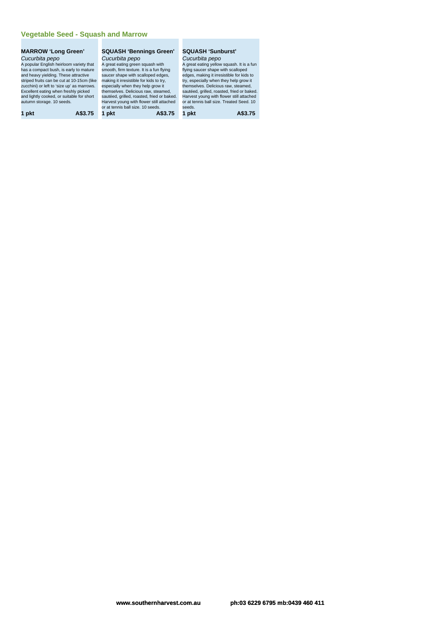### **Vegetable Seed - Squash and Marrow**

### **MARROW 'Long Green'** Cucurbita pepo

A popular English heirloom variety that has a compact bush, is early to mature and heavy yielding. These attractive striped fruits can be cut at 10-15cm (like zucchini) or left to 'size up' as marrows. Excellent eating when freshly picked and lightly cooked, or suitable for short autumn storage. 10 seeds.

**1 pkt A\$3.75 1 pkt A\$3.75 1 pkt A\$3.75**

### **SQUASH 'Bennings Green'** Cucurbita pepo

A great eating green squash with smooth, firm texture. It is a fun flying saucer shape with scalloped edges, making it irresistible for kids to try, especially when they help grow it themselves. Delicious raw, steamed, sautéed, grilled, roasted, fried or baked. Harvest young with flower still attached or at tennis ball size. 10 seeds.

## **SQUASH 'Sunburst'**

Cucurbita pepo A great eating yellow squash. It is a fun flying saucer shape with scalloped edges, making it irresistible for kids to try, especially when they help grow it themselves. Delicious raw, steamed, sautéed, grilled, roasted, fried or baked. Harvest young with flower still attached or at tennis ball size. Treated Seed. 10 seeds.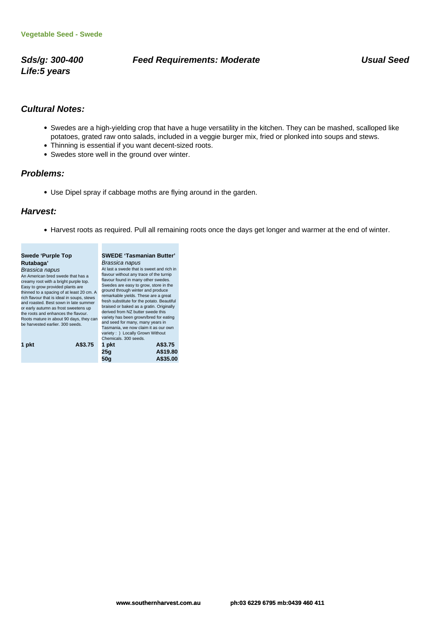**Life:5 years**

### Sds/g: 300-400 **Feed Requirements: Moderate** Money Usual Seed

## **Cultural Notes:**

- Swedes are a high-yielding crop that have a huge versatility in the kitchen. They can be mashed, scalloped like potatoes, grated raw onto salads, included in a veggie burger mix, fried or plonked into soups and stews.
- Thinning is essential if you want decent-sized roots.
- Swedes store well in the ground over winter.

### **Problems:**

Use Dipel spray if cabbage moths are flying around in the garden.

### **Harvest:**

Harvest roots as required. Pull all remaining roots once the days get longer and warmer at the end of winter.

| flavour without any trace of the turnip<br>flavour found in many other swedes.<br>Swedes are easy to grow, store in the<br>ground through winter and produce<br>remarkable yields. These are a great<br>fresh substitute for the potato. Beautiful<br>braised or baked as a gratin. Originally<br>derived from NZ butter swede this<br>variety has been grown/bred for eating<br>and seed for many, many years in<br>Tasmania, we now claim it as our own<br>variety : ) Locally Grown Without |                                                                                                   |
|------------------------------------------------------------------------------------------------------------------------------------------------------------------------------------------------------------------------------------------------------------------------------------------------------------------------------------------------------------------------------------------------------------------------------------------------------------------------------------------------|---------------------------------------------------------------------------------------------------|
| A\$3.75<br>1 pkt<br>25q                                                                                                                                                                                                                                                                                                                                                                                                                                                                        |                                                                                                   |
| thinned to a spacing of at least 20 cm. A<br>Roots mature in about 90 days, they can                                                                                                                                                                                                                                                                                                                                                                                                           | At last a swede that is sweet and rich in<br>Chemicals, 300 seeds.<br>A\$19.80<br>50a<br>A\$35.00 |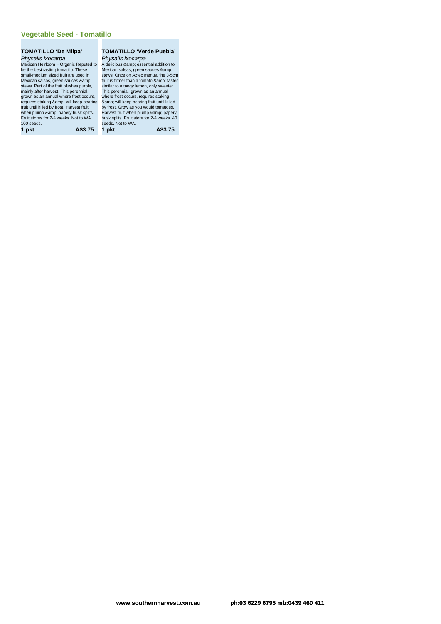### **TOMATILLO 'De Milpa'** Physalis ixocarpa

Mexican Heirloom ~ Organic Reputed to be the best tasting tomatillo. These small-medium sized fruit are used in Mexican salsas, green sauces & stews. Part of the fruit blushes purple, mainly after harvest. This perennial, grown as an annual where frost occurs, where frost occurs, requires staking<br>requires staking &amp; will keep bearing &amp; will keep bearing fruit until killed fruit until killed by frost. Harvest fruit<br>when plump &amp; papery husk splits.<br>Fruit stores for 2-4 weeks. Not to WA. 100 seeds. **1 pkt A\$3.75 1 pkt A\$3.75**

### **TOMATILLO 'Verde Puebla'**

Physalis ixocarpa A delicious & amp; essential addition to Mexican salsas, green sauces & stews. Once on Aztec menus, the 3-5cm fruit is firmer than a tomato & amp; tastes<br>similar to a tangy lemon, only sweeter. This perennial, grown as an annual by frost. Grow as you would tomatoes.<br>Harvest fruit when plump & amp; papery husk splits. Fruit store for 2-4 weeks. 40 seeds. Not to WA.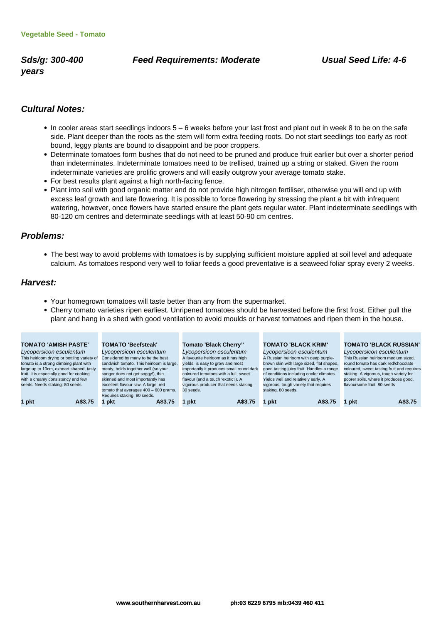**years**

### **Sds/g: 300-400 Feed Requirements: Moderate Usual Seed Life: 4-6**

## **Cultural Notes:**

- In cooler areas start seedlings indoors 5 6 weeks before your last frost and plant out in week 8 to be on the safe side. Plant deeper than the roots as the stem will form extra feeding roots. Do not start seedlings too early as root bound, leggy plants are bound to disappoint and be poor croppers.
- Determinate tomatoes form bushes that do not need to be pruned and produce fruit earlier but over a shorter period than indeterminates. Indeterminate tomatoes need to be trellised, trained up a string or staked. Given the room indeterminate varieties are prolific growers and will easily outgrow your average tomato stake.
- For best results plant against a high north-facing fence.
- Plant into soil with good organic matter and do not provide high nitrogen fertiliser, otherwise you will end up with excess leaf growth and late flowering. It is possible to force flowering by stressing the plant a bit with infrequent watering, however, once flowers have started ensure the plant gets regular water. Plant indeterminate seedlings with 80-120 cm centres and determinate seedlings with at least 50-90 cm centres.

### **Problems:**

The best way to avoid problems with tomatoes is by supplying sufficient moisture applied at soil level and adequate calcium. As tomatoes respond very well to foliar feeds a good preventative is a seaweed foliar spray every 2 weeks.

### **Harvest:**

- Your homegrown tomatoes will taste better than any from the supermarket.
- Cherry tomato varieties ripen earliest. Unripened tomatoes should be harvested before the first frost. Either pull the plant and hang in a shed with good ventilation to avoid moulds or harvest tomatoes and ripen them in the house.

| <b>TOMATO 'AMISH PASTE'</b>                 | <b>TOMATO 'Beefsteak'</b>                | <b>Tomato 'Black Cherry"</b>             | <b>TOMATO 'BLACK KRIM'</b>                | <b>TOMATO 'BLACK RUSSIAN'</b>              |
|---------------------------------------------|------------------------------------------|------------------------------------------|-------------------------------------------|--------------------------------------------|
| Lycopersicon esculentum                     | Lycopersicon esculentum                  | Lycopersicon esculentum                  | Lycopersicon esculentum                   | Lycopersicon esculentum                    |
| This heirloom drying or bottling variety of | Considered by many to be the best        | A favourite heirloom as it has high      | A Russian heirloom with deep purple-      | This Russian heirloom medium sized,        |
| tomato is a strong climbing plant with      | sandwich tomato. This heirloom is large, | yields, is easy to grow and most         | brown skin with large sized, flat shaped, | round tomato has dark red/chocolate        |
| large up to 10cm, oxheart shaped, tasty     | meaty, holds together well (so your      | importantly it produces small round dark | good tasting juicy fruit. Handles a range | coloured, sweet tasting fruit and requires |
| fruit. It is especially good for cooking    | sanger does not get soggy!), thin        | coloured tomatoes with a full, sweet     | of conditions including cooler climates.  | staking. A vigorous, tough variety for     |
| with a creamy consistency and few           | skinned and most importantly has         | flavour (and a touch 'exotic'!). A       | Yields well and relatively early. A       | poorer soils, where it produces good,      |
| seeds. Needs staking. 80 seeds              | excellent flavour raw. A large, red      | vigorous producer that needs staking.    | vigorous, tough variety that requires     | flavoursome fruit, 80 seeds                |
|                                             | tomato that averages $400 - 600$ grams.  | 30 seeds.                                | staking. 80 seeds.                        |                                            |
|                                             | Requires staking. 80 seeds.              |                                          |                                           |                                            |
| 1 pkt<br>A\$3.75                            | A\$3.75<br>1 pkt                         | A\$3.75<br>1 pkt                         | 1 pkt<br>A\$3.75                          | A\$3.75<br>1 pkt                           |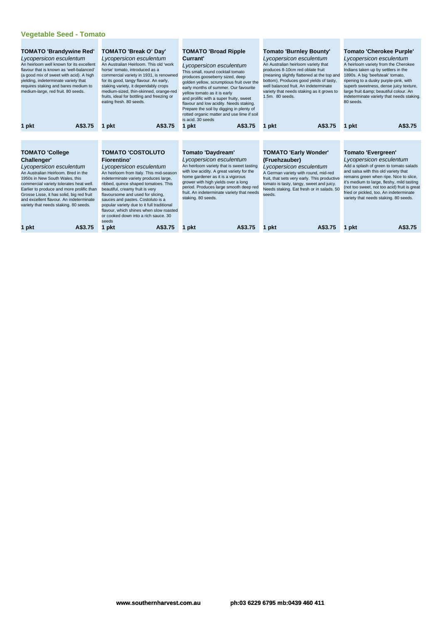| <b>TOMATO 'Brandywine Red'</b><br>Lycopersicon esculentum<br>An heirloom well known for its excellent<br>flavour that is known as 'well-balanced'<br>(a good mix of sweet with acid). A high<br>vielding, indeterminate variety that<br>requires staking and bares medium to<br>medium-large, red fruit. 80 seeds.                                                 | <b>TOMATO 'Break O' Day'</b><br>Lycopersicon esculentum<br>An Australian Heirloom. This old 'work<br>horse' tomato, introduced as a<br>commercial variety in 1931, is renowned<br>for its good, tangy flavour. An early,<br>staking variety, it dependably crops<br>medium-sized, thin-skinned, orange-red<br>fruits, ideal for bottling and freezing or<br>eating fresh. 80 seeds.                                                                          | <b>TOMATO 'Broad Ripple</b><br>Currant'<br>Lycopersicon esculentum<br>This small, round cocktail tomato<br>produces gooseberry sized, deep<br>golden yellow, scrumptious fruit over the<br>early months of summer. Our favourite<br>yellow tomato as it is early<br>and prolific with a super fruity, sweet<br>flavour and low acidity. Needs staking.<br>Prepare the soil by digging in plenty of<br>rotted organic matter and use lime if soil<br>is acid. 30 seeds | Tomato 'Burnley Bounty'<br>Lycopersicon esculentum<br>An Australian heirloom variety that<br>produces 8-10cm red oblate fruit<br>(meaning slightly flattened at the top and<br>bottom). Produces good yields of tasty,<br>well balanced fruit. An indeterminate<br>variety that needs staking as it grows to<br>1.5m. 80 seeds. | <b>Tomato 'Cherokee Purple'</b><br>Lycopersicon esculentum<br>A heirloom variety from the Cherokee<br>Indians taken up by settlers in the<br>1890s. A big 'beefsteak' tomato,<br>ripening to a dusky purple-pink, with<br>superb sweetness, dense juicy texture,<br>large fruit & beautiful colour. An<br>indeterminate variety that needs staking.<br>80 seeds.    |
|--------------------------------------------------------------------------------------------------------------------------------------------------------------------------------------------------------------------------------------------------------------------------------------------------------------------------------------------------------------------|--------------------------------------------------------------------------------------------------------------------------------------------------------------------------------------------------------------------------------------------------------------------------------------------------------------------------------------------------------------------------------------------------------------------------------------------------------------|-----------------------------------------------------------------------------------------------------------------------------------------------------------------------------------------------------------------------------------------------------------------------------------------------------------------------------------------------------------------------------------------------------------------------------------------------------------------------|---------------------------------------------------------------------------------------------------------------------------------------------------------------------------------------------------------------------------------------------------------------------------------------------------------------------------------|---------------------------------------------------------------------------------------------------------------------------------------------------------------------------------------------------------------------------------------------------------------------------------------------------------------------------------------------------------------------|
| A\$3.75                                                                                                                                                                                                                                                                                                                                                            | A\$3.75                                                                                                                                                                                                                                                                                                                                                                                                                                                      | A\$3.75                                                                                                                                                                                                                                                                                                                                                                                                                                                               | A\$3.75                                                                                                                                                                                                                                                                                                                         | A\$3.75                                                                                                                                                                                                                                                                                                                                                             |
| 1 pkt                                                                                                                                                                                                                                                                                                                                                              | 1 pkt                                                                                                                                                                                                                                                                                                                                                                                                                                                        | 1 pkt                                                                                                                                                                                                                                                                                                                                                                                                                                                                 | pkt                                                                                                                                                                                                                                                                                                                             | 1 pkt                                                                                                                                                                                                                                                                                                                                                               |
| <b>TOMATO 'College</b><br>Challenger'<br>Lycopersicon esculentum<br>An Australian Heirloom. Bred in the<br>1950s in New South Wales, this<br>commercial variety tolerates heat well.<br>Earlier to produce and more prolific than<br>Grosse Lisse, it has solid, big red fruit<br>and excellent flavour. An indeterminate<br>variety that needs staking. 80 seeds. | <b>TOMATO 'COSTOLUTO</b><br><b>Fiorentino'</b><br>Lycopersicon esculentum<br>An heirloom from Italy. This mid-season<br>indeterminate variety produces large,<br>ribbed, quince shaped tomatoes. This<br>beautiful, creamy fruit is very<br>flavoursome and used for slicing,<br>sauces and pastes. Costoluto is a<br>popular variety due to it full traditional<br>flavour, which shines when slow roasted<br>or cooked down into a rich sauce, 30<br>seeds | Tomato 'Daydream'<br>Lycopersicon esculentum<br>An heirloom variety that is sweet tasting<br>with low acidity. A great variety for the<br>home gardener as it is a vigorous<br>grower with high yields over a long<br>period. Produces large smooth deep red<br>fruit. An indeterminate variety that needs<br>staking. 80 seeds.                                                                                                                                      | <b>TOMATO 'Early Wonder'</b><br>(Fruehzauber)<br>Lycopersicon esculentum<br>A German variety with round, mid-red<br>fruit, that sets very early. This productive<br>tomato is tasty, tangy, sweet and juicy.<br>Needs staking. Eat fresh or in salads. 50<br>seeds.                                                             | <b>Tomato 'Evergreen'</b><br>Lycopersicon esculentum<br>Add a splash of green to tomato salads<br>and salsa with this old variety that<br>remains green when ripe. Nice to slice,<br>it's medium to large, fleshy, mild tasting<br>(not too sweet, not too acid) fruit is great<br>fried or pickled, too. An indeterminate<br>variety that needs staking. 80 seeds. |
| A\$3.75                                                                                                                                                                                                                                                                                                                                                            | A\$3.75                                                                                                                                                                                                                                                                                                                                                                                                                                                      | A\$3.75                                                                                                                                                                                                                                                                                                                                                                                                                                                               | A\$3.75                                                                                                                                                                                                                                                                                                                         | A\$3.75                                                                                                                                                                                                                                                                                                                                                             |
| 1 pkt                                                                                                                                                                                                                                                                                                                                                              | 1 pkt                                                                                                                                                                                                                                                                                                                                                                                                                                                        | 1 pkt                                                                                                                                                                                                                                                                                                                                                                                                                                                                 | pkt                                                                                                                                                                                                                                                                                                                             | 1 pkt                                                                                                                                                                                                                                                                                                                                                               |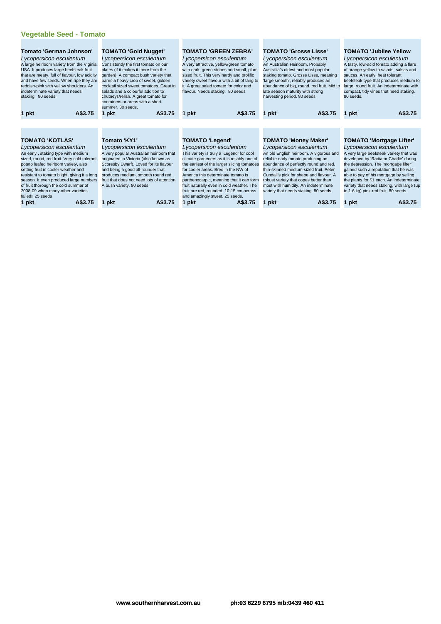| Tomato 'German Johnson'<br>Lycopersicon esculentum<br>A large heirloom variety from the Viginia,<br>USA. It produces large beefsteak fruit<br>that are meaty, full of flavour, low acidity<br>and have few seeds. When ripe they are<br>reddish-pink with yellow shoulders. An<br>indeterminate variety that needs<br>staking. 80 seeds. | <b>TOMATO 'Gold Nugget'</b><br>Lycopersicon esculentum<br>Consistently the first tomato on our<br>plates (if it makes it there from the<br>garden). A compact bush variety that<br>bares a heavy crop of sweet, golden<br>cocktail sized sweet tomatoes. Great in<br>salads and a colourful addition to<br>chutneys/relish. A great tomato for<br>containers or areas with a short<br>summer. 30 seeds. | <b>TOMATO 'GREEN ZEBRA'</b><br>Lycopersicon esculentum<br>A very attractive, yellow/green tomato<br>with dark, green stripes and small, plum-<br>sized fruit. This very hardy and prolific<br>variety sweet flavour with a bit of tang to<br>it. A great salad tomato for color and<br>flavour. Needs staking. 80 seeds | <b>TOMATO 'Grosse Lisse'</b><br>Lycopersicon esculentum<br>An Australian Heirloom. Probably<br>Australia's oldest and most popular<br>staking tomato. Grosse Lisse, meaning<br>large smooth', reliably produces an<br>abundance of big, round, red fruit. Mid to<br>late season maturity with strong<br>harvesting period. 80 seeds. | <b>TOMATO 'Jubilee Yellow</b><br>Lycopersicon esculentum<br>A tasty, low-acid tomato adding a flare<br>of orange-yellow to salads, salsas and<br>sauces. An early, heat tolerant<br>beefsteak type that produces medium to<br>large, round fruit. An indeterminate with<br>compact, tidy vines that need staking.<br>80 seeds. |
|------------------------------------------------------------------------------------------------------------------------------------------------------------------------------------------------------------------------------------------------------------------------------------------------------------------------------------------|---------------------------------------------------------------------------------------------------------------------------------------------------------------------------------------------------------------------------------------------------------------------------------------------------------------------------------------------------------------------------------------------------------|-------------------------------------------------------------------------------------------------------------------------------------------------------------------------------------------------------------------------------------------------------------------------------------------------------------------------|--------------------------------------------------------------------------------------------------------------------------------------------------------------------------------------------------------------------------------------------------------------------------------------------------------------------------------------|--------------------------------------------------------------------------------------------------------------------------------------------------------------------------------------------------------------------------------------------------------------------------------------------------------------------------------|
| A\$3.75<br>1 pkt                                                                                                                                                                                                                                                                                                                         | A\$3.75<br>1 pkt                                                                                                                                                                                                                                                                                                                                                                                        | A\$3.75<br>1 pkt                                                                                                                                                                                                                                                                                                        | A\$3.75<br>pkt<br>1                                                                                                                                                                                                                                                                                                                  | A\$3.75<br>1 pkt                                                                                                                                                                                                                                                                                                               |
|                                                                                                                                                                                                                                                                                                                                          |                                                                                                                                                                                                                                                                                                                                                                                                         |                                                                                                                                                                                                                                                                                                                         |                                                                                                                                                                                                                                                                                                                                      |                                                                                                                                                                                                                                                                                                                                |
| <b>TOMATO 'KOTLAS'</b>                                                                                                                                                                                                                                                                                                                   | Tomato 'KY1'                                                                                                                                                                                                                                                                                                                                                                                            | <b>TOMATO 'Legend'</b>                                                                                                                                                                                                                                                                                                  | <b>TOMATO 'Money Maker'</b>                                                                                                                                                                                                                                                                                                          | <b>TOMATO 'Mortgage Lifter'</b>                                                                                                                                                                                                                                                                                                |
| Lycopersicon esculentum                                                                                                                                                                                                                                                                                                                  | Lycopersicon esculentum                                                                                                                                                                                                                                                                                                                                                                                 | Lycopersicon esculentum                                                                                                                                                                                                                                                                                                 | Lycopersicon esculentum                                                                                                                                                                                                                                                                                                              | Lycopersicon esculentum                                                                                                                                                                                                                                                                                                        |
| An early, staking type with medium                                                                                                                                                                                                                                                                                                       | A very popular Australian heirloom that                                                                                                                                                                                                                                                                                                                                                                 | This variety is truly a 'Legend' for cool                                                                                                                                                                                                                                                                               | An old English heirloom. A vigorous and                                                                                                                                                                                                                                                                                              | A very large beefsteak variety that was                                                                                                                                                                                                                                                                                        |
| sized, round, red fruit. Very cold tolerant,                                                                                                                                                                                                                                                                                             | originated in Victoria (also known as                                                                                                                                                                                                                                                                                                                                                                   | climate gardeners as it is reliably one of                                                                                                                                                                                                                                                                              | reliable early tomato producing an                                                                                                                                                                                                                                                                                                   | developed by 'Radiator Charlie' during                                                                                                                                                                                                                                                                                         |
| potato leafed heirloom variety, also                                                                                                                                                                                                                                                                                                     | Scoresby Dwarf). Loved for its flavour                                                                                                                                                                                                                                                                                                                                                                  | the earliest of the larger slicing tomatoes                                                                                                                                                                                                                                                                             | abundance of perfectly round and red,                                                                                                                                                                                                                                                                                                | the depression. The 'mortgage lifter'                                                                                                                                                                                                                                                                                          |
| setting fruit in cooler weather and                                                                                                                                                                                                                                                                                                      | and being a good all-rounder that<br>produces medium, smooth round red                                                                                                                                                                                                                                                                                                                                  | for cooler areas. Bred in the NW of<br>America this determinate tomato is                                                                                                                                                                                                                                               | thin-skinned medium-sized fruit. Peter                                                                                                                                                                                                                                                                                               | gained such a reputation that he was                                                                                                                                                                                                                                                                                           |
| resistant to tomato blight, giving it a long<br>season. It even produced large numbers                                                                                                                                                                                                                                                   | fruit that does not need lots of attention.                                                                                                                                                                                                                                                                                                                                                             | parthenocarpic, meaning that it can form                                                                                                                                                                                                                                                                                | Cundall's pick for shape and flavour. A<br>robust variety that copes better than                                                                                                                                                                                                                                                     | able to pay of his mortgage by selling<br>the plants for \$1 each. An indeterminate                                                                                                                                                                                                                                            |
| of fruit thorough the cold summer of                                                                                                                                                                                                                                                                                                     | A bush variety. 80 seeds.                                                                                                                                                                                                                                                                                                                                                                               | fruit naturally even in cold weather. The                                                                                                                                                                                                                                                                               | most with humidity. An indeterminate                                                                                                                                                                                                                                                                                                 | variety that needs staking, with large (up                                                                                                                                                                                                                                                                                     |
| 2008-09 when many other varieties                                                                                                                                                                                                                                                                                                        |                                                                                                                                                                                                                                                                                                                                                                                                         | fruit are red, rounded, 10-15 cm across                                                                                                                                                                                                                                                                                 | variety that needs staking. 80 seeds.                                                                                                                                                                                                                                                                                                | to 1.6 kg) pink-red fruit. 80 seeds.                                                                                                                                                                                                                                                                                           |
| failed!! 25 seeds                                                                                                                                                                                                                                                                                                                        |                                                                                                                                                                                                                                                                                                                                                                                                         | and amazingly sweet. 25 seeds.                                                                                                                                                                                                                                                                                          |                                                                                                                                                                                                                                                                                                                                      |                                                                                                                                                                                                                                                                                                                                |
| A\$3.75<br>1 pkt                                                                                                                                                                                                                                                                                                                         | A\$3.75<br>pkt                                                                                                                                                                                                                                                                                                                                                                                          | 1 pkt<br>A\$3.75                                                                                                                                                                                                                                                                                                        | A\$3.75<br>pkt                                                                                                                                                                                                                                                                                                                       | A\$3.75<br>1 pkt                                                                                                                                                                                                                                                                                                               |

**www.southernharvest.com.au ph:03 6229 6795 mb:0439 460 411**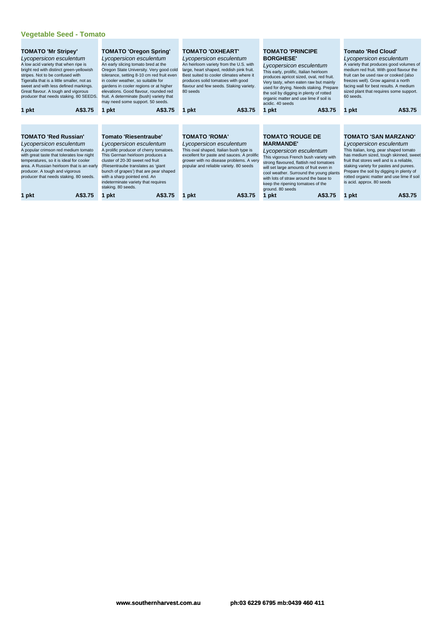| <b>TOMATO 'Mr Stripey'</b><br>Lycopersicon esculentum<br>A low acid variety that when ripe is<br>bright red with distinct green-yellowish<br>stripes. Not to be confused with<br>Tigeralla that is a little smaller, not as<br>sweet and with less defined markings.<br>Great flavour. A tough and vigorous<br>producer that needs staking. 80 SEEDS. | <b>TOMATO 'Oregon Spring'</b><br>Lycopersicon esculentum<br>An early slicing tomato bred at the<br>Oregon State University. Very good cold<br>tolerance, setting 8-10 cm red fruit even<br>in cooler weather, so suitable for<br>gardens in cooler regions or at higher<br>elevations. Good flavour, rounded red<br>fruit. A determinate (bush) variety that<br>may need some support. 50 seeds. | <b>TOMATO 'OXHEART'</b><br>Lycopersicon esculentum<br>An heirloom variety from the U.S. with<br>large, heart shaped, reddish pink fruit.<br>Best suited to cooler climates where it<br>produces solid tomatoes with good<br>flavour and few seeds. Staking variety.<br>80 seeds | <b>TOMATO 'PRINCIPE</b><br><b>BORGHESE'</b><br>Lycopersicon esculentum<br>This early, prolific, Italian heirloom<br>produces apricot sized, oval, red fruit.<br>Very tasty, when eaten raw but mainly<br>used for drying. Needs staking. Prepare<br>the soil by digging in plenty of rotted<br>organic matter and use lime if soil is<br>acidic. 40 seeds | <b>Tomato 'Red Cloud'</b><br>Lycopersicon esculentum<br>A variety that produces good volumes of<br>medium red fruit. With good flavour the<br>fruit can be used raw or cooked (also<br>freezes well). Grow against a north<br>facing wall for best results. A medium<br>sized plant that requires some support.<br>60 seeds.                             |
|-------------------------------------------------------------------------------------------------------------------------------------------------------------------------------------------------------------------------------------------------------------------------------------------------------------------------------------------------------|--------------------------------------------------------------------------------------------------------------------------------------------------------------------------------------------------------------------------------------------------------------------------------------------------------------------------------------------------------------------------------------------------|---------------------------------------------------------------------------------------------------------------------------------------------------------------------------------------------------------------------------------------------------------------------------------|-----------------------------------------------------------------------------------------------------------------------------------------------------------------------------------------------------------------------------------------------------------------------------------------------------------------------------------------------------------|----------------------------------------------------------------------------------------------------------------------------------------------------------------------------------------------------------------------------------------------------------------------------------------------------------------------------------------------------------|
| A\$3.75<br>1 pkt                                                                                                                                                                                                                                                                                                                                      | A\$3.75<br>1 pkt                                                                                                                                                                                                                                                                                                                                                                                 | A\$3.75<br>1 pkt                                                                                                                                                                                                                                                                | A\$3.75<br>1 pkt                                                                                                                                                                                                                                                                                                                                          | A\$3.75<br>1 pkt                                                                                                                                                                                                                                                                                                                                         |
|                                                                                                                                                                                                                                                                                                                                                       |                                                                                                                                                                                                                                                                                                                                                                                                  |                                                                                                                                                                                                                                                                                 |                                                                                                                                                                                                                                                                                                                                                           |                                                                                                                                                                                                                                                                                                                                                          |
| <b>TOMATO 'Red Russian'</b><br>Lycopersicon esculentum<br>A popular crimson red medium tomato<br>with great taste that tolerates low night<br>temperatures, so it is ideal for cooler<br>area. A Russian heirloom that is an early<br>producer. A tough and vigorous<br>producer that needs staking. 80 seeds.                                        | <b>Tomato 'Riesentraube'</b><br>Lycopersicon esculentum<br>A prolific producer of cherry tomatoes.<br>This German heirloom produces a<br>cluster of 20-30 sweet red fruit<br>(Riesentraube translates as 'giant<br>bunch of grapes') that are pear shaped<br>with a sharp pointed end. An<br>indeterminate variety that requires<br>staking. 80 seeds.                                           | <b>TOMATO 'ROMA'</b><br>Lycopersicon esculentum<br>This oval shaped, Italian bush type is<br>excellent for paste and sauces. A prolific<br>grower with no disease problems. A very<br>popular and reliable variety. 80 seeds                                                    | <b>TOMATO 'ROUGE DE</b><br><b>MARMANDE'</b><br>Lycopersicon esculentum<br>This vigorous French bush variety with<br>strong flavoured, flattish red tomatoes<br>will set large amounts of fruit even in<br>cool weather. Surround the young plants<br>with lots of straw around the base to<br>keep the ripening tomatoes of the<br>ground. 80 seeds       | <b>TOMATO 'SAN MARZANO'</b><br>Lycopersicon esculentum<br>This Italian, long, pear shaped tomato<br>has medium sized, tough skinned, sweet<br>fruit that stores well and is a reliable,<br>staking variety for pastes and purees.<br>Prepare the soil by digging in plenty of<br>rotted organic matter and use lime if soil<br>is acid. approx. 80 seeds |
| 1 pkt<br>A\$3.75                                                                                                                                                                                                                                                                                                                                      | A\$3.75<br>1 pkt                                                                                                                                                                                                                                                                                                                                                                                 | A\$3.75<br>pkt                                                                                                                                                                                                                                                                  | A\$3.75<br>1 pkt                                                                                                                                                                                                                                                                                                                                          | A\$3.75<br>1 pkt                                                                                                                                                                                                                                                                                                                                         |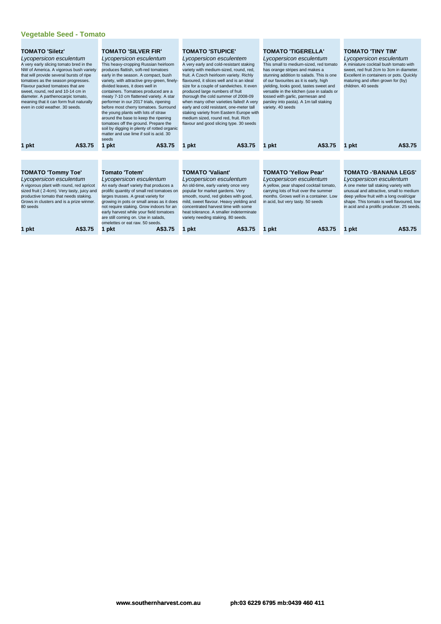| <b>TOMATO 'Siletz'</b><br>Lycopersicon esculentum<br>A very early slicing tomato bred in the<br>NW of America. A vigorous bush variety<br>that will provide several bursts of ripe<br>tomatoes as the season progresses.<br>Flavour packed tomatoes that are<br>sweet, round, red and 10-14 cm in<br>diameter. A parthenocarpic tomato,<br>meaning that it can form fruit naturally<br>even in cold weather, 30 seeds. | <b>TOMATO 'SILVER FIR'</b><br>Lycopersicon esculentum<br>This heavy-cropping Russian heirloom<br>produces flattish, soft-red tomatoes<br>early in the season. A compact, bush<br>variety, with attractive grey-green, finely-<br>divided leaves, it does well in<br>containers. Tomatoes produced are a<br>meaty 7-10 cm flattened variety. A star<br>performer in our 2017 trials, ripening<br>before most cherry tomatoes. Surround<br>the young plants with lots of straw<br>around the base to keep the ripening<br>tomatoes off the ground. Prepare the<br>soil by digging in plenty of rotted organic<br>matter and use lime if soil is acid. 30<br>seeds | <b>TOMATO 'STUPICE'</b><br>Lycopersicon esculentem<br>A very early and cold-resistant staking<br>variety with medium-sized, round, red,<br>fruit. A Czech heirloom variety. Richly<br>flavoured, it slices well and is an ideal<br>size for a couple of sandwiches. It even<br>produced large numbers of fruit<br>thorough the cold summer of 2008-09<br>when many other varieties failed! A very<br>early and cold resistant, one-meter tall<br>staking variety from Eastern Europe with<br>medium sized, round red, fruit. Rich<br>flavour and good slicing type. 30 seeds | <b>TOMATO 'TIGERELLA'</b><br>Lycopersicon esculentum<br>This small to medium-sized, red tomato<br>has orange stripes and makes a<br>stunning addition to salads. This is one<br>of our favourites as it is early, high<br>yielding, looks good, tastes sweet and<br>versatile in the kitchen (use in salads or<br>tossed with garlic, parmesan and<br>parsley into pasta). A 1m tall staking<br>variety. 40 seeds | <b>TOMATO 'TINY TIM'</b><br>Lycopersicon esculentum<br>A miniature cocktail bush tomato with<br>sweet, red fruit 2cm to 3cm in diameter.<br>Excellent in containers or pots. Quickly<br>maturing and often grown for (by)<br>children. 40 seeds                                    |
|------------------------------------------------------------------------------------------------------------------------------------------------------------------------------------------------------------------------------------------------------------------------------------------------------------------------------------------------------------------------------------------------------------------------|-----------------------------------------------------------------------------------------------------------------------------------------------------------------------------------------------------------------------------------------------------------------------------------------------------------------------------------------------------------------------------------------------------------------------------------------------------------------------------------------------------------------------------------------------------------------------------------------------------------------------------------------------------------------|------------------------------------------------------------------------------------------------------------------------------------------------------------------------------------------------------------------------------------------------------------------------------------------------------------------------------------------------------------------------------------------------------------------------------------------------------------------------------------------------------------------------------------------------------------------------------|-------------------------------------------------------------------------------------------------------------------------------------------------------------------------------------------------------------------------------------------------------------------------------------------------------------------------------------------------------------------------------------------------------------------|------------------------------------------------------------------------------------------------------------------------------------------------------------------------------------------------------------------------------------------------------------------------------------|
| A\$3.75<br>1 pkt                                                                                                                                                                                                                                                                                                                                                                                                       | A\$3.75<br>1 pkt                                                                                                                                                                                                                                                                                                                                                                                                                                                                                                                                                                                                                                                | A\$3.75<br>1 pkt                                                                                                                                                                                                                                                                                                                                                                                                                                                                                                                                                             | A\$3.75<br>1 pkt                                                                                                                                                                                                                                                                                                                                                                                                  | A\$3.75<br>1 pkt                                                                                                                                                                                                                                                                   |
|                                                                                                                                                                                                                                                                                                                                                                                                                        |                                                                                                                                                                                                                                                                                                                                                                                                                                                                                                                                                                                                                                                                 |                                                                                                                                                                                                                                                                                                                                                                                                                                                                                                                                                                              |                                                                                                                                                                                                                                                                                                                                                                                                                   |                                                                                                                                                                                                                                                                                    |
| <b>TOMATO 'Tommy Toe'</b><br>Lycopersicon esculentum<br>A vigorous plant with round, red apricot<br>sized fruit (2-4cm). Very tasty, juicy and<br>productive tomato that needs staking.<br>Grows in clusters and is a prize winner.<br>80 seeds                                                                                                                                                                        | <b>Tomato 'Totem'</b><br>Lycopersicon esculentum<br>An early dwarf variety that produces a<br>prolific quantity of small red tomatoes on<br>larges trusses. A great variety for<br>growing in pots or small areas as it does<br>not require staking. Grow indoors for an<br>early harvest while your field tomatoes<br>are still coming on. Use in salads,<br>omelettes or eat raw. 50 seeds.                                                                                                                                                                                                                                                                   | <b>TOMATO 'Valiant'</b><br>Lycopersicon esculentum<br>An old-time, early variety once very<br>popular for market gardens. Very<br>smooth, round, red globes with good,<br>mild, sweet flavour. Heavy yielding and<br>concentrated harvest time with some<br>heat tolerance. A smaller indeterminate<br>variety needing staking. 80 seeds.                                                                                                                                                                                                                                    | <b>TOMATO 'Yellow Pear'</b><br>Lycopersicon esculentum<br>A yellow, pear shaped cocktail tomato,<br>carrying lots of fruit over the summer<br>months. Grows well in a container. Low<br>in acid, but very tasty. 50 seeds                                                                                                                                                                                         | <b>TOMATO -'BANANA LEGS'</b><br>Lycopersicon esculentum<br>A one meter tall staking variety with<br>unusual and attractive, small to medium<br>deep yellow fruit with a long oval/cigar<br>shape. This tomato is well flavoured, low<br>in acid and a prolific producer. 25 seeds. |
| A\$3.75<br>1 pkt                                                                                                                                                                                                                                                                                                                                                                                                       | A\$3.75<br>1 pkt                                                                                                                                                                                                                                                                                                                                                                                                                                                                                                                                                                                                                                                | A\$3.75<br>1 pkt                                                                                                                                                                                                                                                                                                                                                                                                                                                                                                                                                             | A\$3.75<br>pkt                                                                                                                                                                                                                                                                                                                                                                                                    | A\$3.75<br>1 pkt                                                                                                                                                                                                                                                                   |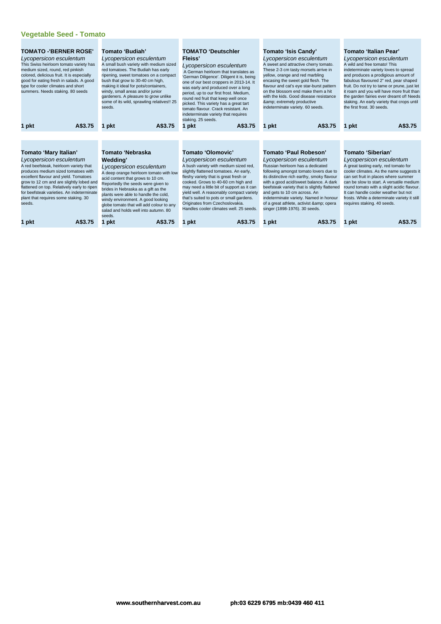| <b>TOMATO -'BERNER ROSE'</b><br>Lycopersicon esculentum<br>This Swiss heirloom tomato variety has<br>medium sized, round, red pinkish<br>colored, delicious fruit. It is especially<br>good for eating fresh in salads. A good<br>type for cooler climates and short<br>summers. Needs staking. 80 seeds                                                             | Tomato 'Budiah'<br>Lycopersicon esculentum<br>A small bush variety with medium sized<br>red tomatoes. The Budiah has early<br>ripening, sweet tomatoes on a compact<br>bush that grow to 30-40 cm high,<br>making it ideal for pots/containers,<br>windy, small areas and/or junior<br>gardeners. A pleasure to grow unlike<br>some of its wild, sprawling relatives!! 25<br>seeds.            | <b>TOMATO 'Deutschler</b><br>Fleiss'<br>Lycopersicon esculentum<br>A German heirloom that translates as<br>'German Diligence'. Diligent it is, being<br>one of our best croppers in 2013-14. It<br>was early and produced over a long<br>period, up to our first frost. Medium,<br>round red fruit that keep well once<br>picked. This variety has a great tart<br>tomato flavour. Crack resistant. An<br>indeterminate variety that requires<br>staking. 25 seeds. | Tomato 'Isis Candy'<br>Lycopersicon esculentum<br>A sweet and attractive cherry tomato.<br>These 2-3 cm tasty morsels arrive in<br>yellow, orange and red marbling<br>encasing the sweet gold flesh. The<br>flavour and cat's eye star-burst pattern<br>on the blossom end make them a hit<br>with the kids. Good disease resistance<br>& extremely productive<br>indeterminate variety. 60 seeds.                        | Tomato 'Italian Pear'<br>Lycopersicon esculentum<br>A wild and free tomato! This<br>indeterminate variety loves to spread<br>and produces a prodigious amount of<br>fabulous flavoured 2" red, pear shaped<br>fruit. Do not try to tame or prune, just let<br>it roam and you will have more fruit than<br>the garden fairies ever dreamt of! Needs<br>staking. An early variety that crops until<br>the first frost, 30 seeds. |
|----------------------------------------------------------------------------------------------------------------------------------------------------------------------------------------------------------------------------------------------------------------------------------------------------------------------------------------------------------------------|------------------------------------------------------------------------------------------------------------------------------------------------------------------------------------------------------------------------------------------------------------------------------------------------------------------------------------------------------------------------------------------------|---------------------------------------------------------------------------------------------------------------------------------------------------------------------------------------------------------------------------------------------------------------------------------------------------------------------------------------------------------------------------------------------------------------------------------------------------------------------|---------------------------------------------------------------------------------------------------------------------------------------------------------------------------------------------------------------------------------------------------------------------------------------------------------------------------------------------------------------------------------------------------------------------------|---------------------------------------------------------------------------------------------------------------------------------------------------------------------------------------------------------------------------------------------------------------------------------------------------------------------------------------------------------------------------------------------------------------------------------|
| A\$3.75<br>1 pkt                                                                                                                                                                                                                                                                                                                                                     | A\$3.75<br>pkt<br>п                                                                                                                                                                                                                                                                                                                                                                            | A\$3.75<br>1 pkt                                                                                                                                                                                                                                                                                                                                                                                                                                                    | A\$3.75<br>1 pkt                                                                                                                                                                                                                                                                                                                                                                                                          | A\$3.75<br>1 pkt                                                                                                                                                                                                                                                                                                                                                                                                                |
|                                                                                                                                                                                                                                                                                                                                                                      |                                                                                                                                                                                                                                                                                                                                                                                                |                                                                                                                                                                                                                                                                                                                                                                                                                                                                     |                                                                                                                                                                                                                                                                                                                                                                                                                           |                                                                                                                                                                                                                                                                                                                                                                                                                                 |
|                                                                                                                                                                                                                                                                                                                                                                      |                                                                                                                                                                                                                                                                                                                                                                                                |                                                                                                                                                                                                                                                                                                                                                                                                                                                                     |                                                                                                                                                                                                                                                                                                                                                                                                                           |                                                                                                                                                                                                                                                                                                                                                                                                                                 |
| Tomato 'Mary Italian'<br>Lycopersicon esculentum<br>A red beefsteak, heirloom variety that<br>produces medium sized tomatoes with<br>excellent flavour and yield. Tomatoes<br>grow to 12 cm and are slightly lobed and<br>flattened on top. Relatively early to ripen<br>for beefsteak varieties. An indeterminate<br>plant that requires some staking. 30<br>seeds. | Tomato 'Nebraska<br>Wedding'<br>Lycopersicon esculentum<br>A deep orange heirloom tomato with low<br>acid content that grows to 10 cm.<br>Reportedly the seeds were given to<br>brides in Nebraska as a gift as the<br>plants were able to handle the cold,<br>windy environment. A good looking<br>globe tomato that will add colour to any<br>salad and holds well into autumn, 80<br>seeds. | Tomato 'Olomovic'<br>Lycopersicon esculentum<br>A bush variety with medium sized red,<br>slightly flattened tomatoes. An early,<br>fleshy variety that is great fresh or<br>cooked. Grows to 40-60 cm high and<br>may need a little bit of support as it can<br>yield well. A reasonably compact variety<br>that's suited to pots or small gardens.<br>Originates from Czechoslovakia.<br>Handles cooler climates well. 25 seeds.                                   | Tomato 'Paul Robeson'<br>Lycopersicon esculentum<br>Russian heirloom has a dedicated<br>following amongst tomato lovers due to<br>its distinctive rich earthy, smoky flavour<br>with a good acid/sweet balance. A dark<br>beefsteak variety that is slightly flattened<br>and gets to 10 cm across. An<br>indeterminate variety. Named in honour<br>of a great athlete, activist & opera<br>singer (1898-1976). 30 seeds. | Tomato 'Siberian'<br>Lycopersicon esculentum<br>A great tasting early, red tomato for<br>cooler climates. As the name suggests it<br>can set fruit in places where summer<br>can be slow to start. A versatile medium<br>round tomato with a slight acidic flavour.<br>It can handle cooler weather but not<br>frosts. While a determinate variety it still<br>requires staking. 40 seeds.                                      |
| A\$3.75<br>pkt                                                                                                                                                                                                                                                                                                                                                       | A\$3.75<br>pkt                                                                                                                                                                                                                                                                                                                                                                                 | A\$3.75<br>1 pkt                                                                                                                                                                                                                                                                                                                                                                                                                                                    | A\$3.75<br>pkt<br>1                                                                                                                                                                                                                                                                                                                                                                                                       | A\$3.75<br>1 pkt                                                                                                                                                                                                                                                                                                                                                                                                                |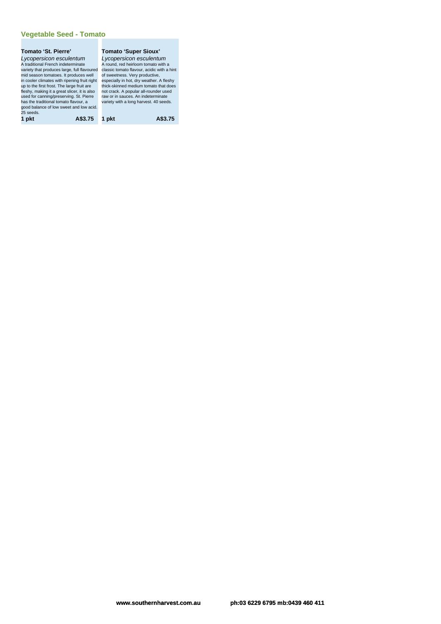### **Tomato 'St. Pierre'**

Lycopersicon esculentum A traditional French indeterminate variety that produces large, full flavoured mid season tomatoes. It produces well in cooler climates with ripening fruit right up to the first frost. The large fruit are fleshy, making it a great slicer, it is also used for canning/preserving. St. Pierre has the traditional tomato flavour, a good balance of low sweet and low acid. 25 seeds. **1 pkt A\$3.75 1 pkt A\$3.75**

**Tomato 'Super Sioux'** Lycopersicon esculentum<br>A round, red heirloom tomato with a<br>classic tomato flavour, acidic with a hint<br>of sweetness. Very productive, especially in hot, dry weather. A fleshy thick-skinned medium tomato that does not crack. A popular all-rounder used raw or in sauces. An indeterminate variety with a long harvest. 40 seeds.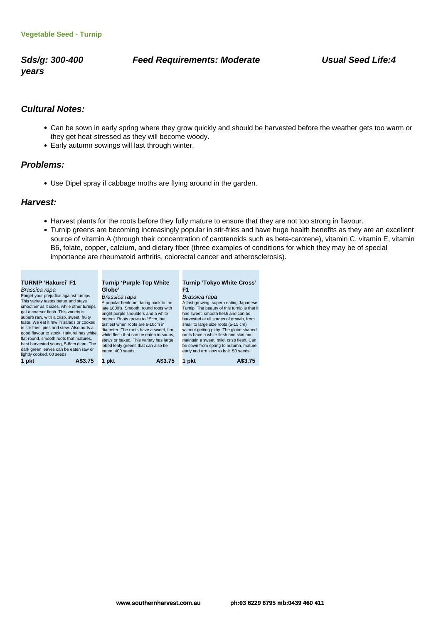**years**

### **Sds/g: 300-400 Feed Requirements: Moderate Usual Seed Life:4**

## **Cultural Notes:**

- Can be sown in early spring where they grow quickly and should be harvested before the weather gets too warm or they get heat-stressed as they will become woody.
- Early autumn sowings will last through winter.

an an

### **Problems:**

Use Dipel spray if cabbage moths are flying around in the garden.

### **Harvest:**

- Harvest plants for the roots before they fully mature to ensure that they are not too strong in flavour.
- Turnip greens are becoming increasingly popular in stir-fries and have huge health benefits as they are an excellent source of vitamin A (through their concentration of carotenoids such as beta-carotene), vitamin C, vitamin E, vitamin B6, folate, copper, calcium, and dietary fiber (three examples of conditions for which they may be of special importance are rheumatoid arthritis, colorectal cancer and atherosclerosis).

| <b>TURNIP 'Hakurei' F1</b><br>Brassica rapa                                                                                                                                                                                                                                                                                                                                                                                                                                                                   | <b>Turnip 'Purple Top White</b><br>Globe'                                                                                                                                                                                                                                                                                                                                                                   |         | Turnip 'Tokyo White Cross'<br>F1                                                                                                                                                                                                                                                                                                                        |                                                                                        |
|---------------------------------------------------------------------------------------------------------------------------------------------------------------------------------------------------------------------------------------------------------------------------------------------------------------------------------------------------------------------------------------------------------------------------------------------------------------------------------------------------------------|-------------------------------------------------------------------------------------------------------------------------------------------------------------------------------------------------------------------------------------------------------------------------------------------------------------------------------------------------------------------------------------------------------------|---------|---------------------------------------------------------------------------------------------------------------------------------------------------------------------------------------------------------------------------------------------------------------------------------------------------------------------------------------------------------|----------------------------------------------------------------------------------------|
| Forget your prejudice against turnips.<br>This variety tastes better and stays<br>smoother as it sizes, while other turnips<br>get a coarser flesh. This variety is<br>superb raw, with a crisp, sweet, fruity<br>taste. We eat it raw in salads or cooked<br>in stir fries, pies and stew. Also adds a<br>good flavour to stock. Hakurei has white,<br>flat-round, smooth roots that matures,<br>best harvested young, 5-8cm diam. The<br>dark green leaves can be eaten raw or<br>lightly cooked. 60 seeds. | Brassica rapa<br>A popular heirloom dating back to the<br>late 1800's. Smooth, round roots with<br>bright purple shoulders and a white<br>bottom. Roots grows to 15cm, but<br>tastiest when roots are 6-10cm in<br>diameter. The roots have a sweet, firm.<br>white flesh that can be eaten in soups,<br>stews or baked. This variety has large<br>lobed leafy greens that can also be<br>eaten, 400 seeds. |         | Brassica rapa<br>has sweet, smooth flesh and can be<br>harvested at all stages of growth, from<br>small to large size roots (5-15 cm)<br>without getting pithy. The globe shaped<br>roots have a white flesh and skin and<br>maintain a sweet, mild, crisp flesh. Can<br>be sown from spring to autumn, mature<br>early and are slow to bolt. 50 seeds. | A fast growing, superb eating Japanese<br>Turnip. The beauty of this turnip is that it |
| 1 pkt<br>A\$3.75                                                                                                                                                                                                                                                                                                                                                                                                                                                                                              | 1 pkt                                                                                                                                                                                                                                                                                                                                                                                                       | A\$3.75 | 1 pkt                                                                                                                                                                                                                                                                                                                                                   | A\$3.75                                                                                |

**Contract Contract**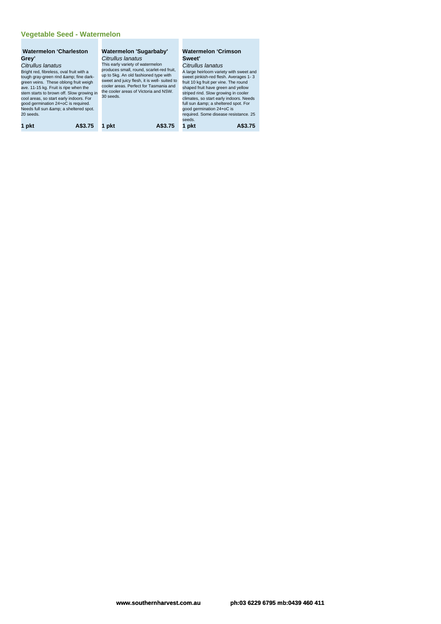# **Vegetable Seed - Watermelon**

| <b>Watermelon 'Charleston</b><br>Grey'<br>Citrullus lanatus<br>Bright red, fibreless, oval fruit with a<br>tough gray-green rind & fine dark-<br>green veins. These oblong fruit weigh<br>ave. 11-15 kg. Fruit is ripe when the<br>stem starts to brown off. Slow growing in<br>cool areas, so start early indoors. For<br>good germination 24+oC is required.<br>Needs full sun & a sheltered spot.<br>20 seeds. | Watermelon 'Sugarbaby'<br>Citrullus lanatus<br>This early variety of watermelon<br>produces small, round, scarlet-red fruit,<br>up to 5kg. An old fashioned type with<br>sweet and juicy flesh, it is well- suited to<br>cooler areas. Perfect for Tasmania and<br>the cooler areas of Victoria and NSW.<br>30 seeds. | <b>Watermelon 'Crimson</b><br>Sweet'<br>Citrullus lanatus<br>A large heirloom variety with sweet and<br>sweet pinkish-red flesh. Averages 1-3<br>fruit 10 kg fruit per vine. The round<br>shaped fruit have green and yellow<br>striped rind. Slow growing in cooler<br>climates, so start early indoors. Needs<br>full sun & a sheltered spot. For<br>good germination 24+oC is<br>required. Some disease resistance. 25<br>seeds. |
|-------------------------------------------------------------------------------------------------------------------------------------------------------------------------------------------------------------------------------------------------------------------------------------------------------------------------------------------------------------------------------------------------------------------|-----------------------------------------------------------------------------------------------------------------------------------------------------------------------------------------------------------------------------------------------------------------------------------------------------------------------|-------------------------------------------------------------------------------------------------------------------------------------------------------------------------------------------------------------------------------------------------------------------------------------------------------------------------------------------------------------------------------------------------------------------------------------|
| A\$3.75                                                                                                                                                                                                                                                                                                                                                                                                           | A\$3.75                                                                                                                                                                                                                                                                                                               | 1 pkt                                                                                                                                                                                                                                                                                                                                                                                                                               |
| 1 pkt                                                                                                                                                                                                                                                                                                                                                                                                             | 1 pkt                                                                                                                                                                                                                                                                                                                 | A\$3.75                                                                                                                                                                                                                                                                                                                                                                                                                             |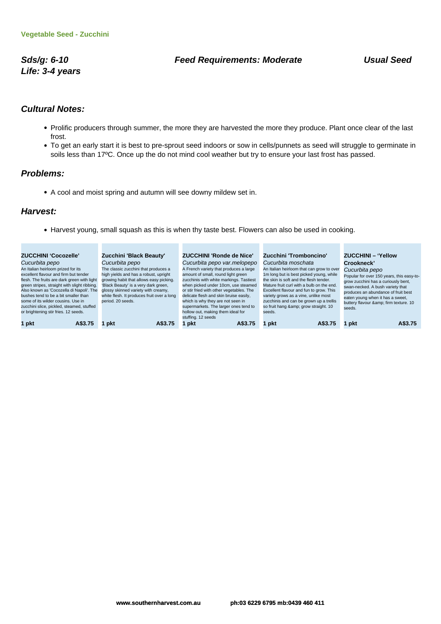**Life: 3-4 years**

## **Sds/g: 6-10 Feed Requirements: Moderate Usual Seed**

## **Cultural Notes:**

- Prolific producers through summer, the more they are harvested the more they produce. Plant once clear of the last frost.
- To get an early start it is best to pre-sprout seed indoors or sow in cells/punnets as seed will struggle to germinate in soils less than 17ºC. Once up the do not mind cool weather but try to ensure your last frost has passed.

### **Problems:**

A cool and moist spring and autumn will see downy mildew set in.

### **Harvest:**

Harvest young, small squash as this is when thy taste best. Flowers can also be used in cooking.

| <b>ZUCCHINI 'Cocozelle'</b><br>Cucurbita pepo<br>An Italian heirloom prized for its<br>excellent flavour and firm but tender<br>flesh. The fruits are dark green with light<br>green stripes, straight with slight ribbing.<br>Also known as 'Cocozella di Napoli'. The<br>bushes tend to be a bit smaller than<br>some of its wilder cousins. Use in<br>zucchini slice, pickled, steamed, stuffed<br>or brightening stir fries. 12 seeds. | Zucchini 'Black Beauty'<br>Cucurbita pepo<br>The classic zucchini that produces a<br>high yields and has a robust, upright<br>growing habit that allows easy picking.<br>'Black Beauty' is a very dark green,<br>glossy skinned variety with creamy,<br>white flesh. It produces fruit over a long<br>period, 20 seeds. | <b>ZUCCHINI 'Ronde de Nice'</b><br>Cucurbita pepo var.melopepo<br>A French variety that produces a large<br>amount of small, round light green<br>zucchinis with white markings. Tastiest<br>when picked under 10cm, use steamed<br>or stir fried with other vegetables. The<br>delicate flesh and skin bruise easily,<br>which is why they are not seen in<br>supermarkets. The larger ones tend to<br>hollow out, making them ideal for<br>stuffing. 12 seeds | Zucchini 'Tromboncino'<br>Cucurbita moschata<br>An Italian heirloom that can grow to over<br>1m long but is best picked young, while<br>the skin is soft and the flesh tender.<br>Mature fruit curl with a bulb on the end.<br>Excellent flavour and fun to grow. This<br>variety grows as a vine, unlike most<br>zucchinis and can be grown up a trellis<br>so fruit hang & grow straight. 10<br>seeds. | <b>ZUCCHINI - 'Yellow</b><br>Crookneck'<br>Cucurbita pepo<br>Popular for over 150 years, this easy-to-<br>grow zucchini has a curiously bent,<br>swan-necked. A bush variety that<br>produces an abundance of fruit best<br>eaten young when it has a sweet,<br>buttery flavour & firm texture. 10<br>seeds. |
|--------------------------------------------------------------------------------------------------------------------------------------------------------------------------------------------------------------------------------------------------------------------------------------------------------------------------------------------------------------------------------------------------------------------------------------------|-------------------------------------------------------------------------------------------------------------------------------------------------------------------------------------------------------------------------------------------------------------------------------------------------------------------------|-----------------------------------------------------------------------------------------------------------------------------------------------------------------------------------------------------------------------------------------------------------------------------------------------------------------------------------------------------------------------------------------------------------------------------------------------------------------|----------------------------------------------------------------------------------------------------------------------------------------------------------------------------------------------------------------------------------------------------------------------------------------------------------------------------------------------------------------------------------------------------------|--------------------------------------------------------------------------------------------------------------------------------------------------------------------------------------------------------------------------------------------------------------------------------------------------------------|
| 1 pkt                                                                                                                                                                                                                                                                                                                                                                                                                                      | A\$3.75                                                                                                                                                                                                                                                                                                                 | A\$3.75                                                                                                                                                                                                                                                                                                                                                                                                                                                         | 1 pkt                                                                                                                                                                                                                                                                                                                                                                                                    | A\$3.75                                                                                                                                                                                                                                                                                                      |
| A\$3.75                                                                                                                                                                                                                                                                                                                                                                                                                                    | pkt                                                                                                                                                                                                                                                                                                                     | l pkt                                                                                                                                                                                                                                                                                                                                                                                                                                                           | A\$3.75                                                                                                                                                                                                                                                                                                                                                                                                  | 1 pkt                                                                                                                                                                                                                                                                                                        |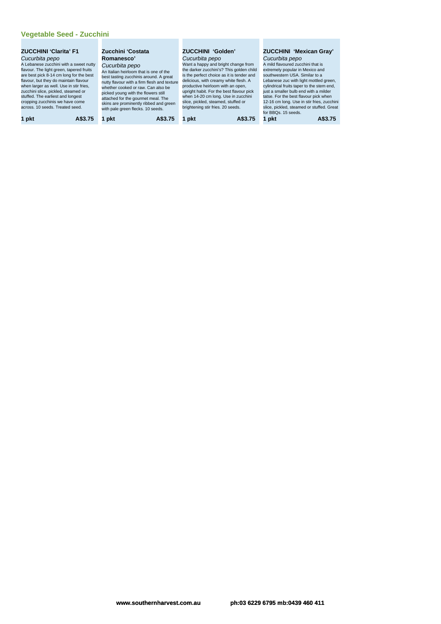# **Vegetable Seed - Zucchini**

| <b>ZUCCHINI 'Clarita' F1</b><br>Cucurbita pepo<br>A Lebanese zucchini with a sweet nutty<br>flavour. The light green, tapered fruits<br>are best pick 8-14 cm long for the best<br>flavour, but they do maintain flavour<br>when larger as well. Use in stir fries,<br>zucchini slice, pickled, steamed or<br>stuffed. The earliest and longest<br>cropping zucchinis we have come<br>across, 10 seeds. Treated seed. | Zucchini 'Costata<br>Romanesco'<br>Cucurbita pepo<br>An Italian heirloom that is one of the<br>best tasting zucchinis around. A great<br>nutty flavour with a firm flesh and texture<br>whether cooked or raw. Can also be<br>picked young with the flowers still<br>attached for the gourmet meal. The<br>skins are prominently ribbed and green<br>with pale green flecks. 10 seeds. | <b>ZUCCHINI 'Golden'</b><br>Cucurbita pepo<br>Want a happy and bright change from<br>the darker zucchini's? This golden child<br>is the perfect choice as it is tender and<br>delicious, with creamy white flesh. A<br>productive heirloom with an open,<br>upright habit. For the best flavour pick<br>when 14-20 cm long. Use in zucchini<br>slice, pickled, steamed, stuffed or<br>brightening stir fries. 20 seeds. | <b>ZUCCHINI 'Mexican Gray'</b><br>Cucurbita pepo<br>A mild flavoured zucchini that is<br>extremely popular in Mexico and<br>southwestern USA, Similar to a<br>Lebanese zuc with light mottled green.<br>cylindrical fruits taper to the stem end,<br>just a smaller bulb end with a milder<br>tatse. For the best flavour pick when<br>12-16 cm long. Use in stir fries, zucchini<br>slice, pickled, steamed or stuffed. Great<br>for BBQs, 15 seeds. |
|-----------------------------------------------------------------------------------------------------------------------------------------------------------------------------------------------------------------------------------------------------------------------------------------------------------------------------------------------------------------------------------------------------------------------|----------------------------------------------------------------------------------------------------------------------------------------------------------------------------------------------------------------------------------------------------------------------------------------------------------------------------------------------------------------------------------------|-------------------------------------------------------------------------------------------------------------------------------------------------------------------------------------------------------------------------------------------------------------------------------------------------------------------------------------------------------------------------------------------------------------------------|-------------------------------------------------------------------------------------------------------------------------------------------------------------------------------------------------------------------------------------------------------------------------------------------------------------------------------------------------------------------------------------------------------------------------------------------------------|
| 1 pkt                                                                                                                                                                                                                                                                                                                                                                                                                 | A\$3.75                                                                                                                                                                                                                                                                                                                                                                                | A\$3.75                                                                                                                                                                                                                                                                                                                                                                                                                 | A\$3.75                                                                                                                                                                                                                                                                                                                                                                                                                                               |
| A\$3.75                                                                                                                                                                                                                                                                                                                                                                                                               | pkt                                                                                                                                                                                                                                                                                                                                                                                    | 1 pkt                                                                                                                                                                                                                                                                                                                                                                                                                   | 1 pkt                                                                                                                                                                                                                                                                                                                                                                                                                                                 |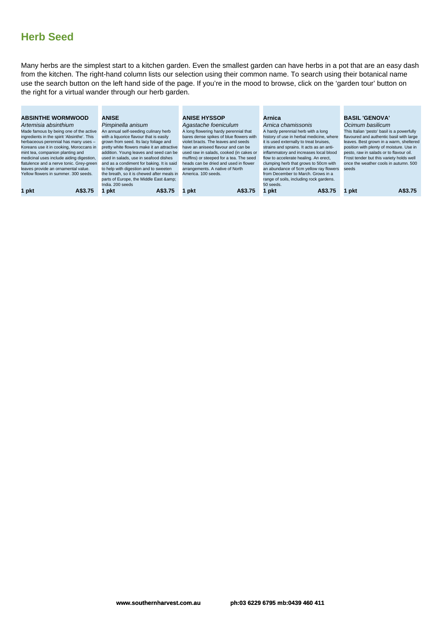Many herbs are the simplest start to a kitchen garden. Even the smallest garden can have herbs in a pot that are an easy dash from the kitchen. The right-hand column lists our selection using their common name. To search using their botanical name use the search button on the left hand side of the page. If you're in the mood to browse, click on the 'garden tour' button on the right for a virtual wander through our herb garden.

| <b>ABSINTHE WORMWOOD</b>                   | <b>ANISE</b>                               | <b>ANISE HYSSOP</b>                     | Arnica                                   | <b>BASIL 'GENOVA'</b>                      |
|--------------------------------------------|--------------------------------------------|-----------------------------------------|------------------------------------------|--------------------------------------------|
| Artemisia absinthium                       | Pimpinella anisum                          | Agastache foeniculum                    | Arnica chamissonis                       | Ocimum basilicum                           |
| Made famous by being one of the active     | An annual self-seeding culinary herb       | A long flowering hardy perennial that   | A hardy perennial herb with a long       | This Italian 'pesto' basil is a powerfully |
| ingredients in the spirit 'Absinthe'. This | with a liquorice flavour that is easily    | bares dense spikes of blue flowers with | history of use in herbal medicine, where | flavoured and authentic basil with large   |
| herbaceous perennial has many uses -       | grown from seed. Its lacy foliage and      | violet bracts. The leaves and seeds     | it is used externally to treat bruises,  | leaves. Best grown in a warm, sheltered    |
| Koreans use it in cooking, Moroccans in    | pretty white flowers make it an attractive | have an aniseed flavour and can be      | strains and sprains. It acts as an anti- | position with plenty of moisture. Use in   |
| mint tea, companion planting and           | addition. Young leaves and seed can be     | used raw in salads, cooked (in cakes or | inflammatory and increases local blood   | pesto, raw in salads or to flavour oil.    |
| medicinal uses include aiding digestion,   | used in salads, use in seafood dishes      | muffins) or steeped for a tea. The seed | flow to accelerate healing. An erect,    | Frost tender but this variety holds well   |
| flatulence and a nerve tonic. Grey-green   | and as a condiment for baking. It is said  | heads can be dried and used in flower   | clumping herb that grows to 50cm with    | once the weather cools in autumn, 500      |
| leaves provide an ornamental value.        | to help with digestion and to sweeten      | arrangements. A native of North         | an abundance of 5cm yellow ray flowers   | seeds                                      |
| Yellow flowers in summer, 300 seeds.       | the breath, so it is chewed after meals in | America, 100 seeds.                     | from December to March. Grows in a       |                                            |
|                                            | parts of Europe, the Middle East &         |                                         | range of soils, including rock gardens.  |                                            |
|                                            | India, 200 seeds                           |                                         | 50 seeds.                                |                                            |
| 1 pkt<br>A\$3.75                           | 1 pkt<br>A\$3.75                           | A\$3.75<br>pkt                          | pkt<br>A\$3.75                           | A\$3.75<br>pkt                             |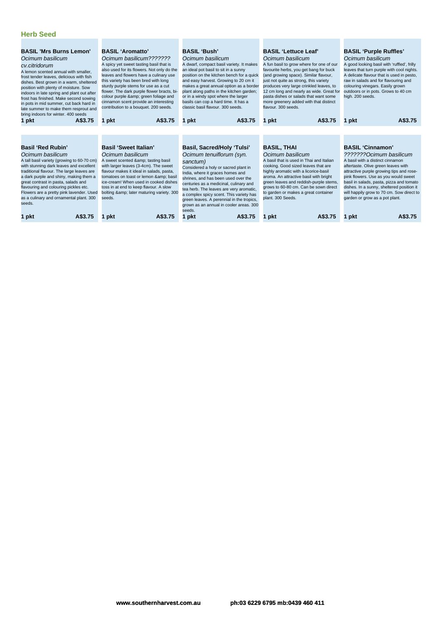| <b>BASIL 'Mrs Burns Lemon'</b><br>Ocimum basilicum<br>cv.citridorum<br>A lemon scented annual with smaller.<br>frost tender leaves, delicious with fish<br>dishes. Best grown in a warm, sheltered<br>position with plenty of moisture. Sow<br>indoors in late spring and plant out after<br>frost has finished. Make second sowing<br>in pots in mid summer, cut back hard in<br>late summer to make them resprout and<br>bring indoors for winter. 400 seeds<br>A\$3.75<br>1 pkt | <b>BASIL 'Aromatto'</b><br>Ocimum basilicum???????<br>A spicy yet sweet tasting basil that is<br>also used for its flowers. Not only do the<br>leaves and flowers have a culinary use<br>this variety has been bred with long<br>sturdy purple stems for use as a cut<br>flower. The dark purple flower bracts, bi-<br>colour purple & green foliage and<br>cinnamon scent provide an interesting<br>contribution to a bouquet. 200 seeds.<br>A\$3.75<br>1 pkt | <b>BASIL 'Bush'</b><br><b>BASIL 'Lettuce Leaf'</b><br>Ocimum basilicum<br>Ocimum basilicum<br>A fun basil to grow where for one of our<br>A dwarf, compact basil variety. It makes<br>an ideal pot basil to sit in a sunny<br>favourite herbs, you get bang for buck<br>position on the kitchen bench for a quick<br>(and growing space). Similar flavour,<br>and easy harvest. Growing to 20 cm it<br>just not quite as strong, this variety<br>makes a great annual option as a border<br>produces very large crinkled leaves, to<br>plant along paths in the kitchen garden;<br>12 cm long and nearly as wide. Great for<br>pasta dishes or salads that want some<br>or in a windy spot where the larger<br>basils can cop a hard time. It has a<br>more greenery added with that distinct<br>classic basil flavour. 300 seeds.<br>flavour, 300 seeds.<br>A\$3.75<br>A\$3.75<br>1 pkt<br>1 pkt |                                                                                                                                                                                                                                                                                                                                                                         | <b>BASIL 'Purple Ruffles'</b><br>Ocimum basilicum<br>A good looking basil with 'ruffled', frilly<br>leaves that turn purple with cool nights.<br>A delicate flavour that is used in pesto,<br>raw in salads and for flavouring and<br>colouring vinegars. Easily grown<br>outdoors or in pots. Grows to 40 cm<br>high. 200 seeds.<br>A\$3.75<br>1 pkt                                                         |
|------------------------------------------------------------------------------------------------------------------------------------------------------------------------------------------------------------------------------------------------------------------------------------------------------------------------------------------------------------------------------------------------------------------------------------------------------------------------------------|----------------------------------------------------------------------------------------------------------------------------------------------------------------------------------------------------------------------------------------------------------------------------------------------------------------------------------------------------------------------------------------------------------------------------------------------------------------|---------------------------------------------------------------------------------------------------------------------------------------------------------------------------------------------------------------------------------------------------------------------------------------------------------------------------------------------------------------------------------------------------------------------------------------------------------------------------------------------------------------------------------------------------------------------------------------------------------------------------------------------------------------------------------------------------------------------------------------------------------------------------------------------------------------------------------------------------------------------------------------------------|-------------------------------------------------------------------------------------------------------------------------------------------------------------------------------------------------------------------------------------------------------------------------------------------------------------------------------------------------------------------------|---------------------------------------------------------------------------------------------------------------------------------------------------------------------------------------------------------------------------------------------------------------------------------------------------------------------------------------------------------------------------------------------------------------|
| <b>Basil 'Red Rubin'</b><br>Ocimum basilicum<br>A tall basil variety (growing to 60-70 cm)<br>with stunning dark leaves and excellent<br>traditional flavour. The large leaves are<br>a dark purple and shiny, making them a<br>great contrast in pasta, salads and<br>flavouring and colouring pickles etc.<br>Flowers are a pretty pink lavender. Used<br>as a culinary and ornamental plant. 300<br>seeds.<br>A\$3.75<br>1 pkt                                                  | <b>Basil 'Sweet Italian'</b><br>Ocimum basilicum<br>A sweet scented & tasting basil<br>with larger leaves (3-4cm). The sweet<br>flavour makes it ideal in salads, pasta,<br>tomatoes on toast or lemon & basil<br>ice-cream! When used in cooked dishes<br>toss in at end to keep flavour. A slow<br>bolting & later maturing variety. 300<br>seeds.<br>A\$3.75<br>pkt                                                                                         | <b>Basil, Sacred/Holy 'Tulsi'</b><br>Ocimum tenuiflorum (syn.<br>sanctum)<br>Considered a holy or sacred plant in<br>India, where it graces homes and<br>shrines, and has been used over the<br>centuries as a medicinal, culinary and<br>tea herb. The leaves are very aromatic,<br>a complex spicy scent. This variety has<br>green leaves. A perennial in the tropics,<br>grown as an annual in cooler areas. 300<br>seeds.<br>1 pkt<br>A\$3.75                                                                                                                                                                                                                                                                                                                                                                                                                                                | BASIL, THAI<br>Ocimum basilicum<br>A basil that is used in Thai and Italian<br>cooking. Good sized leaves that are<br>highly aromatic with a licorice-basil<br>aroma. An attractive basil with bright<br>green leaves and reddish-purple stems,<br>grows to 60-80 cm. Can be sown direct<br>to garden or makes a great container<br>plant, 300 Seeds.<br>A\$3.75<br>pkt | <b>BASIL 'Cinnamon'</b><br>???????Ocimum basilicum<br>A basil with a distinct cinnamon<br>aftertaste. Olive green leaves with<br>attractive purple growing tips and rose-<br>pink flowers. Use as you would sweet<br>basil in salads, pasta, pizza and tomato<br>dishes. In a sunny, sheltered position it<br>will happily grow to 70 cm. Sow direct to<br>garden or grow as a pot plant.<br>A\$3.75<br>1 pkt |

**1 pkt A\$3.75 1 pkt A\$3.75 1 pkt A\$3.75 1 pkt A\$3.75 1 pkt A\$3.75**

**www.southernharvest.com.au ph:03 6229 6795 mb:0439 460 411**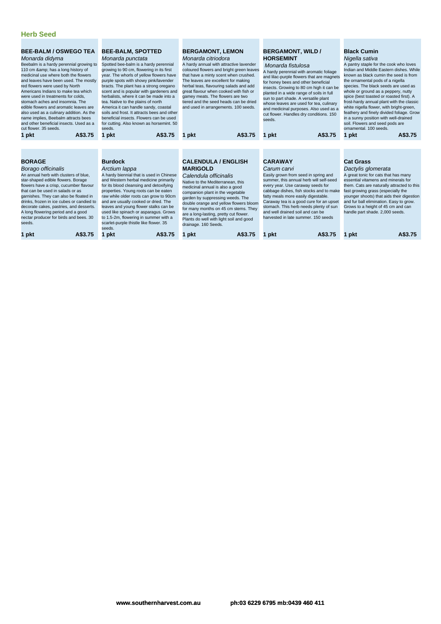| <b>BEE-BALM / OSWEGO TEA</b><br>Monarda didyma<br>Beebalm is a hardy perennial growing to<br>110 cm & has a long history of<br>medicinal use where both the flowers<br>and leaves have been used. The mostly<br>red flowers were used by North<br>Americans Indians to make tea which<br>were used in treatments for colds.<br>stomach aches and insomnia. The<br>edible flowers and aromatic leaves are<br>also used as a culinary addition. As the<br>name implies, Beebalm attracts bees<br>and other beneficial insects. Used as a<br>cut flower, 35 seeds. | <b>BEE-BALM, SPOTTED</b><br>Monarda punctata<br>Spotted bee-balm is a hardy perennial<br>growing to 90 cm, flowering in its first<br>year. The whorls of yellow flowers have<br>purple spots with showy pink/lavender<br>bracts. The plant has a strong oregano<br>scent and is popular with gardeners and<br>herbalists, where it can be made into a<br>tea. Native to the plains of north<br>America it can handle sandy, coastal<br>soils and frost. It attracts bees and other<br>beneficial insects. Flowers can be used<br>for cutting. Also known as horsemint. 50<br>seeds.                                                                                                                                                                                                                                                                                                                                                                                                                                                                                                                                                                                                                                                                                                                          | <b>BERGAMONT, LEMON</b><br>Monarda citriodora<br>A hardy annual with attractive lavender<br>coloured flowers and bright green leaves<br>that have a minty scent when crushed.<br>The leaves are excellent for making<br>herbal teas, flavouring salads and add<br>great flavour when cooked with fish or<br>gamey meats. The flowers are two<br>tiered and the seed heads can be dried<br>and used in arrangements. 100 seeds. | <b>BERGAMONT, WILD /</b><br><b>HORSEMINT</b><br>Monarda fistulosa<br>A hardy perennial with aromatic foliage<br>and lilac-purple flowers that are magnets<br>for honey bees and other beneficial<br>insects. Growing to 80 cm high it can be<br>planted in a wide range of soils in full<br>sun to part shade. A versatile plant<br>whose leaves are used for tea, culinary<br>and medicinal purposes. Also used as a<br>cut flower. Handles dry conditions. 150<br>seeds. | <b>Black Cumin</b><br>Nigella sativa<br>A pantry staple for the cook who loves<br>Indian and Middle Eastern dishes. While<br>known as black cumin the seed is from<br>the ornamental pods of a nigella<br>species. The black seeds are used as<br>whole or ground as a peppery, nutty<br>spice (best toasted or roasted first). A<br>frost-hardy annual plant with the classic<br>white nigella flower, with bright-green,<br>feathery and finely divided foliage. Grow<br>in a sunny position with well-drained<br>soil. Flowers and seed pods are<br>ornamental, 100 seeds. |  |
|-----------------------------------------------------------------------------------------------------------------------------------------------------------------------------------------------------------------------------------------------------------------------------------------------------------------------------------------------------------------------------------------------------------------------------------------------------------------------------------------------------------------------------------------------------------------|--------------------------------------------------------------------------------------------------------------------------------------------------------------------------------------------------------------------------------------------------------------------------------------------------------------------------------------------------------------------------------------------------------------------------------------------------------------------------------------------------------------------------------------------------------------------------------------------------------------------------------------------------------------------------------------------------------------------------------------------------------------------------------------------------------------------------------------------------------------------------------------------------------------------------------------------------------------------------------------------------------------------------------------------------------------------------------------------------------------------------------------------------------------------------------------------------------------------------------------------------------------------------------------------------------------|--------------------------------------------------------------------------------------------------------------------------------------------------------------------------------------------------------------------------------------------------------------------------------------------------------------------------------------------------------------------------------------------------------------------------------|----------------------------------------------------------------------------------------------------------------------------------------------------------------------------------------------------------------------------------------------------------------------------------------------------------------------------------------------------------------------------------------------------------------------------------------------------------------------------|-------------------------------------------------------------------------------------------------------------------------------------------------------------------------------------------------------------------------------------------------------------------------------------------------------------------------------------------------------------------------------------------------------------------------------------------------------------------------------------------------------------------------------------------------------------------------------|--|
| A\$3.75<br>1 pkt                                                                                                                                                                                                                                                                                                                                                                                                                                                                                                                                                | A\$3.75<br>1 pkt                                                                                                                                                                                                                                                                                                                                                                                                                                                                                                                                                                                                                                                                                                                                                                                                                                                                                                                                                                                                                                                                                                                                                                                                                                                                                             | A\$3.75<br>1 pkt                                                                                                                                                                                                                                                                                                                                                                                                               | A\$3.75<br>1 pkt                                                                                                                                                                                                                                                                                                                                                                                                                                                           | A\$3.75<br>1 pkt                                                                                                                                                                                                                                                                                                                                                                                                                                                                                                                                                              |  |
|                                                                                                                                                                                                                                                                                                                                                                                                                                                                                                                                                                 |                                                                                                                                                                                                                                                                                                                                                                                                                                                                                                                                                                                                                                                                                                                                                                                                                                                                                                                                                                                                                                                                                                                                                                                                                                                                                                              |                                                                                                                                                                                                                                                                                                                                                                                                                                |                                                                                                                                                                                                                                                                                                                                                                                                                                                                            |                                                                                                                                                                                                                                                                                                                                                                                                                                                                                                                                                                               |  |
| <b>BORAGE</b><br>Borago officinalis<br>An annual herb with clusters of blue.<br>star-shaped edible flowers. Borage<br>flowers have a crisp, cucumber flavour<br>that can be used in salads or as<br>garnishes. They can also be floated in<br>drinks, frozen in ice cubes or candied to<br>decorate cakes, pastries, and desserts.<br>A long flowering period and a good<br>nectar producer for birds and bees. 30<br>seeds.                                                                                                                                    | <b>Burdock</b><br><b>CALENDULA / ENGLISH</b><br><b>CARAWAY</b><br><b>MARIGOLD</b><br>Carum carvi<br>Arctium lappa<br>A hardy biennial that is used in Chinese<br>Easily grown from seed in spring and<br>Calendula officinalis<br>and Western herbal medicine primarily<br>summer, this annual herb will self-seed<br>Native to the Mediterranean, this<br>for its blood cleansing and detoxifying<br>every year. Use caraway seeds for<br>medicinal annual is also a good<br>properties. Young roots can be eaten<br>cabbage dishes, fish stocks and to make<br>companion plant in the vegetable<br>raw while older roots can grow to 90cm<br>fatty meals more easily digestable.<br>garden by suppressing weeds. The<br>and are usually cooked or dried. The<br>Caraway tea is a good cure for an upset<br>double orange and yellow flowers bloom<br>leaves and young flower stalks can be<br>stomach. This herb needs plenty of sun<br>for many months on 45 cm stems. They<br>used like spinach or asparagus. Grows<br>and well drained soil and can be<br>are a long-lasting, pretty cut flower.<br>to 1.5-2m, flowering in summer with a<br>harvested in late summer, 150 seeds<br>Plants do well with light soil and good<br>scarlet-purple thistle like flower. 35<br>drainage. 160 Seeds.<br>seeds. |                                                                                                                                                                                                                                                                                                                                                                                                                                | <b>Cat Grass</b><br>Dactylis glomerata<br>A great tonic for cats that has many<br>essential vitamens and minerals for<br>them. Cats are naturally attracted to this<br>fast growing grass (especially the<br>younger shoots) that aids their digestion<br>and fur ball elimination. Easy to grow.<br>Grows to a height of 45 cm and can<br>handle part shade. 2,000 seeds.                                                                                                 |                                                                                                                                                                                                                                                                                                                                                                                                                                                                                                                                                                               |  |
| A\$3.75<br>1 pkt                                                                                                                                                                                                                                                                                                                                                                                                                                                                                                                                                | 1 pkt<br>A\$3.75                                                                                                                                                                                                                                                                                                                                                                                                                                                                                                                                                                                                                                                                                                                                                                                                                                                                                                                                                                                                                                                                                                                                                                                                                                                                                             | A\$3.75<br>1 pkt                                                                                                                                                                                                                                                                                                                                                                                                               | A\$3.75<br>1 pkt                                                                                                                                                                                                                                                                                                                                                                                                                                                           | A\$3.75<br>1 pkt                                                                                                                                                                                                                                                                                                                                                                                                                                                                                                                                                              |  |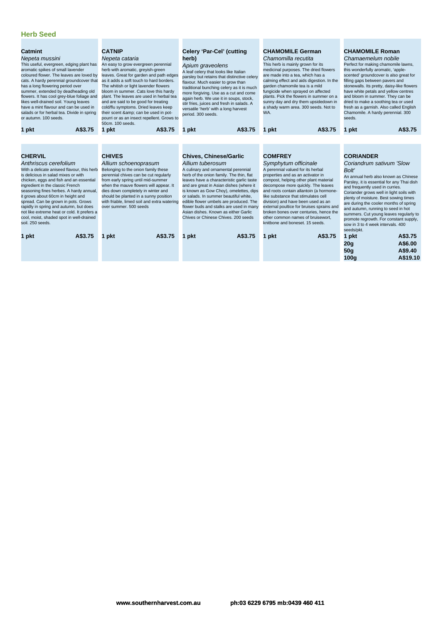| Catmint<br>Nepeta mussini<br>This useful, evergreen, edging plant has<br>aromatic spikes of small lavender<br>coloured flower. The leaves are loved by<br>cats. A hardy perennial groundcover that<br>has a long flowering period over<br>summer, extended by deadheading old<br>flowers. It has cool grey-blue foliage and<br>likes well-drained soil. Young leaves<br>have a mint flavour and can be used in<br>salads or for herbal tea. Divide in spring<br>or autumn, 100 seeds.       | A\$3.75 | <b>CATNIP</b><br>Nepeta cataria<br>An easy to grow evergreen perennial<br>herb with aromatic, greyish-green<br>leaves. Great for garden and path edges<br>as it adds a soft touch to hard borders.<br>The whitish or light lavender flowers<br>bloom in summer. Cats love this hardy<br>plant. The leaves are used in herbal tea<br>and are said to be good for treating<br>cold/flu symptoms. Dried leaves keep<br>their scent & can be used in pot-<br>pourri or as an insect repellent. Grows to<br>50cm, 100 seeds. | herb)<br>period. 300 seeds.                                                                                                                                                                                                                                                                                                                                                                                                                                                         | Celery 'Par-Cel' (cutting<br>Apium graveolens<br>A leaf celery that looks like Italian<br>parsley but retains that distinctive celery<br>flavour. Much easier to grow than<br>traditional bunching celery as it is much<br>more forgiving. Use as a cut and come<br>again herb. We use it in soups, stock,<br>stir fries, juices and fresh in salads. A<br>versatile 'herb' with a long harvest<br>A\$3.75 | <b>CHAMOMILE German</b><br>Chamomilla recutita<br>This herb is mainly grown for its<br>medicinal purposes. The dried flowers<br>are made into a tea, which has a<br>calming effect and aids digestion. In the<br>garden chamomile tea is a mild<br>fungicide when sprayed on affected<br>plants. Pick the flowers in summer on a<br>sunny day and dry them upsidedown in<br>a shady warm area. 300 seeds. Not to<br>WA.<br>A\$3.75                                                     |         | <b>CHAMOMILE Roman</b><br>Chamaemelum nobile<br>Perfect for making chamomile lawns,<br>this wonderfully aromatic, 'apple-<br>scented' groundcover is also great for<br>filling gaps between pavers and<br>stonewalls. Its pretty, daisy-like flowers<br>have white petals and yellow centres<br>and bloom in summer. They can be<br>dried to make a soothing tea or used<br>fresh as a garnish. Also called English<br>Chamomile. A hardy perennial. 300<br>seeds.<br>A\$3.75<br>1 pkt            |                                           |
|---------------------------------------------------------------------------------------------------------------------------------------------------------------------------------------------------------------------------------------------------------------------------------------------------------------------------------------------------------------------------------------------------------------------------------------------------------------------------------------------|---------|-------------------------------------------------------------------------------------------------------------------------------------------------------------------------------------------------------------------------------------------------------------------------------------------------------------------------------------------------------------------------------------------------------------------------------------------------------------------------------------------------------------------------|-------------------------------------------------------------------------------------------------------------------------------------------------------------------------------------------------------------------------------------------------------------------------------------------------------------------------------------------------------------------------------------------------------------------------------------------------------------------------------------|------------------------------------------------------------------------------------------------------------------------------------------------------------------------------------------------------------------------------------------------------------------------------------------------------------------------------------------------------------------------------------------------------------|----------------------------------------------------------------------------------------------------------------------------------------------------------------------------------------------------------------------------------------------------------------------------------------------------------------------------------------------------------------------------------------------------------------------------------------------------------------------------------------|---------|---------------------------------------------------------------------------------------------------------------------------------------------------------------------------------------------------------------------------------------------------------------------------------------------------------------------------------------------------------------------------------------------------------------------------------------------------------------------------------------------------|-------------------------------------------|
| 1 pkt                                                                                                                                                                                                                                                                                                                                                                                                                                                                                       |         | 1 pkt                                                                                                                                                                                                                                                                                                                                                                                                                                                                                                                   | A\$3.75<br>1 pkt                                                                                                                                                                                                                                                                                                                                                                                                                                                                    |                                                                                                                                                                                                                                                                                                                                                                                                            | 1 pkt                                                                                                                                                                                                                                                                                                                                                                                                                                                                                  |         |                                                                                                                                                                                                                                                                                                                                                                                                                                                                                                   |                                           |
|                                                                                                                                                                                                                                                                                                                                                                                                                                                                                             |         |                                                                                                                                                                                                                                                                                                                                                                                                                                                                                                                         |                                                                                                                                                                                                                                                                                                                                                                                                                                                                                     |                                                                                                                                                                                                                                                                                                                                                                                                            |                                                                                                                                                                                                                                                                                                                                                                                                                                                                                        |         |                                                                                                                                                                                                                                                                                                                                                                                                                                                                                                   |                                           |
| <b>CHERVIL</b><br>Anthriscus cerefolium<br>With a delicate aniseed flavour, this herb<br>is delicious in salad mixes or with<br>chicken, eggs and fish and an essential<br>ingredient in the classic French<br>seasoning fines herbes. A hardy annual,<br>it grows about 60cm in height and<br>spread. Can be grown in pots. Grows<br>rapidly in spring and autumn, but does<br>not like extreme heat or cold. It prefers a<br>cool, moist, shaded spot in well-drained<br>soil. 250 seeds. |         | <b>CHIVES</b><br>Allium schoenoprasum<br>Belonging to the onion family these<br>perennial chives can be cut regularly<br>from early spring until mid-summer<br>when the mauve flowers will appear. It<br>dies down completely in winter and<br>should be planted in a sunny position<br>with friable, limed soil and extra watering<br>over summer, 500 seeds                                                                                                                                                           | <b>Chives, Chinese/Garlic</b><br>Allium tuberosum<br>A culinary and ornamental perennial<br>herb of the onion family. The thin, flat<br>leaves have a characteristic garlic taste<br>and are great in Asian dishes (where it<br>is known as Gow Choy), omelettes, dips<br>or salads. In summer beautiful white,<br>edible flower umbels are produced. The<br>flower buds and stalks are used in many<br>Asian dishes. Known as either Garlic<br>Chives or Chinese Chives, 200 seeds |                                                                                                                                                                                                                                                                                                                                                                                                            | <b>COMFREY</b><br>Symphytum officinale<br>A perennial valued for its herbal<br>properties and as an activator in<br>compost, helping other plant material<br>decompose more quickly. The leaves<br>and roots contain allantoin (a hormone-<br>like substance that stimulates cell<br>division) and have been used as an<br>external poultice for bruises sprains and<br>broken bones over centuries, hence the<br>other common names of bruisewort,<br>knitbone and boneset. 15 seeds. |         | <b>CORIANDER</b><br>Coriandrum sativum 'Slow<br><b>Bolt'</b><br>An annual herb also known as Chinese<br>Parsley, it is essential for any Thai dish<br>and frequently used in curries.<br>Coriander grows well in light soils with<br>plenty of moisture. Best sowing times<br>are during the cooler months of spring<br>and autumn, running to seed in hot<br>summers. Cut young leaves regularly to<br>promote regrowth. For constant supply,<br>sow in 3 to 4 week intervals, 400<br>seeds/pkt. |                                           |
| 1 pkt                                                                                                                                                                                                                                                                                                                                                                                                                                                                                       | A\$3.75 | 1 pkt                                                                                                                                                                                                                                                                                                                                                                                                                                                                                                                   | A\$3.75<br>1 pkt                                                                                                                                                                                                                                                                                                                                                                                                                                                                    | A\$3.75                                                                                                                                                                                                                                                                                                                                                                                                    | 1 pkt                                                                                                                                                                                                                                                                                                                                                                                                                                                                                  | A\$3.75 | 1 pkt<br>20q<br>50q<br>100q                                                                                                                                                                                                                                                                                                                                                                                                                                                                       | A\$3.75<br>A\$6.00<br>A\$9.40<br>A\$19.10 |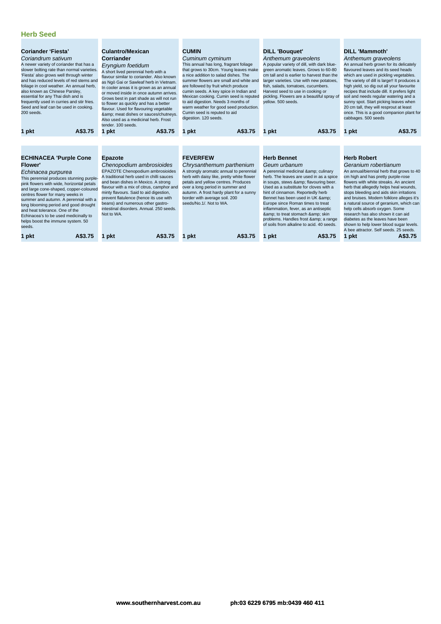| Coriander 'Fiesta'<br>Coriandrum sativum<br>A newer variety of coriander that has a<br>slower bolting rate than normal varieties.<br>'Fiesta' also grows well through winter<br>and has reduced levels of red stems and<br>foliage in cool weather. An annual herb,<br>also known as Chinese Parsley,<br>essential for any Thai dish and is<br>frequently used in curries and stir fries.<br>Seed and leaf can be used in cooking.<br>200 seeds.         | <b>Culantro/Mexican</b><br><b>Corriander</b><br>Eryngium foetidum<br>A short lived perennial herb with a<br>flavour similar to coriander. Also known<br>as Ngò Gai or Sawleaf herb in Vietnam.<br>In cooler areas it is grown as an annual<br>or moved inside in once autumn arrives.<br>Grows best in part shade as will not run<br>to flower as quickly and has a better<br>flavour. Used for flavouring vegetable<br>& meat dishes or sauces/chutneys.<br>Also used as a medicinal herb. Frost<br>tender. 100 seeds. | <b>CUMIN</b><br>Cuminum cyminum<br>This annual has long, fragrant foliage<br>that grows to 30cm. Young leaves make<br>a nice addition to salad dishes. The<br>summer flowers are small and white and<br>are followed by fruit which produce<br>cumin seeds. A key spice in Indian and<br>Mexican cooking. Cumin seed is reputed<br>to aid digestion. Needs 3 months of<br>warm weather for good seed production.<br>Cumin seed is reputed to aid<br>digestion. 120 seeds. | <b>DILL 'Bouguet'</b><br>Anthemum graveolens<br>A popular variety of dill, with dark blue-<br>green aromatic leaves. Grows to 60-80<br>cm tall and is earlier to harvest than the<br>larger varieties. Use with new potatoes,<br>fish, salads, tomatoes, cucumbers.<br>Harvest seed to use in cooking or<br>pickling. Flowers are a beautiful spray of<br>vellow. 500 seeds.                                                                                        | <b>DILL 'Mammoth'</b><br>Anthemum graveolens<br>An annual herb grown for its delicately<br>flavoured leaves and its seed heads<br>which are used in pickling vegetables.<br>The variety of dill is large!! It produces a<br>high yield, so dig out all your favourite<br>recipes that include dill. It prefers light<br>soil and needs regular watering and a<br>sunny spot. Start picking leaves when<br>20 cm tall, they will resprout at least<br>once. This is a good companion plant for<br>cabbages. 500 seeds                                  |
|----------------------------------------------------------------------------------------------------------------------------------------------------------------------------------------------------------------------------------------------------------------------------------------------------------------------------------------------------------------------------------------------------------------------------------------------------------|-------------------------------------------------------------------------------------------------------------------------------------------------------------------------------------------------------------------------------------------------------------------------------------------------------------------------------------------------------------------------------------------------------------------------------------------------------------------------------------------------------------------------|---------------------------------------------------------------------------------------------------------------------------------------------------------------------------------------------------------------------------------------------------------------------------------------------------------------------------------------------------------------------------------------------------------------------------------------------------------------------------|---------------------------------------------------------------------------------------------------------------------------------------------------------------------------------------------------------------------------------------------------------------------------------------------------------------------------------------------------------------------------------------------------------------------------------------------------------------------|-------------------------------------------------------------------------------------------------------------------------------------------------------------------------------------------------------------------------------------------------------------------------------------------------------------------------------------------------------------------------------------------------------------------------------------------------------------------------------------------------------------------------------------------------------|
| A\$3.75<br>1 pkt                                                                                                                                                                                                                                                                                                                                                                                                                                         | A\$3.75<br>1 pkt                                                                                                                                                                                                                                                                                                                                                                                                                                                                                                        | A\$3.75<br>1 pkt                                                                                                                                                                                                                                                                                                                                                                                                                                                          | A\$3.75<br>1 pkt                                                                                                                                                                                                                                                                                                                                                                                                                                                    | A\$3.75<br>1 pkt                                                                                                                                                                                                                                                                                                                                                                                                                                                                                                                                      |
|                                                                                                                                                                                                                                                                                                                                                                                                                                                          |                                                                                                                                                                                                                                                                                                                                                                                                                                                                                                                         |                                                                                                                                                                                                                                                                                                                                                                                                                                                                           |                                                                                                                                                                                                                                                                                                                                                                                                                                                                     |                                                                                                                                                                                                                                                                                                                                                                                                                                                                                                                                                       |
| <b>ECHINACEA 'Purple Cone</b><br><b>Flower'</b><br>Echinacea purpurea<br>This perennial produces stunning purple-<br>pink flowers with wide, horizontal petals<br>and large cone-shaped, copper-coloured<br>centres flower for many weeks in<br>summer and autumn. A perennial with a<br>long blooming period and good drought<br>and heat tolerance. One of the<br>Echinacea's to be used medicinally to<br>helps boost the immune system. 50<br>seeds. | <b>Epazote</b><br>Chenopodium ambrosioides<br>EPAZOTE Chenopodium ambrosioides<br>A traditional herb used in chilli sauces<br>and bean dishes in Mexico. A strong<br>flavour with a mix of citrus, camphor and<br>minty flavours. Said to aid digestion,<br>prevent flatulence (hence its use with<br>beans) and numerous other gastro-<br>intestinal disorders. Annual, 250 seeds.<br>Not to WA.                                                                                                                       | <b>FEVERFEW</b><br>Chrysanthemum parthenium<br>A strongly aromatic annual to perennial<br>herb with daisy like, pretty white flower<br>petals and yellow centres. Produces<br>over a long period in summer and<br>autumn. A frost hardy plant for a sunny<br>border with average soil. 200<br>seeds/No.1/. Not to WA.                                                                                                                                                     | <b>Herb Bennet</b><br>Geum urbanum<br>A perennial medicinal & culinary<br>herb. The leaves are used in as a spice<br>in soups, stews & flavouring beer.<br>Used as a substitute for cloves with a<br>hint of cinnamon. Reportedly herb<br>Bennet has been used in UK &<br>Europe since Roman times to treat<br>inflammation, fever, as an antiseptic<br>& to treat stomach & skin<br>problems. Handles frost & a range<br>of soils from alkaline to acid. 40 seeds. | <b>Herb Robert</b><br>Geranium robertianum<br>An annual/biennial herb that grows to 40<br>cm high and has pretty purple-rose<br>flowers with white streaks. An ancient<br>herb that allegedly helps heal wounds,<br>stops bleeding and aids skin irritations<br>and bruises. Modern folklore alleges it's<br>a natural source of geranium, which can<br>help cells absorb oxygen. Some<br>research has also shown it can aid<br>diabetes as the leaves have been<br>shown to help lower blood sugar levels.<br>A bee attractor. Self seeds, 25 seeds. |
| A\$3.75<br>1 pkt                                                                                                                                                                                                                                                                                                                                                                                                                                         | A\$3.75<br>pkt                                                                                                                                                                                                                                                                                                                                                                                                                                                                                                          | pkt<br>A\$3.75                                                                                                                                                                                                                                                                                                                                                                                                                                                            | A\$3.75<br>1 pkt                                                                                                                                                                                                                                                                                                                                                                                                                                                    | A\$3.75<br>1 pkt                                                                                                                                                                                                                                                                                                                                                                                                                                                                                                                                      |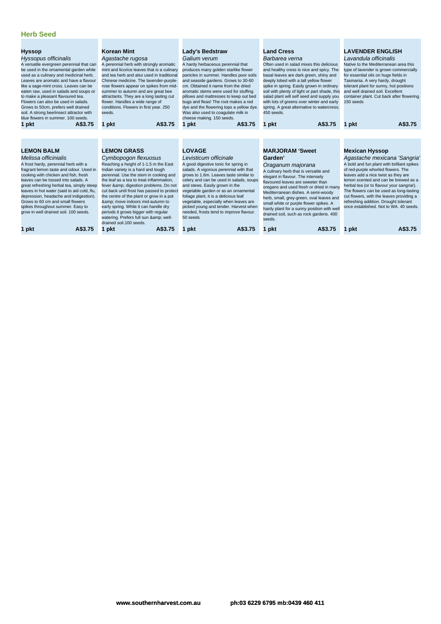| Hyssopus officinalis<br>A versatile evergreen perennial that can<br>be used in the ornamental garden while<br>used as a culinary and medicinal herb.<br>Leaves are aromatic and have a flavour<br>like a sage-mint cross. Leaves can be<br>eaten raw, used in salads and soups or<br>to make a pleasant flavoured tea.<br>Flowers can also be used in salads.<br>Grows to 50cm, prefers well drained<br>soil. A strong bee/insect attractor with<br>blue flowers in summer, 100 seeds.<br>A\$3.75<br>1 pkt | Agastache rugosa<br>A perennial herb with strongly aromatic<br>mint and licorice leaves that is a culinary<br>and tea herb and also used in traditional<br>Chinese medicine. The lavender-purple-<br>rose flowers appear on spikes from mid-<br>summer to autumn and are great bee<br>attractants. They are a long lasting cut<br>flower. Handles a wide range of<br>conditions. Flowers in first year. 250<br>seeds.<br>A\$3.75<br>1 pkt                                                                                                             | Galium verum<br>A hardy herbaceous perennial that<br>produces many golden starlike flower<br>panicles in summer. Handles poor soils<br>and seaside gardens. Grows to 30-60<br>cm. Obtained it name from the dried<br>aromatic stems were used for stuffing<br>pillows and mattresses to keep out bed<br>bugs and fleas! The root makes a red<br>dye and the flowering tops a yellow dye.<br>Was also used to coagulate milk in<br>cheese making. 150 seeds.<br>A\$3.75<br>1 pkt               | Barbarea verna<br>Often used in salad mixes this delicious<br>and healthy cress is nice and spicy. The<br>basal leaves are dark green, shiny and<br>deeply lobed with a tall yellow flower<br>spike in spring. Easily grown in ordinary<br>soil with plenty of light or part shade, this<br>salad plant will self seed and supply you<br>with lots of greens over winter and early<br>spring. A great alternative to watercress.<br>450 seeds.<br>A\$3.75<br>1 pkt      | Lavandula officinalis<br>Native to the Mediterranean area this<br>type of lavender is grown commercially<br>for essential oils on huge fields in<br>Tasmania. A very hardy, drought<br>tolerant plant for sunny, hot positions<br>and well drained soil. Excellent<br>container plant. Cut back after flowering.<br>150 seeds<br>A\$3.75<br>1 pkt                                                                                                                   |
|------------------------------------------------------------------------------------------------------------------------------------------------------------------------------------------------------------------------------------------------------------------------------------------------------------------------------------------------------------------------------------------------------------------------------------------------------------------------------------------------------------|-------------------------------------------------------------------------------------------------------------------------------------------------------------------------------------------------------------------------------------------------------------------------------------------------------------------------------------------------------------------------------------------------------------------------------------------------------------------------------------------------------------------------------------------------------|-----------------------------------------------------------------------------------------------------------------------------------------------------------------------------------------------------------------------------------------------------------------------------------------------------------------------------------------------------------------------------------------------------------------------------------------------------------------------------------------------|-------------------------------------------------------------------------------------------------------------------------------------------------------------------------------------------------------------------------------------------------------------------------------------------------------------------------------------------------------------------------------------------------------------------------------------------------------------------------|---------------------------------------------------------------------------------------------------------------------------------------------------------------------------------------------------------------------------------------------------------------------------------------------------------------------------------------------------------------------------------------------------------------------------------------------------------------------|
|                                                                                                                                                                                                                                                                                                                                                                                                                                                                                                            |                                                                                                                                                                                                                                                                                                                                                                                                                                                                                                                                                       |                                                                                                                                                                                                                                                                                                                                                                                                                                                                                               |                                                                                                                                                                                                                                                                                                                                                                                                                                                                         |                                                                                                                                                                                                                                                                                                                                                                                                                                                                     |
| <b>LEMON BALM</b><br>Melissa officinialis<br>A frost hardy, perennial herb with a<br>fragrant lemon taste and odour. Used in<br>cooking with chicken and fish, fresh<br>leaves can be tossed into salads. A<br>great refreshing herbal tea, simply steep<br>leaves in hot water (said to aid cold, flu,<br>depression, headache and indigestion).<br>Grows to 60 cm and small flowers<br>spikes throughout summer. Easy to<br>grow in well drained soil. 100 seeds.<br>A\$3.75<br>1 pkt                    | <b>LEMON GRASS</b><br>Cymbopogon flexuosus<br>Reaching a height of 1-1.5 m the East<br>Indian variety is a hard and tough<br>perennial. Use the stem in cooking and<br>the leaf as a tea to treat inflammation.<br>fever & digestion problems. Do not<br>cut back until frost has passed to protect<br>the centre of the plant or grow in a pot<br>& move indoors mid-autumn to<br>early spring. While it can handle dry<br>periods it grows bigger with regular<br>watering. Prefers full sun & well-<br>drained soil.100 seeds.<br>A\$3.75<br>1 pkt | <b>LOVAGE</b><br>Levisticum officinale<br>A good digestive tonic for spring in<br>salads. A vigorous perennial with that<br>grows to 1.6m. Leaves taste similar to<br>celery and can be used in salads, soups<br>and stews. Easily grown in the<br>vegetable garden or as an ornamental<br>foliage plant, it is a delicious leaf<br>vegetable, especially when leaves are<br>picked young and tender. Harvest when<br>needed, frosts tend to improve flavour.<br>50 seeds<br>A\$3.75<br>1 pkt | <b>MARJORAM 'Sweet</b><br>Garden'<br>Oraganum majorana<br>A culinary herb that is versatile and<br>elegant in flavour. The intensely<br>flavoured leaves are sweeter than<br>oregano and used fresh or dried in many<br>Mediterranean dishes. A semi-woody<br>herb, small, grey-green, oval leaves and<br>small white or purple flower spikes. A<br>hardy plant for a sunny position with well<br>drained soil, such as rock gardens. 400<br>seeds.<br>A\$3.75<br>1 pkt | <b>Mexican Hyssop</b><br>Agastache mexicana 'Sangria'<br>A bold and fun plant with brilliant spikes<br>of red-purple whorled flowers. The<br>leaves add a nice twist as they are<br>lemon scented and can be brewed as a<br>herbal tea (or to flavour your sangria!).<br>The flowers can be used as long-lasting<br>cut flowers, with the leaves providing a<br>refreshing addition. Drought tolerant<br>once established. Not to WA, 40 seeds.<br>A\$3.75<br>1 pkt |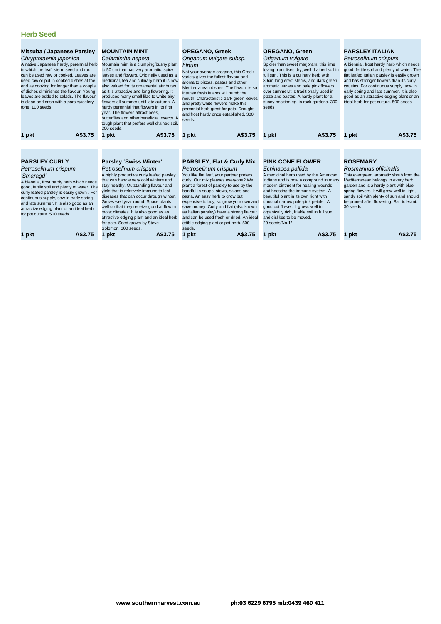| Mitsuba / Japanese Parsley<br>Chryptotaenia japonica<br>A native Japanese hardy, perennial herb<br>in which the leaf, stem, seed and root<br>can be used raw or cooked. Leaves are<br>used raw or put in cooked dishes at the<br>end as cooking for longer than a couple<br>of dishes diminishes the flavour. Young<br>leaves are added to salads. The flavour<br>is clean and crisp with a parsley/celery<br>tone. 100 seeds. | <b>MOUNTAIN MINT</b><br>Calamintha nepeta<br>Mountain mint is a clumping/bushy plant<br>to 50 cm that has very aromatic, spicy<br>leaves and flowers. Originally used as a<br>medicinal, tea and culinary herb it is now<br>also valued for its ornamental attributes<br>as it is attractive and long flowering. It<br>produces many small lilac to white airy<br>flowers all summer until late autumn. A<br>hardy perennial that flowers in its first<br>year. The flowers attract bees,<br>butterflies and other beneficial insects. A<br>tough plant that prefers well drained soil.<br>200 seeds. | <b>OREGANO, Greek</b><br>Origanum vulgare subsp.<br>hirtum<br>Not your average oregano, this Greek<br>variety gives the fullest flavour and<br>aroma to pizzas, pastas and other<br>Mediterranean dishes. The flavour is so<br>intense fresh leaves will numb the<br>mouth. Characteristic dark green leaves<br>and pretty white flowers make this<br>perennial herb great for pots. Drought<br>and frost hardy once established. 300<br>seeds.                                                     | <b>OREGANO, Green</b><br>Origanum vulgare<br>Spicier than sweet marjoram, this lime<br>loving plant likes dry, well drained soil in<br>full sun. This is a culinary herb with<br>80cm long erect stems, and dark green<br>aromatic leaves and pale pink flowers<br>over summer. It is traditionally used in<br>pizza and pastas. A hardy plant for a<br>sunny position eq. in rock gardens. 300<br>seeds | <b>PARSLEY ITALIAN</b><br>Petroselinum crispum<br>A biennial, frost hardy herb which needs<br>good, fertile soil and plenty of water. The<br>flat leafed Italian parsley is easily grown<br>and has stronger flowers than its curly<br>cousins. For continuous supply, sow in<br>early spring and late summer. It is also<br>good as an attractive edging plant or an<br>ideal herb for pot culture. 500 seeds |
|--------------------------------------------------------------------------------------------------------------------------------------------------------------------------------------------------------------------------------------------------------------------------------------------------------------------------------------------------------------------------------------------------------------------------------|-------------------------------------------------------------------------------------------------------------------------------------------------------------------------------------------------------------------------------------------------------------------------------------------------------------------------------------------------------------------------------------------------------------------------------------------------------------------------------------------------------------------------------------------------------------------------------------------------------|-----------------------------------------------------------------------------------------------------------------------------------------------------------------------------------------------------------------------------------------------------------------------------------------------------------------------------------------------------------------------------------------------------------------------------------------------------------------------------------------------------|----------------------------------------------------------------------------------------------------------------------------------------------------------------------------------------------------------------------------------------------------------------------------------------------------------------------------------------------------------------------------------------------------------|----------------------------------------------------------------------------------------------------------------------------------------------------------------------------------------------------------------------------------------------------------------------------------------------------------------------------------------------------------------------------------------------------------------|
| A\$3.75<br>1 pkt                                                                                                                                                                                                                                                                                                                                                                                                               | A\$3.75<br>1 pkt                                                                                                                                                                                                                                                                                                                                                                                                                                                                                                                                                                                      | A\$3.75<br>1 pkt                                                                                                                                                                                                                                                                                                                                                                                                                                                                                    | A\$3.75<br>1 pkt                                                                                                                                                                                                                                                                                                                                                                                         | A\$3.75<br>1 pkt                                                                                                                                                                                                                                                                                                                                                                                               |
|                                                                                                                                                                                                                                                                                                                                                                                                                                |                                                                                                                                                                                                                                                                                                                                                                                                                                                                                                                                                                                                       |                                                                                                                                                                                                                                                                                                                                                                                                                                                                                                     |                                                                                                                                                                                                                                                                                                                                                                                                          |                                                                                                                                                                                                                                                                                                                                                                                                                |
| <b>PARSLEY CURLY</b><br>Petroselinum crispum<br>'Smaragd'<br>A biennial, frost hardy herb which needs<br>good, fertile soil and plenty of water. The<br>curly leafed parsley is easily grown. For<br>continuous supply, sow in early spring<br>and late summer. It is also good as an<br>attractive edging plant or an ideal herb<br>for pot culture. 500 seeds                                                                | <b>Parsley 'Swiss Winter'</b><br>Petroselinum crispum<br>A highly productive curly leafed parsley<br>that can handle very cold winters and<br>stay healthy. Outstanding flavour and<br>yield that is relatively immune to leaf<br>diseases that can occur through winter.<br>Grows well year round. Space plants<br>well so that they receive good airflow in<br>moist climates. It is also good as an<br>attractive edging plant and an ideal herb<br>for pots. Seed grown by Steve<br>Solomon, 300 seeds.                                                                                           | <b>PARSLEY, Flat &amp; Curly Mix</b><br>Petroselinum crispum<br>You like flat leaf, your partner prefers<br>curly. Our mix pleases everyone? We<br>plant a forest of parsley to use by the<br>handful in soups, stews, salads and<br>pasta. An easy herb to grow but<br>expensive to buy, so grow your own and<br>save money. Curly and flat (also known<br>as Italian parsley) have a strong flavour<br>and can be used fresh or dried. An ideal<br>edible edging plant or pot herb. 500<br>seeds. |                                                                                                                                                                                                                                                                                                                                                                                                          | <b>ROSEMARY</b><br>Rosmarinus officinalis<br>This evergreen, aromatic shrub from the<br>Mediterranean belongs in every herb<br>garden and is a hardy plant with blue<br>spring flowers. It will grow well in light,<br>sandy soil with plenty of sun and should<br>be pruned after flowering. Salt tolerant.<br>30 seeds                                                                                       |
| 1 pkt<br>A\$3.75                                                                                                                                                                                                                                                                                                                                                                                                               | 1 pkt<br>A\$3.75                                                                                                                                                                                                                                                                                                                                                                                                                                                                                                                                                                                      | A\$3.75<br>1 pkt                                                                                                                                                                                                                                                                                                                                                                                                                                                                                    | A\$3.75<br>pkt                                                                                                                                                                                                                                                                                                                                                                                           | A\$3.75<br>pkt                                                                                                                                                                                                                                                                                                                                                                                                 |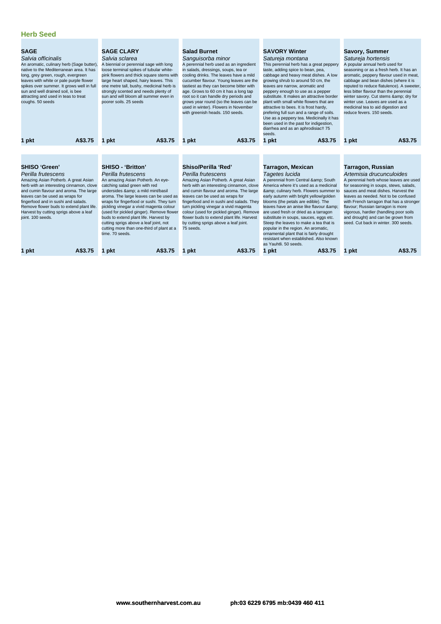| <b>SAGE</b><br>Salvia officinalis<br>An aromatic, culinary herb (Sage butter),<br>native to the Mediterranean area. It has<br>long, grey green, rough, evergreen<br>leaves with white or pale purple flower<br>spikes over summer. It grows well in full<br>sun and well drained soil, is bee<br>attracting and used in teas to treat<br>coughs. 50 seeds | <b>SAGE CLARY</b><br>Salvia sclarea<br>A biennial or perennial sage with long<br>loose terminal spikes of tubular white-<br>pink flowers and thick square stems with<br>large heart shaped, hairy leaves. This<br>one metre tall, bushy, medicinal herb is<br>strongly scented and needs plenty of<br>sun and will bloom all summer even in<br>poorer soils, 25 seeds                                                                                                                                                                                                                                                                                                                                                                                                                                                                                                                                                | <b>Salad Burnet</b><br>Sanguisorba minor<br>A perennial herb used as an ingredient<br>in salads, dressings, soups, tea or<br>cooling drinks. The leaves have a mild<br>cucumber flavour. Young leaves are the<br>tastiest as they can become bitter with<br>age. Grows to 60 cm it has a long tap<br>root so it can handle dry periods and<br>grows year round (so the leaves can be<br>used in winter). Flowers in November<br>with greenish heads. 150 seeds. | <b>SAVORY Winter</b><br>Satureja montana<br>This perennial herb has a great peppery<br>taste, adding spice to bean, pea,<br>cabbage and heavy meat dishes. A low<br>growing shrub to around 50 cm, the<br>leaves are narrow, aromatic and<br>peppery enough to use as a pepper<br>substitute. It makes an attractive border<br>plant with small white flowers that are<br>attractive to bees. It is frost hardy,<br>prefering full sun and a range of soils.<br>Use as a peppery tea. Medicinally it has<br>been used in the past for indigestion,<br>diarrhea and as an aphrodisiac!! 75<br>seeds. | <b>Savory, Summer</b><br>Satureja hortensis<br>A popular annual herb used for<br>seasoning or as a fresh herb. It has an<br>aromatic, peppery flavour used in meat,<br>cabbage and bean dishes (where it is<br>reputed to reduce flatulence). A sweeter,<br>less bitter flavour than the perennial<br>winter savory. Cut stems & dry for<br>winter use. Leaves are used as a<br>medicinal tea to aid digestion and<br>reduce fevers, 150 seeds. |
|-----------------------------------------------------------------------------------------------------------------------------------------------------------------------------------------------------------------------------------------------------------------------------------------------------------------------------------------------------------|----------------------------------------------------------------------------------------------------------------------------------------------------------------------------------------------------------------------------------------------------------------------------------------------------------------------------------------------------------------------------------------------------------------------------------------------------------------------------------------------------------------------------------------------------------------------------------------------------------------------------------------------------------------------------------------------------------------------------------------------------------------------------------------------------------------------------------------------------------------------------------------------------------------------|-----------------------------------------------------------------------------------------------------------------------------------------------------------------------------------------------------------------------------------------------------------------------------------------------------------------------------------------------------------------------------------------------------------------------------------------------------------------|-----------------------------------------------------------------------------------------------------------------------------------------------------------------------------------------------------------------------------------------------------------------------------------------------------------------------------------------------------------------------------------------------------------------------------------------------------------------------------------------------------------------------------------------------------------------------------------------------------|-------------------------------------------------------------------------------------------------------------------------------------------------------------------------------------------------------------------------------------------------------------------------------------------------------------------------------------------------------------------------------------------------------------------------------------------------|
| A\$3.75<br>1 pkt                                                                                                                                                                                                                                                                                                                                          | A\$3.75<br>1 pkt                                                                                                                                                                                                                                                                                                                                                                                                                                                                                                                                                                                                                                                                                                                                                                                                                                                                                                     | A\$3.75<br>1 pkt                                                                                                                                                                                                                                                                                                                                                                                                                                                | A\$3.75<br>1 pkt                                                                                                                                                                                                                                                                                                                                                                                                                                                                                                                                                                                    | A\$3.75<br>1 pkt                                                                                                                                                                                                                                                                                                                                                                                                                                |
|                                                                                                                                                                                                                                                                                                                                                           |                                                                                                                                                                                                                                                                                                                                                                                                                                                                                                                                                                                                                                                                                                                                                                                                                                                                                                                      |                                                                                                                                                                                                                                                                                                                                                                                                                                                                 |                                                                                                                                                                                                                                                                                                                                                                                                                                                                                                                                                                                                     |                                                                                                                                                                                                                                                                                                                                                                                                                                                 |
|                                                                                                                                                                                                                                                                                                                                                           |                                                                                                                                                                                                                                                                                                                                                                                                                                                                                                                                                                                                                                                                                                                                                                                                                                                                                                                      |                                                                                                                                                                                                                                                                                                                                                                                                                                                                 |                                                                                                                                                                                                                                                                                                                                                                                                                                                                                                                                                                                                     |                                                                                                                                                                                                                                                                                                                                                                                                                                                 |
| <b>SHISO 'Green'</b>                                                                                                                                                                                                                                                                                                                                      | <b>SHISO - 'Britton'</b>                                                                                                                                                                                                                                                                                                                                                                                                                                                                                                                                                                                                                                                                                                                                                                                                                                                                                             | Shiso/Perilla 'Red'                                                                                                                                                                                                                                                                                                                                                                                                                                             | <b>Tarragon, Mexican</b>                                                                                                                                                                                                                                                                                                                                                                                                                                                                                                                                                                            | Tarragon, Russian                                                                                                                                                                                                                                                                                                                                                                                                                               |
| Perilla frutescens<br>Amazing Asian Potherb. A great Asian<br>herb with an interesting cinnamon, clove<br>and cumin flavour and aroma. The large<br>leaves can be used as wraps for<br>fingerfood and in sushi and salads.<br>Remove flower buds to extend plant life.<br>Harvest by cutting sprigs above a leaf<br>joint. 100 seeds.                     | Perilla frutescens<br>Perilla frutescens<br>An amazing Asian Potherb. An eye-<br>Amazing Asian Potherb. A great Asian<br>catching salad green with red<br>herb with an interesting cinnamon, clove<br>undersides & a mild mint/basil<br>and cumin flavour and aroma. The large<br>aroma. The large leaves can be used as<br>leaves can be used as wraps for<br>wraps for fingerfood or sushi. They turn<br>fingerfood and in sushi and salads. They<br>pickling vinegar a vivid magenta colour<br>turn pickling vinegar a vivid magenta<br>(used for pickled ginger). Remove flower<br>colour (used for pickled ginger). Remove<br>flower buds to extend plant life. Harvest<br>buds to extend plant life. Harvest by<br>cutting sprigs above a leaf joint, not<br>by cutting sprigs above a leaf joint.<br>cutting more than one-third of plant at a<br>75 seeds.<br>time. 70 seeds.<br>A\$3.75<br>A\$3.75<br>1 pkt |                                                                                                                                                                                                                                                                                                                                                                                                                                                                 | Tagetes lucida<br>A perennial from Central & South<br>America where it's used as a medicinal<br>& culinary herb. Flowers summer to<br>early autumn with bright yellow/golden<br>blooms (the petals are edible). The<br>leaves have an anise like flavour &<br>are used fresh or dried as a tarragon<br>substitute in soups, sauces, eggs etc.<br>Steep the leaves to make a tea that is<br>popular in the region. An aromatic,<br>ornamental plant that is fairly drought<br>resistant when established. Also known<br>as Yauhtli, 50 seeds.                                                        | Artemisia drucunculoides<br>A perennial herb whose leaves are used<br>for seasoning in soups, stews, salads,<br>sauces and meat dishes. Harvest the<br>leaves as needed. Not to be confused<br>with French tarragon that has a stronger<br>flavour; Russian tarragon is more<br>vigorous, hardier (handling poor soils<br>and drought) and can be grown from<br>seed. Cut back in winter, 300 seeds.                                            |
| 1 pkt                                                                                                                                                                                                                                                                                                                                                     |                                                                                                                                                                                                                                                                                                                                                                                                                                                                                                                                                                                                                                                                                                                                                                                                                                                                                                                      | A\$3.75<br>1 pkt                                                                                                                                                                                                                                                                                                                                                                                                                                                | 1 pkt<br>A\$3.75                                                                                                                                                                                                                                                                                                                                                                                                                                                                                                                                                                                    | A\$3.75<br>1 pkt                                                                                                                                                                                                                                                                                                                                                                                                                                |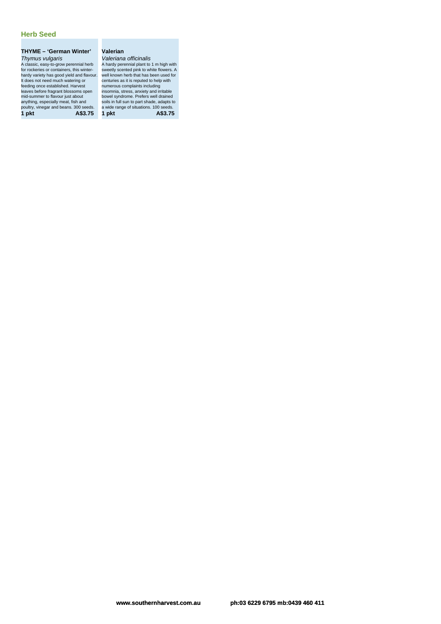### **THYME – 'German Winter'** Thymus vulgaris

A classic, easy-to-grow perennial herb for rockeries or containers, this winter-hardy variety has good yield and flavour. It does not need much watering or feeding once established. Harvest leaves before fragrant blossoms open mid-summer to flavour just about anything, especially meat, fish and poultry, vinegar and beans. 300 seeds. a wide range of situations. 100 seeds. **1 pkt A\$3.75 1 pkt A\$3.75**

### **Valerian**

Valeriana officinalis A hardy perennial plant to 1 m high with sweetly scented pink to white flowers. A well known herb that has been used for centuries as it is reputed to help with numerous complaints including instruction in the first and seconded in<br>centuries as it is reputed to help with<br>numerous complaints including<br>insomnia, stress, anxiety and irritable bowel syndrome. Prefers well drained soils in full sun to part shade, adapts to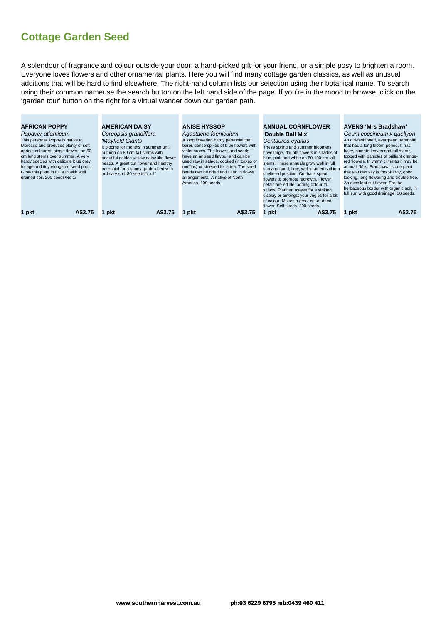A splendour of fragrance and colour outside your door, a hand-picked gift for your friend, or a simple posy to brighten a room. Everyone loves flowers and other ornamental plants. Here you will find many cottage garden classics, as well as unusual additions that will be hard to find elsewhere. The right-hand column lists our selection using their botanical name. To search using their common nameuse the search button on the left hand side of the page. If you're in the mood to browse, click on the 'garden tour' button on the right for a virtual wander down our garden path.

| <b>AFRICAN POPPY</b><br>Papaver atlanticum<br>This perennial Poppy is native to<br>Morocco and produces plenty of soft<br>apricot coloured, single flowers on 50<br>cm long stems over summer. A very<br>hardy species with delicate blue grey<br>foliage and tiny elongated seed pods.<br>Grow this plant in full sun with well<br>drained soil. 200 seeds/No.1/ | <b>AMERICAN DAISY</b><br>Coreopsis grandiflora<br>'Mayfield Giants'<br>It blooms for months in summer until<br>autumn on 80 cm tall stems with<br>beautiful golden yellow daisy like flower<br>heads. A great cut flower and healthy<br>perennial for a sunny garden bed with<br>ordinary soil. 80 seeds/No.1/ | <b>ANISE HYSSOP</b><br>Agastache foeniculum<br>A long flowering hardy perennial that<br>bares dense spikes of blue flowers with<br>violet bracts. The leaves and seeds<br>have an aniseed flavour and can be<br>used raw in salads, cooked (in cakes or<br>muffins) or steeped for a tea. The seed<br>heads can be dried and used in flower<br>arrangements. A native of North<br>America, 100 seeds. | <b>ANNUAL CORNFLOWER</b><br>'Double Ball Mix'<br>Centaurea cyanus<br>These spring and summer bloomers<br>have large, double flowers in shades of<br>blue, pink and white on 60-100 cm tall<br>stems. These annuals grow well in full<br>sun and good, limy, well-drained soil in a<br>sheltered position. Cut back spent<br>flowers to promote regrowth. Flower<br>petals are edible, adding colour to<br>salads. Plant en masse for a striking<br>display or amongst your vegies for a bit<br>of colour. Makes a great cut or dried<br>flower. Self seeds, 200 seeds. | <b>AVENS 'Mrs Bradshaw'</b><br>Geum coccineum x quellyon<br>An old-fashioned, evergreen perennial<br>that has a long bloom period. It has<br>hairy, pinnate leaves and tall stems<br>topped with panicles of brilliant orange-<br>red flowers. In warm climates it may be<br>annual. 'Mrs. Bradshaw' is one plant<br>that you can say is frost-hardy, good<br>looking, long flowering and trouble free.<br>An excellent cut flower. For the<br>herbaceous border with organic soil, in<br>full sun with good drainage. 30 seeds. |
|-------------------------------------------------------------------------------------------------------------------------------------------------------------------------------------------------------------------------------------------------------------------------------------------------------------------------------------------------------------------|----------------------------------------------------------------------------------------------------------------------------------------------------------------------------------------------------------------------------------------------------------------------------------------------------------------|-------------------------------------------------------------------------------------------------------------------------------------------------------------------------------------------------------------------------------------------------------------------------------------------------------------------------------------------------------------------------------------------------------|------------------------------------------------------------------------------------------------------------------------------------------------------------------------------------------------------------------------------------------------------------------------------------------------------------------------------------------------------------------------------------------------------------------------------------------------------------------------------------------------------------------------------------------------------------------------|----------------------------------------------------------------------------------------------------------------------------------------------------------------------------------------------------------------------------------------------------------------------------------------------------------------------------------------------------------------------------------------------------------------------------------------------------------------------------------------------------------------------------------|
| 1 pkt                                                                                                                                                                                                                                                                                                                                                             | A\$3.75                                                                                                                                                                                                                                                                                                        | A\$3.75                                                                                                                                                                                                                                                                                                                                                                                               | A\$3.75                                                                                                                                                                                                                                                                                                                                                                                                                                                                                                                                                                | A\$3.75                                                                                                                                                                                                                                                                                                                                                                                                                                                                                                                          |
| A\$3.75                                                                                                                                                                                                                                                                                                                                                           | pkt                                                                                                                                                                                                                                                                                                            | l pkt                                                                                                                                                                                                                                                                                                                                                                                                 | ∣pkt                                                                                                                                                                                                                                                                                                                                                                                                                                                                                                                                                                   | 1 pkt                                                                                                                                                                                                                                                                                                                                                                                                                                                                                                                            |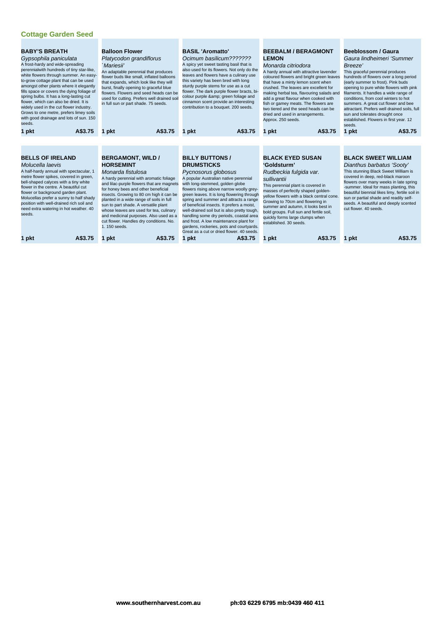| <b>BABY'S BREATH</b><br>Gypsophila paniculata<br>A frost-hardy and wide-spreading<br>perennialwith hundreds of tiny star-like.<br>white flowers through summer. An easy-<br>to-grow cottage plant that can be used<br>amongst other plants where it elegantly<br>fills space or covers the dying foliage of<br>spring bulbs. It has a long-lasting cut<br>flower, which can also be dried. It is<br>widely used in the cut flower industry.<br>Grows to one metre, prefers limey soils<br>with good drainage and lots of sun. 150<br>seeds. | <b>Balloon Flower</b><br>Platycodon grandiflorus<br>`Mariesii'<br>An adaptable perennial that produces<br>flower buds like small, inflated balloons<br>that expands, which look like they will<br>burst, finally opening to graceful blue<br>flowers. Flowers and seed heads can be<br>used for cutting. Prefers well drained soil<br>in full sun or part shade. 75 seeds.                                                                                                                           | <b>BASIL 'Aromatto'</b><br>Ocimum basilicum???????<br>A spicy yet sweet tasting basil that is<br>also used for its flowers. Not only do the<br>leaves and flowers have a culinary use<br>this variety has been bred with long<br>sturdy purple stems for use as a cut<br>flower. The dark purple flower bracts, bi-<br>colour purple & green foliage and<br>cinnamon scent provide an interesting<br>contribution to a bouquet. 200 seeds.                                                                                                                                        | <b>BEEBALM / BERAGMONT</b><br><b>LEMON</b><br>Monarda citriodora<br>A hardy annual with attractive lavender<br>coloured flowers and bright green leaves<br>that have a minty lemon scent when<br>crushed. The leaves are excellent for<br>making herbal tea, flavouring salads and<br>add a great flavour when cooked with<br>fish or gamey meats. The flowers are<br>two tiered and the seed heads can be<br>dried and used in arrangements.<br>Approx. 250 seeds. |                                                                                                                                                                                                                                                                                                                                                                                                            |
|---------------------------------------------------------------------------------------------------------------------------------------------------------------------------------------------------------------------------------------------------------------------------------------------------------------------------------------------------------------------------------------------------------------------------------------------------------------------------------------------------------------------------------------------|------------------------------------------------------------------------------------------------------------------------------------------------------------------------------------------------------------------------------------------------------------------------------------------------------------------------------------------------------------------------------------------------------------------------------------------------------------------------------------------------------|-----------------------------------------------------------------------------------------------------------------------------------------------------------------------------------------------------------------------------------------------------------------------------------------------------------------------------------------------------------------------------------------------------------------------------------------------------------------------------------------------------------------------------------------------------------------------------------|---------------------------------------------------------------------------------------------------------------------------------------------------------------------------------------------------------------------------------------------------------------------------------------------------------------------------------------------------------------------------------------------------------------------------------------------------------------------|------------------------------------------------------------------------------------------------------------------------------------------------------------------------------------------------------------------------------------------------------------------------------------------------------------------------------------------------------------------------------------------------------------|
| A\$3.75<br>1 pkt                                                                                                                                                                                                                                                                                                                                                                                                                                                                                                                            | A\$3.75<br>1 pkt                                                                                                                                                                                                                                                                                                                                                                                                                                                                                     | A\$3.75<br>1 pkt                                                                                                                                                                                                                                                                                                                                                                                                                                                                                                                                                                  | A\$3.75<br>1 pkt                                                                                                                                                                                                                                                                                                                                                                                                                                                    | A\$3.75<br>1 pkt                                                                                                                                                                                                                                                                                                                                                                                           |
| <b>BELLS OF IRELAND</b><br>Molucella laevis<br>A half-hardy annual with spectacular, 1<br>metre flower spikes, covered in green,<br>bell-shaped calyces with a tiny white<br>flower in the centre. A beautiful cut<br>flower or background garden plant.<br>Molucellas prefer a sunny to half shady<br>position with well-drained rich soil and<br>need extra watering in hot weather. 40<br>seeds.<br>A\$3.75<br>1 pkt                                                                                                                     | <b>BERGAMONT, WILD /</b><br><b>HORSEMINT</b><br>Monarda fistulosa<br>A hardy perennial with aromatic foliage<br>and lilac-purple flowers that are magnets<br>for honey bees and other beneficial<br>insects. Growing to 80 cm high it can be<br>planted in a wide range of soils in full<br>sun to part shade. A versatile plant<br>whose leaves are used for tea, culinary<br>and medicinal purposes. Also used as a<br>cut flower. Handles dry conditions. No.<br>1.150 seeds.<br>A\$3.75<br>1 pkt | <b>BILLY BUTTONS /</b><br><b>DRUMSTICKS</b><br>Pycnosorus globosus<br>A popular Australian native perennial<br>with long-stemmed, golden globe<br>flowers rising above narrow woolly grey-<br>green leaves. It is long flowering through<br>spring and summer and attracts a range<br>of beneficial insects. It prefers a moist,<br>well-drained soil but is also pretty tough,<br>handling some dry periods, coastal area<br>and frost. A low maintenance plant for<br>gardens, rockeries, pots and courtyards.<br>Great as a cut or dried flower, 40 seeds.<br>A\$3.75<br>1 pkt | <b>BLACK EYED SUSAN</b><br>'Goldsturm'<br>Rudbeckia fulgida var.<br>sullivantii<br>This perennial plant is covered in<br>masses of perfectly shaped golden-<br>yellow flowers with a black central cone.<br>Growing to 70cm and flowering in<br>summer and autumn, it looks best in<br>bold groups. Full sun and fertile soil,<br>quickly forms large clumps when<br>established. 30 seeds.<br>A\$3.75<br>1 pkt                                                     | <b>BLACK SWEET WILLIAM</b><br>Dianthus barbatus 'Sooty'<br>This stunning Black Sweet William is<br>covered in deep, red-black maroon<br>flowers over many weeks in late spring<br>-summer. Ideal for mass planting, this<br>beautiful biennial likes limy, fertile soil in<br>sun or partial shade and readily self-<br>seeds. A beautiful and deeply scented<br>cut flower, 40 seeds.<br>A\$3.75<br>1 pkt |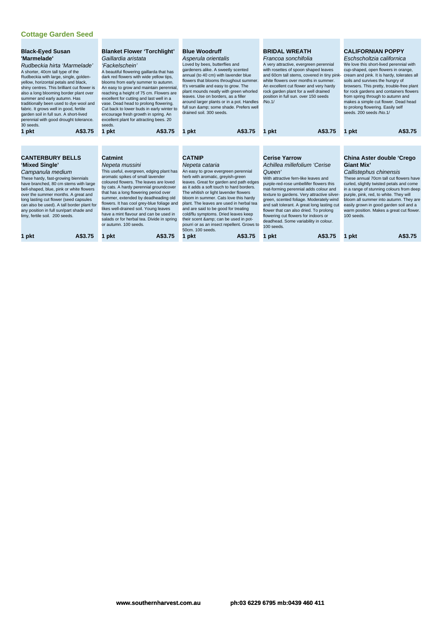| <b>Black-Eyed Susan</b><br>'Marmelade'<br>Rudbeckia hirta 'Marmelade'<br>A shorter, 40cm tall type of the<br>Rudbeckia with large, single, golden-<br>yellow, horizontal petals and black,<br>shiny centres. This brilliant cut flower is<br>also a long blooming border plant over<br>summer and early autumn. Has<br>traditionally been used to dye wool and<br>fabric. It grows well in good, fertile<br>garden soil in full sun. A short-lived<br>perennial with good drought tolerance.<br>30 seeds.<br>1 pkt | A\$3.75 | <b>Blanket Flower 'Torchlight'</b><br>Gaillardia aristata<br>'Fackelschein'<br>A beautiful flowering gaillarda that has<br>dark red flowers with wide yellow tips,<br>blooms from early summer to autumn.<br>An easy to grow and maintain perennial,<br>reaching a height of 75 cm. Flowers are<br>excellent for cutting and last well in a<br>vase. Dead head to prolong flowering.<br>Cut back to lower buds in early winter to<br>encourage fresh growth in spring. An<br>excellent plant for attracting bees. 20<br>seeds.<br>A\$3.75<br>1 pkt |         | <b>Blue Woodruff</b><br>Asperula orientalis<br>Loved by bees, butterflies and<br>gardeners alike. A sweetly scented<br>annual (to 40 cm) with lavender blue<br>flowers that blooms throughout summer.<br>It's versatile and easy to grow. The<br>plant mounds neatly with green whorled<br>leaves. Use on borders, as a filler<br>around larger plants or in a pot. Handles<br>full sun & some shade. Prefers well<br>drained soil, 300 seeds.<br>1 pkt                                                                 | A\$3.75 | <b>BRIDAL WREATH</b><br>Francoa sonchifolia<br>A very attractive, evergreen perennial<br>with rosettes of spoon shaped leaves<br>and 60cm tall stems, covered in tiny pink-<br>white flowers over months in summer.<br>An excellent cut flower and very hardy<br>rock garden plant for a well drained<br>position in full sun, over 150 seeds<br>/No.1/<br>1 pkt                                                                                                             | A\$3.75 | 1 pkt                           | <b>CALIFORNIAN POPPY</b><br>Eschscholtzia californica<br>We love this short-lived perennial with<br>cup-shaped, open flowers in orange,<br>cream and pink. It is hardy, tolerates all<br>soils and survives the hungry of<br>browsers. This pretty, trouble-free plant<br>for rock gardens and containers flowers<br>from spring through to autumn and<br>makes a simple cut flower. Dead head<br>to prolong flowering. Easily self<br>seeds, 200 seeds /No.1/ | A\$3.75 |
|--------------------------------------------------------------------------------------------------------------------------------------------------------------------------------------------------------------------------------------------------------------------------------------------------------------------------------------------------------------------------------------------------------------------------------------------------------------------------------------------------------------------|---------|----------------------------------------------------------------------------------------------------------------------------------------------------------------------------------------------------------------------------------------------------------------------------------------------------------------------------------------------------------------------------------------------------------------------------------------------------------------------------------------------------------------------------------------------------|---------|-------------------------------------------------------------------------------------------------------------------------------------------------------------------------------------------------------------------------------------------------------------------------------------------------------------------------------------------------------------------------------------------------------------------------------------------------------------------------------------------------------------------------|---------|------------------------------------------------------------------------------------------------------------------------------------------------------------------------------------------------------------------------------------------------------------------------------------------------------------------------------------------------------------------------------------------------------------------------------------------------------------------------------|---------|---------------------------------|----------------------------------------------------------------------------------------------------------------------------------------------------------------------------------------------------------------------------------------------------------------------------------------------------------------------------------------------------------------------------------------------------------------------------------------------------------------|---------|
|                                                                                                                                                                                                                                                                                                                                                                                                                                                                                                                    |         |                                                                                                                                                                                                                                                                                                                                                                                                                                                                                                                                                    |         |                                                                                                                                                                                                                                                                                                                                                                                                                                                                                                                         |         |                                                                                                                                                                                                                                                                                                                                                                                                                                                                              |         |                                 |                                                                                                                                                                                                                                                                                                                                                                                                                                                                |         |
|                                                                                                                                                                                                                                                                                                                                                                                                                                                                                                                    |         |                                                                                                                                                                                                                                                                                                                                                                                                                                                                                                                                                    |         |                                                                                                                                                                                                                                                                                                                                                                                                                                                                                                                         |         |                                                                                                                                                                                                                                                                                                                                                                                                                                                                              |         |                                 |                                                                                                                                                                                                                                                                                                                                                                                                                                                                |         |
| <b>CANTERBURY BELLS</b><br>'Mixed Single'<br>Campanula medium<br>These hardy, fast-growing biennials<br>have branched, 80 cm stems with large<br>bell-shaped, blue, pink or white flowers<br>over the summer months. A great and<br>long lasting cut flower (seed capsules<br>can also be used). A tall border plant for<br>any position in full sun/part shade and<br>limy, fertile soil. 200 seeds.                                                                                                              |         | Catmint<br>Nepeta mussini<br>This useful, evergreen, edging plant has<br>aromatic spikes of small lavender<br>coloured flowers. The leaves are loved<br>by cats. A hardy perennial groundcover<br>that has a long flowering period over<br>summer, extended by deadheading old<br>flowers. It has cool grey-blue foliage and<br>likes well-drained soil. Young leaves<br>have a mint flavour and can be used in<br>salads or for herbal tea. Divide in spring<br>or autumn. 100 seeds.                                                             |         | <b>CATNIP</b><br>Nepeta cataria<br>An easy to grow evergreen perennial<br>herb with aromatic, greyish-green<br>leaves. Great for garden and path edges<br>as it adds a soft touch to hard borders.<br>The whitish or light lavender flowers<br>bloom in summer. Cats love this hardy<br>plant. The leaves are used in herbal tea<br>and are said to be good for treating<br>cold/flu symptoms. Dried leaves keep<br>their scent & can be used in pot-<br>pourri or as an insect repellent. Grows to<br>50cm, 100 seeds. |         | <b>Cerise Yarrow</b><br>Achillea millefolium 'Cerise<br>Queen'<br>With attractive fern-like leaves and<br>purple-red-rose umbellifer flowers this<br>mat-forming perennial adds colour and<br>texture to gardens. Very attractive silver-<br>green, scented foliage. Moderately wind<br>and salt tolerant. A great long lasting cut<br>flower that can also dried. To prolong<br>flowering cut flowers for indoors or<br>deadhead. Some variability in colour.<br>100 seeds. |         | <b>Giant Mix'</b><br>100 seeds. | China Aster double 'Crego<br>Callistephus chinensis<br>These annual 70cm tall cut flowers have<br>curled, slightly twisted petals and come<br>in a range of stunning colours from deep<br>purple, pink, red, to white. They will<br>bloom all summer into autumn. They are<br>easily grown in good garden soil and a<br>warm position. Makes a great cut flower.                                                                                               |         |
| 1 pkt                                                                                                                                                                                                                                                                                                                                                                                                                                                                                                              | A\$3.75 | pkt                                                                                                                                                                                                                                                                                                                                                                                                                                                                                                                                                | A\$3.75 | <b>pkt</b>                                                                                                                                                                                                                                                                                                                                                                                                                                                                                                              | A\$3.75 | pkt<br>1                                                                                                                                                                                                                                                                                                                                                                                                                                                                     | A\$3.75 | 1 pkt                           |                                                                                                                                                                                                                                                                                                                                                                                                                                                                | A\$3.75 |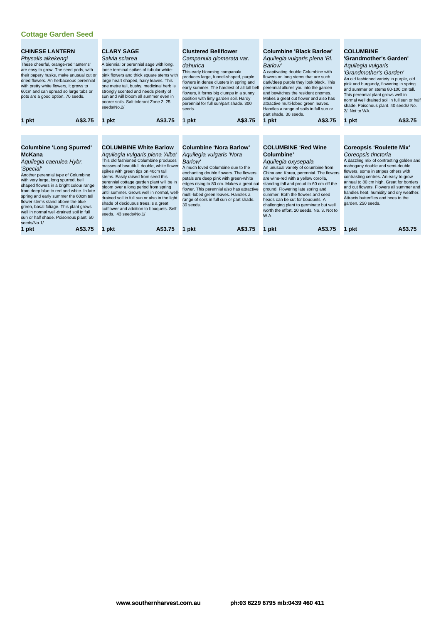| <b>CHINESE LANTERN</b><br>Physalis alkekengi<br>These cheerful, orange-red 'lanterns'<br>are easy to grow. The seed pods, with<br>their papery husks, make unusual cut or<br>dried flowers. An herbaceous perennial<br>with pretty white flowers, it grows to<br>60cm and can spread so large tubs or<br>pots are a good option. 70 seeds.                                                                                                                                                  | <b>CLARY SAGE</b><br><b>Clustered Bellflower</b><br>Salvia sclarea<br>Campanula glomerata var.<br>A biennial or perennial sage with long,<br>dahurica<br>Barlow'<br>loose terminal spikes of tubular white-<br>This early blooming campanula<br>pink flowers and thick square stems with<br>produces large, funnel-shaped, purple<br>large heart shaped, hairy leaves. This<br>flowers in dense clusters in spring and<br>one metre tall, bushy, medicinal herb is<br>early summer. The hardiest of all tall bell<br>strongly scented and needs plenty of<br>flowers, it forms big clumps in a sunny<br>sun and will bloom all summer even in<br>position with limy garden soil. Hardy<br>poorer soils. Salt tolerant Zone 2, 25<br>perennial for full sun/part shade. 300<br>seeds/No.2/<br>seeds. |                                                                                                                                                                                                                                                                                                                                                                                   | <b>Columbine 'Black Barlow'</b><br>Aquilegia vulgaris plena 'Bl.<br>A captivating double Columbine with<br>flowers on long stems that are such<br>dark/deep purple they look black. This<br>perennial allures you into the garden<br>and bewitches the resident gnomes.<br>Makes a great cut flower and also has<br>attractive multi-lobed green leaves.<br>Handles a range of soils in full sun or<br>part shade, 30 seeds.                        | <b>COLUMBINE</b><br>'Grandmother's Garden'<br>Aquilegia vulgaris<br>'Grandmother's Garden'<br>An old fashioned variety in purple, old<br>pink and burgundy, flowering in spring<br>and summer on stems 80-100 cm tall.<br>This perennial plant grows well in<br>normal well drained soil in full sun or half<br>shade. Poisonous plant. 40 seeds/No.<br>2/. Not to WA.                                               |
|---------------------------------------------------------------------------------------------------------------------------------------------------------------------------------------------------------------------------------------------------------------------------------------------------------------------------------------------------------------------------------------------------------------------------------------------------------------------------------------------|-----------------------------------------------------------------------------------------------------------------------------------------------------------------------------------------------------------------------------------------------------------------------------------------------------------------------------------------------------------------------------------------------------------------------------------------------------------------------------------------------------------------------------------------------------------------------------------------------------------------------------------------------------------------------------------------------------------------------------------------------------------------------------------------------------|-----------------------------------------------------------------------------------------------------------------------------------------------------------------------------------------------------------------------------------------------------------------------------------------------------------------------------------------------------------------------------------|-----------------------------------------------------------------------------------------------------------------------------------------------------------------------------------------------------------------------------------------------------------------------------------------------------------------------------------------------------------------------------------------------------------------------------------------------------|----------------------------------------------------------------------------------------------------------------------------------------------------------------------------------------------------------------------------------------------------------------------------------------------------------------------------------------------------------------------------------------------------------------------|
| A\$3.75                                                                                                                                                                                                                                                                                                                                                                                                                                                                                     | A\$3.75                                                                                                                                                                                                                                                                                                                                                                                                                                                                                                                                                                                                                                                                                                                                                                                             | A\$3.75                                                                                                                                                                                                                                                                                                                                                                           | A\$3.75                                                                                                                                                                                                                                                                                                                                                                                                                                             | A\$3.75                                                                                                                                                                                                                                                                                                                                                                                                              |
| 1 pkt                                                                                                                                                                                                                                                                                                                                                                                                                                                                                       | 1 pkt                                                                                                                                                                                                                                                                                                                                                                                                                                                                                                                                                                                                                                                                                                                                                                                               | 1 pkt                                                                                                                                                                                                                                                                                                                                                                             | 1 pkt                                                                                                                                                                                                                                                                                                                                                                                                                                               | 1 pkt                                                                                                                                                                                                                                                                                                                                                                                                                |
| <b>Columbine 'Long Spurred'</b><br><b>McKana</b><br>Aquilegia caerulea Hybr.<br>'Special'<br>Another perennial type of Columbine<br>with very large, long spurred, bell<br>shaped flowers in a bright colour range<br>from deep blue to red and white. In late<br>spring and early summer the 60cm tall<br>flower stems stand above the blue<br>green, basal foliage. This plant grows<br>well in normal well-drained soil in full<br>sun or half shade. Poisonous plant. 50<br>seeds/No.1/ | <b>COLUMBINE White Barlow</b><br>Aquilegia vulgaris plena 'Alba'<br>This old fashioned Columbine produces<br>masses of beautiful, double, white flower<br>spikes with green tips on 40cm tall<br>stems. Easily raised from seed this<br>perennial cottage garden plant will be in<br>bloom over a long period from spring<br>until summer. Grows well in normal, well-<br>drained soil in full sun or also in the light<br>shade of deciduous trees. Is a great<br>cutflower and addition to bouquets. Self<br>seeds. 43 seeds/No.1/                                                                                                                                                                                                                                                                | Columbine 'Nora Barlow'<br>Aquilegia vulgaris 'Nora<br>Barlow'<br>A much loved Columbine due to the<br>enchanting double flowers. The flowers<br>petals are deep pink with green-white<br>edges rising to 80 cm. Makes a great cut<br>flower. This perennial also has attractive<br>multi-lobed green leaves. Handles a<br>range of soils in full sun or part shade.<br>30 seeds. | <b>COLUMBINE 'Red Wine</b><br>Columbine'<br>Aguilegia oxysepala<br>An unusual variety of columbine from<br>China and Korea, perennial. The flowers<br>are wine-red with a yellow corolla,<br>standing tall and proud to 60 cm off the<br>ground. Flowering late spring and<br>summer. Both the flowers and seed<br>heads can be cut for bouquets. A<br>challenging plant to germinate but well<br>worth the effort. 20 seeds. No. 3. Not to<br>W.A. | <b>Coreopsis 'Roulette Mix'</b><br>Coreopsis tinctoria<br>A dazzling mix of contrasting golden and<br>mahogany double and semi-double<br>flowers, some in stripes others with<br>contrasting centres. An easy to grow<br>annual to 80 cm high. Great for borders<br>and cut flowers. Flowers all summer and<br>handles heat, humidity and dry weather.<br>Attracts butterflies and bees to the<br>garden. 250 seeds. |
| 1 pkt                                                                                                                                                                                                                                                                                                                                                                                                                                                                                       | A\$3.75                                                                                                                                                                                                                                                                                                                                                                                                                                                                                                                                                                                                                                                                                                                                                                                             | A\$3.75                                                                                                                                                                                                                                                                                                                                                                           | A\$3.75                                                                                                                                                                                                                                                                                                                                                                                                                                             | A\$3.75                                                                                                                                                                                                                                                                                                                                                                                                              |
| A\$3.75                                                                                                                                                                                                                                                                                                                                                                                                                                                                                     | 1 pkt                                                                                                                                                                                                                                                                                                                                                                                                                                                                                                                                                                                                                                                                                                                                                                                               | nkt                                                                                                                                                                                                                                                                                                                                                                               | pkt                                                                                                                                                                                                                                                                                                                                                                                                                                                 | 1 pkt                                                                                                                                                                                                                                                                                                                                                                                                                |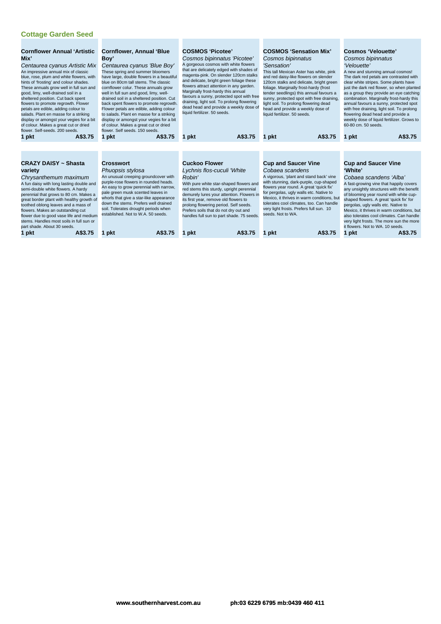| <b>Cornflower Annual 'Artistic</b><br>Mix'<br>Centaurea cyanus Artistic Mix<br>An impressive annual mix of classic<br>blue, rose, plum and white flowers, with<br>hints of 'frosting' and colour shades.<br>These annuals grow well in full sun and<br>good, limy, well-drained soil in a<br>sheltered position. Cut back spent<br>flowers to promote regrowth. Flower<br>petals are edible, adding colour to<br>salads. Plant en masse for a striking<br>display or amongst your vegies for a bit<br>of colour. Makes a great cut or dried<br>flower. Self-seeds, 200 seeds.<br>A\$3.75<br>1 pkt | <b>Cornflower, Annual 'Blue</b><br>Boy'<br>Centaurea cyanus 'Blue Boy'<br>These spring and summer bloomers<br>have large, double flowers in a beautiful<br>blue on 80cm tall stems. The classic<br>cornflower colur. These annuals grow<br>well in full sun and good, limy, well-<br>drained soil in a sheltered position. Cut<br>back spent flowers to promote regrowth.<br>Flower petals are edible, adding colour<br>to salads. Plant en masse for a striking<br>display or amongst your vegies for a bit<br>of colour. Makes a great cut or dried<br>flower. Self seeds, 150 seeds.<br>A\$3.75<br>1 pkt | <b>COSMOS 'Picotee'</b><br>Cosmos bipinnatus 'Picotee'<br>A gorgeous cosmos with white flowers<br>that are delicately edged with shades of<br>magenta-pink. On slender 120cm stalks<br>and delicate, bright green foliage these<br>flowers attract attention in any garden.<br>Marginally frost-hardy this annual<br>favours a sunny, protected spot with free<br>draining, light soil. To prolong flowering<br>dead head and provide a weekly dose of<br>liquid fertilizer. 50 seeds.<br>A\$3.75<br>1 pkt | <b>COSMOS 'Sensation Mix'</b><br>Cosmos bipinnatus<br>'Sensation'<br>This tall Mexican Aster has white, pink<br>and red daisy-like flowers on slender<br>120cm stalks and delicate, bright green<br>foliage. Marginally frost-hardy (frost<br>tender seedlings) this annual favours a<br>sunny, protected spot with free draining,<br>light soil. To prolong flowering dead<br>head and provide a weekly dose of<br>liquid fertilizer. 50 seeds.<br>A\$3.75<br>1 pkt | <b>Cosmos 'Velouette'</b><br>Cosmos bipinnatus<br>'Velouette'<br>A new and stunning annual cosmos!<br>The dark red petals are contrasted with<br>clear white stripes. Some plants have<br>just the dark red flower, so when planted<br>as a group they provide an eye catching<br>combination. Marginally frost-hardy this<br>annual favours a sunny, protected spot<br>with free draining, light soil. To prolong<br>flowering dead head and provide a<br>weekly dose of liquid fertilizer. Grows to<br>60-80 cm. 50 seeds.<br>A\$3.75<br>1 pkt |
|---------------------------------------------------------------------------------------------------------------------------------------------------------------------------------------------------------------------------------------------------------------------------------------------------------------------------------------------------------------------------------------------------------------------------------------------------------------------------------------------------------------------------------------------------------------------------------------------------|-------------------------------------------------------------------------------------------------------------------------------------------------------------------------------------------------------------------------------------------------------------------------------------------------------------------------------------------------------------------------------------------------------------------------------------------------------------------------------------------------------------------------------------------------------------------------------------------------------------|------------------------------------------------------------------------------------------------------------------------------------------------------------------------------------------------------------------------------------------------------------------------------------------------------------------------------------------------------------------------------------------------------------------------------------------------------------------------------------------------------------|----------------------------------------------------------------------------------------------------------------------------------------------------------------------------------------------------------------------------------------------------------------------------------------------------------------------------------------------------------------------------------------------------------------------------------------------------------------------|--------------------------------------------------------------------------------------------------------------------------------------------------------------------------------------------------------------------------------------------------------------------------------------------------------------------------------------------------------------------------------------------------------------------------------------------------------------------------------------------------------------------------------------------------|
| <b>CRAZY DAISY ~ Shasta</b><br>variety<br>Chrysanthemum maximum<br>A fun daisy with long lasting double and<br>semi-double white flowers. A hardy<br>perennial that grows to 80 cm. Makes a<br>great border plant with healthy growth of<br>toothed oblong leaves and a mass of<br>flowers. Makes an outstanding cut<br>flower due to good vase life and medium<br>stems. Handles most soils in full sun or<br>part shade. About 30 seeds.<br>A\$3.75<br>1 pkt                                                                                                                                    | <b>Crosswort</b><br>Phuopsis stylosa<br>An unusual creeping groundcover with<br>purple-rose flowers in rounded heads.<br>An easy to grow perennial with narrow,<br>pale green musk scented leaves in<br>whorls that give a star-like appearance<br>down the stems. Prefers well drained<br>soil. Tolerates drought periods when<br>established. Not to W.A. 50 seeds.<br>A\$3.75<br>1 pkt                                                                                                                                                                                                                   | <b>Cuckoo Flower</b><br>Lychnis flos-cuculi 'White<br>Robin'<br>With pure white star-shaped flowers and<br>red stems this sturdy, upright perennial<br>demurely lures your attention. Flowers in<br>its first year, remove old flowers to<br>prolong flowering period. Self seeds.<br>Prefers soils that do not dry out and<br>handles full sun to part shade. 75 seeds.<br>A\$3.75<br>1 pkt                                                                                                               | <b>Cup and Saucer Vine</b><br>Cobaea scandens<br>A vigorous, 'plant and stand back' vine<br>with stunning, dark-purple, cup-shaped<br>flowers year round. A great 'quick fix'<br>for pergolas, ugly walls etc. Native to<br>Mexico, it thrives in warm conditions, but<br>tolerates cool climates, too. Can handle<br>very light frosts. Prefers full sun. 10<br>seeds. Not to WA.<br>A\$3.75<br>pkt                                                                 | <b>Cup and Saucer Vine</b><br>'White'<br>Cobaea scandens 'Alba'<br>A fast-growing vine that happily covers<br>any unsightly structures with the benefit<br>of blooming year round with white cup-<br>shaped flowers. A great 'quick fix' for<br>pergolas, ugly walls etc. Native to<br>Mexico, it thrives in warm conditions, but<br>also tolerates cool climates. Can handle<br>very light frosts. The more sun the more<br>it flowers. Not to WA, 10 seeds.<br>1 pkt<br>A\$3.75                                                                |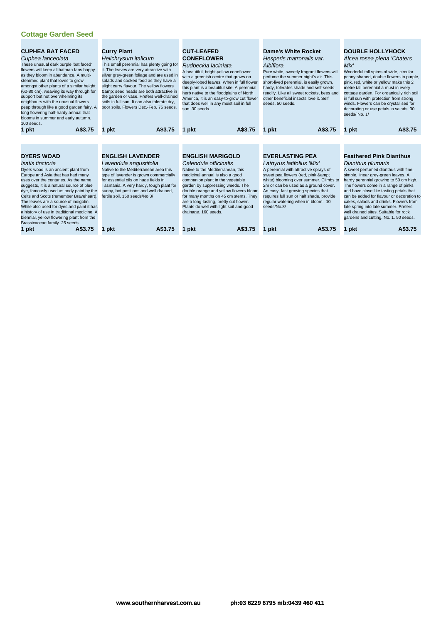| <b>CUPHEA BAT FACED</b><br>Cuphea lanceolata<br>These unusual dark purple 'bat faced'<br>flowers will keep all batman fans happy<br>as they bloom in abundance. A multi-<br>stemmed plant that loves to grow<br>amongst other plants of a similar height<br>(60-80 cm), weaving its way through for<br>support but not overwhelming its<br>neighbours with the unusual flowers<br>peep through like a good garden fairy. A<br>long flowering half-hardy annual that<br>blooms in summer and early autumn.<br>100 seeds.<br>A\$3.75<br>1 pkt | <b>Curry Plant</b><br>Helichrysum italicum<br>This small perennial has plenty going for<br>it. The leaves are very attractive with<br>silver grey-green foliage and are used in<br>salads and cooked food as they have a<br>slight curry flavour. The yellow flowers<br>& seed heads are both attractive in<br>the garden or vase. Prefers well-drained<br>soils in full sun. It can also tolerate dry,<br>poor soils. Flowers Dec.-Feb. 75 seeds.<br>A\$3.75<br>1 pkt | <b>CUT-LEAFED</b><br><b>CONEFLOWER</b><br>Rudbeckia laciniata<br>A beautiful, bright-yellow coneflower<br>with a greenish centre that grows on<br>deeply-lobed leaves. When in full flower<br>this plant is a beautiful site. A perennial<br>herb native to the floodplains of North<br>America, it is an easy-to-grow cut flower<br>that does well in any moist soil in full<br>sun. 30 seeds.<br>A\$3.75<br>1 pkt | <b>Dame's White Rocket</b><br>Hesperis matronalis var.<br>Albiflora<br>Pure white, sweetly fragrant flowers will<br>perfume the summer night's air. This<br>short-lived perennial, is easily grown,<br>hardy, tolerates shade and self-seeds<br>readily. Like all sweet rockets, bees and<br>other beneficial insects love it. Self<br>seeds, 50 seeds.<br>A\$3.75<br>1 pkt | <b>DOUBLE HOLLYHOCK</b><br>Alcea rosea plena 'Chaters<br>Mix'<br>Wonderful tall spires of wide, circular<br>peony shaped, double flowers in purple,<br>pink, red, white or yellow make this 2<br>metre tall perennial a must in every<br>cottage garden. For organically rich soil<br>in full sun with protection from strong<br>winds. Flowers can be crystallised for<br>decorating or use petals in salads. 30<br>seeds/No. 1/<br>A\$3.75<br>1 pkt                                                 |
|---------------------------------------------------------------------------------------------------------------------------------------------------------------------------------------------------------------------------------------------------------------------------------------------------------------------------------------------------------------------------------------------------------------------------------------------------------------------------------------------------------------------------------------------|------------------------------------------------------------------------------------------------------------------------------------------------------------------------------------------------------------------------------------------------------------------------------------------------------------------------------------------------------------------------------------------------------------------------------------------------------------------------|---------------------------------------------------------------------------------------------------------------------------------------------------------------------------------------------------------------------------------------------------------------------------------------------------------------------------------------------------------------------------------------------------------------------|-----------------------------------------------------------------------------------------------------------------------------------------------------------------------------------------------------------------------------------------------------------------------------------------------------------------------------------------------------------------------------|-------------------------------------------------------------------------------------------------------------------------------------------------------------------------------------------------------------------------------------------------------------------------------------------------------------------------------------------------------------------------------------------------------------------------------------------------------------------------------------------------------|
| <b>DYERS WOAD</b><br>Isatis tinctoria<br>Dyers woad is an ancient plant from<br>Europe and Asia that has had many<br>uses over the centuries. As the name<br>suggests, it is a natural source of blue<br>dye, famously used as body paint by the<br>Celts and Scots (remember Braveheart).<br>The leaves are a source of indigotin.<br>While also used for dyes and paint it has<br>a history of use in traditional medicine. A<br>biennial, yellow flowering plant from the<br>Brassicaceae family. 25 seeds.<br>A\$3.75<br>1 pkt          | <b>ENGLISH LAVENDER</b><br>Lavendula angustifolia<br>Native to the Mediterranean area this<br>type of lavender is grown commercially<br>for essential oils on huge fields in<br>Tasmania. A very hardy, tough plant for<br>sunny, hot positions and well drained,<br>fertile soil. 150 seeds/No.3/<br>A\$3.75<br>1 pkt                                                                                                                                                 | <b>ENGLISH MARIGOLD</b><br>Calendula officinalis<br>Native to the Mediterranean, this<br>medicinal annual is also a good<br>companion plant in the vegetable<br>garden by suppressing weeds. The<br>double orange and yellow flowers bloom<br>for many months on 45 cm stems. They<br>are a long-lasting, pretty cut flower.<br>Plants do well with light soil and good<br>drainage. 160 seeds.<br>A\$3.75<br>pkt   | <b>EVERLASTING PEA</b><br>Lathyrus latifolius 'Mix'<br>A perennial with attractive sprays of<br>sweet pea flowers (red, pink &<br>white) blooming over summer. Climbs to<br>2m or can be used as a ground cover.<br>An easy, fast growing species that<br>requires full sun or half shade, provide<br>regular watering when in bloom. 10<br>seeds/No.8/<br>A\$3.75<br>pkt   | <b>Feathered Pink Dianthus</b><br>Dianthus plumaris<br>A sweet perfumed dianthus with fine,<br>simple, linear grey-green leaves. A<br>hardy perennial growing to 50 cm high.<br>The flowers come in a range of pinks<br>and have clove like tasting petals that<br>can be added for flavour or decoration to<br>cakes, salads and drinks. Flowers from<br>late spring into late summer. Prefers<br>well drained sites. Suitable for rock<br>gardens and cutting. No. 1. 50 seeds.<br>A\$3.75<br>1 pkt |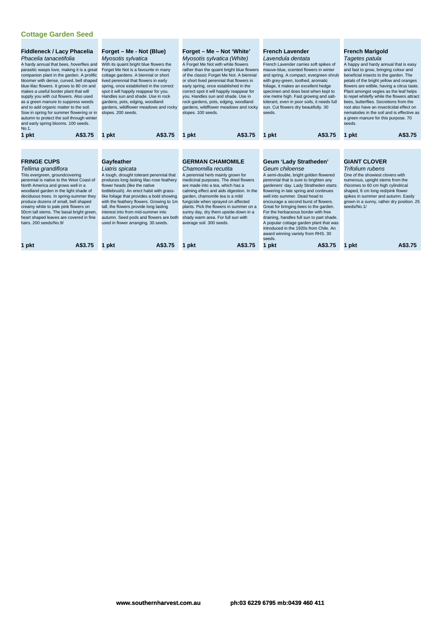| Fiddleneck / Lacy Phacelia<br>Phacelia tanacetifolia<br>A hardy annual that bees, hoverflies and<br>parasitic wasps love, making it is a great<br>companion plant in the garden. A prolific<br>bloomer with dense, curved, bell shaped<br>blue-lilac flowers. It grows to 80 cm and<br>makes a useful border plant that will<br>supply you with cut flowers. Also used<br>as a green manure to suppress weeds<br>and to add organic matter to the soil.<br>Sow in spring for summer flowering or in<br>autumn to protect the soil through winter<br>and early spring blooms. 100 seeds.<br>No.1. | Forget – Me - Not (Blue)<br>Myosotis sylvatica<br>With its quaint bright blue flowers the<br>Forget Me Not is a favourite in many<br>cottage gardens. A biennial or short<br>lived perennial that flowers in early<br>spring, once established in the correct<br>spot it will happily reappear for you.<br>Handles sun and shade. Use in rock<br>gardens, pots, edging, woodland<br>gardens, wildflower meadows and rocky<br>slopes. 200 seeds.               | Forget - Me - Not 'White'<br>Myosotis sylvatica (White)<br>A Forget Me Not with white flowers<br>rather than the quaint bright blue flowers<br>of the classic Forget Me Not. A biennial<br>or short lived perennial that flowers in<br>early spring, once established in the<br>correct spot it will happily reappear for<br>you. Handles sun and shade. Use in<br>rock gardens, pots, edging, woodland<br>gardens, wildflower meadows and rocky<br>slopes. 100 seeds. | <b>French Lavender</b><br>Lavendula dentata<br>French Lavender carries soft spikes of<br>mauve-blue, scented flowers in winter<br>and spring. A compact, evergreen shrub<br>with grey-green, toothed, aromatic<br>foliage, it makes an excellent hedge<br>specimen and does best when kept to<br>one metre high. Fast growing and salt-<br>tolerant, even in poor soils, it needs full<br>sun. Cut flowers dry beautifully. 30<br>seeds.                                                                                                                     | <b>French Marigold</b><br>Tagetes patula<br>A happy and hardy annual that is easy<br>and fast to grow, bringing colour and<br>beneficial insects to the garden. The<br>petals of the bright yellow and oranges<br>flowers are edible, having a citrus taste.<br>Plant amongst vegies as the leaf helps<br>to repel whitefly while the flowers attract<br>bees, butterflies. Secretions from the<br>root also have an insecticidal effect on<br>nematodes in the soil and is effective as<br>a green manure for this purpose. 70<br>seeds. |
|--------------------------------------------------------------------------------------------------------------------------------------------------------------------------------------------------------------------------------------------------------------------------------------------------------------------------------------------------------------------------------------------------------------------------------------------------------------------------------------------------------------------------------------------------------------------------------------------------|---------------------------------------------------------------------------------------------------------------------------------------------------------------------------------------------------------------------------------------------------------------------------------------------------------------------------------------------------------------------------------------------------------------------------------------------------------------|------------------------------------------------------------------------------------------------------------------------------------------------------------------------------------------------------------------------------------------------------------------------------------------------------------------------------------------------------------------------------------------------------------------------------------------------------------------------|--------------------------------------------------------------------------------------------------------------------------------------------------------------------------------------------------------------------------------------------------------------------------------------------------------------------------------------------------------------------------------------------------------------------------------------------------------------------------------------------------------------------------------------------------------------|-------------------------------------------------------------------------------------------------------------------------------------------------------------------------------------------------------------------------------------------------------------------------------------------------------------------------------------------------------------------------------------------------------------------------------------------------------------------------------------------------------------------------------------------|
| A\$3.75<br>1 pkt                                                                                                                                                                                                                                                                                                                                                                                                                                                                                                                                                                                 | A\$3.75<br>1 pkt                                                                                                                                                                                                                                                                                                                                                                                                                                              | A\$3.75<br>1 pkt                                                                                                                                                                                                                                                                                                                                                                                                                                                       | A\$3.75<br>1 pkt                                                                                                                                                                                                                                                                                                                                                                                                                                                                                                                                             | A\$3.75<br>1 pkt                                                                                                                                                                                                                                                                                                                                                                                                                                                                                                                          |
|                                                                                                                                                                                                                                                                                                                                                                                                                                                                                                                                                                                                  |                                                                                                                                                                                                                                                                                                                                                                                                                                                               |                                                                                                                                                                                                                                                                                                                                                                                                                                                                        |                                                                                                                                                                                                                                                                                                                                                                                                                                                                                                                                                              |                                                                                                                                                                                                                                                                                                                                                                                                                                                                                                                                           |
| <b>FRINGE CUPS</b><br>Tellima grandiflora<br>This evergreen, groundcovering<br>perennial is native to the West Coast of<br>North America and grows well in a<br>woodland garden in the light shade of<br>deciduous trees. In spring-summer they<br>produce dozens of small, bell shaped<br>creamy white to pale pink flowers on<br>50cm tall stems. The basal bright green,<br>heart shaped leaves are covered in fine<br>hairs. 200 seeds/No.9/                                                                                                                                                 | Gayfeather<br>Liatris spicata<br>A tough, drought tolerant perennial that<br>produces long lasting lilac-rose feathery<br>flower heads (like the native<br>bottlebrush). An erect habit with grass-<br>like foliage that provides a bold showing<br>with the feathery flowers. Growing to 1m<br>tall, the flowers provide long lasting<br>interest into from mid-summer into<br>autumn. Seed pods and flowers are both<br>used in flower arranging. 30 seeds. | <b>GERMAN CHAMOMILE</b><br>Chamomilla recutita<br>A perennial herb mainly grown for<br>medicinal purposes. The dried flowers<br>are made into a tea, which has a<br>calming effect and aids digestion. In the<br>garden, chamomile tea is a mild<br>fungicide when sprayed on affected<br>plants. Pick the flowers in summer on a<br>sunny day, dry them upside-down in a<br>shady warm area. For full sun with<br>average soil. 300 seeds.                            | Geum 'Lady Stratheden'<br>Geum chiloense<br>A semi-double, bright golden flowered<br>perennial that is sure to brighten any<br>gardeners' day. Lady Stratheden starts<br>flowering in late spring and continues<br>well into summer. Dead head to<br>encourage a second burst of flowers.<br>Great for bringing bees to the garden.<br>For the herbaceous border with free<br>draining, handles full sun to part shade.<br>A popular cottage garden plant that was<br>introduced in the 1920s from Chile. An<br>award winning variety from RHS. 30<br>seeds. | <b>GIANT CLOVER</b><br>Trifolium rubens<br>One of the showiest clovers with<br>numerous, upright stems from the<br>rhizomes to 60 cm high cylindrical<br>shaped, 8 cm long red/pink flower<br>spikes in summer and autumn. Easily<br>grown in a sunny, rather dry position. 25<br>seeds/No.1/                                                                                                                                                                                                                                             |
| A\$3.75<br>1 pkt                                                                                                                                                                                                                                                                                                                                                                                                                                                                                                                                                                                 | A\$3.75<br>1 pkt                                                                                                                                                                                                                                                                                                                                                                                                                                              | A\$3.75<br>1 pkt                                                                                                                                                                                                                                                                                                                                                                                                                                                       | 1 pkt<br>A\$3.75                                                                                                                                                                                                                                                                                                                                                                                                                                                                                                                                             | A\$3.75<br>1 pkt                                                                                                                                                                                                                                                                                                                                                                                                                                                                                                                          |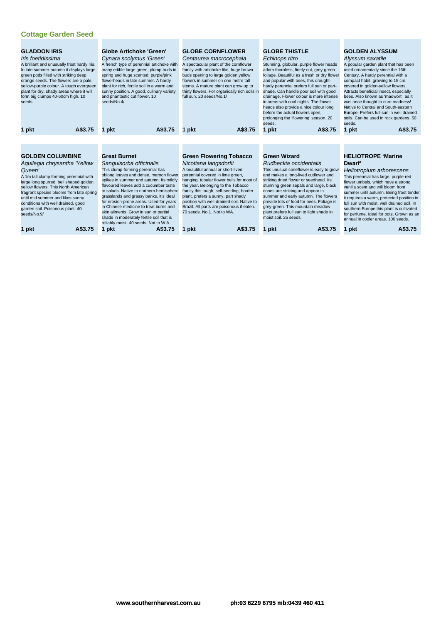| <b>GLADDON IRIS</b><br>Iris foetidissima<br>A brilliant and unusually frost hardy Iris.<br>In late summer-autumn it displays large<br>green pods filled with striking deep<br>orange seeds. The flowers are a pale,<br>yellow-purple colour. A tough evergreen<br>plant for dry, shady areas where it will<br>form big clumps 40-60cm high. 10<br>seeds.<br>A\$3.75<br>1 pkt               | <b>Globe Artichoke 'Green'</b><br>Cynara scolymus 'Green'<br>A french type of perennial artichoke with<br>many edible large green, plump buds in<br>spring and huge scented, purple/pink<br>flowerheads in late summer. A hardy<br>plant for rich, fertile soil in a warm and<br>sunny position. A good, culinary variety<br>and phantastic cut flower. 10<br>seeds/No.4/<br>A\$3.75<br>1 pkt                                                                                                                                                  | <b>GLOBE CORNFLOWER</b><br>Centaurea macrocephala<br>A spectacular plant of the cornflower<br>family with artichoke like, huge brown<br>buds opening to large golden yellow<br>flowers in summer on one metre tall<br>stems. A mature plant can grow up to<br>thirty flowers. For organically rich soils in<br>full sun. 20 seeds/No.1/<br>A\$3.75<br>1 pkt                                                                                       | <b>GLOBE THISTLE</b><br>Echinops ritro<br>Stunning, globular, purple flower heads<br>adorn thornless, finely-cut, grey-green<br>foliage. Beautiful as a fresh or dry flower<br>and popular with bees, this drought-<br>hardy perennial prefers full sun or part-<br>shade. Can handle poor soil with good<br>drainage. Flower colour is more intense<br>in areas with cool nights. The flower<br>heads also provide a nice colour long<br>before the actual flowers open,<br>prolonging the 'flowering' season. 20<br>seeds.<br>A\$3.75<br>1 pkt | <b>GOLDEN ALYSSUM</b><br>Alyssum saxatile<br>A popular garden plant that has been<br>used ornamentally since the 16th<br>Century. A hardy perennial with a<br>compact habit, growing to 15 cm,<br>covered in golden-yellow flowers.<br>Attracts beneficial insect, especially<br>bees. Also known as 'madwort', as it<br>was once thought to cure madness!<br>Native to Central and South-eastern<br>Europe. Prefers full sun in well drained<br>soils. Can be used in rock gardens. 50<br>seeds.<br>A\$3.75<br>1 pkt |
|--------------------------------------------------------------------------------------------------------------------------------------------------------------------------------------------------------------------------------------------------------------------------------------------------------------------------------------------------------------------------------------------|------------------------------------------------------------------------------------------------------------------------------------------------------------------------------------------------------------------------------------------------------------------------------------------------------------------------------------------------------------------------------------------------------------------------------------------------------------------------------------------------------------------------------------------------|---------------------------------------------------------------------------------------------------------------------------------------------------------------------------------------------------------------------------------------------------------------------------------------------------------------------------------------------------------------------------------------------------------------------------------------------------|--------------------------------------------------------------------------------------------------------------------------------------------------------------------------------------------------------------------------------------------------------------------------------------------------------------------------------------------------------------------------------------------------------------------------------------------------------------------------------------------------------------------------------------------------|-----------------------------------------------------------------------------------------------------------------------------------------------------------------------------------------------------------------------------------------------------------------------------------------------------------------------------------------------------------------------------------------------------------------------------------------------------------------------------------------------------------------------|
| <b>GOLDEN COLUMBINE</b><br>Aquilegia chrysantha 'Yellow<br>Queen'<br>A 1m tall, clump forming perennial with<br>large long spurred, bell shaped golden<br>vellow flowers. This North American<br>fragrant species blooms from late spring<br>until mid summer and likes sunny<br>conditions with well drained, good<br>garden soil. Poisonous plant. 40<br>seeds/No.9/<br>A\$3.75<br>1 pkt | <b>Great Burnet</b><br>Sanguisorba officinalis<br>This clump-forming perennial has<br>oblong leaves and dense, maroon flower<br>spikes in summer and autumn. Its mildly<br>flavoured leaves add a cucumber taste<br>to salads. Native to northern hemisphere<br>grasslands and grassy banks, it's ideal<br>for erosion-prone areas. Used for years<br>in Chinese medicine to treat burns and<br>skin ailments. Grow in sun or partial<br>shade in moderately fertile soil that is<br>reliably moist. 40 seeds. Not to W.A.<br>1 pkt<br>A\$3.75 | <b>Green Flowering Tobacco</b><br>Nicotiana langsdorfii<br>A beautiful annual or short-lived<br>perennial covered in lime green,<br>hanging, tubular flower bells for most of<br>the year. Belonging to the Tobacco<br>family this tough, self-seeding, border<br>plant, prefers a sunny, part shady<br>position with well-drained soil. Native to<br>Brazil. All parts are poisonous if eaten.<br>70 seeds, No.1, Not to WA.<br>1 pkt<br>A\$3.75 | <b>Green Wizard</b><br>Rudbeckia occidentalis<br>This unusual coneflower is easy to grow<br>and makes a long-lived cutflower and<br>striking dried flower or seedhead. Its<br>stunning green sepals and large, black<br>cones are striking and appear in<br>summer and early autumn. The flowers<br>provide lots of food for bees. Foliage is<br>grey-green. This mountain meadow<br>plant prefers full sun to light shade in<br>moist soil, 25 seeds.<br>A\$3.75<br>1 pkt                                                                       | <b>HELIOTROPE 'Marine</b><br>Dwarf'<br>Heliotropium arborescens<br>This perennial has large, purple-red<br>flower umbels, which have a strong<br>vanilla scent and will bloom from<br>summer until autumn. Being frost tende<br>it requires a warm, protected position in<br>full sun with moist, well drained soil. In<br>southern Europe this plant is cultivated<br>for perfume. Ideal for pots. Grown as an<br>annual in cooler areas. 100 seeds.<br>A\$3.75<br>1 pkt                                             |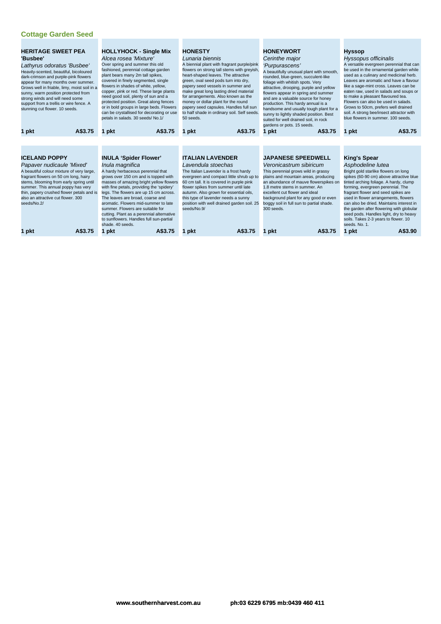| <b>HERITAGE SWEET PEA</b><br>'Busbee'<br>Lathyrus odoratus 'Busbee'<br>Heavily-scented, beautiful, bicoloured<br>dark-crimson and purple-pink flowers<br>appear for many months over summer.<br>Grows well in friable, limy, moist soil in a<br>sunny, warm position protected from<br>strong winds and will need some<br>support from a trellis or wire fence. A<br>stunning cut flower. 10 seeds. | <b>HOLLYHOCK - Single Mix</b><br>Alcea rosea 'Mixture'<br>Over spring and summer this old<br>fashioned, perennial cottage garden<br>plant bears many 2m tall spikes,<br>covered in finely segmented, single<br>flowers in shades of white, yellow,<br>copper, pink or red. These large plants<br>need good soil, plenty of sun and a<br>protected position. Great along fences<br>or in bold groups in large beds. Flowers<br>can be crystallised for decorating or use<br>petals in salads. 30 seeds/No.1/ | <b>HONESTY</b><br>Lunaria biennis<br>A biennial plant with fragrant purple/pink<br>flowers on strong tall stems with greyish,<br>heart-shaped leaves. The attractive<br>green, oval seed pods turn into dry,<br>papery seed vessels in summer and<br>make great long lasting dried material<br>for arrangements. Also known as the<br>money or dollar plant for the round<br>papery seed capsules. Handles full sun<br>to half shade in ordinary soil. Self seeds.<br>50 seeds. | <b>HONEYWORT</b><br>Cerinthe major<br>'Purpurascens'<br>A beautifully unusual plant with smooth,<br>rounded, blue-green, succulent-like<br>foliage with whitish spots. Verv<br>attractive, drooping, purple and yellow<br>flowers appear in spring and summer<br>and are a valuable source for honey<br>production. This hardy annual is a<br>handsome and usually tough plant for a<br>sunny to lightly shaded position. Best<br>suited for well drained soil, in rock<br>gardens or pots. 15 seeds. | <b>Hyssop</b><br>Hyssopus officinalis<br>A versatile evergreen perennial that can<br>be used in the ornamental garden while<br>used as a culinary and medicinal herb.<br>Leaves are aromatic and have a flavour<br>like a sage-mint cross. Leaves can be<br>eaten raw, used in salads and soups or<br>to make a pleasant flavoured tea.<br>Flowers can also be used in salads.<br>Grows to 50cm, prefers well drained<br>soil. A strong bee/insect attractor with<br>blue flowers in summer, 100 seeds. |
|-----------------------------------------------------------------------------------------------------------------------------------------------------------------------------------------------------------------------------------------------------------------------------------------------------------------------------------------------------------------------------------------------------|-------------------------------------------------------------------------------------------------------------------------------------------------------------------------------------------------------------------------------------------------------------------------------------------------------------------------------------------------------------------------------------------------------------------------------------------------------------------------------------------------------------|---------------------------------------------------------------------------------------------------------------------------------------------------------------------------------------------------------------------------------------------------------------------------------------------------------------------------------------------------------------------------------------------------------------------------------------------------------------------------------|-------------------------------------------------------------------------------------------------------------------------------------------------------------------------------------------------------------------------------------------------------------------------------------------------------------------------------------------------------------------------------------------------------------------------------------------------------------------------------------------------------|---------------------------------------------------------------------------------------------------------------------------------------------------------------------------------------------------------------------------------------------------------------------------------------------------------------------------------------------------------------------------------------------------------------------------------------------------------------------------------------------------------|
| A\$3.75<br>1 pkt                                                                                                                                                                                                                                                                                                                                                                                    | A\$3.75<br>1 pkt                                                                                                                                                                                                                                                                                                                                                                                                                                                                                            | A\$3.75<br>1 pkt                                                                                                                                                                                                                                                                                                                                                                                                                                                                | A\$3.75<br>1 pkt                                                                                                                                                                                                                                                                                                                                                                                                                                                                                      | A\$3.75<br>1 pkt                                                                                                                                                                                                                                                                                                                                                                                                                                                                                        |
|                                                                                                                                                                                                                                                                                                                                                                                                     |                                                                                                                                                                                                                                                                                                                                                                                                                                                                                                             |                                                                                                                                                                                                                                                                                                                                                                                                                                                                                 |                                                                                                                                                                                                                                                                                                                                                                                                                                                                                                       |                                                                                                                                                                                                                                                                                                                                                                                                                                                                                                         |
|                                                                                                                                                                                                                                                                                                                                                                                                     |                                                                                                                                                                                                                                                                                                                                                                                                                                                                                                             |                                                                                                                                                                                                                                                                                                                                                                                                                                                                                 |                                                                                                                                                                                                                                                                                                                                                                                                                                                                                                       |                                                                                                                                                                                                                                                                                                                                                                                                                                                                                                         |
| <b>ICELAND POPPY</b><br>Papaver nudicaule 'Mixed'<br>A beautiful colour mixture of very large,<br>fragrant flowers on 50 cm long, hairy<br>stems, blooming from early spring until<br>summer. This annual poppy has very<br>thin, papery crushed flower petals and is<br>also an attractive cut flower, 300<br>seeds/No.2/                                                                          | <b>INULA 'Spider Flower'</b><br>Inula magnifica<br>A hardy herbaceous perennial that<br>grows over 150 cm and is topped with<br>masses of amazing bright yellow flowers<br>with fine petals, providing the 'spidery'<br>legs. The flowers are up 15 cm across.<br>The leaves are broad, coarse and<br>aromatic. Flowers mid-summer to late<br>summer. Flowers are suitable for<br>cutting. Plant as a perennial alternative<br>to sunflowers. Handles full sun-partial<br>shade, 40 seeds.                  | <b>ITALIAN LAVENDER</b><br>Lavendula stoechas<br>The Italian Lavender is a frost hardy<br>evergreen and compact little shrub up to<br>60 cm tall. It is covered in purple pink<br>flower spikes from summer until late<br>autumn. Also grown for essential oils,<br>this type of lavender needs a sunny<br>position with well drained garden soil. 25<br>seeds/No.9/                                                                                                            | <b>JAPANESE SPEEDWELL</b><br>Veronicastrum sibiricum<br>This perennial grows wild in grassy<br>plains and mountain areas, producing<br>an abundance of mauve flowerspikes on<br>1.8 metre stems in summer. An<br>excellent cut flower and ideal<br>background plant for any good or even<br>boggy soil in full sun to partial shade.<br>300 seeds.                                                                                                                                                    | <b>King's Spear</b><br>Asphodeline lutea<br>Bright gold starlike flowers on long<br>spikes (60-90 cm) above attractive blue<br>tinted arching foliage. A hardy, clump<br>forming, evergreen perennial. The<br>fragrant flower and seed spikes are<br>used in flower arrangements, flowers<br>can also be dried. Maintains interest in<br>the garden after flowering with globular<br>seed pods. Handles light, dry to heavy<br>soils. Takes 2-3 years to flower. 10<br>seeds. No. 1.                    |
| A\$3.75<br>1 pkt                                                                                                                                                                                                                                                                                                                                                                                    | A\$3.75<br>1 pkt                                                                                                                                                                                                                                                                                                                                                                                                                                                                                            | A\$3.75<br>1 pkt                                                                                                                                                                                                                                                                                                                                                                                                                                                                | A\$3.75<br>1 pkt                                                                                                                                                                                                                                                                                                                                                                                                                                                                                      | A\$3.90<br>1 pkt                                                                                                                                                                                                                                                                                                                                                                                                                                                                                        |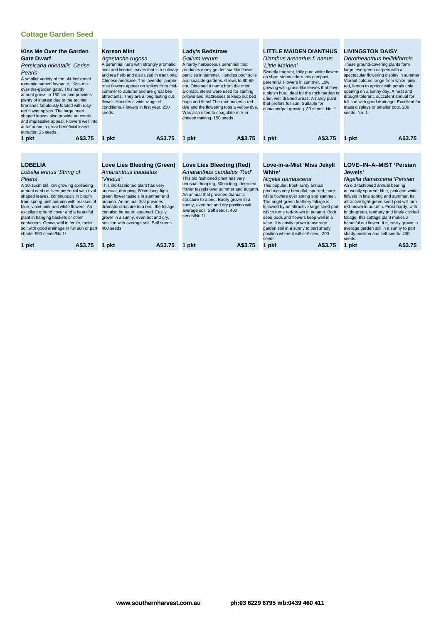| <b>Kiss Me Over the Garden</b><br><b>Gate Dwarf</b><br>Persicaria orientalis 'Cerise<br>Pearls'<br>A smaller variety of the old-fashioned<br>romantic named favourite, 'Kiss-me-<br>over-the-garden-gate'. This hardy<br>annual grows to 150 cm and provides<br>plenty of interest due to the arching<br>branches fabulously loaded with rosy-<br>red flower spikes. The large heart<br>shaped leaves also provide an exotic<br>and impressive appeal. Flowers well into<br>autumn and a great beneficial insect<br>attractor, 25 seeds. | <b>Korean Mint</b><br>Agastache rugosa<br>A perennial herb with strongly aromatic<br>mint and licorice leaves that is a culinary<br>and tea herb and also used in traditional<br>Chinese medicine. The lavender-purple-<br>rose flowers appear on spikes from mid-<br>summer to autumn and are great bee<br>attractants. They are a long lasting cut<br>flower. Handles a wide range of<br>conditions. Flowers in first year. 250<br>seeds. | Lady's Bedstraw<br>Galium verum<br>A hardy herbaceous perennial that<br>produces many golden starlike flower<br>panicles in summer. Handles poor soils<br>and seaside gardens. Grows to 30-60<br>cm. Obtained it name from the dried<br>aromatic stems were used for stuffing<br>pillows and mattresses to keep out bed<br>bugs and fleas! The root makes a red<br>dye and the flowering tops a yellow dye.<br>Was also used to coagulate milk in<br>cheese making. 150 seeds. | <b>LITTLE MAIDEN DIANTHUS</b><br>Dianthus arenarius f. nanus<br>'Little Maiden'<br>Sweetly fragrant, frilly pure white flowers<br>on short stems adorn this compact<br>perennial. Flowers in summer. Low<br>growing with grass-like leaves that have<br>a bluish hue. Ideal for the rock garden or<br>drier, well drained areas. A hardy plant<br>that prefers full sun. Suitable for<br>container/pot growing. 30 seeds. No. 1.                                                                                  | <b>LIVINGSTON DAISY</b><br>Dorotheanthus bellidiformis<br>These ground-covering plants form<br>large, evergreen carpets with a<br>spectacular flowering display in summer.<br>Vibrant colours range from white, pink,<br>red, lemon to apricot with petals only<br>opening on a sunny day. A heat and<br>drought tolerant, succulent annual for<br>full sun with good drainage. Excellent for<br>mass displays or smaller pots. 200<br>seeds, No. 1.                                                                              |
|------------------------------------------------------------------------------------------------------------------------------------------------------------------------------------------------------------------------------------------------------------------------------------------------------------------------------------------------------------------------------------------------------------------------------------------------------------------------------------------------------------------------------------------|---------------------------------------------------------------------------------------------------------------------------------------------------------------------------------------------------------------------------------------------------------------------------------------------------------------------------------------------------------------------------------------------------------------------------------------------|--------------------------------------------------------------------------------------------------------------------------------------------------------------------------------------------------------------------------------------------------------------------------------------------------------------------------------------------------------------------------------------------------------------------------------------------------------------------------------|-------------------------------------------------------------------------------------------------------------------------------------------------------------------------------------------------------------------------------------------------------------------------------------------------------------------------------------------------------------------------------------------------------------------------------------------------------------------------------------------------------------------|-----------------------------------------------------------------------------------------------------------------------------------------------------------------------------------------------------------------------------------------------------------------------------------------------------------------------------------------------------------------------------------------------------------------------------------------------------------------------------------------------------------------------------------|
| A\$3.75<br>1 pkt                                                                                                                                                                                                                                                                                                                                                                                                                                                                                                                         | A\$3.75<br>1 pkt                                                                                                                                                                                                                                                                                                                                                                                                                            | A\$3.75<br>1 pkt                                                                                                                                                                                                                                                                                                                                                                                                                                                               | A\$3.75<br>1 pkt                                                                                                                                                                                                                                                                                                                                                                                                                                                                                                  | A\$3.75<br>1 pkt                                                                                                                                                                                                                                                                                                                                                                                                                                                                                                                  |
|                                                                                                                                                                                                                                                                                                                                                                                                                                                                                                                                          |                                                                                                                                                                                                                                                                                                                                                                                                                                             |                                                                                                                                                                                                                                                                                                                                                                                                                                                                                |                                                                                                                                                                                                                                                                                                                                                                                                                                                                                                                   |                                                                                                                                                                                                                                                                                                                                                                                                                                                                                                                                   |
| <b>LOBELIA</b><br>Lobelia erinus 'String of<br>Pearls'<br>A 10-15cm tall, low growing spreading<br>annual or short lived perennial with oval<br>shaped leaves, continuously in bloom<br>from spring until autumn with masses of<br>blue, violet pink and white flowers. An<br>excellent ground cover and a beautiful<br>plant in hanging baskets or other<br>containers. Grows well in fertile, moist<br>soil with good drainage in full sun or part<br>shade. 500 seeds/No.1/<br>A\$3.75<br>1 pkt                                       | Love Lies Bleeding (Green)<br>Amaranthus caudatus<br>'Viridus'<br>This old-fashioned plant has very<br>unusual, drooping, 80cm long, light<br>green flower tassels in summer and<br>autumn. An annual that provides<br>dramatic structure to a bed, the foliage<br>can also be eaten steamed. Easily<br>grown in a sunny, even hot and dry,<br>position with average soil. Self seeds.<br>400 seeds.<br>A\$3.75<br>pkt                      | Love Lies Bleeding (Red)<br>Amaranthus caudatus 'Red'<br>This old fashioned plant has very<br>unusual drooping, 80cm long, deep red<br>flower tassels over summer and autumn.<br>An annual that provides dramatic<br>structure to a bed. Easily grown in a<br>sunny, even hot and dry position with<br>average soil. Self seeds. 400<br>seeds/No.1/<br>A\$3.75<br>1 pkt                                                                                                        | Love-in-a-Mist 'Miss Jekyll<br><b>White</b><br>Nigella damascena<br>This popular, frost-hardy annual<br>produces very beautiful, spurred, pure-<br>white flowers over spring and summer.<br>The bright-green feathery foliage is<br>followed by an attractive large seed pod<br>which turns red-brown in autumn. Both<br>seed pods and flowers keep well in a<br>vase. It is easily grown in average<br>garden soil in a sunny to part shady<br>position where it will self-seed, 200<br>seeds.<br>A\$3.75<br>pkt | LOVE-IN-A-MIST 'Persian<br>Jewels'<br>Nigella damascena 'Persian'<br>An old-fashioned annual bearing<br>unusually spurred, blue, pink and white<br>flowers in late spring and summer. Its<br>attractive light-green seed pod will turn<br>red-brown in autumn. Frost-hardy, with<br>bright-green, feathery and finely divided<br>foliage, this cottage plant makes a<br>beautiful cut flower. It is easily grown in<br>average garden soil in a sunny to part<br>shady position and self-seeds. 400<br>seeds.<br>A\$3.75<br>1 pkt |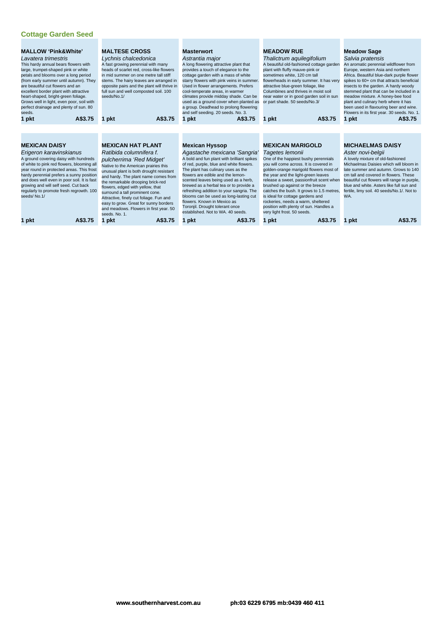| <b>MALLOW 'Pink&amp;White'</b><br>Lavatera trimestris<br>This hardy annual bears flowers with<br>large, trumpet-shaped pink or white<br>petals and blooms over a long period<br>(from early summer until autumn). They<br>are beautiful cut flowers and an<br>excellent border plant with attractive<br>heart-shaped, bright-green foliage.<br>Grows well in light, even poor, soil with<br>perfect drainage and plenty of sun. 80<br>seeds.<br>A\$3.75<br>1 pkt | <b>MALTESE CROSS</b><br>Lychnis chalcedonica<br>A fast growing perennial with many<br>heads of scarlet red, cross-like flowers<br>in mid summer on one metre tall stiff<br>stems. The hairy leaves are arranged in<br>opposite pairs and the plant will thrive in<br>full sun and well composted soil. 100<br>seeds/No.1/<br>A\$3.75<br>1 pkt                                                                                                                         | <b>Masterwort</b><br>Astrantia major<br>A long flowering attractive plant that<br>provides a touch of elegance to the<br>cottage garden with a mass of white<br>starry flowers with pink veins in summer.<br>Used in flower arrangements. Prefers<br>cool-temperate areas, in warmer<br>climates provide midday shade. Can be<br>used as a ground cover when planted as<br>a group. Deadhead to prolong flowering<br>and self seeding. 20 seeds. No. 3.<br>1 pkt<br>A\$3.75                              | <b>MEADOW RUE</b><br>Thalictrum aquilegifolium<br>A beautiful old-fashioned cottage garden<br>plant with fluffy mauve-pink or<br>sometimes white, 120 cm tall<br>flowerheads in early summer. It has very<br>attractive blue-green foliage, like<br>Columbines and thrives in moist soil<br>near water or in good garden soil in sun<br>or part shade. 50 seeds/No.3/<br>A\$3.75<br>1 pkt                                                                                                     | <b>Meadow Sage</b><br>Salvia pratensis<br>An aromatic perennial wildflower from<br>Europe, western Asia and northern<br>Africa. Beautiful blue-dark purple flower<br>spikes to 60+ cm that attracts beneficial<br>insects to the garden. A hardy woody<br>stemmed plant that can be included in a<br>meadow mixture. A honey-bee food<br>plant and culinary herb where it has<br>been used in flavouring beer and wine.<br>Flowers in its first year. 30 seeds. No. 1<br>A\$3.75<br>1 pkt |
|------------------------------------------------------------------------------------------------------------------------------------------------------------------------------------------------------------------------------------------------------------------------------------------------------------------------------------------------------------------------------------------------------------------------------------------------------------------|-----------------------------------------------------------------------------------------------------------------------------------------------------------------------------------------------------------------------------------------------------------------------------------------------------------------------------------------------------------------------------------------------------------------------------------------------------------------------|----------------------------------------------------------------------------------------------------------------------------------------------------------------------------------------------------------------------------------------------------------------------------------------------------------------------------------------------------------------------------------------------------------------------------------------------------------------------------------------------------------|-----------------------------------------------------------------------------------------------------------------------------------------------------------------------------------------------------------------------------------------------------------------------------------------------------------------------------------------------------------------------------------------------------------------------------------------------------------------------------------------------|-------------------------------------------------------------------------------------------------------------------------------------------------------------------------------------------------------------------------------------------------------------------------------------------------------------------------------------------------------------------------------------------------------------------------------------------------------------------------------------------|
|                                                                                                                                                                                                                                                                                                                                                                                                                                                                  |                                                                                                                                                                                                                                                                                                                                                                                                                                                                       |                                                                                                                                                                                                                                                                                                                                                                                                                                                                                                          |                                                                                                                                                                                                                                                                                                                                                                                                                                                                                               |                                                                                                                                                                                                                                                                                                                                                                                                                                                                                           |
| <b>MEXICAN DAISY</b><br>Erigeron karavinskianus<br>A ground covering daisy with hundreds<br>of white to pink red flowers, blooming all<br>year round in protected areas. This frost<br>hardy perennial prefers a sunny position<br>and does well even in poor soil. It is fast<br>growing and will self seed. Cut back<br>regularly to promote fresh regrowth. 100<br>seeds/No.1/                                                                                | <b>MEXICAN HAT PLANT</b><br>Ratibida columnifera f.<br>pulcherrima 'Red Midget'<br>Native to the American prairies this<br>unusual plant is both drought resistant<br>and hardy. The plant name comes from<br>the remarkable drooping brick-red<br>flowers, edged with yellow, that<br>surround a tall prominent cone.<br>Attractive, finely cut foliage. Fun and<br>easy to grow. Great for sunny borders<br>and meadows. Flowers in first year. 50<br>seeds, No. 1. | <b>Mexican Hyssop</b><br>Agastache mexicana 'Sangria'<br>A bold and fun plant with brilliant spikes<br>of red, purple, blue and white flowers.<br>The plant has culinary uses as the<br>flowers are edible and the lemon-<br>scented leaves being used as a herb,<br>brewed as a herbal tea or to provide a<br>refreshing addition to your sangria. The<br>blooms can be used as long-lasting cut<br>flowers. Known in Mexico as<br>Toronjil. Drought tolerant once<br>established. Not to WA, 40 seeds. | <b>MEXICAN MARIGOLD</b><br>Tagetes lemonii<br>One of the happiest bushy perennials<br>you will come across. It is covered in<br>golden-orange marigold flowers most of<br>the year and the light-green leaves<br>release a sweet, passionfruit scent when<br>brushed up against or the breeze<br>catches the bush. It grows to 1.5 metres,<br>is ideal for cottage gardens and<br>rockeries, needs a warm, sheltered<br>position with plenty of sun. Handles a<br>very light frost. 50 seeds. | <b>MICHAELMAS DAISY</b><br>Aster novi-belgii<br>A lovely mixture of old-fashioned<br>Michaelmas Daisies which will bloom in<br>late summer and autumn. Grows to 140<br>cm tall and covered in flowers. These<br>beautiful cut flowers will range in purple,<br>blue and white. Asters like full sun and<br>fertile, limy soil. 40 seeds/No.1/. Not to<br>WA.                                                                                                                              |
| A\$3.75<br>1 pkt                                                                                                                                                                                                                                                                                                                                                                                                                                                 | A\$3.75<br>1 pkt                                                                                                                                                                                                                                                                                                                                                                                                                                                      | A\$3.75<br>1 pkt                                                                                                                                                                                                                                                                                                                                                                                                                                                                                         | A\$3.75<br>1 pkt                                                                                                                                                                                                                                                                                                                                                                                                                                                                              | A\$3.75<br>1 pkt                                                                                                                                                                                                                                                                                                                                                                                                                                                                          |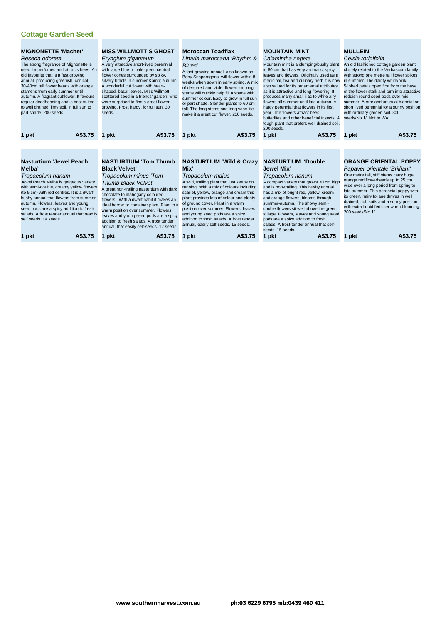| <b>MIGNONETTE 'Machet'</b><br>Reseda odorata<br>The strong fragrance of Mignonette is<br>old favourite that is a fast growing<br>annual, producing greenish, conical,<br>30-40cm tall flower heads with orange<br>stamens from early summer until<br>to well drained, limy soil, in full sun to<br>part shade. 200 seeds. | used for perfumes and attracts bees. An<br>autumn. A fragrant cutflower. It favours<br>regular deadheading and is best suited                                                                                                                                     | <b>MISS WILLMOTT'S GHOST</b><br>Eryngium giganteum<br>A very attractive short-lived perennial<br>with large blue or pale-green central<br>flower cones surrounded by spiky,<br>silvery bracts in summer & autumn.<br>A wonderful cut flower with heart-<br>shaped, basal leaves. Miss Willmott<br>scattered seed in a friends' garden, who<br>were surprised to find a great flower<br>growing. Frost hardy, for full sun. 30<br>seeds. | <b>Moroccan Toadflax</b><br>Linaria maroccana 'Rhythm &<br>Blues'<br>A fast-growing annual, also known as<br>Baby Snapdragons, will flower within 8<br>weeks when sown in early spring. A mix<br>of deep-red and violet flowers on long<br>stems will quickly help fill a space with<br>summer colour. Easy to grow in full sun<br>or part shade. Slender plants to 60 cm<br>tall. The long stems and long vase life<br>make it a great cut flower. 250 seeds. | <b>MOUNTAIN MINT</b><br>Calamintha nepeta<br>Mountain mint is a clumping/bushy plant<br>to 50 cm that has very aromatic, spicy<br>leaves and flowers. Originally used as a<br>medicinal, tea and culinary herb it is now<br>also valued for its ornamental attributes<br>as it is attractive and long flowering. It<br>produces many small lilac to white airy<br>flowers all summer until late autumn. A<br>hardy perennial that flowers in its first<br>year. The flowers attract bees,<br>butterflies and other beneficial insects. A<br>tough plant that prefers well drained soil.<br>200 seeds. | <b>MULLEIN</b><br>Celsia roripifolia<br>An old fashioned cottage garden plant<br>closely related to the Verbascum family<br>with strong one metre tall flower spikes<br>in summer. The dainty white/pink,<br>5-lobed petals open first from the base<br>of the flower stalk and turn into attractive<br>reddish round seed pods over mid<br>summer. A rare and unusual biennial or<br>short lived perennial for a sunny position<br>with ordinary garden soil. 300<br>seeds/No.1/. Not to WA. |
|---------------------------------------------------------------------------------------------------------------------------------------------------------------------------------------------------------------------------------------------------------------------------------------------------------------------------|-------------------------------------------------------------------------------------------------------------------------------------------------------------------------------------------------------------------------------------------------------------------|-----------------------------------------------------------------------------------------------------------------------------------------------------------------------------------------------------------------------------------------------------------------------------------------------------------------------------------------------------------------------------------------------------------------------------------------|----------------------------------------------------------------------------------------------------------------------------------------------------------------------------------------------------------------------------------------------------------------------------------------------------------------------------------------------------------------------------------------------------------------------------------------------------------------|-------------------------------------------------------------------------------------------------------------------------------------------------------------------------------------------------------------------------------------------------------------------------------------------------------------------------------------------------------------------------------------------------------------------------------------------------------------------------------------------------------------------------------------------------------------------------------------------------------|-----------------------------------------------------------------------------------------------------------------------------------------------------------------------------------------------------------------------------------------------------------------------------------------------------------------------------------------------------------------------------------------------------------------------------------------------------------------------------------------------|
| 1 pkt                                                                                                                                                                                                                                                                                                                     | A\$3.75                                                                                                                                                                                                                                                           | A\$3.75<br>1 pkt                                                                                                                                                                                                                                                                                                                                                                                                                        | A\$3.75<br>1 pkt                                                                                                                                                                                                                                                                                                                                                                                                                                               | A\$3.75<br>1 pkt                                                                                                                                                                                                                                                                                                                                                                                                                                                                                                                                                                                      | A\$3.75<br>1 pkt                                                                                                                                                                                                                                                                                                                                                                                                                                                                              |
|                                                                                                                                                                                                                                                                                                                           |                                                                                                                                                                                                                                                                   |                                                                                                                                                                                                                                                                                                                                                                                                                                         |                                                                                                                                                                                                                                                                                                                                                                                                                                                                |                                                                                                                                                                                                                                                                                                                                                                                                                                                                                                                                                                                                       |                                                                                                                                                                                                                                                                                                                                                                                                                                                                                               |
|                                                                                                                                                                                                                                                                                                                           |                                                                                                                                                                                                                                                                   |                                                                                                                                                                                                                                                                                                                                                                                                                                         |                                                                                                                                                                                                                                                                                                                                                                                                                                                                |                                                                                                                                                                                                                                                                                                                                                                                                                                                                                                                                                                                                       |                                                                                                                                                                                                                                                                                                                                                                                                                                                                                               |
| <b>Nasturtium 'Jewel Peach</b>                                                                                                                                                                                                                                                                                            |                                                                                                                                                                                                                                                                   | <b>NASTURTIUM 'Tom Thumb</b>                                                                                                                                                                                                                                                                                                                                                                                                            | <b>NASTURTIUM 'Wild &amp; Crazy</b>                                                                                                                                                                                                                                                                                                                                                                                                                            | <b>NASTURTIUM 'Double</b>                                                                                                                                                                                                                                                                                                                                                                                                                                                                                                                                                                             | <b>ORANGE ORIENTAL POPPY</b>                                                                                                                                                                                                                                                                                                                                                                                                                                                                  |
| Melba'                                                                                                                                                                                                                                                                                                                    |                                                                                                                                                                                                                                                                   | <b>Black Velvet'</b>                                                                                                                                                                                                                                                                                                                                                                                                                    | Mix'                                                                                                                                                                                                                                                                                                                                                                                                                                                           | <b>Jewel Mix'</b>                                                                                                                                                                                                                                                                                                                                                                                                                                                                                                                                                                                     | Papaver orientale 'Brilliant'<br>One metre tall, stiff stems carry huge                                                                                                                                                                                                                                                                                                                                                                                                                       |
| Tropaeolum nanum<br>autumn. Flowers, leaves and young<br>self seeds, 14 seeds.                                                                                                                                                                                                                                            | Jewel Peach Melba is gorgeous variety<br>with semi-double, creamy yellow flowers<br>(to 5 cm) with red centres. It is a dwarf,<br>bushy annual that flowers from summer-<br>seed pods are a spicy addition to fresh<br>salads. A frost tender annual that readily | Tropaeolum minus 'Tom<br>Thumb Black Velvet'<br>A great non-trailing nasturtium with dark<br>chocolate to mahogany coloured<br>flowers. With a dwarf habit it makes an<br>ideal border or container plant. Plant in a<br>warm position over summer. Flowers,<br>leaves and young seed pods are a spicy<br>addition to fresh salads. A frost tender<br>annual, that easily self-seeds. 12 seeds.                                         | Tropaeolum majus<br>A wild, trailing plant that just keeps on<br>running! With a mix of colours including<br>scarlet, yellow, orange and cream this<br>plant provides lots of colour and plenty<br>of ground cover. Plant in a warm<br>position over summer. Flowers, leaves<br>and young seed pods are a spicy<br>addition to fresh salads. A frost tender<br>annual, easily self-seeds. 15 seeds.                                                            | Tropaeolum nanum<br>A compact variety that grows 30 cm high<br>and is non-trailing. This bushy annual<br>has a mix of bright red, yellow, cream<br>and orange flowers, blooms through<br>summer-autumn. The showy semi-<br>double flowers sit well above the green<br>foliage. Flowers, leaves and young seed<br>pods are a spicy addition to fresh<br>salads. A frost-tender annual that self-<br>seeds, 15 seeds.                                                                                                                                                                                   | orange red flowerheads up to 25 cm<br>wide over a long period from spring to<br>late summer. This perennial poppy with<br>its green, hairy foliage thrives in well<br>drained, rich soils and a sunny position<br>with extra liquid fertiliser when blooming.<br>200 seeds/No.1/                                                                                                                                                                                                              |
| 1 pkt                                                                                                                                                                                                                                                                                                                     | A\$3.75                                                                                                                                                                                                                                                           | A\$3.75<br>1 pkt                                                                                                                                                                                                                                                                                                                                                                                                                        | A\$3.75<br>pkt<br>1                                                                                                                                                                                                                                                                                                                                                                                                                                            | A\$3.75<br>1 pkt                                                                                                                                                                                                                                                                                                                                                                                                                                                                                                                                                                                      | A\$3.75<br>1 pkt                                                                                                                                                                                                                                                                                                                                                                                                                                                                              |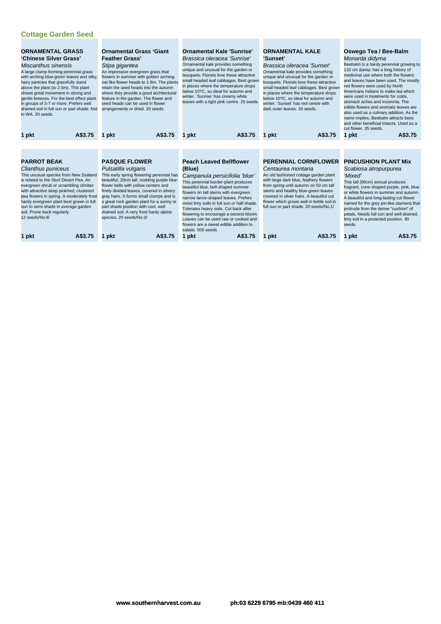| <b>ORNAMENTAL GRASS</b><br>'Chinese Silver Grass'<br>Miscanthus sinensis<br>A large clump forming perennial grass<br>with arching blue-green leaves and silky,<br>hairy panicles that gracefully stand<br>above the plant (to 2.5m). This plant<br>shows great movement in strong and<br>gentle breezes. For the best effect plant<br>in groups of 3-7 or more. Prefers well<br>drained soil in full sun or part shade. Not<br>to WA, 20 seeds. | <b>Ornamental Grass 'Giant</b><br><b>Feather Grass'</b><br>Stipa gigantea<br>An impressive evergreen grass that<br>flowers in summer with golden arching<br>oat like flower heads to 1.8m. The plants<br>retain the seed heads into the autumn<br>where they provide a good architectural<br>feature in the garden. The flower and<br>seed heads can be used in flower<br>arrangements or dried. 20 seeds.                                        | <b>Ornamental Kale 'Sunrise'</b><br>Brassica oleracea 'Sunrise'<br>Ornamental kale provides something<br>unique and unusual for the garden or<br>bouquets. Florists love these attractive<br>small headed leaf cabbages. Best grown<br>in places where the temperature drops<br>below 10?C, so ideal for autumn and<br>winter. 'Sunrise' has creamy white<br>leaves with a light pink centre. 20 seeds.                                                                                              | <b>ORNAMENTAL KALE</b><br><b>'Sunset'</b><br>Brassica oleracea 'Sunset'<br>Ornamental kale provides something<br>unique and unusual for the garden or<br>bouquets. Florists love these attractive<br>small headed leaf cabbages. Best grown<br>in places where the temperature drops<br>below 10?C, so ideal for autumn and<br>winter. 'Sunset' has red centre with<br>dark outer leaves, 20 seeds. | Oswego Tea / Bee-Balm<br>Monarda didyma<br>Beebalm is a hardy perennial growing to<br>110 cm & has a long history of<br>medicinal use where both the flowers<br>and leaves have been used. The mostly<br>red flowers were used by North<br>Americans Indians to make tea which<br>were used in treatments for colds.<br>stomach aches and insomnia. The<br>edible flowers and aromatic leaves are<br>also used as a culinary addition. As the<br>name implies, Beebalm attracts bees<br>and other beneficial insects. Used as a<br>cut flower, 35 seeds. |
|-------------------------------------------------------------------------------------------------------------------------------------------------------------------------------------------------------------------------------------------------------------------------------------------------------------------------------------------------------------------------------------------------------------------------------------------------|---------------------------------------------------------------------------------------------------------------------------------------------------------------------------------------------------------------------------------------------------------------------------------------------------------------------------------------------------------------------------------------------------------------------------------------------------|------------------------------------------------------------------------------------------------------------------------------------------------------------------------------------------------------------------------------------------------------------------------------------------------------------------------------------------------------------------------------------------------------------------------------------------------------------------------------------------------------|-----------------------------------------------------------------------------------------------------------------------------------------------------------------------------------------------------------------------------------------------------------------------------------------------------------------------------------------------------------------------------------------------------|----------------------------------------------------------------------------------------------------------------------------------------------------------------------------------------------------------------------------------------------------------------------------------------------------------------------------------------------------------------------------------------------------------------------------------------------------------------------------------------------------------------------------------------------------------|
| A\$3.75<br>1 pkt                                                                                                                                                                                                                                                                                                                                                                                                                                | A\$3.75<br>1 pkt                                                                                                                                                                                                                                                                                                                                                                                                                                  | A\$3.75<br>pkt                                                                                                                                                                                                                                                                                                                                                                                                                                                                                       | A\$3.75<br>pkt                                                                                                                                                                                                                                                                                                                                                                                      | A\$3.75<br>1 pkt                                                                                                                                                                                                                                                                                                                                                                                                                                                                                                                                         |
| <b>PARROT BEAK</b><br>Clianthus puniceus<br>This unusual species from New Zealand<br>is related to the Sturt Desert Pea. An<br>evergreen shrub or scrambling climber<br>with attractive deep pink/red, clustered<br>pea flowers in spring. A moderately frost<br>hardy evergreen plant best grown in full<br>sun to semi shade in average garden<br>soil. Prune back regularly.<br>12 seeds/No.8/<br>A\$3.75<br>1 pkt                           | <b>PASQUE FLOWER</b><br>Pulsatilla vulgaris<br>This early spring flowering perennial has<br>beautiful, 20cm tall, nodding purple blue<br>flower bells with yellow centers and<br>finely divided leaves, covered in silvery<br>gray hairs. It forms small clumps and is<br>a great rock garden plant for a sunny or<br>part shade position with cool, well<br>drained soil. A very frost hardy alpine<br>species. 20 seeds/No.3/<br>A\$3.75<br>pkt | <b>Peach Leaved Bellflower</b><br>(Blue)<br>Campanula persicifolia 'blue'<br>This perennial border-plant produces<br>beautiful blue, bell-shaped summer<br>flowers on tall stems with evergreen<br>narrow lance-shaped leaves. Prefers<br>moist limy soils in full sun or half shade.<br>Tolerates heavy soils. Cut back after<br>flowering to encourage a second bloom.<br>Leaves can be used raw or cooked and<br>flowers are a sweet edible addition to<br>salads, 500 seeds.<br>A\$3.75<br>1 pkt | <b>PERENNIAL CORNFLOWER</b><br>Centaurea montana<br>An old fashioned cottage garden plant<br>with large dark blue, feathery flowers<br>from spring until autumn on 50 cm tall<br>stems and healthy blue-green leaves<br>covered in silver hairs. A beautiful cut<br>flower which grows well in fertile soil in<br>full sun or part shade. 20 seeds/No.1/<br>A\$3.75<br>pkt                          | <b>PINCUSHION PLANT Mix</b><br>Scabiosa atropurpurea<br>'Mixed'<br>This tall (90cm) annual produces<br>fragrant, cone-shaped purple, pink, blue<br>or white flowers in summer and autumn.<br>A beautiful and long-lasting cut flower<br>named for the grey pin-like stamens that<br>protrude from the dense "cushion" of<br>petals. Needs full sun and well-drained,<br>limy soil in a protected position. 30<br>seeds.<br>A\$3.75<br>1 pkt                                                                                                              |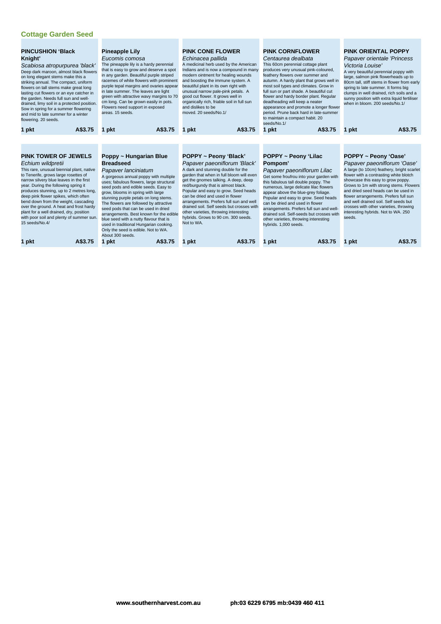| <b>PINCUSHION 'Black</b><br>Knight'<br>Scabiosa atropurpurea 'black'<br>on long elegant stems make this a<br>striking annual. The compact, uniform<br>flowers on tall stems make great long<br>lasting cut flowers or an eye catcher in<br>the garden. Needs full sun and well-<br>Sow in spring for a summer flowering<br>and mid to late summer for a winter<br>flowering. 20 seeds.                                                                                  | Deep dark maroon, almost black flowers<br>drained, limy soil in a protected position. | <b>Pineapple Lily</b><br>Eucomis comosa<br>The pineapple lily is a hardy perennial<br>that is easy to grow and deserve a spot<br>in any garden. Beautiful purple striped<br>racemes of white flowers with prominent<br>purple tepal margins and ovaries appear<br>in late summer. The leaves are light<br>green with attractive wavy margins to 70<br>cm long. Can be grown easily in pots.<br>Flowers need support in exposed<br>areas. 15 seeds.                                                                                                                         | <b>PINK CONE FLOWER</b><br>Echinacea pallida<br>modern ointment for healing wounds<br>and boosting the immune system. A<br>beautiful plant in its own right with<br>unusual narrow pale-pink petals. A<br>good cut flower. It grows well in<br>organically rich, friable soil in full sun<br>and dislikes to be<br>moved. 20 seeds/No.1/ | A medicinal herb used by the American<br>Indians and is now a compound in many                                                                                                                                      | <b>PINK CORNFLOWER</b><br>Centaurea dealbata<br>This 60cm perennial cottage plant<br>produces very unusual pink-coloured,<br>feathery flowers over summer and<br>autumn. A hardy plant that grows well in<br>most soil types and climates. Grow in<br>full sun or part shade. A beautiful cut<br>flower and hardy border plant. Regular<br>deadheading will keep a neater<br>appearance and promote a longer flower<br>period. Prune back hard in late-summer<br>to maintain a compact habit. 20<br>seeds/No.1/ |         | Victoria Louise'<br>when in bloom, 200 seeds/No.1/ | <b>PINK ORIENTAL POPPY</b><br>Papaver orientale 'Princess<br>A very beautiful perennial poppy with<br>large, salmon pink flowerheads up to<br>80cm tall, stiff stems in flower from early<br>spring to late summer. It forms big<br>clumps in well drained, rich soils and a<br>sunny position with extra liquid fertiliser                                                                                             |
|-------------------------------------------------------------------------------------------------------------------------------------------------------------------------------------------------------------------------------------------------------------------------------------------------------------------------------------------------------------------------------------------------------------------------------------------------------------------------|---------------------------------------------------------------------------------------|----------------------------------------------------------------------------------------------------------------------------------------------------------------------------------------------------------------------------------------------------------------------------------------------------------------------------------------------------------------------------------------------------------------------------------------------------------------------------------------------------------------------------------------------------------------------------|------------------------------------------------------------------------------------------------------------------------------------------------------------------------------------------------------------------------------------------------------------------------------------------------------------------------------------------|---------------------------------------------------------------------------------------------------------------------------------------------------------------------------------------------------------------------|-----------------------------------------------------------------------------------------------------------------------------------------------------------------------------------------------------------------------------------------------------------------------------------------------------------------------------------------------------------------------------------------------------------------------------------------------------------------------------------------------------------------|---------|----------------------------------------------------|-------------------------------------------------------------------------------------------------------------------------------------------------------------------------------------------------------------------------------------------------------------------------------------------------------------------------------------------------------------------------------------------------------------------------|
| 1 pkt                                                                                                                                                                                                                                                                                                                                                                                                                                                                   | A\$3.75                                                                               | A\$3.75<br>1 pkt                                                                                                                                                                                                                                                                                                                                                                                                                                                                                                                                                           | 1 pkt                                                                                                                                                                                                                                                                                                                                    | A\$3.75                                                                                                                                                                                                             | 1 pkt                                                                                                                                                                                                                                                                                                                                                                                                                                                                                                           | A\$3.75 | 1 pkt                                              | A\$3.75                                                                                                                                                                                                                                                                                                                                                                                                                 |
| <b>PINK TOWER OF JEWELS</b><br>Echium wildpretii<br>This rare, unusual biennial plant, native<br>to Tenerife, grows large rosettes of<br>narrow silvery blue leaves in the first<br>year. During the following spring it<br>produces stunning, up to 2 metres long,<br>deep pink flower spikes, which often<br>bend down from the weight, cascading<br>over the ground. A heat and frost hardy<br>plant for a well drained, dry, position<br>15 seeds/No.4/<br>pkt<br>1 | with poor soil and plenty of summer sun.<br>A\$3.75                                   | Poppy ~ Hungarian Blue<br><b>Breadseed</b><br>Papaver lanciniatum<br>A gorgeous annual poppy with multiple<br>uses; fabulous flowers, large structural<br>seed pods and edible seeds. Easy to<br>grow, blooms in spring with large<br>stunning purple petals on long stems.<br>The flowers are followed by attractive<br>seed pods that can be used in dried<br>arrangements. Best known for the edible<br>blue seed with a nutty flavour that is<br>used in traditional Hungarian cooking.<br>Only the seed is edible. Not to WA.<br>About 300 seeds.<br>A\$3.75<br>1 pkt | POPPY ~ Peony 'Black'<br>A dark and stunning double for the<br>get the gnomes talking. A deep, deep<br>red/burgundy that is almost black.<br>can be dried and used in flower<br>other varieties, throwing interesting<br>hybrids. Grows to 90 cm. 300 seeds.<br>Not to WA.<br>1 pkt                                                      | Papaver paeoniflorum 'Black'<br>garden that when in full bloom will even<br>Popular and easy to grow. Seed heads<br>arrangements. Prefers full sun and well<br>drained soil. Self seeds but crosses with<br>A\$3.75 | POPPY ~ Peony 'Lilac<br>Pompom'<br>Papaver paeoniflorum Lilac<br>Get some froufrou into your garden with<br>this fabulous tall double poppy. The<br>numerous, large delicate lilac flowers<br>appear above the blue-grey foliage.<br>Popular and easy to grow. Seed heads<br>can be dried and used in flower<br>arrangements. Prefers full sun and well-<br>drained soil. Self-seeds but crosses with<br>other varieties, throwing interesting<br>hybrids. 1,000 seeds.<br>pkt                                  | A\$3.75 | POPPY ~ Peony 'Oase'<br>seeds.<br>1 pkt            | Papaver paeoniflorum 'Oase'<br>A large (to 10cm) feathery, bright scarlet<br>flower with a contrasting white blotch<br>showcase this easy to grow poppy.<br>Grows to 1m with strong stems. Flowers<br>and dried seed heads can be used in<br>flower arrangements. Prefers full sun<br>and well drained soil. Self seeds but<br>crosses with other varieties, throwing<br>interesting hybrids. Not to WA. 250<br>A\$3.75 |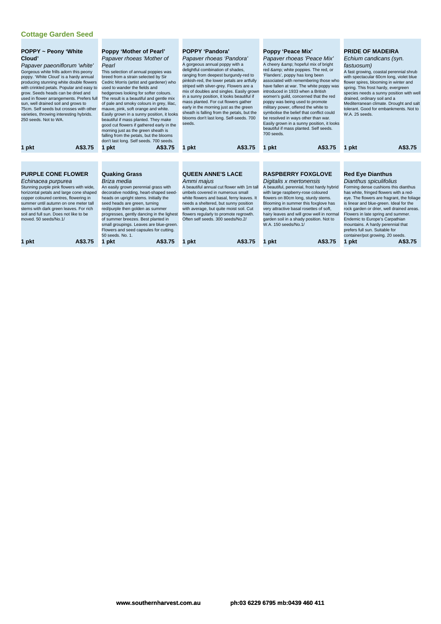| <b>POPPY ~ Peony 'White</b><br>Cloud'<br>Papaver paeoniflorum 'white'<br>Gorgeous white frills adorn this peony<br>poppy. 'White Cloud' is a hardy annual<br>producing stunning white double flowers<br>with crinkled petals. Popular and easy to<br>grow. Seeds heads can be dried and<br>used in flower arrangements. Prefers full<br>sun, well drained soil and grows to<br>75cm. Self seeds but crosses with other<br>varieties, throwing interesting hybrids.<br>250 seeds. Not to WA. | <b>Poppy 'Mother of Pearl'</b><br>Papaver rhoeas 'Mother of<br>Pearl<br>This selection of annual poppies was<br>breed from a strain selected by Sir<br>Cedric Morris (artist and gardener) who<br>used to wander the fields and<br>hedgerows looking for softer colours.<br>The result is a beautiful and gentle mix<br>of pale and smoky colours in grey, lilac,<br>mauve, pink, soft orange and white.<br>Easily grown in a sunny position, it looks<br>beautiful if mass planted. They make<br>good cut flowers if gathered early in the<br>morning just as the green sheath is<br>falling from the petals, but the blooms<br>don't last long. Self seeds. 700 seeds. | <b>POPPY 'Pandora'</b><br>Papaver rhoeas 'Pandora'<br>A gorgeous annual poppy with a<br>delightful combination of shades,<br>ranging from deepest burgundy-red to<br>pinkish-red, the lower petals are artfully<br>striped with silver-grey. Flowers are a<br>mix of doubles and singles. Easily grown<br>in a sunny position, it looks beautiful if<br>mass planted. For cut flowers gather<br>early in the morning just as the green<br>sheath is falling from the petals, but the<br>blooms don't last long. Self-seeds. 700<br>seeds. | Poppy 'Peace Mix'<br>Papaver rhoeas 'Peace Mix'<br>A cheery & hopeful mix of bright<br>red & white poppies. The red, or<br>'Flanders', poppy has long been<br>associated with remembering those who<br>have fallen at war. The white poppy was<br>introduced in 1933 when a British<br>women's quild, concerned that the red<br>poppy was being used to promote<br>military power, offered the white to<br>symbolise the belief that conflict could<br>be resolved in ways other than war.<br>Easily grown in a sunny position, it looks<br>beautiful if mass planted. Self seeds.<br>700 seeds. | <b>PRIDE OF MADEIRA</b><br>Echium candicans (syn.<br>fastuosum)<br>A fast growing, coastal perennial shrub<br>with spectacular 60cm long, violet blue<br>flower spires, blooming in winter and<br>spring. This frost hardy, evergreen<br>species needs a sunny position with well<br>drained, ordinary soil and a<br>Mediterranean climate. Drought and salt<br>tolerant. Good for embankments. Not to<br>W.A. 25 seeds.                                                         |
|---------------------------------------------------------------------------------------------------------------------------------------------------------------------------------------------------------------------------------------------------------------------------------------------------------------------------------------------------------------------------------------------------------------------------------------------------------------------------------------------|--------------------------------------------------------------------------------------------------------------------------------------------------------------------------------------------------------------------------------------------------------------------------------------------------------------------------------------------------------------------------------------------------------------------------------------------------------------------------------------------------------------------------------------------------------------------------------------------------------------------------------------------------------------------------|-------------------------------------------------------------------------------------------------------------------------------------------------------------------------------------------------------------------------------------------------------------------------------------------------------------------------------------------------------------------------------------------------------------------------------------------------------------------------------------------------------------------------------------------|--------------------------------------------------------------------------------------------------------------------------------------------------------------------------------------------------------------------------------------------------------------------------------------------------------------------------------------------------------------------------------------------------------------------------------------------------------------------------------------------------------------------------------------------------------------------------------------------------|----------------------------------------------------------------------------------------------------------------------------------------------------------------------------------------------------------------------------------------------------------------------------------------------------------------------------------------------------------------------------------------------------------------------------------------------------------------------------------|
| A\$3.75<br>1 pkt                                                                                                                                                                                                                                                                                                                                                                                                                                                                            | 1 pkt<br>A\$3.75                                                                                                                                                                                                                                                                                                                                                                                                                                                                                                                                                                                                                                                         | A\$3.75<br>1 pkt                                                                                                                                                                                                                                                                                                                                                                                                                                                                                                                          | A\$3.75<br>1 pkt                                                                                                                                                                                                                                                                                                                                                                                                                                                                                                                                                                                 | A\$3.75<br>1 pkt                                                                                                                                                                                                                                                                                                                                                                                                                                                                 |
|                                                                                                                                                                                                                                                                                                                                                                                                                                                                                             |                                                                                                                                                                                                                                                                                                                                                                                                                                                                                                                                                                                                                                                                          |                                                                                                                                                                                                                                                                                                                                                                                                                                                                                                                                           |                                                                                                                                                                                                                                                                                                                                                                                                                                                                                                                                                                                                  |                                                                                                                                                                                                                                                                                                                                                                                                                                                                                  |
| <b>PURPLE CONE FLOWER</b><br>Echinacea purpurea<br>Stunning purple pink flowers with wide,<br>horizontal petals and large cone shaped<br>copper coloured centres, flowering in<br>summer until autumn on one meter tall<br>stems with dark green leaves. For rich<br>soil and full sun. Does not like to be<br>moved. 50 seeds/No.1/<br>A\$3.75<br>1 pkt                                                                                                                                    | <b>Quaking Grass</b><br>Briza media<br>An easily grown perennial grass with<br>decorative nodding, heart-shaped seed-<br>heads on upright stems. Initially the<br>seed heads are green, turning<br>red/purple then golden as summer<br>progresses, gently dancing in the lighest<br>of summer breezes. Best planted in<br>small groupings. Leaves are blue-green.<br>Flowers and seed capsules for cutting.<br>50 seeds, No. 1.<br>A\$3.75<br>1 pkt                                                                                                                                                                                                                      | <b>QUEEN ANNE'S LACE</b><br>Ammi majus<br>A beautiful annual cut flower with 1m tall<br>umbels covered in numerous small<br>white flowers and basal, ferny leaves. It<br>needs a sheltered, but sunny position<br>with average, but quite moist soil. Cut<br>flowers regularly to promote regrowth.<br>Often self seeds, 300 seeds/No.2/<br>A\$3.75<br>1 pkt                                                                                                                                                                              | <b>RASPBERRY FOXGLOVE</b><br>Digitalis x mertonensis<br>A beautiful, perennial, frost hardy hybrid<br>with large raspberry-rose coloured<br>flowers on 80cm long, sturdy stems.<br>Blooming in summer this foxglove has<br>very attractive basal rosettes of soft,<br>hairy leaves and will grow well in normal<br>garden soil in a shady position. Not to<br>W.A. 150 seeds/No.1/<br>A\$3.75<br>1 pkt                                                                                                                                                                                           | <b>Red Eye Dianthus</b><br>Dianthus spiculifolius<br>Forming dense cushions this dianthus<br>has white, fringed flowers with a red-<br>eye. The flowers are fragrant, the foliage<br>is linear and blue-green. Ideal for the<br>rock garden or drier, well drained areas.<br>Flowers in late spring and summer.<br>Endemic to Europe's Carpathian<br>mountains. A hardy perennial that<br>prefers full sun. Suitable for<br>container/pot growing. 20 seeds.<br>1 pkt<br>A\$3.75 |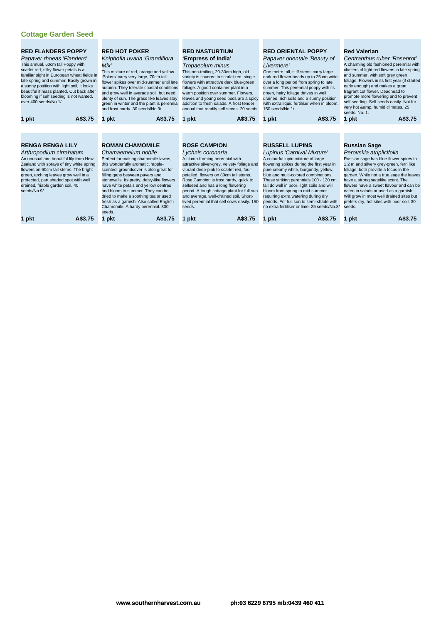| <b>RED FLANDERS POPPY</b><br>Papaver rhoeas 'Flanders'<br>This annual, 60cm tall Poppy with<br>scarlet red, silky flower petals is a<br>familiar sight in European wheat fields in<br>late spring and summer. Easily grown in<br>a sunny position with light soil, it looks<br>beautiful if mass planted. Cut back after<br>blooming if self seeding is not wanted.<br>over 400 seeds/No.1/ | <b>RED HOT POKER</b><br>Kniphofia uvaria 'Grandiflora<br>Mix'<br>This mixture of red, orange and yellow<br>'Pokers' carry very large, 70cm tall<br>flower spikes over mid-summer until late<br>autumn. They tolerate coastal conditions<br>and grow well in average soil, but need<br>plenty of sun. The grass like leaves stay<br>green in winter and the plant is perennial<br>and frost hardy. 30 seeds/No.9/                                                   | <b>RED NASTURTIUM</b><br>'Empress of India'<br>Tropaeolum minus<br>This non-trailing, 20-30cm high, old<br>variety is covered in scarlet-red, single<br>flowers with attractive dark blue-green<br>foliage. A good container plant in a<br>warm position over summer. Flowers,<br>leaves and young seed pods are a spicy<br>addition to fresh salads. A frost tender<br>annual that readily self seeds. 20 seeds.                           | <b>RED ORIENTAL POPPY</b><br>Papaver orientale 'Beauty of<br>Livermere'<br>One metre tall, stiff stems carry large<br>dark red flower heads up to 25 cm wide<br>over a long period from spring to late<br>summer. This perennial poppy with its<br>green, hairy foliage thrives in well<br>drained, rich soils and a sunny position<br>with extra liquid fertiliser when in bloom.<br>150 seeds/No.1/                                                                               | <b>Red Valerian</b><br>Centranthus ruber 'Rosenrot'<br>A charming old fashioned perennial with<br>clusters of light red flowers in late spring<br>and summer, with soft grey green<br>foliage. Flowers in its first year (if started<br>early enough) and makes a great<br>fragrant cut flower. Deadhead to<br>promote more flowering and to prevent<br>self seeding. Self seeds easily. Not for<br>very hot & humid climates. 25<br>seeds, No. 1.   |
|---------------------------------------------------------------------------------------------------------------------------------------------------------------------------------------------------------------------------------------------------------------------------------------------------------------------------------------------------------------------------------------------|--------------------------------------------------------------------------------------------------------------------------------------------------------------------------------------------------------------------------------------------------------------------------------------------------------------------------------------------------------------------------------------------------------------------------------------------------------------------|---------------------------------------------------------------------------------------------------------------------------------------------------------------------------------------------------------------------------------------------------------------------------------------------------------------------------------------------------------------------------------------------------------------------------------------------|-------------------------------------------------------------------------------------------------------------------------------------------------------------------------------------------------------------------------------------------------------------------------------------------------------------------------------------------------------------------------------------------------------------------------------------------------------------------------------------|------------------------------------------------------------------------------------------------------------------------------------------------------------------------------------------------------------------------------------------------------------------------------------------------------------------------------------------------------------------------------------------------------------------------------------------------------|
| A\$3.75<br>1 pkt                                                                                                                                                                                                                                                                                                                                                                            | A\$3.75<br>1 pkt                                                                                                                                                                                                                                                                                                                                                                                                                                                   | A\$3.75<br>1 pkt                                                                                                                                                                                                                                                                                                                                                                                                                            | A\$3.75<br>pkt                                                                                                                                                                                                                                                                                                                                                                                                                                                                      | A\$3.75<br>1 pkt                                                                                                                                                                                                                                                                                                                                                                                                                                     |
|                                                                                                                                                                                                                                                                                                                                                                                             |                                                                                                                                                                                                                                                                                                                                                                                                                                                                    |                                                                                                                                                                                                                                                                                                                                                                                                                                             |                                                                                                                                                                                                                                                                                                                                                                                                                                                                                     |                                                                                                                                                                                                                                                                                                                                                                                                                                                      |
| <b>RENGA RENGA LILY</b><br>Arthropodium cirrahatum<br>An unusual and beautiful lily from New<br>Zealand with sprays of tiny white spring<br>flowers on 60cm tall stems. The bright<br>green, arching leaves grow well in a<br>protected, part shaded spot with well<br>drained, friable garden soil. 40<br>seeds/No.9/                                                                      | <b>ROMAN CHAMOMILE</b><br>Chamaemelum nobile<br>Perfect for making chamomile lawns,<br>this wonderfully aromatic, 'apple-<br>scented' groundcover is also great for<br>filling gaps between pavers and<br>stonewalls. Its pretty, daisy-like flowers<br>have white petals and yellow centres<br>and bloom in summer. They can be<br>dried to make a soothing tea or used<br>fresh as a garnish. Also called English<br>Chamomile. A hardy perennial. 300<br>seeds. | <b>ROSE CAMPION</b><br>Lychnis coronaria<br>A clump-forming perennial with<br>attractive silver-grey, velvety foliage and<br>vibrant deep-pink to scarlet-red, four-<br>petalled, flowers on 80cm tall stems.<br>Rose Campion is frost hardy, quick to<br>selfseed and has a long flowering<br>period. A tough cottage plant for full sun<br>and average, well-drained soil. Short-<br>lived perennial that self sows easily. 150<br>seeds. | <b>RUSSELL LUPINS</b><br>Lupinus 'Carnival Mixture'<br>A colourful lupin mixture of large<br>flowering spikes during the first year in<br>pure creamy white, burgundy, yellow,<br>blue and multi-colored combinations.<br>These striking perennials 100 - 120 cm<br>tall do well in poor, light soils and will<br>bloom from spring to mid-summer<br>requiring extra watering during dry<br>periods. For full sun to semi-shade with<br>no extra fertiliser or lime. 25 seeds/No.8/ | <b>Russian Sage</b><br>Perovskia atriplicifolia<br>Russian sage has blue flower spires to<br>1.2 m and silvery grey-green, fern like<br>foliage; both provide a focus in the<br>garden. While not a true sage the leaves<br>have a strong sagelike scent. The<br>flowers have a sweet flavour and can be<br>eaten in salads or used as a garnish.<br>Will grow in most well drained sites but<br>prefers dry, hot sites with poor soil. 30<br>seeds. |
| 1 pkt<br>A\$3.75                                                                                                                                                                                                                                                                                                                                                                            | A\$3.75<br>1 pkt                                                                                                                                                                                                                                                                                                                                                                                                                                                   | 1 pkt<br>A\$3.75                                                                                                                                                                                                                                                                                                                                                                                                                            | pkt<br>A\$3.75                                                                                                                                                                                                                                                                                                                                                                                                                                                                      | A\$3.75<br>1 pkt                                                                                                                                                                                                                                                                                                                                                                                                                                     |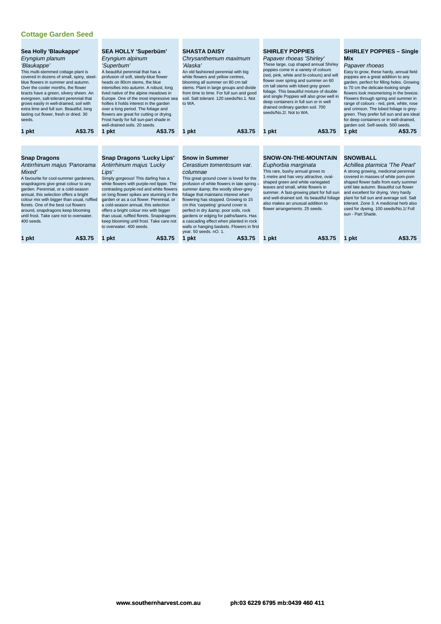| Sea Holly 'Blaukappe'<br>Eryngium planum<br>'Blaukappe'<br>This multi-stemmed cottage plant is<br>covered in dozens of small, spiny, steel-<br>blue flowers in summer and autumn.<br>Over the cooler months, the flower<br>bracts have a green, silvery sheen. An<br>evergreen, salt-tolerant perennial that<br>grows easily in well-drained, soil with<br>extra lime and full sun. Beautiful, long<br>lasting cut flower, fresh or dried. 30<br>seeds.<br>A\$3.75<br>1 pkt                                                                                                                                                                                                                                                                                                                                                                                                                                                                                                                                                       | <b>SEA HOLLY 'Superbüm'</b><br><b>SHASTA DAISY</b><br>Eryngium alpinum<br>Chrysanthemum maximum<br>'Alaska'<br>'Superbum'<br>A beautiful perennial that has a<br>An old fashioned perennial with big<br>profusion of soft, steely-blue flower<br>white flowers and yellow centres,<br>heads on 80cm stems, the blue<br>blooming all summer on 80 cm tall<br>stems. Plant in large groups and divide<br>intensifies into autumn. A robust, long<br>from time to time. For full sun and good<br>lived native of the alpine meadows in<br>soil. Salt tolerant. 120 seeds/No.1. Not<br>Europe. One of the most impressive sea<br>hollies it holds interest in the garden<br>to WA.<br>over a long period. The foliage and<br>flowers are great for cutting or drying.<br>Frost hardy for full sun-part shade in<br>well-drained soils, 20 seeds.<br>A\$3.75<br>A\$3.75<br>1 pkt<br>pkt<br>1 pkt<br>1 |                                                                                                                                                                                                                                                                                                                                                                                                                                                                            | <b>SHIRLEY POPPIES</b><br>Papaver rhoeas 'Shirley'<br>These large, cup shaped annual Shirley<br>poppies come in a variety of colours<br>(red, pink, white and bi-colours) and will<br>flower over spring and summer on 60<br>cm tall stems with lobed grey green<br>foliage. This beautiful mixture of double<br>and single Poppies will also grow well in<br>deep containers in full sun or in well<br>drained ordinary garden soil. 700<br>seeds/No.2/. Not to WA.<br>A\$3.75 | <b>SHIRLEY POPPIES - Single</b><br><b>Mix</b><br>Papaver rhoeas<br>Easy to grow, these hardy, annual field<br>poppies are a great addition to any<br>garden, perfect for filling holes. Growing<br>to 70 cm the delicate-looking single<br>flowers look mesmerising in the breeze.<br>Flowers through spring and summer in<br>range of colours - red, pink, white, rose<br>and crimson. The lobed foliage is grey-<br>green. They prefer full sun and are ideal<br>for deep containers or in well-drained,<br>garden soil. Self-seeds. 500 seeds.<br>1 pkt<br>A\$3.75 |
|-----------------------------------------------------------------------------------------------------------------------------------------------------------------------------------------------------------------------------------------------------------------------------------------------------------------------------------------------------------------------------------------------------------------------------------------------------------------------------------------------------------------------------------------------------------------------------------------------------------------------------------------------------------------------------------------------------------------------------------------------------------------------------------------------------------------------------------------------------------------------------------------------------------------------------------------------------------------------------------------------------------------------------------|--------------------------------------------------------------------------------------------------------------------------------------------------------------------------------------------------------------------------------------------------------------------------------------------------------------------------------------------------------------------------------------------------------------------------------------------------------------------------------------------------------------------------------------------------------------------------------------------------------------------------------------------------------------------------------------------------------------------------------------------------------------------------------------------------------------------------------------------------------------------------------------------------|----------------------------------------------------------------------------------------------------------------------------------------------------------------------------------------------------------------------------------------------------------------------------------------------------------------------------------------------------------------------------------------------------------------------------------------------------------------------------|---------------------------------------------------------------------------------------------------------------------------------------------------------------------------------------------------------------------------------------------------------------------------------------------------------------------------------------------------------------------------------------------------------------------------------------------------------------------------------|-----------------------------------------------------------------------------------------------------------------------------------------------------------------------------------------------------------------------------------------------------------------------------------------------------------------------------------------------------------------------------------------------------------------------------------------------------------------------------------------------------------------------------------------------------------------------|
| <b>Snap Dragons 'Lucky Lips'</b><br><b>Snow in Summer</b><br><b>Snap Dragons</b><br>Antirrhinum majus 'Lucky<br>Antirrhinum majus 'Panorama<br>Mixed'<br>Lips'<br>columnae<br>Simply gorgeous! This darling has a<br>A favourite for cool-summer gardeners,<br>white flowers with purple-red lippie. The<br>snapdragons give great colour to any<br>garden. Perennial, or a cold-season<br>contrasting purple-red and white flowers<br>annual, this selection offers a bright<br>on long flower spikes are stunning in the<br>colour mix with bigger than usual, ruffled<br>garden or as a cut flower. Perennial, or<br>florets. One of the best cut flowers<br>a cold-season annual, this selection<br>around, snapdragons keep blooming<br>offers a bright colour mix with bigger<br>until frost. Take care not to overwater.<br>than usual, ruffled florets. Snapdragons<br>400 seeds.<br>keep blooming until frost. Take care not<br>to overwater, 400 seeds.<br>year. 50 seeds. nO. 1.<br>A\$3.75<br>A\$3.75<br>1 pkt<br>pkt |                                                                                                                                                                                                                                                                                                                                                                                                                                                                                                                                                                                                                                                                                                                                                                                                                                                                                                  | Cerastium tomentosum var.<br>This great ground cover is loved for the<br>profusion of white flowers in late spring -<br>summer & the woolly silver-grey<br>foliage that maintains interest when<br>flowering has stopped. Growing to 15<br>cm this 'carpeting' ground cover is<br>perfect in dry & poor soils, rock<br>gardens or edging for paths/lawns. Has<br>a cascading effect when planted in rock<br>walls or hanging baskets. Flowers in first<br>1 pkt<br>A\$3.75 | <b>SNOW-ON-THE-MOUNTAIN</b><br>Euphorbia marginata<br>This rare, bushy annual grows to<br>1-metre and has very attractive, oval-<br>shaped green and white variegated<br>leaves and small, white flowers in<br>summer. A fast-growing plant for full sun<br>and well-drained soil. Its beautiful foliage<br>also makes an unusual addition to<br>flower arrangements. 25 seeds.<br>A\$3.75<br>pkt                                                                               | <b>SNOWBALL</b><br>Achillea ptarmica 'The Pearl'<br>A strong growing, medicinal perennial<br>covered in masses of white pom-pom<br>shaped flower balls from early summer<br>until late autumn. Beautiful cut flower<br>and excellent for drying. Very hardy<br>plant for full sun and average soil. Salt<br>tolerant. Zone 3. A medicinal herb also<br>used for dyeing. 100 seeds/No.1/ Full<br>sun - Part Shade.<br>A\$3.75<br>1 pkt                                                                                                                                 |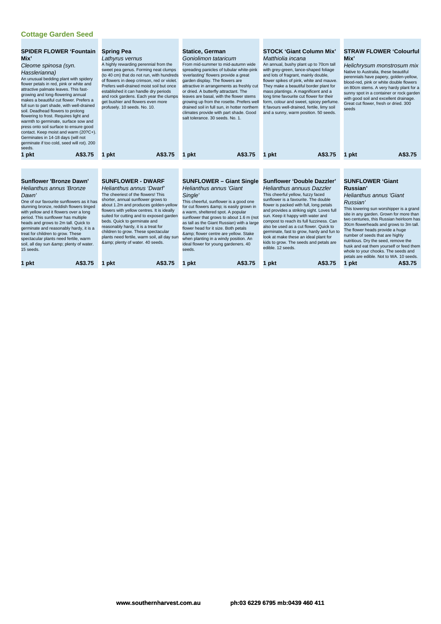| <b>SPIDER FLOWER 'Fountain</b><br>Mix'<br>Cleome spinosa (syn.<br>Hasslerianna)<br>An unusual bedding plant with spidery<br>flower petals in red, pink or white and<br>attractive palmate leaves. This fast-<br>growing and long-flowering annual<br>makes a beautiful cut flower. Prefers a<br>full sun to part shade, with well-drained<br>soil. Deadhead flowers to prolong<br>flowering to frost. Requires light and<br>warmth to germinate, surface sow and<br>press onto soil surface to ensure good<br>contact. Keep moist and warm (20?C+).<br>Germinates in 14-18 days (will not<br>germinate if too cold, seed will rot). 200<br>seeds.<br>A\$3.75<br>1 pkt | <b>Spring Pea</b><br>Lathyrus vernus<br>A highly rewarding perennial from the<br>sweet pea genus. Forming neat clumps<br>(to 40 cm) that do not run, with hundreds<br>of flowers in deep crimson, red or violet.<br>Prefers well-drained moist soil but once<br>established it can handle dry periods<br>and rock gardens. Each year the clumps<br>get bushier and flowers even more<br>profusely. 10 seeds. No. 10.<br>A\$3.75<br>1 pkt                                             | <b>Statice, German</b><br>Goniolimon tataricum<br>From mid-summer to mid-autumn wide<br>spreading panicles of tubular white-pink<br>'everlasting' flowers provide a great<br>garden display. The flowers are<br>attractive in arrangements as freshly cut<br>or dried. A butterfly attractant. The<br>leaves are basal, with the flower stems<br>growing up from the rosette. Prefers well<br>drained soil in full sun, in hotter northern<br>climates provide with part shade. Good<br>salt tolerance, 30 seeds, No. 1.<br>A\$3.75<br>1 pkt | <b>STOCK 'Giant Column Mix'</b><br>Matthiolia incana<br>An annual, bushy plant up to 70cm tall<br>with grey-green, lance-shaped foliage<br>and lots of fragrant, mainly double,<br>flower spikes of pink, white and mauve.<br>They make a beautiful border plant for<br>mass plantings. A magnificent and a<br>long time favourite cut flower for their<br>form, colour and sweet, spicey perfume.<br>It favours well-drained, fertile, limy soil<br>and a sunny, warm position. 50 seeds.<br>A\$3.75<br>1 pkt                             | <b>STRAW FLOWER 'Colourful</b><br>Mix'<br>Helichrysum monstrosum mix<br>Native to Australia, these beautiful<br>perennials have papery, golden-yellow,<br>blood-red, pink or white double flowers<br>on 80cm stems. A very hardy plant for a<br>sunny spot in a container or rock garden<br>with good soil and excellent drainage.<br>Great cut flower, fresh or dried. 300<br>seeds<br>A\$3.75<br>1 pkt                                                                                                                     |
|-----------------------------------------------------------------------------------------------------------------------------------------------------------------------------------------------------------------------------------------------------------------------------------------------------------------------------------------------------------------------------------------------------------------------------------------------------------------------------------------------------------------------------------------------------------------------------------------------------------------------------------------------------------------------|--------------------------------------------------------------------------------------------------------------------------------------------------------------------------------------------------------------------------------------------------------------------------------------------------------------------------------------------------------------------------------------------------------------------------------------------------------------------------------------|----------------------------------------------------------------------------------------------------------------------------------------------------------------------------------------------------------------------------------------------------------------------------------------------------------------------------------------------------------------------------------------------------------------------------------------------------------------------------------------------------------------------------------------------|--------------------------------------------------------------------------------------------------------------------------------------------------------------------------------------------------------------------------------------------------------------------------------------------------------------------------------------------------------------------------------------------------------------------------------------------------------------------------------------------------------------------------------------------|------------------------------------------------------------------------------------------------------------------------------------------------------------------------------------------------------------------------------------------------------------------------------------------------------------------------------------------------------------------------------------------------------------------------------------------------------------------------------------------------------------------------------|
|                                                                                                                                                                                                                                                                                                                                                                                                                                                                                                                                                                                                                                                                       |                                                                                                                                                                                                                                                                                                                                                                                                                                                                                      |                                                                                                                                                                                                                                                                                                                                                                                                                                                                                                                                              |                                                                                                                                                                                                                                                                                                                                                                                                                                                                                                                                            |                                                                                                                                                                                                                                                                                                                                                                                                                                                                                                                              |
| <b>Sunflower 'Bronze Dawn'</b><br>Helianthus annus 'Bronze<br>Dawn'<br>One of our favourite sunflowers as it has<br>stunning bronze, reddish flowers tinged<br>with yellow and it flowers over a long<br>period. This sunflower has multiple<br>heads and grows to 2m tall. Quick to<br>germinate and reasonably hardy, it is a<br>treat for children to grow. These<br>spectacular plants need fertile, warm<br>soil, all day sun & plenty of water.<br>15 seeds.<br>A\$3.75<br>1 pkt                                                                                                                                                                                | <b>SUNFLOWER - DWARF</b><br>Helianthus annus 'Dwarf'<br>The cheeriest of the flowers! This<br>shorter, annual sunflower grows to<br>about 1.2m and produces golden-yellow<br>flowers with yellow centres. It is ideally<br>suited for cutting and to exposed garden<br>beds. Quick to germinate and<br>reasonably hardy, it is a treat for<br>children to grow. These spectacular<br>plants need fertile, warm soil, all day sun<br>& plenty of water. 40 seeds.<br>A\$3.75<br>1 pkt | <b>SUNFLOWER - Giant Single</b><br><b>Helianthus annus 'Giant</b><br>Single'<br>This cheerful, sunflower is a good one<br>for cut flowers & is easily grown in<br>a warm, sheltered spot. A popular<br>sunflower that grows to about 1.6 m (not<br>as tall as the Giant Russian) with a large<br>flower head for it size. Both petals<br>& flower centre are yellow. Stake<br>when planting in a windy position. An<br>ideal flower for young gardeners. 40<br>seeds.<br>A\$3.75<br>1 pkt                                                    | <b>Sunflower 'Double Dazzler'</b><br>Helianthus annuus Dazzler<br>This cheerful yellow, fuzzy faced<br>sunflower is a favourite. The double<br>flower is packed with full, long petals<br>and provides a striking sight. Loves full<br>sun. Keep it happy with water and<br>compost to reach its full fuzziness. Can<br>also be used as a cut flower. Quick to<br>germinate, fast to grow, hardy and fun to<br>look at make these an ideal plant for<br>kids to grow. The seeds and petals are<br>edible. 12 seeds.<br>A\$3.75<br>pkt<br>1 | <b>SUNFLOWER 'Giant</b><br>Russian'<br><b>Helianthus annus 'Giant</b><br>Russian'<br>This towering sun worshipper is a grand<br>site in any garden. Grown for more than<br>two centuries, this Russian heirloom has<br>30cm flowerheads and grows to 3m tall.<br>The flower heads provide a huge<br>number of seeds that are highly<br>nutritious. Dry the seed, remove the<br>husk and eat them yourself or feed them<br>whole to your chooks. The seeds and<br>petals are edible. Not to WA. 10 seeds.<br>A\$3.75<br>1 pkt |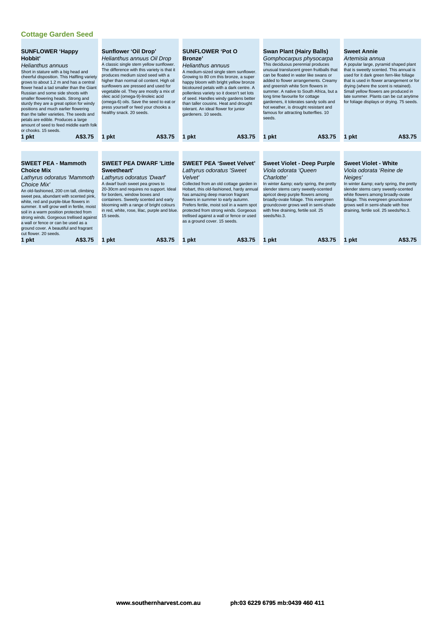| <b>SUNFLOWER 'Happy</b><br>Hobbit'<br>Helianthus annuus<br>Short in stature with a big head and<br>cheerful disposition. This Halfling variety<br>grows to about 1.2 m and has a central<br>flower head a tad smaller than the Giant<br>Russian and some side shoots with<br>smaller flowering heads. Strong and<br>sturdy they are a great option for windy<br>positions and much earlier flowering<br>than the taller varieties. The seeds and<br>petals are edible. Produces a large<br>amount of seed to feed middle earth folk<br>or chooks. 15 seeds. | <b>Sunflower 'Oil Drop'</b><br>Helianthus annuus Oil Drop<br>A classic single stem yellow sunflower.<br>The difference with this variety is that it<br>produces medium sized seed with a<br>higher than normal oil content. High oil<br>sunflowers are pressed and used for<br>vegetable oil. They are mostly a mix of<br>oleic acid (omega-9)-linoleic acid<br>(omega-6) oils. Save the seed to eat or<br>press yourself or feed your chooks a<br>healthy snack. 20 seeds. | <b>SUNFLOWER 'Pot O</b><br><b>Bronze</b> '<br>Helianthus annuus<br>A medium-sized single stem sunflower.<br>Growing to 80 cm this bronze, a super<br>happy bloom with bright yellow bronze<br>bicoloured petals with a dark centre. A<br>pollenless variety so it doesn't set lots<br>of seed. Handles windy gardens better<br>than taller cousins. Heat and drought<br>tolerant. An ideal flower for junior<br>gardeners. 10 seeds. | <b>Swan Plant (Hairy Balls)</b><br>Gomphocarpus physocarpa<br>This deciduous perennial produces<br>unusual translucent green fruitballs that<br>can be floated in water like swans or<br>added to flower arrangements. Creamy<br>and greenish white 5cm flowers in<br>summer. A native to South Africa, but a<br>long time favourite for cottage<br>gardeners, it tolerates sandy soils and<br>hot weather, is drought resistant and<br>famous for attracting butterflies. 10<br>seeds. | <b>Sweet Annie</b><br>Artemisia annua<br>A popular large, pyramid shaped plant<br>that is sweetly scented. This annual is<br>used for it dark green fern-like foliage<br>that is used in flower arrangement or for<br>drying (where the scent is retained).<br>Small yellow flowers are produced in<br>late summer. Plants can be cut anytime<br>for foliage displays or drying. 75 seeds. |
|-------------------------------------------------------------------------------------------------------------------------------------------------------------------------------------------------------------------------------------------------------------------------------------------------------------------------------------------------------------------------------------------------------------------------------------------------------------------------------------------------------------------------------------------------------------|-----------------------------------------------------------------------------------------------------------------------------------------------------------------------------------------------------------------------------------------------------------------------------------------------------------------------------------------------------------------------------------------------------------------------------------------------------------------------------|--------------------------------------------------------------------------------------------------------------------------------------------------------------------------------------------------------------------------------------------------------------------------------------------------------------------------------------------------------------------------------------------------------------------------------------|-----------------------------------------------------------------------------------------------------------------------------------------------------------------------------------------------------------------------------------------------------------------------------------------------------------------------------------------------------------------------------------------------------------------------------------------------------------------------------------------|--------------------------------------------------------------------------------------------------------------------------------------------------------------------------------------------------------------------------------------------------------------------------------------------------------------------------------------------------------------------------------------------|
| A\$3.75<br>1 pkt                                                                                                                                                                                                                                                                                                                                                                                                                                                                                                                                            | A\$3.75<br>1 pkt                                                                                                                                                                                                                                                                                                                                                                                                                                                            | A\$3.75<br>1 pkt                                                                                                                                                                                                                                                                                                                                                                                                                     | A\$3.75<br>1 pkt                                                                                                                                                                                                                                                                                                                                                                                                                                                                        | A\$3.75<br>1 pkt                                                                                                                                                                                                                                                                                                                                                                           |
|                                                                                                                                                                                                                                                                                                                                                                                                                                                                                                                                                             |                                                                                                                                                                                                                                                                                                                                                                                                                                                                             |                                                                                                                                                                                                                                                                                                                                                                                                                                      |                                                                                                                                                                                                                                                                                                                                                                                                                                                                                         |                                                                                                                                                                                                                                                                                                                                                                                            |
| <b>SWEET PEA - Mammoth</b><br><b>Choice Mix</b><br>Lathyrus odoratus 'Mammoth<br>Choice Mix'<br>An old-fashioned, 200 cm tall, climbing<br>sweet pea, abundant with scented pink,<br>white, red and purple-blue flowers in<br>summer. It will grow well in fertile, moist<br>soil in a warm position protected from<br>strong winds. Gorgeous trellised against<br>a wall or fence or can be used as a<br>ground cover. A beautiful and fragrant<br>cut flower, 20 seeds.                                                                                   | <b>SWEET PEA DWARF 'Little</b><br>Sweetheart'<br>Lathyrus odoratus 'Dwarf'<br>A dwarf bush sweet pea grows to<br>20-30cm and requires no support. Ideal<br>for borders, window boxes and<br>containers. Sweetly scented and early<br>blooming with a range of bright colours<br>in red, white, rose, lilac, purple and blue.<br>15 seeds.                                                                                                                                   | <b>SWEET PEA 'Sweet Velvet'</b><br>Lathyrus odoratus 'Sweet<br>Velvet'<br>Collected from an old cottage garden in<br>Hobart, this old-fashioned, hardy annual<br>has amazing deep maroon fragrant<br>flowers in summer to early autumn.<br>Prefers fertile, moist soil in a warm spot<br>protected from strong winds. Gorgeous<br>trellised against a wall or fence or used<br>as a ground cover. 15 seeds.                          | <b>Sweet Violet - Deep Purple</b><br>Viola odorata 'Queen<br>Charlotte'<br>In winter & early spring, the pretty<br>slender stems carry sweetly-scented<br>apricot deep purple flowers among<br>broadly-ovate foliage. This evergreen<br>groundcover grows well in semi-shade<br>with free draining, fertile soil. 25<br>seeds/No.3.                                                                                                                                                     | <b>Sweet Violet - White</b><br>Viola odorata 'Reine de<br>Neiges'<br>In winter & early spring, the pretty<br>slender stems carry sweetly-scented<br>white flowers among broadly-ovate<br>foliage. This evergreen groundcover<br>grows well in semi-shade with free<br>draining, fertile soil. 25 seeds/No.3.                                                                               |
| A\$3.75<br>1 pkt                                                                                                                                                                                                                                                                                                                                                                                                                                                                                                                                            | A\$3.75<br>1 pkt                                                                                                                                                                                                                                                                                                                                                                                                                                                            | A\$3.75<br>1 pkt                                                                                                                                                                                                                                                                                                                                                                                                                     | A\$3.75<br>1 pkt                                                                                                                                                                                                                                                                                                                                                                                                                                                                        | A\$3.75<br>1 pkt                                                                                                                                                                                                                                                                                                                                                                           |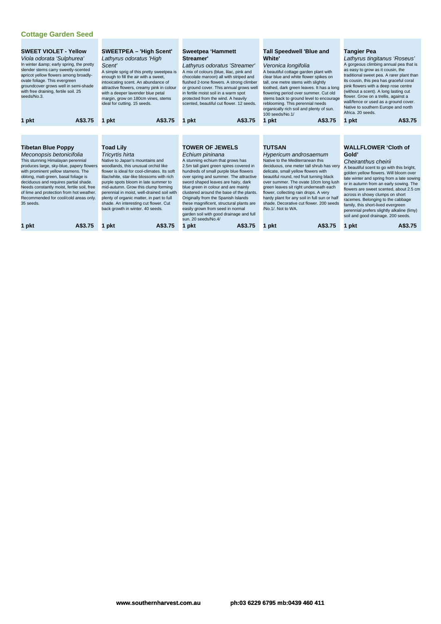| <b>SWEET VIOLET - Yellow</b><br>Viola odorata 'Sulphurea'<br>In winter & early spring, the pretty<br>slender stems carry sweetly-scented<br>apricot yellow flowers among broadly-<br>ovate foliage. This evergreen<br>groundcover grows well in semi-shade<br>with free draining, fertile soil. 25<br>seeds/No.3.                                                                                                                 | <b>SWEETPEA - 'High Scent'</b><br>Lathyrus odoratus 'High<br>Scent'<br>A simple sprig of this pretty sweetpea is<br>enough to fill the air with a sweet,<br>intoxicating scent. An abundance of<br>attractive flowers, creamy pink in colour<br>with a deeper lavender blue petal<br>margin, grow on 180cm vines, stems<br>ideal for cutting. 15 seeds.                                                                                                                              | Sweetpea 'Hammett<br>Streamer'<br>Lathyrus odoratus 'Streamer'<br>A mix of colours (blue, lilac, pink and<br>chocolate maroon) all with striped and<br>flushed 2-tone flowers. A strong climber<br>or ground cover. This annual grows well<br>in fertile moist soil in a warm spot<br>protected from the wind. A heavily<br>scented, beautiful cut flower. 12 seeds.                                                                                                                                                                               | <b>Tall Speedwell 'Blue and</b><br><b>White'</b><br>Veronica longifolia<br>A beautiful cottage garden plant with<br>clear blue and white flower spikes on<br>tall, one metre stems with slightly<br>toothed, dark green leaves. It has a long<br>flowering period over summer. Cut old<br>stems back to ground level to encourage<br>reblooming. This perennial needs<br>organically rich soil and plenty of sun.<br>100 seeds/No.1/                                     | <b>Tangier Pea</b><br>Lathyrus tingitanus 'Roseus'<br>A gorgeous climbing annual pea that is<br>as easy to grow as it cousin, the<br>traditional sweet pea. A rarer plant than<br>its cousin, this pea has graceful coral<br>pink flowers with a deep rose centre<br>(without a scent). A long lasting cut<br>flower. Grow on a trellis, against a<br>wall/fence or used as a ground cover.<br>Native to southern Europe and north<br>Africa, 20 seeds.                                                    |
|-----------------------------------------------------------------------------------------------------------------------------------------------------------------------------------------------------------------------------------------------------------------------------------------------------------------------------------------------------------------------------------------------------------------------------------|--------------------------------------------------------------------------------------------------------------------------------------------------------------------------------------------------------------------------------------------------------------------------------------------------------------------------------------------------------------------------------------------------------------------------------------------------------------------------------------|----------------------------------------------------------------------------------------------------------------------------------------------------------------------------------------------------------------------------------------------------------------------------------------------------------------------------------------------------------------------------------------------------------------------------------------------------------------------------------------------------------------------------------------------------|--------------------------------------------------------------------------------------------------------------------------------------------------------------------------------------------------------------------------------------------------------------------------------------------------------------------------------------------------------------------------------------------------------------------------------------------------------------------------|------------------------------------------------------------------------------------------------------------------------------------------------------------------------------------------------------------------------------------------------------------------------------------------------------------------------------------------------------------------------------------------------------------------------------------------------------------------------------------------------------------|
| A\$3.75<br>1 pkt                                                                                                                                                                                                                                                                                                                                                                                                                  | A\$3.75<br>1 pkt                                                                                                                                                                                                                                                                                                                                                                                                                                                                     | A\$3.75<br>1 pkt                                                                                                                                                                                                                                                                                                                                                                                                                                                                                                                                   | 1 pkt<br>A\$3.75                                                                                                                                                                                                                                                                                                                                                                                                                                                         | A\$3.75<br>1 pkt                                                                                                                                                                                                                                                                                                                                                                                                                                                                                           |
|                                                                                                                                                                                                                                                                                                                                                                                                                                   |                                                                                                                                                                                                                                                                                                                                                                                                                                                                                      |                                                                                                                                                                                                                                                                                                                                                                                                                                                                                                                                                    |                                                                                                                                                                                                                                                                                                                                                                                                                                                                          |                                                                                                                                                                                                                                                                                                                                                                                                                                                                                                            |
| <b>Tibetan Blue Poppy</b><br>Meconopsis betonicifolia<br>This stunning Himalayan perennial<br>produces large, sky-blue, papery flowers<br>with prominent yellow stamens. The<br>oblong, matt-green, basal foliage is<br>deciduous and requires partial shade.<br>Needs constantly moist, fertile soil, free<br>of lime and protection from hot weather.<br>Recommended for cool/cold areas only.<br>35 seeds.<br>A\$3.75<br>1 pkt | <b>Toad Lily</b><br>Tricyrtis hirta<br>Native to Japan's mountains and<br>woodlands, this unusual orchid like<br>flower is ideal for cool-climates. Its soft<br>lilac/white, star-like blossoms with rich<br>purple spots bloom in late summer to<br>mid-autumn. Grow this clump forming<br>perennial in moist, well-drained soil with<br>plenty of organic matter, in part to full<br>shade. An interesting cut flower. Cut<br>back growth in winter. 40 seeds.<br>A\$3.75<br>1 pkt | <b>TOWER OF JEWELS</b><br>Echium pininana<br>A stunning echium that grows has<br>2.5m tall giant green spires covered in<br>hundreds of small purple blue flowers<br>over spring and summer. The attractive<br>sword shaped leaves are hairy, dark<br>blue green in colour and are mainly<br>clustered around the base of the plants.<br>Originally from the Spanish Islands<br>these magnificent, structural plants are<br>easily grown from seed in normal<br>garden soil with good drainage and full<br>sun. 20 seeds/No.4/<br>A\$3.75<br>1 pkt | <b>TUTSAN</b><br>Hypericum androsaemum<br>Native to the Mediterranean this<br>deciduous, one meter tall shrub has very<br>delicate, small yellow flowers with<br>beautiful round, red fruit turning black<br>over summer. The ovate 10cm long lush<br>green leaves sit right underneath each<br>flower, collecting rain drops. A very<br>hardy plant for any soil in full sun or half<br>shade. Decorative cut flower, 200 seeds<br>/No.1/. Not to WA.<br>A\$3.75<br>pkt | <b>WALLFLOWER 'Cloth of</b><br>Gold'<br>Cheiranthus cheirii<br>A beautiful scent to go with this bright,<br>golden yellow flowers. Will bloom over<br>late winter and spring from a late sowing<br>or in autumn from an early sowing. The<br>flowers are sweet scented, about 2.5 cm<br>across in showy clumps on short<br>racemes. Belonging to the cabbage<br>family, this short-lived evergreen<br>perennial prefers slightly alkaline (limy)<br>soil and good drainage. 200 seeds.<br>A\$3.75<br>1 pkt |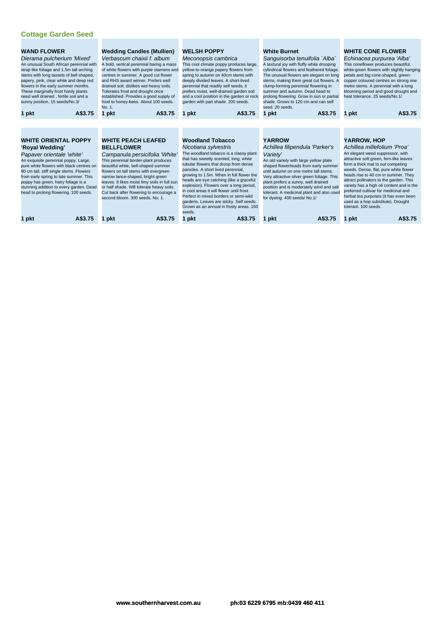| <b>WAND FLOWER</b><br>Dierama pulcherium 'Mixed'<br>An unusual South African perennial with<br>strap like foliage and 1.5m tall arching<br>stems with long tassels of bell shaped,<br>papery, pink, clear white and deep red<br>flowers in the early summer months.<br>These marginally frost hardy plants<br>need well drained, fertile soil and a |                                                                                                                                                                                                                                                                                                                                                                                 | <b>Wedding Candles (Mullien)</b><br>Verbascum chaixii f, album<br>A bold, vertical perennial baring a mass<br>of white flowers with purple stamens and<br>centres in summer. A good cut flower<br>and RHS award winner. Prefers well<br>drained soil, dislikes wet heavy soils.<br>Tolerates frost and drought once<br>established. Provides a good supply of                                                            | <b>WELSH POPPY</b><br>Meconopsis cambrica<br>This cool climate poppy produces large,<br>yellow-to-orange papery flowers from<br>spring to autumn on 40cm stems with<br>deeply divided leaves. A short-lived<br>perennial that readily self seeds, it<br>prefers moist, well-drained garden soil<br>and a cool position in the garden or rock                                                                                                                                                                                    | <b>White Burnet</b><br>Sanguisorba tenuifolia `Alba`<br>A textural joy with fluffy white drooping<br>cylindrical flowers and feathered foliage.<br>The unusual flowers are elegant on long<br>stems, making them great cut flowers. A<br>clump-forming perennial flowering in<br>summer and autumn. Dead head to                                                                                    | <b>WHITE CONE FLOWER</b><br>Echinacea purpurea 'Alba'<br>This coneflower produces beautiful,<br>white-green flowers with slightly hanging<br>petals and big cone-shaped, green-<br>copper coloured centres on strong one<br>metre stems. A perennial with a long<br>blooming period and good drought and<br>heat tolerance, 25 seeds/No.1/                                                                                                                                            |
|-----------------------------------------------------------------------------------------------------------------------------------------------------------------------------------------------------------------------------------------------------------------------------------------------------------------------------------------------------|---------------------------------------------------------------------------------------------------------------------------------------------------------------------------------------------------------------------------------------------------------------------------------------------------------------------------------------------------------------------------------|--------------------------------------------------------------------------------------------------------------------------------------------------------------------------------------------------------------------------------------------------------------------------------------------------------------------------------------------------------------------------------------------------------------------------|---------------------------------------------------------------------------------------------------------------------------------------------------------------------------------------------------------------------------------------------------------------------------------------------------------------------------------------------------------------------------------------------------------------------------------------------------------------------------------------------------------------------------------|-----------------------------------------------------------------------------------------------------------------------------------------------------------------------------------------------------------------------------------------------------------------------------------------------------------------------------------------------------------------------------------------------------|---------------------------------------------------------------------------------------------------------------------------------------------------------------------------------------------------------------------------------------------------------------------------------------------------------------------------------------------------------------------------------------------------------------------------------------------------------------------------------------|
|                                                                                                                                                                                                                                                                                                                                                     | sunny position. 15 seeds/No.3/<br>A\$3.75<br>1 pkt                                                                                                                                                                                                                                                                                                                              | food to honey-bees. About 100 seeds.<br>No. 1.<br>A\$3.75<br>1 pkt                                                                                                                                                                                                                                                                                                                                                       | garden with part shade. 200 seeds.<br>A\$3.75<br>1 pkt                                                                                                                                                                                                                                                                                                                                                                                                                                                                          | prolong flowering. Grow in sun or partial<br>shade. Grows to 120 cm and can self<br>seed. 20 seeds.<br>A\$3.75<br>1 pkt                                                                                                                                                                                                                                                                             | A\$3.75<br>1 pkt                                                                                                                                                                                                                                                                                                                                                                                                                                                                      |
|                                                                                                                                                                                                                                                                                                                                                     |                                                                                                                                                                                                                                                                                                                                                                                 |                                                                                                                                                                                                                                                                                                                                                                                                                          |                                                                                                                                                                                                                                                                                                                                                                                                                                                                                                                                 |                                                                                                                                                                                                                                                                                                                                                                                                     |                                                                                                                                                                                                                                                                                                                                                                                                                                                                                       |
|                                                                                                                                                                                                                                                                                                                                                     | <b>WHITE ORIENTAL POPPY</b><br>'Royal Wedding'<br>Papaver orientale 'white'<br>An exquisite perennial poppy. Large,<br>pure white flowers with black centres on<br>80 cm tall, stiff single stems. Flowers<br>from early spring to late summer. This<br>poppy has green, hairy foliage is a<br>stunning addition to every garden. Dead<br>head to prolong flowering. 100 seeds. | <b>WHITE PEACH LEAFED</b><br><b>BELLFLOWER</b><br>Campanula persicifolia 'White'<br>This perennial border-plant produces<br>beautiful white, bell-shaped summer<br>flowers on tall stems with evergreen<br>narrow lance-shaped, bright green<br>leaves. It likes moist limy soils in full sun<br>or half shade. Will tolerate heavy soils.<br>Cut back after flowering to encourage a<br>second bloom, 300 seeds, No. 1. | <b>Woodland Tobacco</b><br>Nicotiana sylvestris<br>The woodland tobacco is a classy plant<br>that has sweetly scented, long, white<br>tubular flowers that droop from dense<br>panicles. A short lived perennial,<br>growing to 1.5m. When in full flower the<br>heads are eye catching (like a graceful<br>explosion). Flowers over a long period,<br>in cool areas it will flower until frost.<br>Perfect in mixed borders or semi-wild<br>gardens. Leaves are sticky. Self seeds.<br>Grown as an annual in frosty areas. 150 | <b>YARROW</b><br>Achillea filipendula 'Parker's<br>Variety'<br>An old variety with large yellow plate<br>shaped flowerheads from early summer<br>until autumn on one metre tall stems.<br>Very attractive silver green foliage. This<br>plant prefers a sunny, well drained<br>position and is moderately wind and salt<br>tolerant. A medicinal plant and also used<br>for dyeing. 400 seeds/No.1/ | YARROW, HOP<br>Achillea millefolium 'Proa'<br>An elegant weed suppressor, with<br>attractive soft green, fern-like leaves<br>form a thick mat to out competing<br>weeds. Dense, flat, pure white flower<br>heads rise to 40 cm in summer. They<br>attract pollinators to the garden. This<br>variety has a high oil content and is the<br>preferred cultivar for medicinal and<br>herbal tea purposes (it has even been<br>used as a hop substitute). Drought<br>tolerant, 100 seeds. |

seeds. **1 pkt A\$3.75 1 pkt A\$3.75 1 pkt A\$3.75 1 pkt A\$3.75 1 pkt A\$3.75**

**www.southernharvest.com.au ph:03 6229 6795 mb:0439 460 411**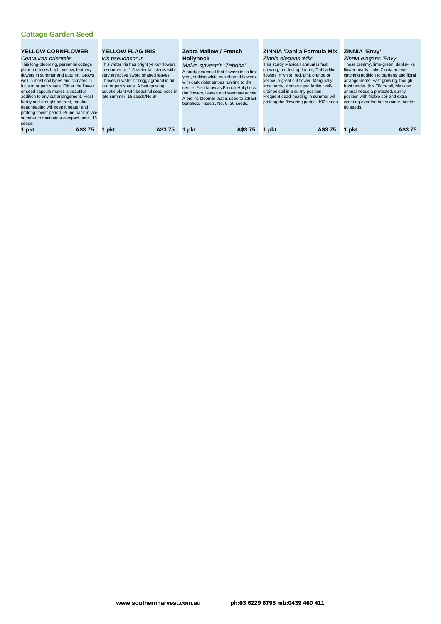| full sun or part shade. Either the flower<br>or seed capsule makes a beautiful<br>addition to any cut arrangement. Frost<br>hardy and drought tolerant, regular<br>deadheading will keep it neater and<br>summer to maintain a compact habit. 15<br>seeds. | well in most soil types and climates in<br>prolong flower period. Prune back in late- | sun or part shade. A fast growing<br>late summer. 15 seeds/No.3/ | very attractive sword shaped leaves.<br>Thrives in water or boggy ground in full<br>aquatic plant with beautiful seed pods in | beneficial insects. No. 9, 30 seeds. | A hardy perennial that flowers in its first<br>year, striking white cup shaped flowers<br>with dark violet stripes running to the<br>centre. Also know as French Hollyhock,<br>the flowers, leaves and seed are edible.<br>A prolific bloomer that is used to attract | drained soil in a sunny position. | growing, producing double, Dahlia-like<br>flowers in white, red, pink orange or<br>yellow. A great cut flower. Marginally<br>frost hardy, zinnias need fertile, well-<br>Frequent dead-heading in summer will<br>prolong the flowering period. 100 seeds. | 80 seeds. | catching addition to gardens and floral<br>arrangements. Fast growing, though<br>frost tender, this 70cm-tall. Mexican<br>annual needs a protected, sunny<br>position with friable soil and extra<br>watering over the hot summer months. |
|------------------------------------------------------------------------------------------------------------------------------------------------------------------------------------------------------------------------------------------------------------|---------------------------------------------------------------------------------------|------------------------------------------------------------------|-------------------------------------------------------------------------------------------------------------------------------|--------------------------------------|-----------------------------------------------------------------------------------------------------------------------------------------------------------------------------------------------------------------------------------------------------------------------|-----------------------------------|-----------------------------------------------------------------------------------------------------------------------------------------------------------------------------------------------------------------------------------------------------------|-----------|-------------------------------------------------------------------------------------------------------------------------------------------------------------------------------------------------------------------------------------------|
| 1 pkt                                                                                                                                                                                                                                                      | A\$3.75                                                                               | 1 pkt                                                            | A\$3.75                                                                                                                       | 1 pkt                                | A\$3.75                                                                                                                                                                                                                                                               | 1 pkt                             | A\$3.75                                                                                                                                                                                                                                                   | 1 pkt     | A\$3.75                                                                                                                                                                                                                                   |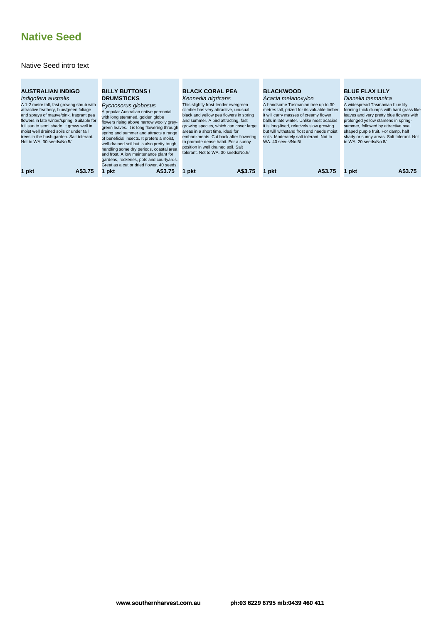# **Native Seed**

#### Native Seed intro text

| <b>AUSTRALIAN INDIGO</b><br>Indigofera australis<br>A 1-2 metre tall, fast growing shrub with<br>attractive feathery, blue/green foliage<br>and sprays of mauve/pink, fragrant pea<br>flowers in late winter/spring. Suitable for<br>full sun to semi shade, it grows well in<br>moist well drained soils or under tall<br>trees in the bush garden. Salt tolerant.<br>Not to WA, 30 seeds/No.5/ | <b>BILLY BUTTONS /</b><br><b>DRUMSTICKS</b><br>Pycnosorus globosus<br>A popular Australian native perennial<br>with long stemmed, golden globe<br>flowers rising above narrow woolly grey-<br>green leaves. It is long flowering through<br>spring and summer and attracts a range<br>of beneficial insects. It prefers a moist,<br>well-drained soil but is also pretty tough,<br>handling some dry periods, coastal area<br>and frost. A low maintenance plant for<br>gardens, rockeries, pots and courtyards.<br>Great as a cut or dried flower, 40 seeds. | <b>BLACK CORAL PEA</b><br>Kennedia nigricans<br>This slightly frost-tender evergreen<br>climber has very attractive, unusual<br>black and yellow pea flowers in spring<br>and summer. A bird attracting, fast<br>growing species, which can cover large<br>areas in a short time, ideal for<br>embankments. Cut back after flowering<br>to promote dense habit. For a sunny<br>position in well drained soil. Salt<br>tolerant. Not to WA, 30 seeds/No.5/ | <b>BLACKWOOD</b><br>Acacia melanoxylon<br>A handsome Tasmanian tree up to 30<br>metres tall, prized for its valuable timber,<br>it will carry masses of creamy flower<br>balls in late winter. Unlike most acacias<br>it is long-lived, relatively slow growing<br>but will withstand frost and needs moist<br>soils. Moderately salt tolerant. Not to<br>WA, 40 seeds/No.5/ | <b>BLUE FLAX LILY</b><br>Dianella tasmanica<br>A widespread Tasmanian blue lily<br>forming thick clumps with hard grass-like<br>leaves and very pretty blue flowers with<br>prolonged yellow stamens in spring-<br>summer, followed by attractive oval<br>shaped purple fruit. For damp, half<br>shady or sunny areas. Salt tolerant. Not<br>to WA. 20 seeds/No.8/ |
|--------------------------------------------------------------------------------------------------------------------------------------------------------------------------------------------------------------------------------------------------------------------------------------------------------------------------------------------------------------------------------------------------|---------------------------------------------------------------------------------------------------------------------------------------------------------------------------------------------------------------------------------------------------------------------------------------------------------------------------------------------------------------------------------------------------------------------------------------------------------------------------------------------------------------------------------------------------------------|-----------------------------------------------------------------------------------------------------------------------------------------------------------------------------------------------------------------------------------------------------------------------------------------------------------------------------------------------------------------------------------------------------------------------------------------------------------|------------------------------------------------------------------------------------------------------------------------------------------------------------------------------------------------------------------------------------------------------------------------------------------------------------------------------------------------------------------------------|--------------------------------------------------------------------------------------------------------------------------------------------------------------------------------------------------------------------------------------------------------------------------------------------------------------------------------------------------------------------|
| 1 pkt                                                                                                                                                                                                                                                                                                                                                                                            | pkt                                                                                                                                                                                                                                                                                                                                                                                                                                                                                                                                                           | A\$3.75                                                                                                                                                                                                                                                                                                                                                                                                                                                   | A\$3.75                                                                                                                                                                                                                                                                                                                                                                      | A\$3.75                                                                                                                                                                                                                                                                                                                                                            |
| A\$3.75                                                                                                                                                                                                                                                                                                                                                                                          | A\$3.75                                                                                                                                                                                                                                                                                                                                                                                                                                                                                                                                                       | 1 pkt                                                                                                                                                                                                                                                                                                                                                                                                                                                     | pkt                                                                                                                                                                                                                                                                                                                                                                          | 1 pkt                                                                                                                                                                                                                                                                                                                                                              |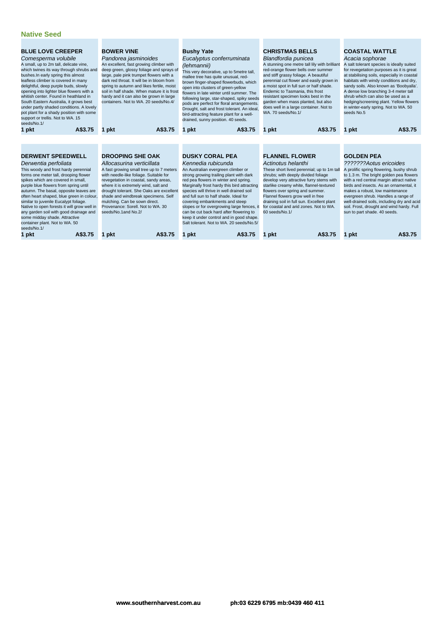| <b>BLUE LOVE CREEPER</b><br>Comesperma volubile<br>A small, up to 2m tall, delicate vine,<br>which twines its way through shrubs and<br>bushes. In early spring this almost<br>leafless climber is covered in many<br>delightful, deep purple buds, slowly<br>opening into lighter blue flowers with a<br>whitish center. Found in heathland in<br>South Eastern Australia, it grows best<br>under partly shaded conditions. A lovely<br>pot plant for a shady position with some<br>support or trellis. Not to WA. 15<br>seeds/No.1/           | <b>BOWER VINE</b><br>Pandorea jasminoides<br>An excellent, fast growing climber with<br>deep green, glossy foliage and sprays of<br>large, pale pink trumpet flowers with a<br>dark red throat. It will be in bloom from<br>spring to autumn and likes fertile, moist<br>soil in half shade. When mature it is frost<br>hardy and it can also be grown in large<br>containers. Not to WA, 20 seeds/No.4/                        | <b>Bushy Yate</b><br>Eucalyptus conferruminata<br>(lehmannii)<br>This very decorative, up to 5metre tall,<br>mallee tree has quite unusual, red-<br>brown finger-shaped flowerbuds, which<br>open into clusters of green-yellow<br>flowers in late winter until summer. The<br>following large, star-shaped, spiky seeds<br>pods are perfect for floral arrangements.<br>Drought, salt and frost tolerant. An ideal,<br>bird-attracting feature plant for a well-<br>drained, sunny position. 40 seeds.                                           | <b>CHRISTMAS BELLS</b><br>Blandfordia punicea<br>A stunning one metre tall lily with brilliant<br>red-orange flower bells over summer<br>and stiff grassy foliage. A beautiful<br>perennial cut flower and easily grown in<br>a moist spot in full sun or half shade.<br>Endemic to Tasmania, this frost<br>resistant specimen looks best in the<br>garden when mass planted, but also<br>does well in a large container. Not to<br>WA. 70 seeds/No.1/ | <b>COASTAL WATTLE</b><br>Acacia sophorae<br>A salt tolerant species is ideally suited<br>for revegetation purposes as it is great<br>at stabilising soils, especially in coastal<br>habitats with windy conditions and dry,<br>sandy soils. Also known as 'Boobyalla'.<br>A dense low branching 3-4 meter tall<br>shrub which can also be used as a<br>hedging/screening plant. Yellow flowers<br>in winter-early spring. Not to WA. 50<br>seeds No.5 |
|-------------------------------------------------------------------------------------------------------------------------------------------------------------------------------------------------------------------------------------------------------------------------------------------------------------------------------------------------------------------------------------------------------------------------------------------------------------------------------------------------------------------------------------------------|---------------------------------------------------------------------------------------------------------------------------------------------------------------------------------------------------------------------------------------------------------------------------------------------------------------------------------------------------------------------------------------------------------------------------------|---------------------------------------------------------------------------------------------------------------------------------------------------------------------------------------------------------------------------------------------------------------------------------------------------------------------------------------------------------------------------------------------------------------------------------------------------------------------------------------------------------------------------------------------------|--------------------------------------------------------------------------------------------------------------------------------------------------------------------------------------------------------------------------------------------------------------------------------------------------------------------------------------------------------------------------------------------------------------------------------------------------------|-------------------------------------------------------------------------------------------------------------------------------------------------------------------------------------------------------------------------------------------------------------------------------------------------------------------------------------------------------------------------------------------------------------------------------------------------------|
| A\$3.75<br>1 pkt                                                                                                                                                                                                                                                                                                                                                                                                                                                                                                                                | A\$3.75<br>1 pkt                                                                                                                                                                                                                                                                                                                                                                                                                | A\$3.75<br>1 pkt                                                                                                                                                                                                                                                                                                                                                                                                                                                                                                                                  | A\$3.75<br>1 pkt                                                                                                                                                                                                                                                                                                                                                                                                                                       | A\$3.75<br>1 pkt                                                                                                                                                                                                                                                                                                                                                                                                                                      |
| <b>DERWENT SPEEDWELL</b><br>Derwentia perfoliata<br>This woody and frost hardy perennial<br>forms one meter tall, drooping flower<br>spikes which are covered in small,<br>purple blue flowers from spring until<br>autumn. The basal, opposite leaves are<br>often heart shaped, blue green in colour,<br>similar to juvenile Eucalypt foliage.<br>Native to open forests it will grow well in<br>any garden soil with good drainage and<br>some midday shade. Attractive<br>container plant. Not to WA. 50<br>seeds/No.1/<br>A\$3.75<br>1 pkt | <b>DROOPING SHE OAK</b><br>Allocasurina verticillata<br>A fast growing small tree up to 7 meters<br>with needle-like foliage. Suitable for<br>revegetation in coastal, sandy areas,<br>where it is extremely wind, salt and<br>drought tolerant. She Oaks are excellent<br>shade and windbreak specimens. Self<br>mulching. Can be sown direct.<br>Provenance: Sorell, Not to WA, 30<br>seeds/No.1and No.2/<br>A\$3.75<br>1 pkt | <b>DUSKY CORAL PEA</b><br>Kennedia rubicunda<br>An Australian evergreen climber or<br>strong growing trailing plant with dark<br>red pea flowers in winter and spring.<br>Marginally frost hardy this bird attracting<br>species will thrive in well drained soil<br>and full sun to half shade. Ideal for<br>covering embankments and steep<br>slopes or for overgrowing large fences, it<br>can be cut back hard after flowering to<br>keep it under control and in good shape.<br>Salt tolerant. Not to WA, 20 seeds/No.5/<br>A\$3.75<br>1 pkt | <b>FLANNEL FLOWER</b><br>Actinotus helanthi<br>These short lived perennial; up to 1m tall<br>shrubs; with deeply divided foliage<br>develop very attractive furry stems with<br>starlike creamy white, flannel-textured<br>flowers over spring and summer.<br>Flannel flowers grow well in free<br>draining soil in full sun. Excellent plant<br>for coastal and arid zones. Not to WA.<br>60 seeds/No.1/<br>A\$3.75<br>1 pkt                          | <b>GOLDEN PEA</b><br>???????Aotus ericoides<br>A prolific spring flowering, bushy shrub<br>to 1.3 m. The bright golden pea flowers<br>with a red central margin attract native<br>birds and insects. As an ornamental, it<br>makes a robust, low maintenance<br>evergreen shrub. Handles a range of<br>well-drained soils, including dry and acid<br>soil. Frost, drought and wind hardy. Full<br>sun to part shade. 40 seeds.<br>A\$3.75<br>1 pkt    |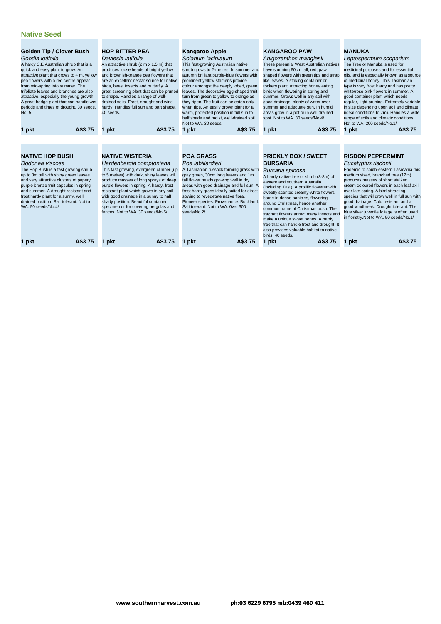| <b>Golden Tip / Clover Bush</b><br>Goodia lotifolia<br>A hardy S.E Australian shrub that is a<br>quick and easy plant to grow. An<br>attractive plant that grows to 4 m, yellow<br>pea flowers with a red centre appear<br>from mid-spring into summer. The<br>trifoliate leaves and branches are also<br>attractive, especially the young growth.<br>A great hedge plant that can handle wet<br>periods and times of drought. 30 seeds.<br>No. 5.<br>A\$3.75<br>1 pkt | <b>HOP BITTER PEA</b><br>Daviesia latifolia<br>An attractive shrub (2 m x 1.5 m) that<br>produces loose heads of bright yellow<br>and brownish-orange pea flowers that<br>are an excellent nectar source for native<br>birds, bees, insects and butterfly. A<br>great screening plant that can be pruned<br>to shape. Handles a range of well-<br>drained soils. Frost, drought and wind<br>hardy. Handles full sun and part shade.<br>40 seeds.<br>A\$3.75<br>1 pkt | <b>Kangaroo Apple</b><br>Solanum laciniatum<br>This fast-growing Australian native<br>shrub grows to 2-metres. In summer and<br>autumn brilliant purple-blue flowers with<br>prominent yellow stamens provide<br>colour amongst the deeply lobed, green<br>leaves. The decorative egg-shaped fruit<br>turn from green to yellow to orange as<br>they ripen. The fruit can be eaten only<br>when ripe. An easily grown plant for a<br>warm, protected position in full sun to<br>half shade and moist, well-drained soil.<br>Not to WA, 30 seeds.<br>A\$3.75<br>1 pkt | <b>KANGAROO PAW</b><br>Anigozanthos manglesii<br>These perennial West Australian natives<br>have stunning 60cm tall, red, paw<br>shaped flowers with green tips and strap<br>like leaves. A striking container or<br>rockery plant, attracting honey eating<br>birds when flowering in spring and<br>summer. Grows well in any soil with<br>good drainage, plenty of water over<br>summer and adequate sun. In humid<br>areas grow in a pot or in well drained<br>spot. Not to WA. 30 seeds/No.4/<br>A\$3.75<br>1 pkt                                                 | <b>MANUKA</b><br>Leptospermum scoparium<br>Tea Tree or Manuka is used for<br>medicinal purposes and for essential<br>oils, and is especially known as a source<br>of medicinal honey. This Tasmanian<br>type is very frost hardy and has pretty<br>white/rose pink flowers in summer. A<br>good container plant which needs<br>regular, light pruning. Extremely variable<br>in size depending upon soil and climate<br>(ideal conditions to 7m). Handles a wide<br>range of soils and climatic conditions.<br>Not to WA, 200 seeds/No.1/<br>A\$3.75<br>1 pkt |
|------------------------------------------------------------------------------------------------------------------------------------------------------------------------------------------------------------------------------------------------------------------------------------------------------------------------------------------------------------------------------------------------------------------------------------------------------------------------|----------------------------------------------------------------------------------------------------------------------------------------------------------------------------------------------------------------------------------------------------------------------------------------------------------------------------------------------------------------------------------------------------------------------------------------------------------------------|----------------------------------------------------------------------------------------------------------------------------------------------------------------------------------------------------------------------------------------------------------------------------------------------------------------------------------------------------------------------------------------------------------------------------------------------------------------------------------------------------------------------------------------------------------------------|-----------------------------------------------------------------------------------------------------------------------------------------------------------------------------------------------------------------------------------------------------------------------------------------------------------------------------------------------------------------------------------------------------------------------------------------------------------------------------------------------------------------------------------------------------------------------|---------------------------------------------------------------------------------------------------------------------------------------------------------------------------------------------------------------------------------------------------------------------------------------------------------------------------------------------------------------------------------------------------------------------------------------------------------------------------------------------------------------------------------------------------------------|
| <b>NATIVE HOP BUSH</b><br>Dodonea viscosa<br>The Hop Bush is a fast growing shrub<br>up to 3m tall with shiny green leaves<br>and very attractive clusters of papery<br>purple bronze fruit capsules in spring<br>and summer. A drought resistant and<br>frost hardy plant for a sunny, well<br>drained position. Salt tolerant. Not to<br>WA. 50 seeds/No.4/<br>A\$3.75<br>pkt<br>1                                                                                   | <b>NATIVE WISTERIA</b><br>Hardenbergia comptoniana<br>This fast growing, evergreen climber (up<br>to 5 metres) with dark, shiny leaves will<br>produce masses of long sprays of deep<br>purple flowers in spring. A hardy, frost<br>resistant plant which grows in any soil<br>with good drainage in a sunny to half<br>shady position. Beautiful container<br>specimen or for covering pergolas and<br>fences. Not to WA, 30 seeds/No.5/<br>A\$3.75<br>1 pkt        | <b>POA GRASS</b><br>Poa labillardieri<br>A Tasmanian tussock forming grass with<br>gray green, 30cm long leaves and 1m<br>tall flower heads growing well in dry<br>areas with good drainage and full sun. A<br>frost hardy grass ideally suited for direct<br>sowing to revegetate native flora.<br>Pioneer species. Provenance: Buckland.<br>Salt tolerant. Not to WA, Over 300<br>seeds/No.2/<br>A\$3.75<br>1 pkt                                                                                                                                                  | <b>PRICKLY BOX / SWEET</b><br><b>BURSARIA</b><br>Bursaria spinosa<br>A hardy native tree or shrub (3-8m) of<br>eastern and southern Australia<br>(including Tas.). A prolific flowerer with<br>sweetly scented creamy-white flowers<br>borne in dense panicles, flowering<br>around Christmas, hence another<br>common name of Christmas bush. The<br>fragrant flowers attract many insects and<br>make a unique sweet honey. A hardy<br>tree that can handle frost and drought. It<br>also provides valuable habitat to native<br>birds, 40 seeds.<br>A\$3.75<br>pkt | <b>RISDON PEPPERMINT</b><br>Eucalyptus risdonii<br>Endemic to south-eastern Tasmania this<br>medium sized, branched tree (12m)<br>produces masses of short stalked,<br>cream coloured flowers in each leaf axil<br>over late spring. A bird attracting<br>species that will grow well in full sun with<br>good drainage. Cold resistant and a<br>good windbreak. Drought tolerant. The<br>blue silver juvenile foliage is often used<br>in floristry. Not to WA. 50 seeds/No.1/<br>A\$3.75<br>1 pkt                                                           |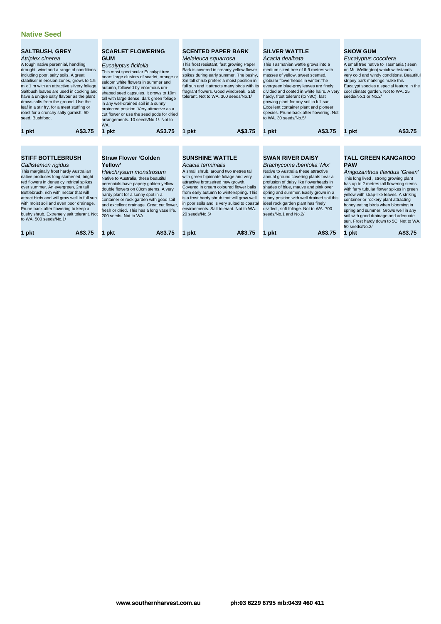| <b>SALTBUSH, GREY</b><br>Atriplex cinerea<br>A tough native perennial, handling<br>drought, wind and a range of conditions<br>including poor, salty soils. A great<br>stabiliser in erosion zones, grows to 1.5<br>m x 1 m with an attractive silvery foliage.<br>Saltbush leaves are used in cooking and<br>have a unique salty flavour as the plant<br>draws salts from the ground. Use the<br>leaf in a stir fry, for a meat stuffing or<br>roast for a crunchy salty garnish. 50<br>seed. Bushfood. |         | <b>SCARLET FLOWERING</b><br><b>GUM</b><br>Eucalyptus ficifolia<br>This most spectacular Eucalypt tree<br>bears large clusters of scarlet, orange or<br>seldom white flowers in summer and<br>autumn, followed by enormous urn-<br>shaped seed capsules. It grows to 10m<br>tall with large dense, dark green foliage<br>in any well-drained soil in a sunny,<br>protected position. Very attractive as a<br>cut flower or use the seed pods for dried<br>arrangements. 10 seeds/No.1/. Not to<br>WA. | <b>SCENTED PAPER BARK</b><br>Melaleuca squarrosa<br>This frost resistant, fast growing Paper<br>Bark is covered in creamy yellow flower<br>spikes during early summer. The bushy,<br>3m tall shrub prefers a moist position in<br>full sun and it attracts many birds with its<br>fragrant flowers. Good windbreak. Salt<br>tolerant. Not to WA, 300 seeds/No.1/                                                   | <b>SILVER WATTLE</b><br>Acacia dealbata<br>This Tasmanian wattle grows into a<br>medium sized tree of 6-9 metres with<br>masses of yellow, sweet scented,<br>globular flowerheads in winter. The<br>evergreen blue-grey leaves are finely<br>divided and coated in white hairs. A very<br>hardy, frost tolerant (to ?8C), fast<br>growing plant for any soil in full sun.<br>Excellent container plant and pioneer<br>species. Prune back after flowering. Not<br>to WA, 30 seeds/No.5/ | <b>SNOW GUM</b><br>Eucalyptus coccifera<br>A small tree native to Tasmania (seen<br>on Mt. Wellington) which withstands<br>very cold and windy conditions. Beautiful<br>stripey bark markings make this<br>Eucalypt species a special feature in the<br>cool climate garden. Not to WA. 25<br>seeds/No.1 or No.2/                                                                                                                                                                    |  |
|---------------------------------------------------------------------------------------------------------------------------------------------------------------------------------------------------------------------------------------------------------------------------------------------------------------------------------------------------------------------------------------------------------------------------------------------------------------------------------------------------------|---------|------------------------------------------------------------------------------------------------------------------------------------------------------------------------------------------------------------------------------------------------------------------------------------------------------------------------------------------------------------------------------------------------------------------------------------------------------------------------------------------------------|--------------------------------------------------------------------------------------------------------------------------------------------------------------------------------------------------------------------------------------------------------------------------------------------------------------------------------------------------------------------------------------------------------------------|-----------------------------------------------------------------------------------------------------------------------------------------------------------------------------------------------------------------------------------------------------------------------------------------------------------------------------------------------------------------------------------------------------------------------------------------------------------------------------------------|--------------------------------------------------------------------------------------------------------------------------------------------------------------------------------------------------------------------------------------------------------------------------------------------------------------------------------------------------------------------------------------------------------------------------------------------------------------------------------------|--|
| 1 pkt                                                                                                                                                                                                                                                                                                                                                                                                                                                                                                   | A\$3.75 | A\$3.75<br>1 pkt                                                                                                                                                                                                                                                                                                                                                                                                                                                                                     | A\$3.75<br>1 pkt                                                                                                                                                                                                                                                                                                                                                                                                   | A\$3.75<br>1 pkt                                                                                                                                                                                                                                                                                                                                                                                                                                                                        | A\$3.75<br>1 pkt                                                                                                                                                                                                                                                                                                                                                                                                                                                                     |  |
|                                                                                                                                                                                                                                                                                                                                                                                                                                                                                                         |         |                                                                                                                                                                                                                                                                                                                                                                                                                                                                                                      |                                                                                                                                                                                                                                                                                                                                                                                                                    |                                                                                                                                                                                                                                                                                                                                                                                                                                                                                         |                                                                                                                                                                                                                                                                                                                                                                                                                                                                                      |  |
| <b>STIFF BOTTLEBRUSH</b><br>Callistemon rigidus<br>This marginally frost hardy Australian<br>native produces long stamened, bright<br>red flowers in dense cylindrical spikes<br>over summer. An evergreen, 2m tall<br>Bottlebrush, rich with nectar that will<br>attract birds and will grow well in full sun<br>with moist soil and even poor drainage.<br>Prune back after flowering to keep a<br>bushy shrub. Extremely salt tolerant. Not<br>to WA, 500 seeds/No.1/                                |         | <b>Straw Flower 'Golden</b><br>Yellow'<br>Helichrysum monstrosum<br>Native to Australia, these beautiful<br>perennials have papery golden-yellow<br>double flowers on 80cm stems. A very<br>hardy plant for a sunny spot in a<br>container or rock garden with good soil<br>and excellent drainage. Great cut flower,<br>fresh or dried. This has a long vase life.<br>200 seeds. Not to WA.                                                                                                         | <b>SUNSHINE WATTLE</b><br>Acacia terminalis<br>A small shrub, around two metres tall<br>with green bipinnate foliage and very<br>attractive bronze/red new growth.<br>Covered in cream coloured flower balls<br>from early autumn to winter/spring. This<br>is a frost hardy shrub that will grow well<br>in poor soils and is very suited to coastal<br>environments. Salt tolerant. Not to WA.<br>20 seeds/No.5/ | <b>SWAN RIVER DAISY</b><br>Brachycome iberifolia 'Mix'<br>Native to Australia these attractive<br>annual ground covering plants bear a<br>profusion of daisy like flowerheads in<br>shades of blue, mauve and pink over<br>spring and summer. Easily grown in a<br>sunny position with well drained soil this<br>ideal rock garden plant has finely<br>divided, soft foliage. Not to WA. 700<br>seeds/No.1 and No.2/                                                                    | <b>TALL GREEN KANGAROO</b><br><b>PAW</b><br>Anigozanthos flavidus 'Green'<br>This long lived, strong growing plant<br>has up to 2 metres tall flowering stems<br>with furry tubular flower spikes in green<br>yellow with strap-like leaves. A striking<br>container or rockery plant attracting<br>honey eating birds when blooming in<br>spring and summer. Grows well in any<br>soil with good drainage and adequate<br>sun. Frost hardy down to 5C. Not to WA.<br>50 seeds/No.2/ |  |
| 1 pkt                                                                                                                                                                                                                                                                                                                                                                                                                                                                                                   | A\$3.75 | A\$3.75<br>1 pkt                                                                                                                                                                                                                                                                                                                                                                                                                                                                                     | A\$3.75<br>pkt                                                                                                                                                                                                                                                                                                                                                                                                     | A\$3.75<br>pkt                                                                                                                                                                                                                                                                                                                                                                                                                                                                          | 1 pkt<br>A\$3.75                                                                                                                                                                                                                                                                                                                                                                                                                                                                     |  |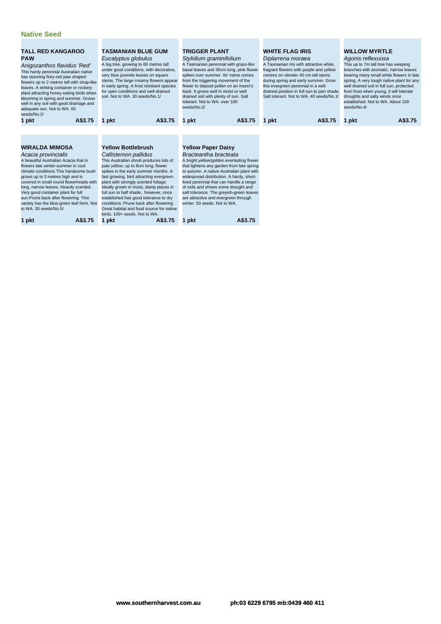#### **Native Seed**

| <b>TALL RED KANGAROO</b><br><b>PAW</b><br>Anigozanthos flavidus 'Red'<br>This hardy perennial Australian native<br>has stunning firey-red paw shaped<br>flowers up to 2 metres tall with strap-like<br>leaves. A striking container or rockery<br>plant attracting honey eating birds when<br>blooming in spring and summer. Grows<br>well in any soil with good drainage and<br>adequate sun. Not to WA. 60<br>seeds/No.2/                                            | <b>TASMANIAN BLUE GUM</b><br>Eucalyptus globulus<br>A big tree, growing to 60 metres tall<br>under good conditions, with decorative,<br>very blue juvenile leaves on square<br>stems. The large creamy flowers appear<br>in early spring. A frost resistant species<br>for open conditions and well drained<br>soil. Not to WA, 30 seeds/No.1/                                                                                                                                                                                         | <b>TRIGGER PLANT</b><br>Stylidium graminifolium<br>A Tasmanian perennial with grass-like<br>basal leaves and 30cm long, pink flower<br>spikes over summer. Its' name comes<br>from the triggering movement of the<br>flower to deposit pollen on an insect's<br>back. It grows well in moist or well<br>drained soil with plenty of sun. Salt<br>tolerant. Not to WA, over 100<br>seeds/No.2/                                                                   | <b>WHITE FLAG IRIS</b><br>Diplarrena moraea<br>A Tasmanian Iris with attractive white.<br>fragrant flowers with purple and yellow<br>centres on slender 40 cm tall stems<br>during spring and early summer. Grow<br>this evergreen perennial in a well<br>drained position in full sun to part shade.<br>Salt tolerant. Not to WA, 40 seeds/No.1/ | <b>WILLOW MYRTLE</b><br>Agonis reflexuosa<br>This up to 7m tall tree has weeping<br>branches with aromatic, narrow leaves<br>bearing many small white flowers in late<br>spring. A very tough native plant for any<br>well drained soil in full sun, protected<br>from frost when young, it will tolerate<br>droughts and salty winds once<br>established. Not to WA, About 100<br>seeds/No.4/ |
|------------------------------------------------------------------------------------------------------------------------------------------------------------------------------------------------------------------------------------------------------------------------------------------------------------------------------------------------------------------------------------------------------------------------------------------------------------------------|----------------------------------------------------------------------------------------------------------------------------------------------------------------------------------------------------------------------------------------------------------------------------------------------------------------------------------------------------------------------------------------------------------------------------------------------------------------------------------------------------------------------------------------|-----------------------------------------------------------------------------------------------------------------------------------------------------------------------------------------------------------------------------------------------------------------------------------------------------------------------------------------------------------------------------------------------------------------------------------------------------------------|---------------------------------------------------------------------------------------------------------------------------------------------------------------------------------------------------------------------------------------------------------------------------------------------------------------------------------------------------|------------------------------------------------------------------------------------------------------------------------------------------------------------------------------------------------------------------------------------------------------------------------------------------------------------------------------------------------------------------------------------------------|
| A\$3.75<br>1 pkt                                                                                                                                                                                                                                                                                                                                                                                                                                                       | A\$3.75<br>1 pkt                                                                                                                                                                                                                                                                                                                                                                                                                                                                                                                       | A\$3.75<br>1 pkt                                                                                                                                                                                                                                                                                                                                                                                                                                                | A\$3.75<br>pkt<br>1.                                                                                                                                                                                                                                                                                                                              | A\$3.75<br>1 pkt                                                                                                                                                                                                                                                                                                                                                                               |
| <b>WIRALDA MIMOSA</b><br>Acacia provincialis<br>A beautiful Australian Acacia that in<br>flowers late winter-summer in cool<br>climate conditions. This handsome bush<br>grows up to 3 metres high and is<br>covered in small round flowerheads with<br>long, narrow leaves. Heavily scented.<br>Very good container plant for full<br>sun. Prune back after flowering. This<br>variety has the blue-green leaf form. Not<br>to WA. 30 seeds/No.5/<br>A\$3.75<br>1 pkt | <b>Yellow Bottlebrush</b><br>Callistemon pallidus<br>This Australian shrub produces lots of<br>pale yellow, up to 8cm long, flower<br>spikes in the early summer months. A<br>fast growing, bird attracting evergreen<br>plant with strongly scented foliage.<br>Ideally grown in moist, damp places in<br>full sun to half shade., however, once<br>established has good tolerance to dry<br>conditions. Prune back after flowering.<br>Great habitat and food source for native<br>birds, 100+ seeds. Not to WA.<br>1 pkt<br>A\$3.75 | <b>Yellow Paper Daisy</b><br>Bracteantha bracteata<br>A bright yellow/golden everlasting flower<br>that lightens any garden from late spring<br>to autumn. A native Australian plant with<br>widespread distribution. A hardy, short-<br>lived perennial that can handle a range<br>of soils and shows some drought and<br>salt tolerance. The greyish-green leaves<br>are attractive and evergreen through<br>winter, 50 seeds. Not to WA.<br>A\$3.75<br>1 pkt |                                                                                                                                                                                                                                                                                                                                                   |                                                                                                                                                                                                                                                                                                                                                                                                |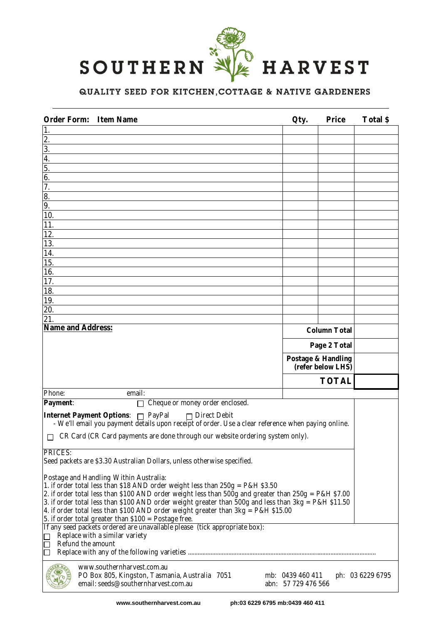

# QUALITY SEED FOR KITCHEN, COTTAGE & NATIVE GARDENERS

| <b>Order Form:</b><br><b>Item Name</b>                                                                                                                                                                                                                                                                                                                                                                                                                                                 | Qty.                                    | <b>Price</b> | Total \$         |  |  |
|----------------------------------------------------------------------------------------------------------------------------------------------------------------------------------------------------------------------------------------------------------------------------------------------------------------------------------------------------------------------------------------------------------------------------------------------------------------------------------------|-----------------------------------------|--------------|------------------|--|--|
| 1.                                                                                                                                                                                                                                                                                                                                                                                                                                                                                     |                                         |              |                  |  |  |
| 2.                                                                                                                                                                                                                                                                                                                                                                                                                                                                                     |                                         |              |                  |  |  |
| 3.<br>4.                                                                                                                                                                                                                                                                                                                                                                                                                                                                               |                                         |              |                  |  |  |
| 5.                                                                                                                                                                                                                                                                                                                                                                                                                                                                                     |                                         |              |                  |  |  |
| 6.                                                                                                                                                                                                                                                                                                                                                                                                                                                                                     |                                         |              |                  |  |  |
| 7.                                                                                                                                                                                                                                                                                                                                                                                                                                                                                     |                                         |              |                  |  |  |
| 8.                                                                                                                                                                                                                                                                                                                                                                                                                                                                                     |                                         |              |                  |  |  |
| 9.                                                                                                                                                                                                                                                                                                                                                                                                                                                                                     |                                         |              |                  |  |  |
| 10.                                                                                                                                                                                                                                                                                                                                                                                                                                                                                    |                                         |              |                  |  |  |
| 11.                                                                                                                                                                                                                                                                                                                                                                                                                                                                                    |                                         |              |                  |  |  |
| 12.                                                                                                                                                                                                                                                                                                                                                                                                                                                                                    |                                         |              |                  |  |  |
| 13.<br>14.                                                                                                                                                                                                                                                                                                                                                                                                                                                                             |                                         |              |                  |  |  |
| 15.                                                                                                                                                                                                                                                                                                                                                                                                                                                                                    |                                         |              |                  |  |  |
| 16.                                                                                                                                                                                                                                                                                                                                                                                                                                                                                    |                                         |              |                  |  |  |
| 17.                                                                                                                                                                                                                                                                                                                                                                                                                                                                                    |                                         |              |                  |  |  |
| 18.                                                                                                                                                                                                                                                                                                                                                                                                                                                                                    |                                         |              |                  |  |  |
| 19.                                                                                                                                                                                                                                                                                                                                                                                                                                                                                    |                                         |              |                  |  |  |
| 20.                                                                                                                                                                                                                                                                                                                                                                                                                                                                                    |                                         |              |                  |  |  |
| 21<br><b>Name and Address:</b>                                                                                                                                                                                                                                                                                                                                                                                                                                                         |                                         |              |                  |  |  |
|                                                                                                                                                                                                                                                                                                                                                                                                                                                                                        | <b>Column Total</b>                     |              |                  |  |  |
|                                                                                                                                                                                                                                                                                                                                                                                                                                                                                        |                                         | Page 2 Total |                  |  |  |
|                                                                                                                                                                                                                                                                                                                                                                                                                                                                                        | Postage & Handling<br>(refer below LHS) |              |                  |  |  |
|                                                                                                                                                                                                                                                                                                                                                                                                                                                                                        |                                         | <b>TOTAL</b> |                  |  |  |
| Phone:<br>email:                                                                                                                                                                                                                                                                                                                                                                                                                                                                       |                                         |              |                  |  |  |
| Cheque or money order enclosed.<br>Payment:<br>П                                                                                                                                                                                                                                                                                                                                                                                                                                       |                                         |              |                  |  |  |
| Internet Payment Options: n PayPal<br>$\Box$ Direct Debit<br>- We'll email you payment details upon receipt of order. Use a clear reference when paying online.                                                                                                                                                                                                                                                                                                                        |                                         |              |                  |  |  |
| CR Card (CR Card payments are done through our website ordering system only).                                                                                                                                                                                                                                                                                                                                                                                                          |                                         |              |                  |  |  |
| <b>PRICES:</b><br>Seed packets are \$3.30 Australian Dollars, unless otherwise specified.                                                                                                                                                                                                                                                                                                                                                                                              |                                         |              |                  |  |  |
| Postage and Handling Within Australia:<br>1. if order total less than \$18 AND order weight less than 250g = P&H \$3.50<br>2. if order total less than \$100 AND order weight less than 500g and greater than 250g = P&H \$7.00<br>3. if order total less than \$100 AND order weight greater than 500g and less than 3kg = P&H \$11.50<br>4. if order total less than \$100 AND order weight greater than $3kg = P&H$ \$15.00<br>5. if order total greater than \$100 = Postage free. |                                         |              |                  |  |  |
| If any seed packets ordered are unavailable please (tick appropriate box):<br>Replace with a similar variety<br>Refund the amount                                                                                                                                                                                                                                                                                                                                                      |                                         |              |                  |  |  |
| www.southernharvest.com.au<br>PO Box 805, Kingston, Tasmania, Australia 7051<br>email: seeds@southernharvest.com.au<br>abn: 57 729 476 566                                                                                                                                                                                                                                                                                                                                             | mb: 0439 460 411                        |              | ph: 03 6229 6795 |  |  |